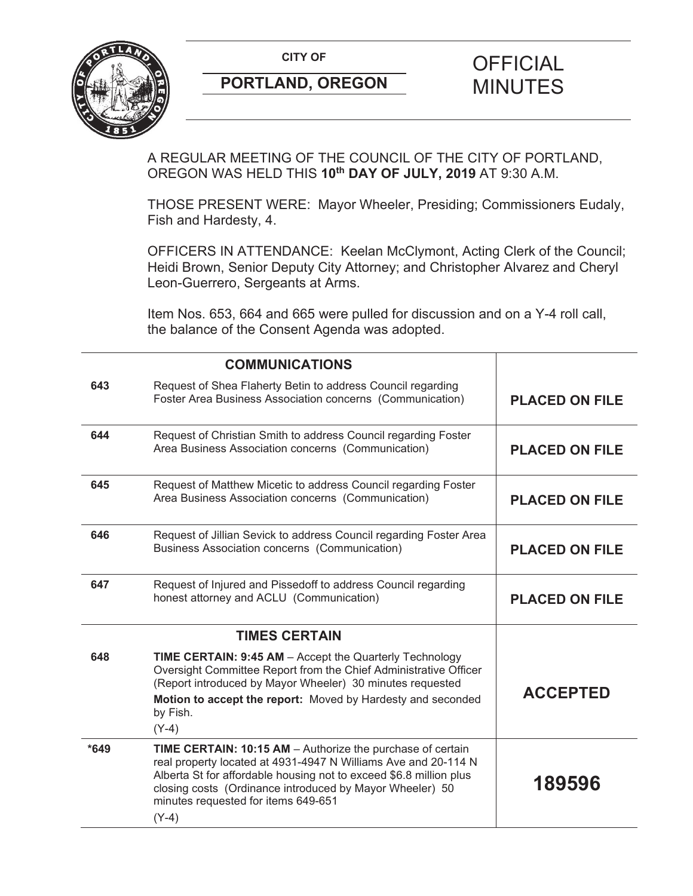

# **PORTLAND, OREGON MINUTES**

# **CITY OF CITY OF PICIAL**

A REGULAR MEETING OF THE COUNCIL OF THE CITY OF PORTLAND, OREGON WAS HELD THIS **10th DAY OF JULY, 2019** AT 9:30 A.M.

THOSE PRESENT WERE: Mayor Wheeler, Presiding; Commissioners Eudaly, Fish and Hardesty, 4.

OFFICERS IN ATTENDANCE: Keelan McClymont, Acting Clerk of the Council; Heidi Brown, Senior Deputy City Attorney; and Christopher Alvarez and Cheryl Leon-Guerrero, Sergeants at Arms.

Item Nos. 653, 664 and 665 were pulled for discussion and on a Y-4 roll call, the balance of the Consent Agenda was adopted.

|        | <b>COMMUNICATIONS</b>                                                                                                                                                                                                                                                                                            |                       |
|--------|------------------------------------------------------------------------------------------------------------------------------------------------------------------------------------------------------------------------------------------------------------------------------------------------------------------|-----------------------|
| 643    | Request of Shea Flaherty Betin to address Council regarding<br>Foster Area Business Association concerns (Communication)                                                                                                                                                                                         | <b>PLACED ON FILE</b> |
| 644    | Request of Christian Smith to address Council regarding Foster<br>Area Business Association concerns (Communication)                                                                                                                                                                                             | <b>PLACED ON FILE</b> |
| 645    | Request of Matthew Micetic to address Council regarding Foster<br>Area Business Association concerns (Communication)                                                                                                                                                                                             | <b>PLACED ON FILE</b> |
| 646    | Request of Jillian Sevick to address Council regarding Foster Area<br>Business Association concerns (Communication)                                                                                                                                                                                              | <b>PLACED ON FILE</b> |
| 647    | Request of Injured and Pissedoff to address Council regarding<br>honest attorney and ACLU (Communication)                                                                                                                                                                                                        | <b>PLACED ON FILE</b> |
|        | <b>TIMES CERTAIN</b>                                                                                                                                                                                                                                                                                             |                       |
| 648    | TIME CERTAIN: 9:45 AM - Accept the Quarterly Technology<br>Oversight Committee Report from the Chief Administrative Officer<br>(Report introduced by Mayor Wheeler) 30 minutes requested<br>Motion to accept the report: Moved by Hardesty and seconded<br>by Fish.<br>$(Y-4)$                                   | <b>ACCEPTED</b>       |
| $*649$ | TIME CERTAIN: 10:15 AM - Authorize the purchase of certain<br>real property located at 4931-4947 N Williams Ave and 20-114 N<br>Alberta St for affordable housing not to exceed \$6.8 million plus<br>closing costs (Ordinance introduced by Mayor Wheeler) 50<br>minutes requested for items 649-651<br>$(Y-4)$ | 189596                |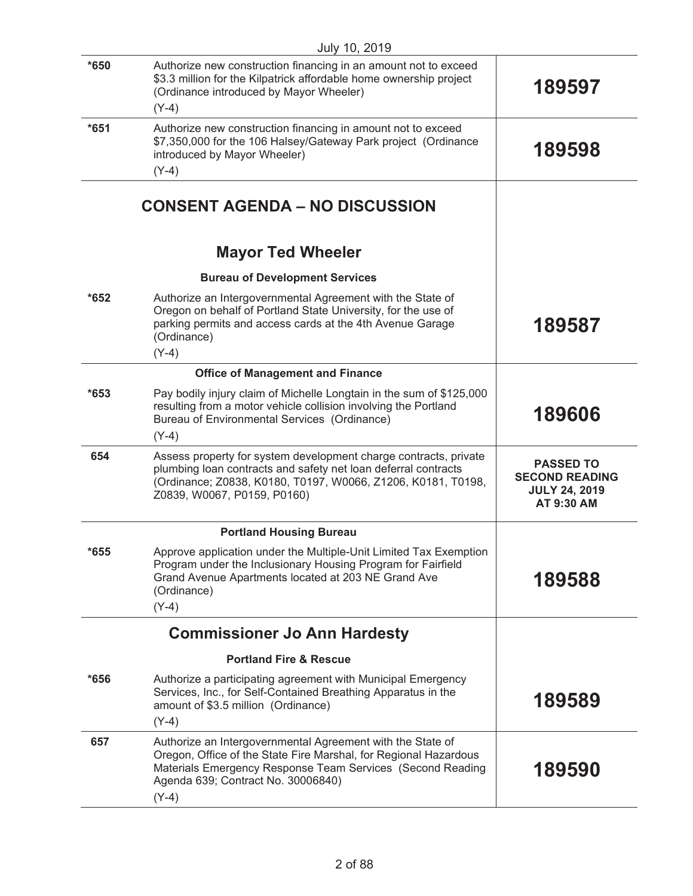|        | July 10, 2019                                                                                                                                                                                                                                 |                                                                                 |
|--------|-----------------------------------------------------------------------------------------------------------------------------------------------------------------------------------------------------------------------------------------------|---------------------------------------------------------------------------------|
| $*650$ | Authorize new construction financing in an amount not to exceed<br>\$3.3 million for the Kilpatrick affordable home ownership project<br>(Ordinance introduced by Mayor Wheeler)<br>$(Y-4)$                                                   | 189597                                                                          |
| $*651$ | Authorize new construction financing in amount not to exceed<br>\$7,350,000 for the 106 Halsey/Gateway Park project (Ordinance<br>introduced by Mayor Wheeler)<br>$(Y-4)$                                                                     | 189598                                                                          |
|        | <b>CONSENT AGENDA - NO DISCUSSION</b>                                                                                                                                                                                                         |                                                                                 |
|        | <b>Mayor Ted Wheeler</b>                                                                                                                                                                                                                      |                                                                                 |
|        | <b>Bureau of Development Services</b>                                                                                                                                                                                                         |                                                                                 |
| $*652$ | Authorize an Intergovernmental Agreement with the State of<br>Oregon on behalf of Portland State University, for the use of<br>parking permits and access cards at the 4th Avenue Garage<br>(Ordinance)<br>$(Y-4)$                            | 189587                                                                          |
|        | <b>Office of Management and Finance</b>                                                                                                                                                                                                       |                                                                                 |
| $*653$ | Pay bodily injury claim of Michelle Longtain in the sum of \$125,000<br>resulting from a motor vehicle collision involving the Portland<br>Bureau of Environmental Services (Ordinance)<br>$(Y-4)$                                            | 189606                                                                          |
| 654    | Assess property for system development charge contracts, private<br>plumbing loan contracts and safety net loan deferral contracts<br>(Ordinance; Z0838, K0180, T0197, W0066, Z1206, K0181, T0198,<br>Z0839, W0067, P0159, P0160)             | <b>PASSED TO</b><br><b>SECOND READING</b><br><b>JULY 24, 2019</b><br>AT 9:30 AM |
|        | <b>Portland Housing Bureau</b>                                                                                                                                                                                                                |                                                                                 |
| 655    | Approve application under the Multiple-Unit Limited Tax Exemption<br>Program under the Inclusionary Housing Program for Fairfield<br>Grand Avenue Apartments located at 203 NE Grand Ave<br>(Ordinance)<br>$(Y-4)$                            | 189588                                                                          |
|        | <b>Commissioner Jo Ann Hardesty</b>                                                                                                                                                                                                           |                                                                                 |
|        | <b>Portland Fire &amp; Rescue</b>                                                                                                                                                                                                             |                                                                                 |
| $*656$ | Authorize a participating agreement with Municipal Emergency<br>Services, Inc., for Self-Contained Breathing Apparatus in the<br>amount of \$3.5 million (Ordinance)<br>$(Y-4)$                                                               | 189589                                                                          |
| 657    | Authorize an Intergovernmental Agreement with the State of<br>Oregon, Office of the State Fire Marshal, for Regional Hazardous<br>Materials Emergency Response Team Services (Second Reading<br>Agenda 639; Contract No. 30006840)<br>$(Y-4)$ | 189590                                                                          |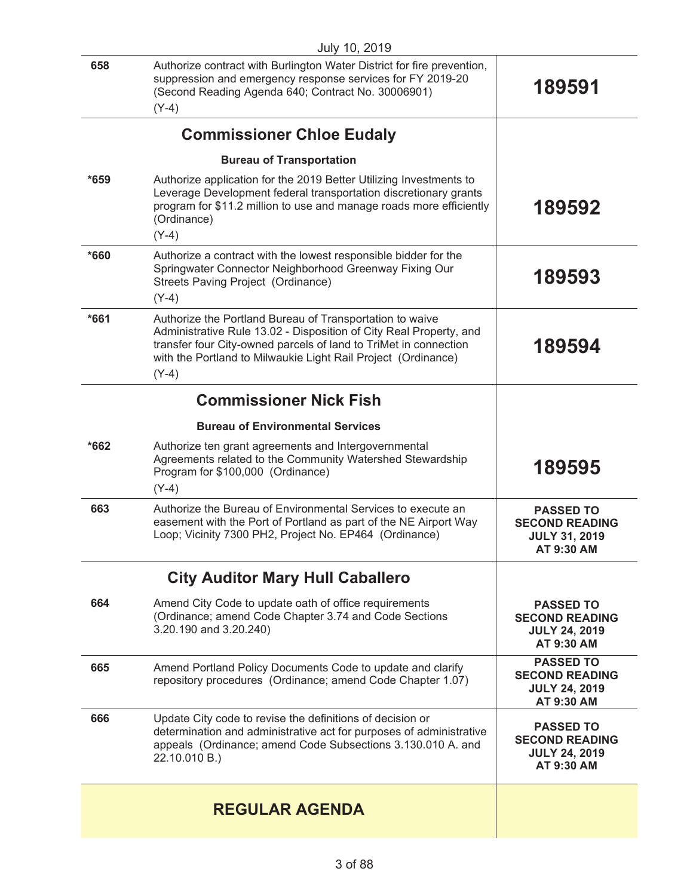|        | July 10, 2019                                                                                                                                                                                                                                                       |                                                                                 |
|--------|---------------------------------------------------------------------------------------------------------------------------------------------------------------------------------------------------------------------------------------------------------------------|---------------------------------------------------------------------------------|
| 658    | Authorize contract with Burlington Water District for fire prevention,<br>suppression and emergency response services for FY 2019-20<br>(Second Reading Agenda 640; Contract No. 30006901)<br>$(Y-4)$                                                               | 189591                                                                          |
|        |                                                                                                                                                                                                                                                                     |                                                                                 |
|        | <b>Commissioner Chloe Eudaly</b>                                                                                                                                                                                                                                    |                                                                                 |
|        | <b>Bureau of Transportation</b>                                                                                                                                                                                                                                     |                                                                                 |
| $*659$ | Authorize application for the 2019 Better Utilizing Investments to<br>Leverage Development federal transportation discretionary grants<br>program for \$11.2 million to use and manage roads more efficiently<br>(Ordinance)                                        | 189592                                                                          |
|        | $(Y-4)$                                                                                                                                                                                                                                                             |                                                                                 |
| *660   | Authorize a contract with the lowest responsible bidder for the<br>Springwater Connector Neighborhood Greenway Fixing Our<br>Streets Paving Project (Ordinance)<br>$(Y-4)$                                                                                          | 189593                                                                          |
| $*661$ | Authorize the Portland Bureau of Transportation to waive<br>Administrative Rule 13.02 - Disposition of City Real Property, and<br>transfer four City-owned parcels of land to TriMet in connection<br>with the Portland to Milwaukie Light Rail Project (Ordinance) | 189594                                                                          |
|        | $(Y-4)$                                                                                                                                                                                                                                                             |                                                                                 |
|        | <b>Commissioner Nick Fish</b>                                                                                                                                                                                                                                       |                                                                                 |
|        | <b>Bureau of Environmental Services</b>                                                                                                                                                                                                                             |                                                                                 |
| $*662$ | Authorize ten grant agreements and Intergovernmental<br>Agreements related to the Community Watershed Stewardship<br>Program for \$100,000 (Ordinance)<br>$(Y-4)$                                                                                                   | 189595                                                                          |
| 663    | Authorize the Bureau of Environmental Services to execute an                                                                                                                                                                                                        | <b>PASSED TO</b>                                                                |
|        | easement with the Port of Portland as part of the NE Airport Way<br>Loop; Vicinity 7300 PH2, Project No. EP464 (Ordinance)                                                                                                                                          | <b>SECOND READING</b><br><b>JULY 31, 2019</b><br>AT 9:30 AM                     |
|        | <b>City Auditor Mary Hull Caballero</b>                                                                                                                                                                                                                             |                                                                                 |
| 664    | Amend City Code to update oath of office requirements<br>(Ordinance; amend Code Chapter 3.74 and Code Sections<br>3.20.190 and 3.20.240)                                                                                                                            | <b>PASSED TO</b><br><b>SECOND READING</b><br><b>JULY 24, 2019</b><br>AT 9:30 AM |
| 665    | Amend Portland Policy Documents Code to update and clarify<br>repository procedures (Ordinance; amend Code Chapter 1.07)                                                                                                                                            | <b>PASSED TO</b><br><b>SECOND READING</b><br><b>JULY 24, 2019</b><br>AT 9:30 AM |
| 666    | Update City code to revise the definitions of decision or<br>determination and administrative act for purposes of administrative<br>appeals (Ordinance; amend Code Subsections 3.130.010 A. and<br>22.10.010 B.)                                                    | <b>PASSED TO</b><br><b>SECOND READING</b><br><b>JULY 24, 2019</b><br>AT 9:30 AM |
|        | <b>REGULAR AGENDA</b>                                                                                                                                                                                                                                               |                                                                                 |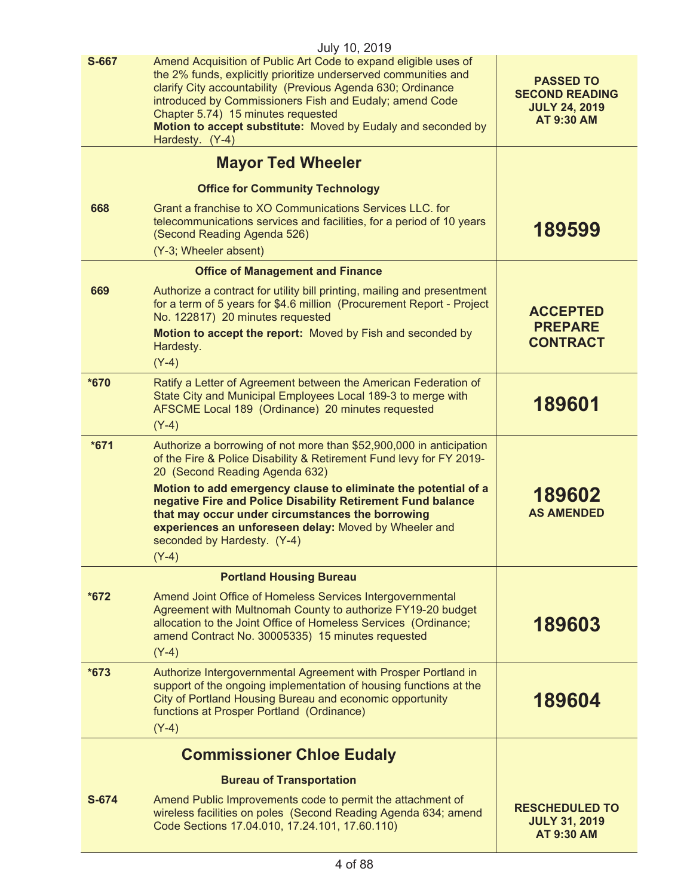|        | July 10, 2019                                                                                                                                                                                                                                                                                                                                                                         |                                                                                        |
|--------|---------------------------------------------------------------------------------------------------------------------------------------------------------------------------------------------------------------------------------------------------------------------------------------------------------------------------------------------------------------------------------------|----------------------------------------------------------------------------------------|
| S-667  | Amend Acquisition of Public Art Code to expand eligible uses of<br>the 2% funds, explicitly prioritize underserved communities and<br>clarify City accountability (Previous Agenda 630; Ordinance<br>introduced by Commissioners Fish and Eudaly; amend Code<br>Chapter 5.74) 15 minutes requested<br>Motion to accept substitute: Moved by Eudaly and seconded by<br>Hardesty. (Y-4) | <b>PASSED TO</b><br><b>SECOND READING</b><br><b>JULY 24, 2019</b><br><b>AT 9:30 AM</b> |
|        | <b>Mayor Ted Wheeler</b>                                                                                                                                                                                                                                                                                                                                                              |                                                                                        |
|        | <b>Office for Community Technology</b>                                                                                                                                                                                                                                                                                                                                                |                                                                                        |
| 668    | Grant a franchise to XO Communications Services LLC. for<br>telecommunications services and facilities, for a period of 10 years<br>(Second Reading Agenda 526)<br>(Y-3; Wheeler absent)                                                                                                                                                                                              | 189599                                                                                 |
|        | <b>Office of Management and Finance</b>                                                                                                                                                                                                                                                                                                                                               |                                                                                        |
| 669    | Authorize a contract for utility bill printing, mailing and presentment<br>for a term of 5 years for \$4.6 million (Procurement Report - Project<br>No. 122817) 20 minutes requested<br>Motion to accept the report: Moved by Fish and seconded by<br>Hardesty.                                                                                                                       | <b>ACCEPTED</b><br><b>PREPARE</b><br><b>CONTRACT</b>                                   |
|        | $(Y-4)$                                                                                                                                                                                                                                                                                                                                                                               |                                                                                        |
| *670   | Ratify a Letter of Agreement between the American Federation of<br>State City and Municipal Employees Local 189-3 to merge with<br>AFSCME Local 189 (Ordinance) 20 minutes requested                                                                                                                                                                                                  | 189601                                                                                 |
| $*671$ | $(Y-4)$<br>Authorize a borrowing of not more than \$52,900,000 in anticipation                                                                                                                                                                                                                                                                                                        |                                                                                        |
|        | of the Fire & Police Disability & Retirement Fund levy for FY 2019-<br>20 (Second Reading Agenda 632)<br>Motion to add emergency clause to eliminate the potential of a<br>negative Fire and Police Disability Retirement Fund balance                                                                                                                                                | 189602                                                                                 |
|        | that may occur under circumstances the borrowing<br>experiences an unforeseen delay: Moved by Wheeler and<br>seconded by Hardesty. (Y-4)<br>$(Y-4)$                                                                                                                                                                                                                                   | <b>AS AMENDED</b>                                                                      |
|        | <b>Portland Housing Bureau</b>                                                                                                                                                                                                                                                                                                                                                        |                                                                                        |
| $*672$ | Amend Joint Office of Homeless Services Intergovernmental<br>Agreement with Multnomah County to authorize FY19-20 budget<br>allocation to the Joint Office of Homeless Services (Ordinance;<br>amend Contract No. 30005335) 15 minutes requested<br>$(Y-4)$                                                                                                                           | 189603                                                                                 |
| $*673$ | Authorize Intergovernmental Agreement with Prosper Portland in<br>support of the ongoing implementation of housing functions at the<br>City of Portland Housing Bureau and economic opportunity<br>functions at Prosper Portland (Ordinance)<br>$(Y-4)$                                                                                                                               | 189604                                                                                 |
|        | <b>Commissioner Chloe Eudaly</b>                                                                                                                                                                                                                                                                                                                                                      |                                                                                        |
|        | <b>Bureau of Transportation</b>                                                                                                                                                                                                                                                                                                                                                       |                                                                                        |
| S-674  | Amend Public Improvements code to permit the attachment of<br>wireless facilities on poles (Second Reading Agenda 634; amend<br>Code Sections 17.04.010, 17.24.101, 17.60.110)                                                                                                                                                                                                        | <b>RESCHEDULED TO</b><br><b>JULY 31, 2019</b><br><b>AT 9:30 AM</b>                     |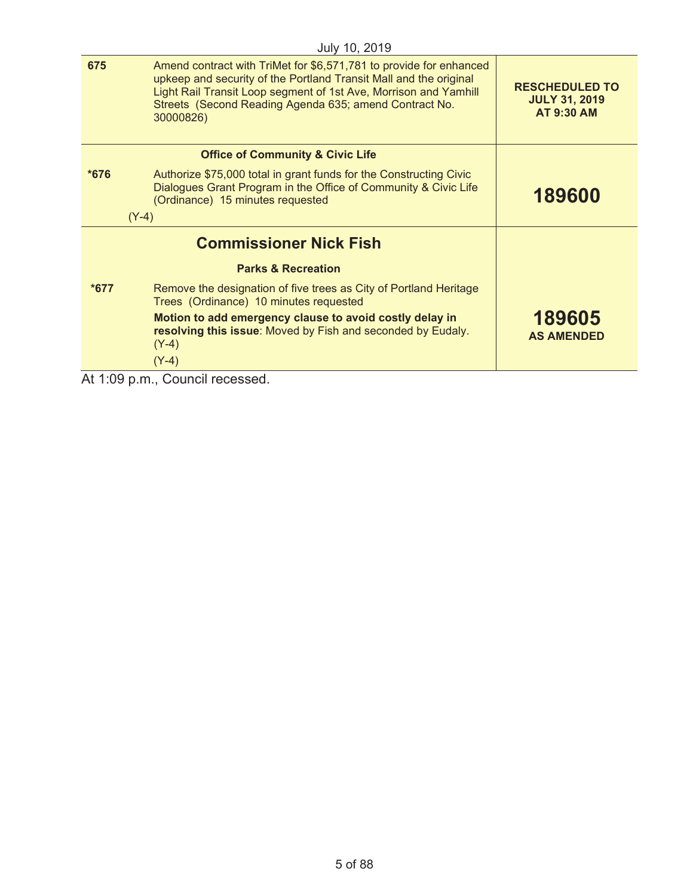|                                                                  | July 10, 2019                                                                                                                                                                                                                                                                      |                                                                    |
|------------------------------------------------------------------|------------------------------------------------------------------------------------------------------------------------------------------------------------------------------------------------------------------------------------------------------------------------------------|--------------------------------------------------------------------|
| 675                                                              | Amend contract with TriMet for \$6,571,781 to provide for enhanced<br>upkeep and security of the Portland Transit Mall and the original<br>Light Rail Transit Loop segment of 1st Ave, Morrison and Yamhill<br>Streets (Second Reading Agenda 635; amend Contract No.<br>30000826) | <b>RESCHEDULED TO</b><br><b>JULY 31, 2019</b><br><b>AT 9:30 AM</b> |
|                                                                  | <b>Office of Community &amp; Civic Life</b>                                                                                                                                                                                                                                        |                                                                    |
| $*676$                                                           | Authorize \$75,000 total in grant funds for the Constructing Civic<br>Dialogues Grant Program in the Office of Community & Civic Life<br>(Ordinance) 15 minutes requested                                                                                                          | 189600                                                             |
|                                                                  | $(Y-4)$                                                                                                                                                                                                                                                                            |                                                                    |
|                                                                  | <b>Commissioner Nick Fish</b>                                                                                                                                                                                                                                                      |                                                                    |
|                                                                  | <b>Parks &amp; Recreation</b>                                                                                                                                                                                                                                                      |                                                                    |
| $*677$                                                           | Remove the designation of five trees as City of Portland Heritage<br>Trees (Ordinance) 10 minutes requested                                                                                                                                                                        |                                                                    |
|                                                                  | Motion to add emergency clause to avoid costly delay in<br>resolving this issue: Moved by Fish and seconded by Eudaly.<br>$(Y-4)$                                                                                                                                                  | 189605<br><b>AS AMENDED</b>                                        |
|                                                                  | $(Y-4)$                                                                                                                                                                                                                                                                            |                                                                    |
| $\mathbf{A}$ $\mathbf{A}$ $\mathbf{A}$ $\mathbf{A}$ $\mathbf{A}$ | Ostrazil as special                                                                                                                                                                                                                                                                |                                                                    |

At 1:09 p.m., Council recessed.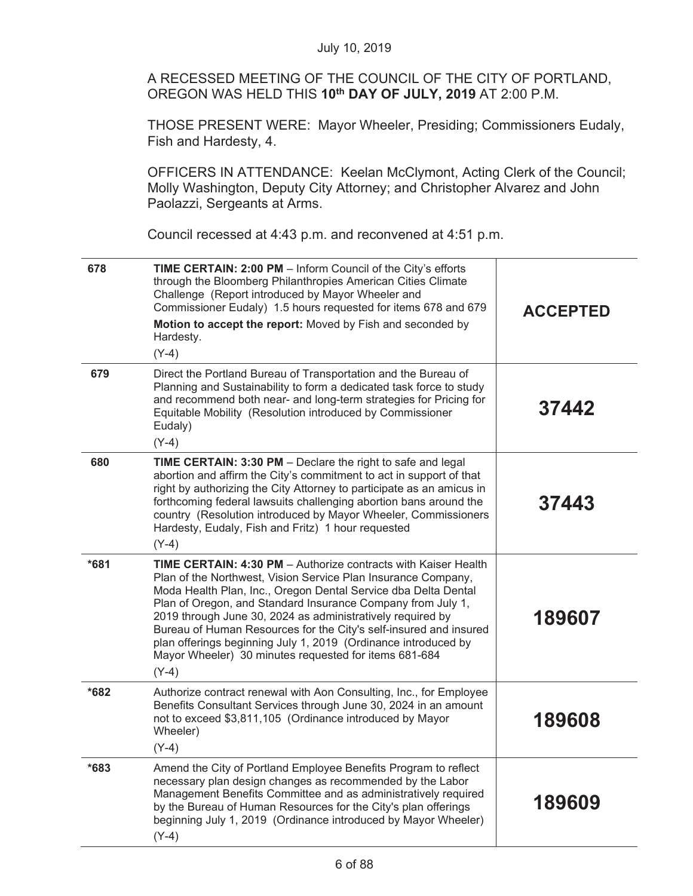A RECESSED MEETING OF THE COUNCIL OF THE CITY OF PORTLAND, OREGON WAS HELD THIS **10th DAY OF JULY, 2019** AT 2:00 P.M.

THOSE PRESENT WERE: Mayor Wheeler, Presiding; Commissioners Eudaly, Fish and Hardesty, 4.

OFFICERS IN ATTENDANCE: Keelan McClymont, Acting Clerk of the Council; Molly Washington, Deputy City Attorney; and Christopher Alvarez and John Paolazzi, Sergeants at Arms.

Council recessed at 4:43 p.m. and reconvened at 4:51 p.m.

| 678    | TIME CERTAIN: 2:00 PM - Inform Council of the City's efforts<br>through the Bloomberg Philanthropies American Cities Climate<br>Challenge (Report introduced by Mayor Wheeler and<br>Commissioner Eudaly) 1.5 hours requested for items 678 and 679<br>Motion to accept the report: Moved by Fish and seconded by<br>Hardesty.<br>$(Y-4)$                                                                                                                                                                                                        | <b>ACCEPTED</b> |
|--------|--------------------------------------------------------------------------------------------------------------------------------------------------------------------------------------------------------------------------------------------------------------------------------------------------------------------------------------------------------------------------------------------------------------------------------------------------------------------------------------------------------------------------------------------------|-----------------|
| 679    | Direct the Portland Bureau of Transportation and the Bureau of<br>Planning and Sustainability to form a dedicated task force to study<br>and recommend both near- and long-term strategies for Pricing for<br>Equitable Mobility (Resolution introduced by Commissioner<br>Eudaly)<br>$(Y-4)$                                                                                                                                                                                                                                                    | 37442           |
| 680    | TIME CERTAIN: 3:30 PM - Declare the right to safe and legal<br>abortion and affirm the City's commitment to act in support of that<br>right by authorizing the City Attorney to participate as an amicus in<br>forthcoming federal lawsuits challenging abortion bans around the<br>country (Resolution introduced by Mayor Wheeler, Commissioners<br>Hardesty, Eudaly, Fish and Fritz) 1 hour requested<br>$(Y-4)$                                                                                                                              | 37443           |
| $*681$ | <b>TIME CERTAIN: 4:30 PM</b> - Authorize contracts with Kaiser Health<br>Plan of the Northwest, Vision Service Plan Insurance Company,<br>Moda Health Plan, Inc., Oregon Dental Service dba Delta Dental<br>Plan of Oregon, and Standard Insurance Company from July 1,<br>2019 through June 30, 2024 as administratively required by<br>Bureau of Human Resources for the City's self-insured and insured<br>plan offerings beginning July 1, 2019 (Ordinance introduced by<br>Mayor Wheeler) 30 minutes requested for items 681-684<br>$(Y-4)$ | 189607          |
| $*682$ | Authorize contract renewal with Aon Consulting, Inc., for Employee<br>Benefits Consultant Services through June 30, 2024 in an amount<br>not to exceed \$3,811,105 (Ordinance introduced by Mayor<br>Wheeler)<br>$(Y-4)$                                                                                                                                                                                                                                                                                                                         | 189608          |
| $*683$ | Amend the City of Portland Employee Benefits Program to reflect<br>necessary plan design changes as recommended by the Labor<br>Management Benefits Committee and as administratively required<br>by the Bureau of Human Resources for the City's plan offerings<br>beginning July 1, 2019 (Ordinance introduced by Mayor Wheeler)<br>$(Y-4)$                                                                                                                                                                                                    | 189609          |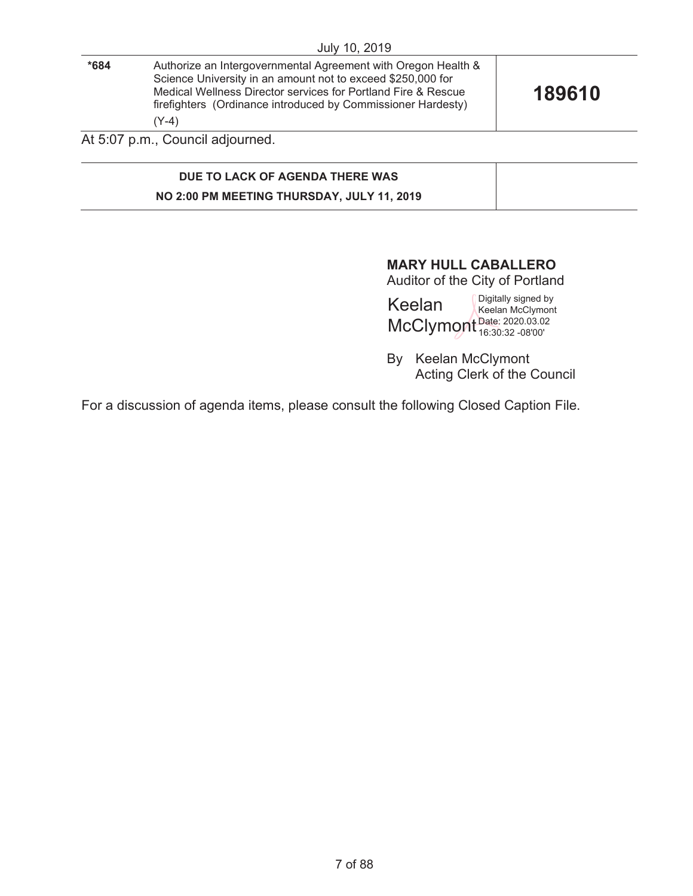|      | July 10, 2019                                                                                                                                                                                                                                                            |        |
|------|--------------------------------------------------------------------------------------------------------------------------------------------------------------------------------------------------------------------------------------------------------------------------|--------|
| *684 | Authorize an Intergovernmental Agreement with Oregon Health &<br>Science University in an amount not to exceed \$250,000 for<br>Medical Wellness Director services for Portland Fire & Rescue<br>firefighters (Ordinance introduced by Commissioner Hardesty)<br>$(Y-4)$ | 189610 |
|      | At 5:07 p.m., Council adjourned.                                                                                                                                                                                                                                         |        |
|      |                                                                                                                                                                                                                                                                          |        |

# **DUE TO LACK OF AGENDA THERE WAS NO 2:00 PM MEETING THURSDAY, JULY 11, 2019**

# **MARY HULL CABALLERO**

Auditor of the City of Portland

Keelan McClymont Date: 2020.03.02 Digitally signed by Keelan McClymont 16:30:32 -08'00'

By Keelan McClymont Acting Clerk of the Council

For a discussion of agenda items, please consult the following Closed Caption File.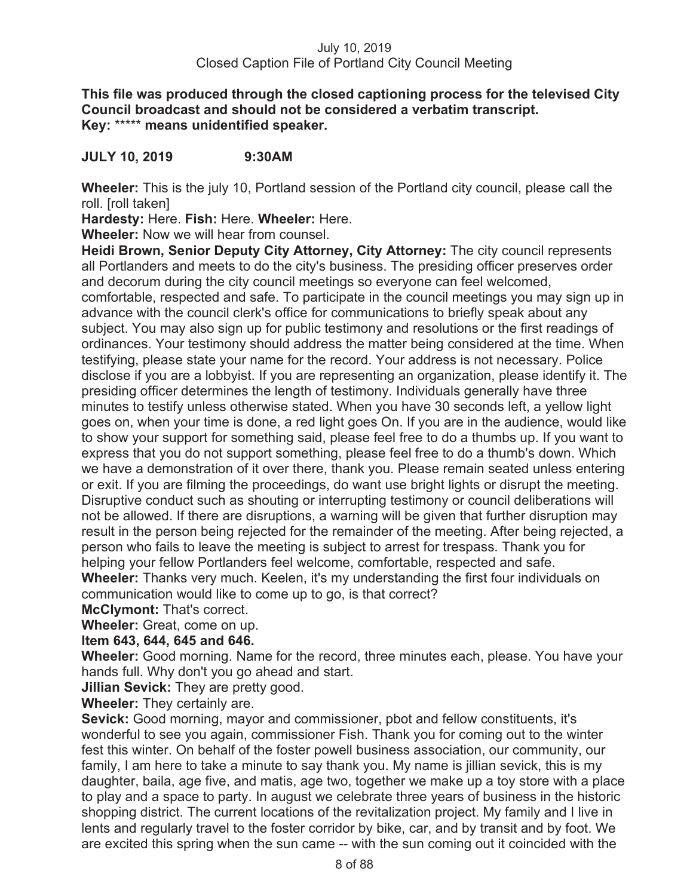**This file was produced through the closed captioning process for the televised City Council broadcast and should not be considered a verbatim transcript. Key:** \*\*\*\*\* **means unidentified speaker.** 

**JULY 10, 2019 9:30AM**

**Wheeler:** This is the july 10, Portland session of the Portland city council, please call the roll. [roll taken]

**Hardesty:** Here. **Fish:** Here. **Wheeler:** Here.

**Wheeler:** Now we will hear from counsel.

**Heidi Brown, Senior Deputy City Attorney, City Attorney:** The city council represents all Portlanders and meets to do the city's business. The presiding officer preserves order and decorum during the city council meetings so everyone can feel welcomed,

comfortable, respected and safe. To participate in the council meetings you may sign up in advance with the council clerk's office for communications to briefly speak about any subject. You may also sign up for public testimony and resolutions or the first readings of ordinances. Your testimony should address the matter being considered at the time. When testifying, please state your name for the record. Your address is not necessary. Police disclose if you are a lobbyist. If you are representing an organization, please identify it. The presiding officer determines the length of testimony. Individuals generally have three minutes to testify unless otherwise stated. When you have 30 seconds left, a yellow light goes on, when your time is done, a red light goes On. If you are in the audience, would like to show your support for something said, please feel free to do a thumbs up. If you want to express that you do not support something, please feel free to do a thumb's down. Which we have a demonstration of it over there, thank you. Please remain seated unless entering or exit. If you are filming the proceedings, do want use bright lights or disrupt the meeting. Disruptive conduct such as shouting or interrupting testimony or council deliberations will not be allowed. If there are disruptions, a warning will be given that further disruption may result in the person being rejected for the remainder of the meeting. After being rejected, a person who fails to leave the meeting is subject to arrest for trespass. Thank you for helping your fellow Portlanders feel welcome, comfortable, respected and safe. **Wheeler:** Thanks very much. Keelen, it's my understanding the first four individuals on communication would like to come up to go, is that correct?

**McClymont:** That's correct.

**Wheeler:** Great, come on up.

# **Item 643, 644, 645 and 646.**

**Wheeler:** Good morning. Name for the record, three minutes each, please. You have your hands full. Why don't you go ahead and start.

**Jillian Sevick:** They are pretty good.

**Wheeler:** They certainly are.

**Sevick:** Good morning, mayor and commissioner, pbot and fellow constituents, it's wonderful to see you again, commissioner Fish. Thank you for coming out to the winter fest this winter. On behalf of the foster powell business association, our community, our family, I am here to take a minute to say thank you. My name is jillian sevick, this is my daughter, baila, age five, and matis, age two, together we make up a toy store with a place to play and a space to party. In august we celebrate three years of business in the historic shopping district. The current locations of the revitalization project. My family and I live in lents and regularly travel to the foster corridor by bike, car, and by transit and by foot. We are excited this spring when the sun came -- with the sun coming out it coincided with the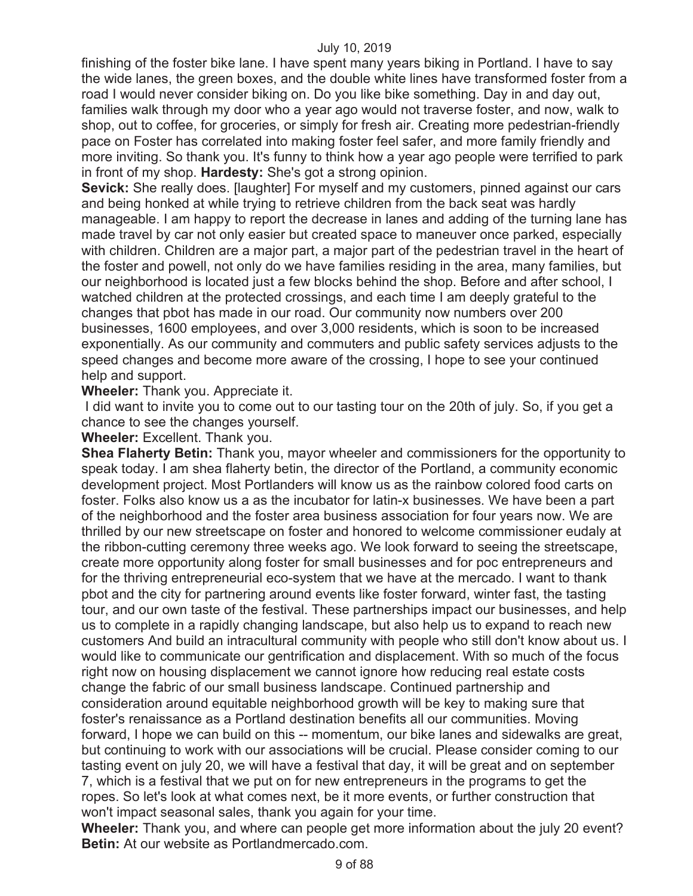finishing of the foster bike lane. I have spent many years biking in Portland. I have to say the wide lanes, the green boxes, and the double white lines have transformed foster from a road I would never consider biking on. Do you like bike something. Day in and day out, families walk through my door who a year ago would not traverse foster, and now, walk to shop, out to coffee, for groceries, or simply for fresh air. Creating more pedestrian-friendly pace on Foster has correlated into making foster feel safer, and more family friendly and more inviting. So thank you. It's funny to think how a year ago people were terrified to park in front of my shop. **Hardesty:** She's got a strong opinion.

**Sevick:** She really does. [laughter] For myself and my customers, pinned against our cars and being honked at while trying to retrieve children from the back seat was hardly manageable. I am happy to report the decrease in lanes and adding of the turning lane has made travel by car not only easier but created space to maneuver once parked, especially with children. Children are a major part, a major part of the pedestrian travel in the heart of the foster and powell, not only do we have families residing in the area, many families, but our neighborhood is located just a few blocks behind the shop. Before and after school, I watched children at the protected crossings, and each time I am deeply grateful to the changes that pbot has made in our road. Our community now numbers over 200 businesses, 1600 employees, and over 3,000 residents, which is soon to be increased exponentially. As our community and commuters and public safety services adjusts to the speed changes and become more aware of the crossing, I hope to see your continued help and support.

**Wheeler:** Thank you. Appreciate it.

 I did want to invite you to come out to our tasting tour on the 20th of july. So, if you get a chance to see the changes yourself.

**Wheeler:** Excellent. Thank you.

**Shea Flaherty Betin:** Thank you, mayor wheeler and commissioners for the opportunity to speak today. I am shea flaherty betin, the director of the Portland, a community economic development project. Most Portlanders will know us as the rainbow colored food carts on foster. Folks also know us a as the incubator for latin-x businesses. We have been a part of the neighborhood and the foster area business association for four years now. We are thrilled by our new streetscape on foster and honored to welcome commissioner eudaly at the ribbon-cutting ceremony three weeks ago. We look forward to seeing the streetscape, create more opportunity along foster for small businesses and for poc entrepreneurs and for the thriving entrepreneurial eco-system that we have at the mercado. I want to thank pbot and the city for partnering around events like foster forward, winter fast, the tasting tour, and our own taste of the festival. These partnerships impact our businesses, and help us to complete in a rapidly changing landscape, but also help us to expand to reach new customers And build an intracultural community with people who still don't know about us. I would like to communicate our gentrification and displacement. With so much of the focus right now on housing displacement we cannot ignore how reducing real estate costs change the fabric of our small business landscape. Continued partnership and consideration around equitable neighborhood growth will be key to making sure that foster's renaissance as a Portland destination benefits all our communities. Moving forward, I hope we can build on this -- momentum, our bike lanes and sidewalks are great, but continuing to work with our associations will be crucial. Please consider coming to our tasting event on july 20, we will have a festival that day, it will be great and on september 7, which is a festival that we put on for new entrepreneurs in the programs to get the ropes. So let's look at what comes next, be it more events, or further construction that won't impact seasonal sales, thank you again for your time.

**Wheeler:** Thank you, and where can people get more information about the july 20 event? **Betin:** At our website as Portlandmercado.com.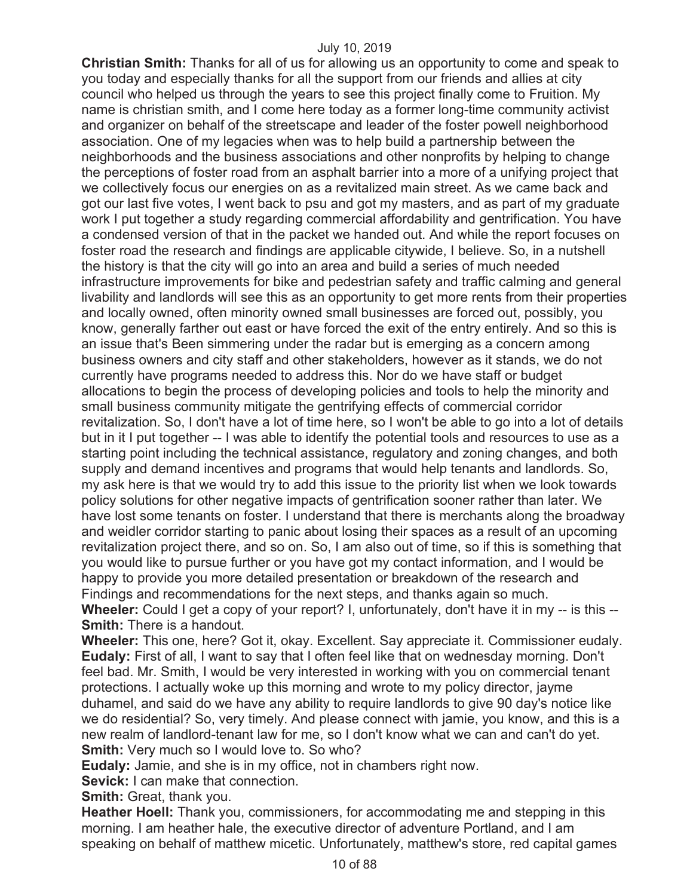**Christian Smith:** Thanks for all of us for allowing us an opportunity to come and speak to you today and especially thanks for all the support from our friends and allies at city council who helped us through the years to see this project finally come to Fruition. My name is christian smith, and I come here today as a former long-time community activist and organizer on behalf of the streetscape and leader of the foster powell neighborhood association. One of my legacies when was to help build a partnership between the neighborhoods and the business associations and other nonprofits by helping to change the perceptions of foster road from an asphalt barrier into a more of a unifying project that we collectively focus our energies on as a revitalized main street. As we came back and got our last five votes, I went back to psu and got my masters, and as part of my graduate work I put together a study regarding commercial affordability and gentrification. You have a condensed version of that in the packet we handed out. And while the report focuses on foster road the research and findings are applicable citywide, I believe. So, in a nutshell the history is that the city will go into an area and build a series of much needed infrastructure improvements for bike and pedestrian safety and traffic calming and general livability and landlords will see this as an opportunity to get more rents from their properties and locally owned, often minority owned small businesses are forced out, possibly, you know, generally farther out east or have forced the exit of the entry entirely. And so this is an issue that's Been simmering under the radar but is emerging as a concern among business owners and city staff and other stakeholders, however as it stands, we do not currently have programs needed to address this. Nor do we have staff or budget allocations to begin the process of developing policies and tools to help the minority and small business community mitigate the gentrifying effects of commercial corridor revitalization. So, I don't have a lot of time here, so I won't be able to go into a lot of details but in it I put together -- I was able to identify the potential tools and resources to use as a starting point including the technical assistance, regulatory and zoning changes, and both supply and demand incentives and programs that would help tenants and landlords. So, my ask here is that we would try to add this issue to the priority list when we look towards policy solutions for other negative impacts of gentrification sooner rather than later. We have lost some tenants on foster. I understand that there is merchants along the broadway and weidler corridor starting to panic about losing their spaces as a result of an upcoming revitalization project there, and so on. So, I am also out of time, so if this is something that you would like to pursue further or you have got my contact information, and I would be happy to provide you more detailed presentation or breakdown of the research and Findings and recommendations for the next steps, and thanks again so much. **Wheeler:** Could I get a copy of your report? I, unfortunately, don't have it in my -- is this -- **Smith:** There is a handout.

**Wheeler:** This one, here? Got it, okay. Excellent. Say appreciate it. Commissioner eudaly. **Eudaly:** First of all, I want to say that I often feel like that on wednesday morning. Don't feel bad. Mr. Smith, I would be very interested in working with you on commercial tenant protections. I actually woke up this morning and wrote to my policy director, jayme duhamel, and said do we have any ability to require landlords to give 90 day's notice like we do residential? So, very timely. And please connect with jamie, you know, and this is a new realm of landlord-tenant law for me, so I don't know what we can and can't do yet. **Smith:** Very much so I would love to. So who?

**Eudaly:** Jamie, and she is in my office, not in chambers right now.

**Sevick:** I can make that connection.

**Smith:** Great, thank you.

**Heather Hoell:** Thank you, commissioners, for accommodating me and stepping in this morning. I am heather hale, the executive director of adventure Portland, and I am speaking on behalf of matthew micetic. Unfortunately, matthew's store, red capital games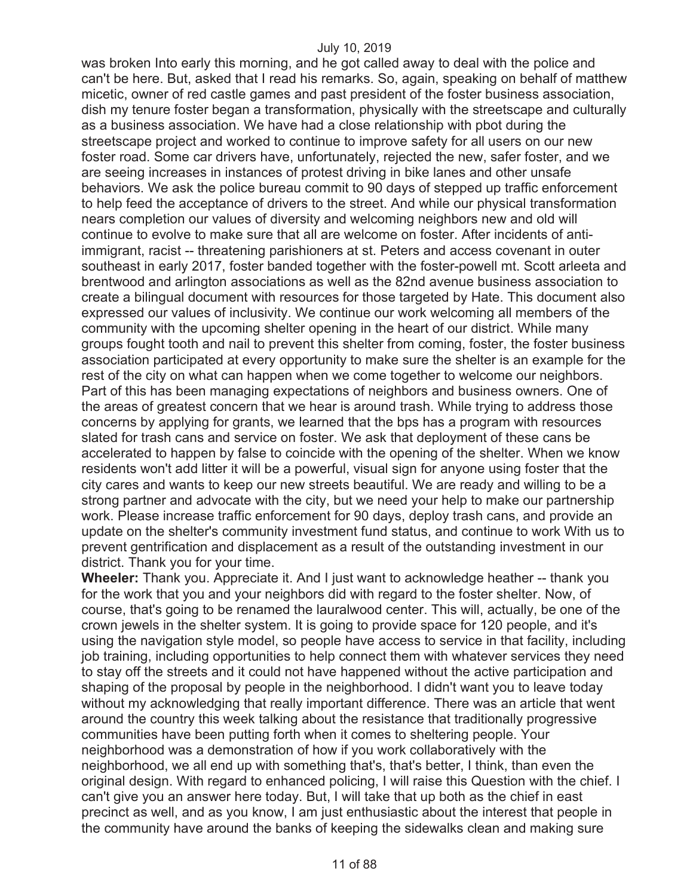was broken Into early this morning, and he got called away to deal with the police and can't be here. But, asked that I read his remarks. So, again, speaking on behalf of matthew micetic, owner of red castle games and past president of the foster business association, dish my tenure foster began a transformation, physically with the streetscape and culturally as a business association. We have had a close relationship with pbot during the streetscape project and worked to continue to improve safety for all users on our new foster road. Some car drivers have, unfortunately, rejected the new, safer foster, and we are seeing increases in instances of protest driving in bike lanes and other unsafe behaviors. We ask the police bureau commit to 90 days of stepped up traffic enforcement to help feed the acceptance of drivers to the street. And while our physical transformation nears completion our values of diversity and welcoming neighbors new and old will continue to evolve to make sure that all are welcome on foster. After incidents of antiimmigrant, racist -- threatening parishioners at st. Peters and access covenant in outer southeast in early 2017, foster banded together with the foster-powell mt. Scott arleeta and brentwood and arlington associations as well as the 82nd avenue business association to create a bilingual document with resources for those targeted by Hate. This document also expressed our values of inclusivity. We continue our work welcoming all members of the community with the upcoming shelter opening in the heart of our district. While many groups fought tooth and nail to prevent this shelter from coming, foster, the foster business association participated at every opportunity to make sure the shelter is an example for the rest of the city on what can happen when we come together to welcome our neighbors. Part of this has been managing expectations of neighbors and business owners. One of the areas of greatest concern that we hear is around trash. While trying to address those concerns by applying for grants, we learned that the bps has a program with resources slated for trash cans and service on foster. We ask that deployment of these cans be accelerated to happen by false to coincide with the opening of the shelter. When we know residents won't add litter it will be a powerful, visual sign for anyone using foster that the city cares and wants to keep our new streets beautiful. We are ready and willing to be a strong partner and advocate with the city, but we need your help to make our partnership work. Please increase traffic enforcement for 90 days, deploy trash cans, and provide an update on the shelter's community investment fund status, and continue to work With us to prevent gentrification and displacement as a result of the outstanding investment in our district. Thank you for your time.

**Wheeler:** Thank you. Appreciate it. And I just want to acknowledge heather -- thank you for the work that you and your neighbors did with regard to the foster shelter. Now, of course, that's going to be renamed the lauralwood center. This will, actually, be one of the crown jewels in the shelter system. It is going to provide space for 120 people, and it's using the navigation style model, so people have access to service in that facility, including job training, including opportunities to help connect them with whatever services they need to stay off the streets and it could not have happened without the active participation and shaping of the proposal by people in the neighborhood. I didn't want you to leave today without my acknowledging that really important difference. There was an article that went around the country this week talking about the resistance that traditionally progressive communities have been putting forth when it comes to sheltering people. Your neighborhood was a demonstration of how if you work collaboratively with the neighborhood, we all end up with something that's, that's better, I think, than even the original design. With regard to enhanced policing, I will raise this Question with the chief. I can't give you an answer here today. But, I will take that up both as the chief in east precinct as well, and as you know, I am just enthusiastic about the interest that people in the community have around the banks of keeping the sidewalks clean and making sure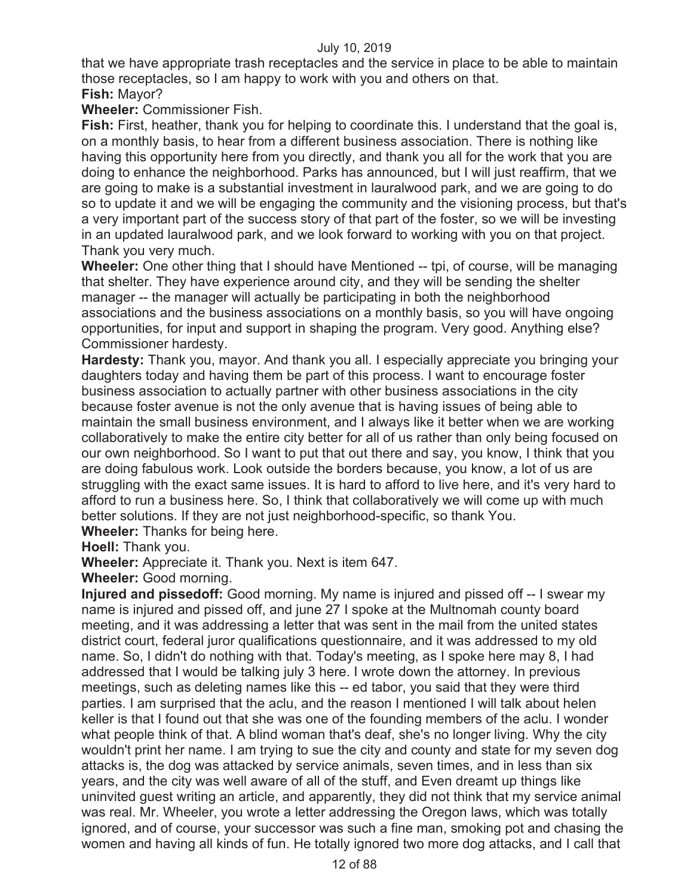that we have appropriate trash receptacles and the service in place to be able to maintain those receptacles, so I am happy to work with you and others on that.

# **Fish:** Mayor?

**Wheeler:** Commissioner Fish.

**Fish:** First, heather, thank you for helping to coordinate this. I understand that the goal is, on a monthly basis, to hear from a different business association. There is nothing like having this opportunity here from you directly, and thank you all for the work that you are doing to enhance the neighborhood. Parks has announced, but I will just reaffirm, that we are going to make is a substantial investment in lauralwood park, and we are going to do so to update it and we will be engaging the community and the visioning process, but that's a very important part of the success story of that part of the foster, so we will be investing in an updated lauralwood park, and we look forward to working with you on that project. Thank you very much.

**Wheeler:** One other thing that I should have Mentioned -- tpi, of course, will be managing that shelter. They have experience around city, and they will be sending the shelter manager -- the manager will actually be participating in both the neighborhood associations and the business associations on a monthly basis, so you will have ongoing opportunities, for input and support in shaping the program. Very good. Anything else? Commissioner hardesty.

**Hardesty:** Thank you, mayor. And thank you all. I especially appreciate you bringing your daughters today and having them be part of this process. I want to encourage foster business association to actually partner with other business associations in the city because foster avenue is not the only avenue that is having issues of being able to maintain the small business environment, and I always like it better when we are working collaboratively to make the entire city better for all of us rather than only being focused on our own neighborhood. So I want to put that out there and say, you know, I think that you are doing fabulous work. Look outside the borders because, you know, a lot of us are struggling with the exact same issues. It is hard to afford to live here, and it's very hard to afford to run a business here. So, I think that collaboratively we will come up with much better solutions. If they are not just neighborhood-specific, so thank You.

**Wheeler:** Thanks for being here.

**Hoell:** Thank you.

**Wheeler:** Appreciate it. Thank you. Next is item 647.

**Wheeler:** Good morning.

**Injured and pissedoff:** Good morning. My name is injured and pissed off -- I swear my name is injured and pissed off, and june 27 I spoke at the Multnomah county board meeting, and it was addressing a letter that was sent in the mail from the united states district court, federal juror qualifications questionnaire, and it was addressed to my old name. So, I didn't do nothing with that. Today's meeting, as I spoke here may 8, I had addressed that I would be talking july 3 here. I wrote down the attorney. In previous meetings, such as deleting names like this -- ed tabor, you said that they were third parties. I am surprised that the aclu, and the reason I mentioned I will talk about helen keller is that I found out that she was one of the founding members of the aclu. I wonder what people think of that. A blind woman that's deaf, she's no longer living. Why the city wouldn't print her name. I am trying to sue the city and county and state for my seven dog attacks is, the dog was attacked by service animals, seven times, and in less than six years, and the city was well aware of all of the stuff, and Even dreamt up things like uninvited guest writing an article, and apparently, they did not think that my service animal was real. Mr. Wheeler, you wrote a letter addressing the Oregon laws, which was totally ignored, and of course, your successor was such a fine man, smoking pot and chasing the women and having all kinds of fun. He totally ignored two more dog attacks, and I call that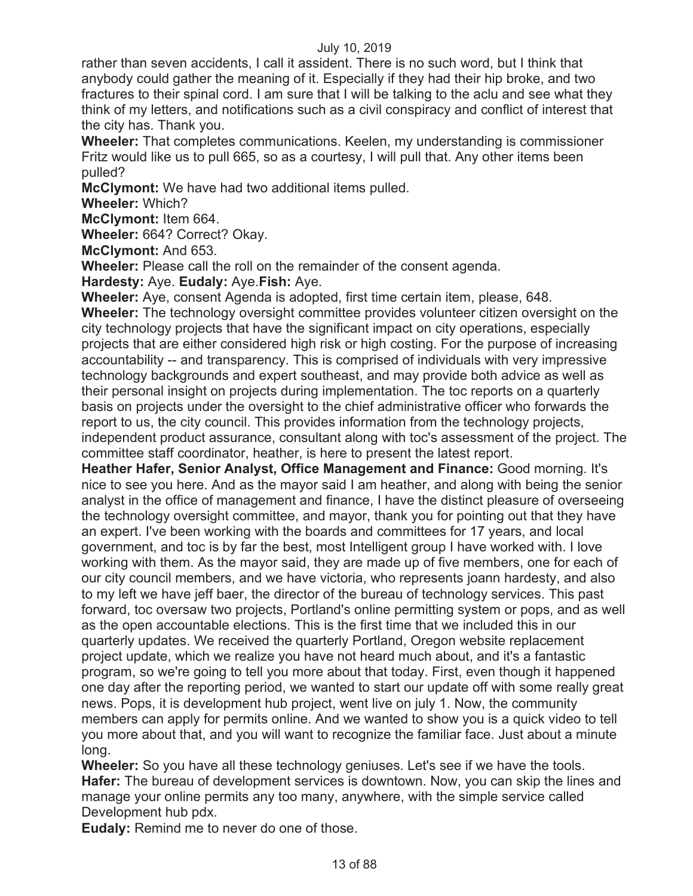rather than seven accidents, I call it assident. There is no such word, but I think that anybody could gather the meaning of it. Especially if they had their hip broke, and two fractures to their spinal cord. I am sure that I will be talking to the aclu and see what they think of my letters, and notifications such as a civil conspiracy and conflict of interest that the city has. Thank you.

**Wheeler:** That completes communications. Keelen, my understanding is commissioner Fritz would like us to pull 665, so as a courtesy, I will pull that. Any other items been pulled?

**McClymont:** We have had two additional items pulled.

**Wheeler:** Which?

**McClymont:** Item 664.

**Wheeler:** 664? Correct? Okay.

**McClymont:** And 653.

**Wheeler:** Please call the roll on the remainder of the consent agenda.

**Hardesty:** Aye. **Eudaly:** Aye.**Fish:** Aye.

**Wheeler:** Aye, consent Agenda is adopted, first time certain item, please, 648. **Wheeler:** The technology oversight committee provides volunteer citizen oversight on the city technology projects that have the significant impact on city operations, especially projects that are either considered high risk or high costing. For the purpose of increasing accountability -- and transparency. This is comprised of individuals with very impressive technology backgrounds and expert southeast, and may provide both advice as well as their personal insight on projects during implementation. The toc reports on a quarterly basis on projects under the oversight to the chief administrative officer who forwards the report to us, the city council. This provides information from the technology projects, independent product assurance, consultant along with toc's assessment of the project. The committee staff coordinator, heather, is here to present the latest report.

**Heather Hafer, Senior Analyst, Office Management and Finance:** Good morning. It's nice to see you here. And as the mayor said I am heather, and along with being the senior analyst in the office of management and finance, I have the distinct pleasure of overseeing the technology oversight committee, and mayor, thank you for pointing out that they have an expert. I've been working with the boards and committees for 17 years, and local government, and toc is by far the best, most Intelligent group I have worked with. I love working with them. As the mayor said, they are made up of five members, one for each of our city council members, and we have victoria, who represents joann hardesty, and also to my left we have jeff baer, the director of the bureau of technology services. This past forward, toc oversaw two projects, Portland's online permitting system or pops, and as well as the open accountable elections. This is the first time that we included this in our quarterly updates. We received the quarterly Portland, Oregon website replacement project update, which we realize you have not heard much about, and it's a fantastic program, so we're going to tell you more about that today. First, even though it happened one day after the reporting period, we wanted to start our update off with some really great news. Pops, it is development hub project, went live on july 1. Now, the community members can apply for permits online. And we wanted to show you is a quick video to tell you more about that, and you will want to recognize the familiar face. Just about a minute long.

**Wheeler:** So you have all these technology geniuses. Let's see if we have the tools. **Hafer:** The bureau of development services is downtown. Now, you can skip the lines and manage your online permits any too many, anywhere, with the simple service called Development hub pdx.

**Eudaly:** Remind me to never do one of those.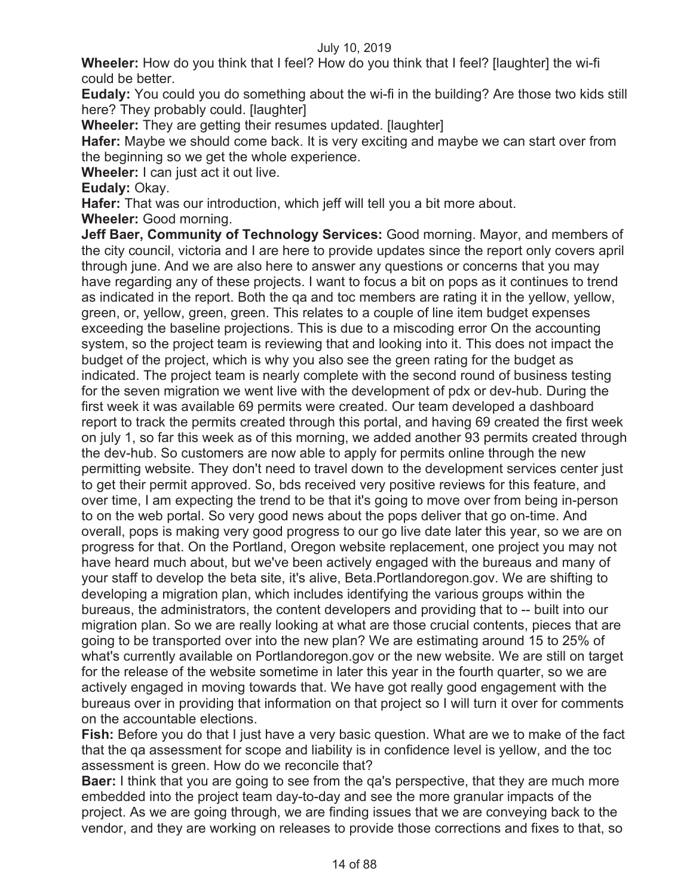**Wheeler:** How do you think that I feel? How do you think that I feel? [laughter] the wi-fi could be better.

**Eudaly:** You could you do something about the wi-fi in the building? Are those two kids still here? They probably could. [laughter]

**Wheeler:** They are getting their resumes updated. [laughter]

**Hafer:** Maybe we should come back. It is very exciting and maybe we can start over from the beginning so we get the whole experience.

**Wheeler:** I can just act it out live.

**Eudaly:** Okay.

**Hafer:** That was our introduction, which jeff will tell you a bit more about.

**Wheeler:** Good morning.

**Jeff Baer, Community of Technology Services:** Good morning. Mayor, and members of the city council, victoria and I are here to provide updates since the report only covers april through june. And we are also here to answer any questions or concerns that you may have regarding any of these projects. I want to focus a bit on pops as it continues to trend as indicated in the report. Both the qa and toc members are rating it in the yellow, yellow, green, or, yellow, green, green. This relates to a couple of line item budget expenses exceeding the baseline projections. This is due to a miscoding error On the accounting system, so the project team is reviewing that and looking into it. This does not impact the budget of the project, which is why you also see the green rating for the budget as indicated. The project team is nearly complete with the second round of business testing for the seven migration we went live with the development of pdx or dev-hub. During the first week it was available 69 permits were created. Our team developed a dashboard report to track the permits created through this portal, and having 69 created the first week on july 1, so far this week as of this morning, we added another 93 permits created through the dev-hub. So customers are now able to apply for permits online through the new permitting website. They don't need to travel down to the development services center just to get their permit approved. So, bds received very positive reviews for this feature, and over time, I am expecting the trend to be that it's going to move over from being in-person to on the web portal. So very good news about the pops deliver that go on-time. And overall, pops is making very good progress to our go live date later this year, so we are on progress for that. On the Portland, Oregon website replacement, one project you may not have heard much about, but we've been actively engaged with the bureaus and many of your staff to develop the beta site, it's alive, Beta.Portlandoregon.gov. We are shifting to developing a migration plan, which includes identifying the various groups within the bureaus, the administrators, the content developers and providing that to -- built into our migration plan. So we are really looking at what are those crucial contents, pieces that are going to be transported over into the new plan? We are estimating around 15 to 25% of what's currently available on Portlandoregon.gov or the new website. We are still on target for the release of the website sometime in later this year in the fourth quarter, so we are actively engaged in moving towards that. We have got really good engagement with the bureaus over in providing that information on that project so I will turn it over for comments on the accountable elections.

**Fish:** Before you do that I just have a very basic question. What are we to make of the fact that the qa assessment for scope and liability is in confidence level is yellow, and the toc assessment is green. How do we reconcile that?

**Baer:** I think that you are going to see from the qa's perspective, that they are much more embedded into the project team day-to-day and see the more granular impacts of the project. As we are going through, we are finding issues that we are conveying back to the vendor, and they are working on releases to provide those corrections and fixes to that, so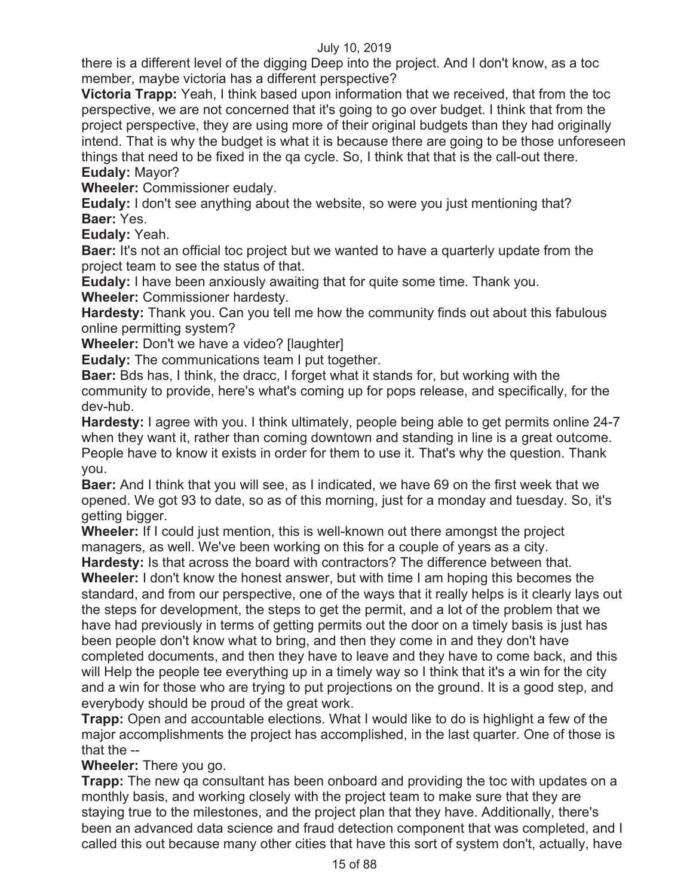there is a different level of the digging Deep into the project. And I don't know, as a toc member, maybe victoria has a different perspective?

**Victoria Trapp:** Yeah, I think based upon information that we received, that from the toc perspective, we are not concerned that it's going to go over budget. I think that from the project perspective, they are using more of their original budgets than they had originally intend. That is why the budget is what it is because there are going to be those unforeseen things that need to be fixed in the qa cycle. So, I think that that is the call-out there. **Eudaly:** Mayor?

**Wheeler:** Commissioner eudaly.

**Eudaly:** I don't see anything about the website, so were you just mentioning that? **Baer:** Yes.

**Eudaly:** Yeah.

**Baer:** It's not an official toc project but we wanted to have a quarterly update from the project team to see the status of that.

**Eudaly:** I have been anxiously awaiting that for quite some time. Thank you.

**Wheeler:** Commissioner hardesty.

**Hardesty:** Thank you. Can you tell me how the community finds out about this fabulous online permitting system?

**Wheeler:** Don't we have a video? [laughter]

**Eudaly:** The communications team I put together.

**Baer:** Bds has, I think, the dracc, I forget what it stands for, but working with the community to provide, here's what's coming up for pops release, and specifically, for the dev-hub.

**Hardesty:** I agree with you. I think ultimately, people being able to get permits online 24-7 when they want it, rather than coming downtown and standing in line is a great outcome. People have to know it exists in order for them to use it. That's why the question. Thank you.

**Baer:** And I think that you will see, as I indicated, we have 69 on the first week that we opened. We got 93 to date, so as of this morning, just for a monday and tuesday. So, it's getting bigger.

**Wheeler:** If I could just mention, this is well-known out there amongst the project managers, as well. We've been working on this for a couple of years as a city.

**Hardesty:** Is that across the board with contractors? The difference between that. **Wheeler:** I don't know the honest answer, but with time I am hoping this becomes the standard, and from our perspective, one of the ways that it really helps is it clearly lays out the steps for development, the steps to get the permit, and a lot of the problem that we have had previously in terms of getting permits out the door on a timely basis is just has been people don't know what to bring, and then they come in and they don't have completed documents, and then they have to leave and they have to come back, and this

will Help the people tee everything up in a timely way so I think that it's a win for the city and a win for those who are trying to put projections on the ground. It is a good step, and everybody should be proud of the great work.

**Trapp:** Open and accountable elections. What I would like to do is highlight a few of the major accomplishments the project has accomplished, in the last quarter. One of those is that the --

**Wheeler:** There you go.

**Trapp:** The new qa consultant has been onboard and providing the toc with updates on a monthly basis, and working closely with the project team to make sure that they are staying true to the milestones, and the project plan that they have. Additionally, there's been an advanced data science and fraud detection component that was completed, and I called this out because many other cities that have this sort of system don't, actually, have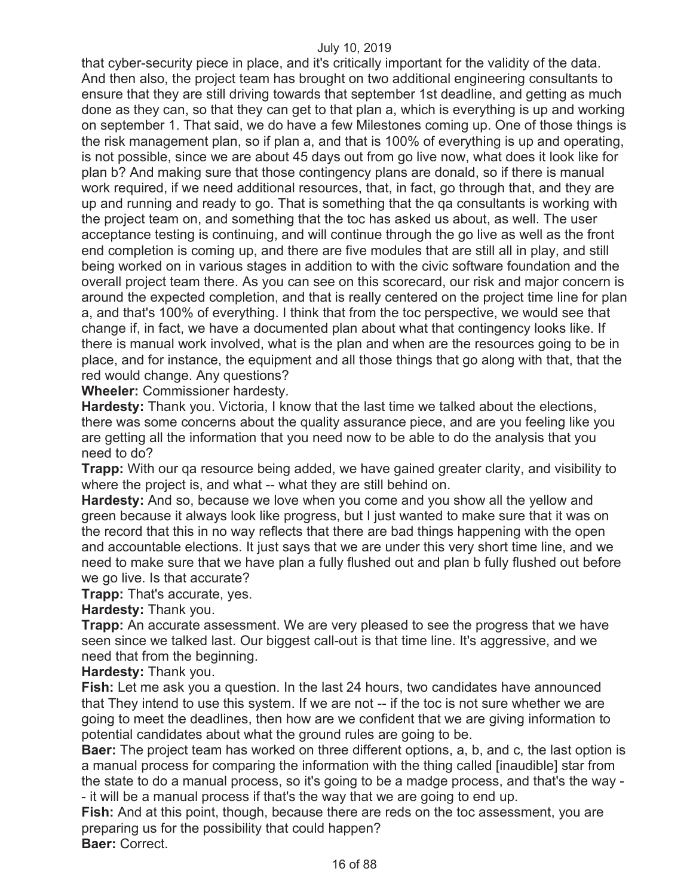that cyber-security piece in place, and it's critically important for the validity of the data. And then also, the project team has brought on two additional engineering consultants to ensure that they are still driving towards that september 1st deadline, and getting as much done as they can, so that they can get to that plan a, which is everything is up and working on september 1. That said, we do have a few Milestones coming up. One of those things is the risk management plan, so if plan a, and that is 100% of everything is up and operating, is not possible, since we are about 45 days out from go live now, what does it look like for plan b? And making sure that those contingency plans are donald, so if there is manual work required, if we need additional resources, that, in fact, go through that, and they are up and running and ready to go. That is something that the qa consultants is working with the project team on, and something that the toc has asked us about, as well. The user acceptance testing is continuing, and will continue through the go live as well as the front end completion is coming up, and there are five modules that are still all in play, and still being worked on in various stages in addition to with the civic software foundation and the overall project team there. As you can see on this scorecard, our risk and major concern is around the expected completion, and that is really centered on the project time line for plan a, and that's 100% of everything. I think that from the toc perspective, we would see that change if, in fact, we have a documented plan about what that contingency looks like. If there is manual work involved, what is the plan and when are the resources going to be in place, and for instance, the equipment and all those things that go along with that, that the red would change. Any questions?

**Wheeler:** Commissioner hardesty.

**Hardesty:** Thank you. Victoria, I know that the last time we talked about the elections, there was some concerns about the quality assurance piece, and are you feeling like you are getting all the information that you need now to be able to do the analysis that you need to do?

**Trapp:** With our qa resource being added, we have gained greater clarity, and visibility to where the project is, and what -- what they are still behind on.

**Hardesty:** And so, because we love when you come and you show all the yellow and green because it always look like progress, but I just wanted to make sure that it was on the record that this in no way reflects that there are bad things happening with the open and accountable elections. It just says that we are under this very short time line, and we need to make sure that we have plan a fully flushed out and plan b fully flushed out before we go live. Is that accurate?

**Trapp:** That's accurate, yes.

**Hardesty:** Thank you.

**Trapp:** An accurate assessment. We are very pleased to see the progress that we have seen since we talked last. Our biggest call-out is that time line. It's aggressive, and we need that from the beginning.

**Hardesty:** Thank you.

**Fish:** Let me ask you a question. In the last 24 hours, two candidates have announced that They intend to use this system. If we are not -- if the toc is not sure whether we are going to meet the deadlines, then how are we confident that we are giving information to potential candidates about what the ground rules are going to be.

**Baer:** The project team has worked on three different options, a, b, and c, the last option is a manual process for comparing the information with the thing called [inaudible] star from the state to do a manual process, so it's going to be a madge process, and that's the way - - it will be a manual process if that's the way that we are going to end up.

**Fish:** And at this point, though, because there are reds on the toc assessment, you are preparing us for the possibility that could happen? **Baer:** Correct.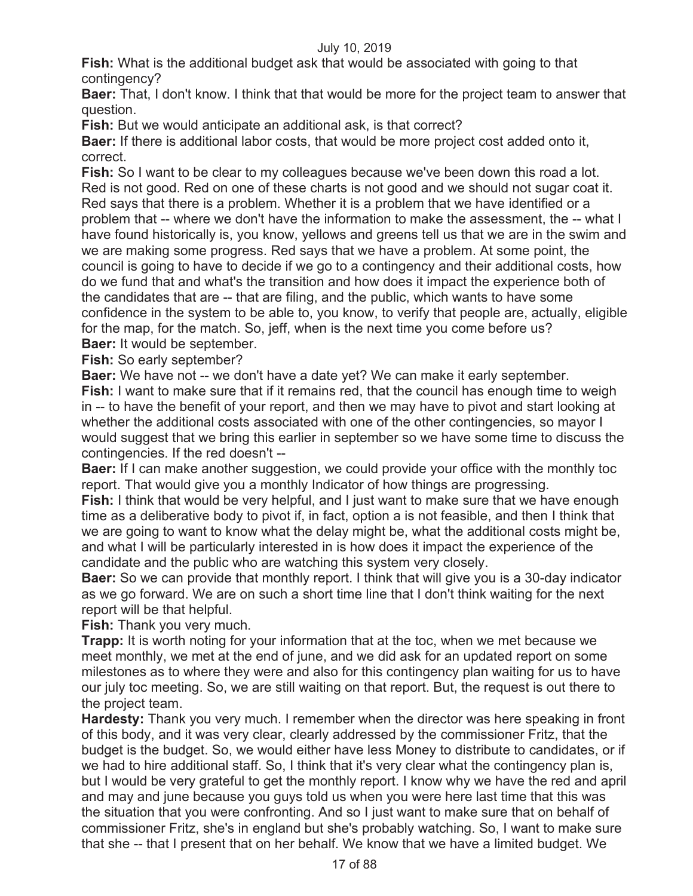**Fish:** What is the additional budget ask that would be associated with going to that contingency?

**Baer:** That, I don't know. I think that that would be more for the project team to answer that question.

**Fish:** But we would anticipate an additional ask, is that correct?

**Baer:** If there is additional labor costs, that would be more project cost added onto it, correct.

**Fish:** So I want to be clear to my colleagues because we've been down this road a lot. Red is not good. Red on one of these charts is not good and we should not sugar coat it. Red says that there is a problem. Whether it is a problem that we have identified or a problem that -- where we don't have the information to make the assessment, the -- what I have found historically is, you know, yellows and greens tell us that we are in the swim and we are making some progress. Red says that we have a problem. At some point, the council is going to have to decide if we go to a contingency and their additional costs, how do we fund that and what's the transition and how does it impact the experience both of the candidates that are -- that are filing, and the public, which wants to have some confidence in the system to be able to, you know, to verify that people are, actually, eligible for the map, for the match. So, jeff, when is the next time you come before us? **Baer:** It would be september.

**Fish:** So early september?

**Baer:** We have not -- we don't have a date yet? We can make it early september.

**Fish:** I want to make sure that if it remains red, that the council has enough time to weigh in -- to have the benefit of your report, and then we may have to pivot and start looking at whether the additional costs associated with one of the other contingencies, so mayor I would suggest that we bring this earlier in september so we have some time to discuss the contingencies. If the red doesn't --

**Baer:** If I can make another suggestion, we could provide your office with the monthly toc report. That would give you a monthly Indicator of how things are progressing. **Fish:** I think that would be very helpful, and I just want to make sure that we have enough time as a deliberative body to pivot if, in fact, option a is not feasible, and then I think that we are going to want to know what the delay might be, what the additional costs might be, and what I will be particularly interested in is how does it impact the experience of the candidate and the public who are watching this system very closely.

**Baer:** So we can provide that monthly report. I think that will give you is a 30-day indicator as we go forward. We are on such a short time line that I don't think waiting for the next report will be that helpful.

**Fish:** Thank you very much.

**Trapp:** It is worth noting for your information that at the toc, when we met because we meet monthly, we met at the end of june, and we did ask for an updated report on some milestones as to where they were and also for this contingency plan waiting for us to have our july toc meeting. So, we are still waiting on that report. But, the request is out there to the project team.

**Hardesty:** Thank you very much. I remember when the director was here speaking in front of this body, and it was very clear, clearly addressed by the commissioner Fritz, that the budget is the budget. So, we would either have less Money to distribute to candidates, or if we had to hire additional staff. So, I think that it's very clear what the contingency plan is, but I would be very grateful to get the monthly report. I know why we have the red and april and may and june because you guys told us when you were here last time that this was the situation that you were confronting. And so I just want to make sure that on behalf of commissioner Fritz, she's in england but she's probably watching. So, I want to make sure that she -- that I present that on her behalf. We know that we have a limited budget. We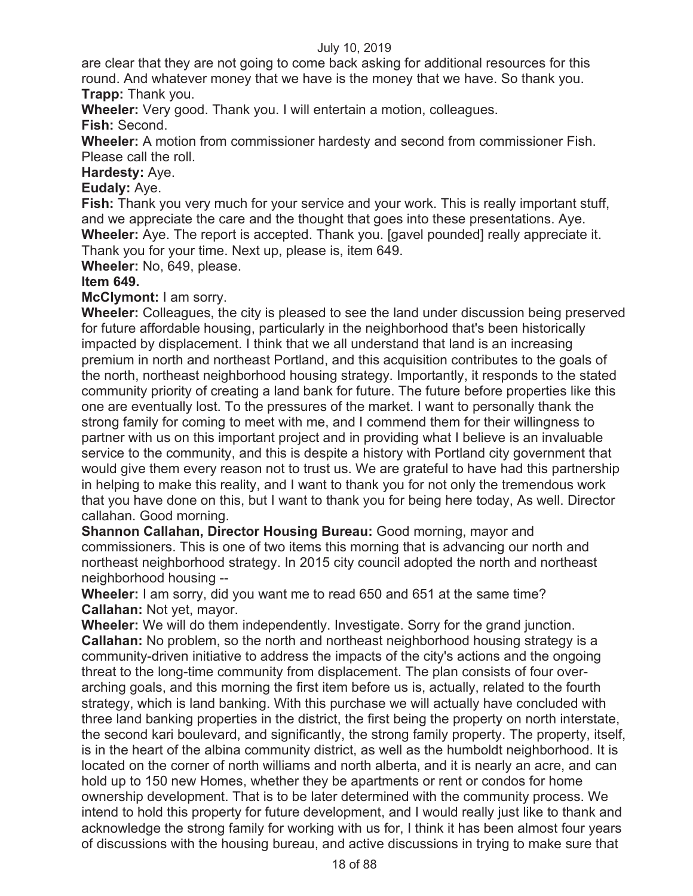are clear that they are not going to come back asking for additional resources for this round. And whatever money that we have is the money that we have. So thank you. **Trapp:** Thank you.

**Wheeler:** Very good. Thank you. I will entertain a motion, colleagues. **Fish:** Second.

**Wheeler:** A motion from commissioner hardesty and second from commissioner Fish. Please call the roll.

**Hardesty:** Aye.

**Eudaly:** Aye.

**Fish:** Thank you very much for your service and your work. This is really important stuff, and we appreciate the care and the thought that goes into these presentations. Aye. **Wheeler:** Aye. The report is accepted. Thank you. [gavel pounded] really appreciate it. Thank you for your time. Next up, please is, item 649.

**Wheeler:** No, 649, please.

# **Item 649.**

**McClymont:** I am sorry.

**Wheeler:** Colleagues, the city is pleased to see the land under discussion being preserved for future affordable housing, particularly in the neighborhood that's been historically impacted by displacement. I think that we all understand that land is an increasing premium in north and northeast Portland, and this acquisition contributes to the goals of the north, northeast neighborhood housing strategy. Importantly, it responds to the stated community priority of creating a land bank for future. The future before properties like this one are eventually lost. To the pressures of the market. I want to personally thank the strong family for coming to meet with me, and I commend them for their willingness to partner with us on this important project and in providing what I believe is an invaluable service to the community, and this is despite a history with Portland city government that would give them every reason not to trust us. We are grateful to have had this partnership in helping to make this reality, and I want to thank you for not only the tremendous work that you have done on this, but I want to thank you for being here today, As well. Director callahan. Good morning.

**Shannon Callahan, Director Housing Bureau:** Good morning, mayor and commissioners. This is one of two items this morning that is advancing our north and northeast neighborhood strategy. In 2015 city council adopted the north and northeast neighborhood housing --

**Wheeler:** I am sorry, did you want me to read 650 and 651 at the same time? **Callahan:** Not yet, mayor.

**Wheeler:** We will do them independently. Investigate. Sorry for the grand junction. **Callahan:** No problem, so the north and northeast neighborhood housing strategy is a community-driven initiative to address the impacts of the city's actions and the ongoing threat to the long-time community from displacement. The plan consists of four overarching goals, and this morning the first item before us is, actually, related to the fourth strategy, which is land banking. With this purchase we will actually have concluded with three land banking properties in the district, the first being the property on north interstate, the second kari boulevard, and significantly, the strong family property. The property, itself, is in the heart of the albina community district, as well as the humboldt neighborhood. It is located on the corner of north williams and north alberta, and it is nearly an acre, and can hold up to 150 new Homes, whether they be apartments or rent or condos for home ownership development. That is to be later determined with the community process. We intend to hold this property for future development, and I would really just like to thank and acknowledge the strong family for working with us for, I think it has been almost four years of discussions with the housing bureau, and active discussions in trying to make sure that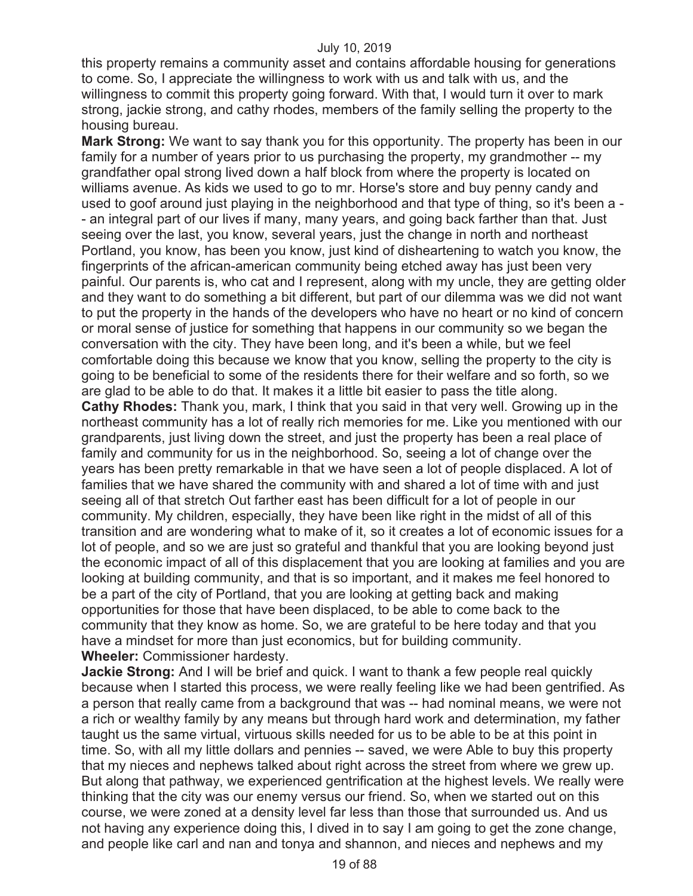this property remains a community asset and contains affordable housing for generations to come. So, I appreciate the willingness to work with us and talk with us, and the willingness to commit this property going forward. With that, I would turn it over to mark strong, jackie strong, and cathy rhodes, members of the family selling the property to the housing bureau.

**Mark Strong:** We want to say thank you for this opportunity. The property has been in our family for a number of years prior to us purchasing the property, my grandmother -- my grandfather opal strong lived down a half block from where the property is located on williams avenue. As kids we used to go to mr. Horse's store and buy penny candy and used to goof around just playing in the neighborhood and that type of thing, so it's been a - - an integral part of our lives if many, many years, and going back farther than that. Just seeing over the last, you know, several years, just the change in north and northeast Portland, you know, has been you know, just kind of disheartening to watch you know, the fingerprints of the african-american community being etched away has just been very painful. Our parents is, who cat and I represent, along with my uncle, they are getting older and they want to do something a bit different, but part of our dilemma was we did not want to put the property in the hands of the developers who have no heart or no kind of concern or moral sense of justice for something that happens in our community so we began the conversation with the city. They have been long, and it's been a while, but we feel comfortable doing this because we know that you know, selling the property to the city is going to be beneficial to some of the residents there for their welfare and so forth, so we are glad to be able to do that. It makes it a little bit easier to pass the title along. **Cathy Rhodes:** Thank you, mark, I think that you said in that very well. Growing up in the northeast community has a lot of really rich memories for me. Like you mentioned with our grandparents, just living down the street, and just the property has been a real place of family and community for us in the neighborhood. So, seeing a lot of change over the years has been pretty remarkable in that we have seen a lot of people displaced. A lot of families that we have shared the community with and shared a lot of time with and just seeing all of that stretch Out farther east has been difficult for a lot of people in our community. My children, especially, they have been like right in the midst of all of this transition and are wondering what to make of it, so it creates a lot of economic issues for a lot of people, and so we are just so grateful and thankful that you are looking beyond just the economic impact of all of this displacement that you are looking at families and you are looking at building community, and that is so important, and it makes me feel honored to be a part of the city of Portland, that you are looking at getting back and making opportunities for those that have been displaced, to be able to come back to the community that they know as home. So, we are grateful to be here today and that you have a mindset for more than just economics, but for building community. **Wheeler:** Commissioner hardesty.

**Jackie Strong:** And I will be brief and quick. I want to thank a few people real quickly because when I started this process, we were really feeling like we had been gentrified. As a person that really came from a background that was -- had nominal means, we were not a rich or wealthy family by any means but through hard work and determination, my father taught us the same virtual, virtuous skills needed for us to be able to be at this point in time. So, with all my little dollars and pennies -- saved, we were Able to buy this property that my nieces and nephews talked about right across the street from where we grew up. But along that pathway, we experienced gentrification at the highest levels. We really were thinking that the city was our enemy versus our friend. So, when we started out on this course, we were zoned at a density level far less than those that surrounded us. And us not having any experience doing this, I dived in to say I am going to get the zone change, and people like carl and nan and tonya and shannon, and nieces and nephews and my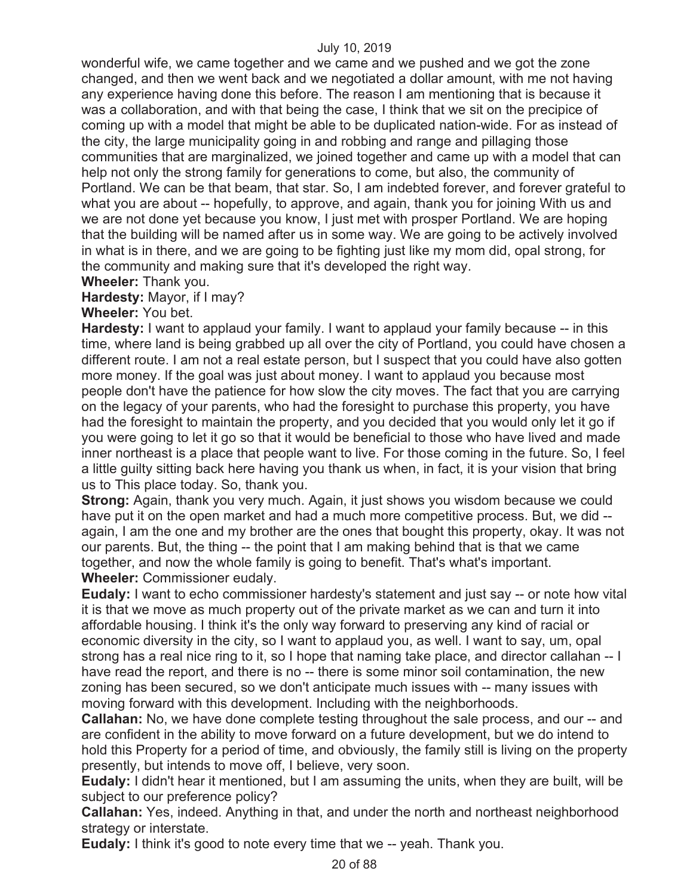wonderful wife, we came together and we came and we pushed and we got the zone changed, and then we went back and we negotiated a dollar amount, with me not having any experience having done this before. The reason I am mentioning that is because it was a collaboration, and with that being the case, I think that we sit on the precipice of coming up with a model that might be able to be duplicated nation-wide. For as instead of the city, the large municipality going in and robbing and range and pillaging those communities that are marginalized, we joined together and came up with a model that can help not only the strong family for generations to come, but also, the community of Portland. We can be that beam, that star. So, I am indebted forever, and forever grateful to what you are about -- hopefully, to approve, and again, thank you for joining With us and we are not done yet because you know, I just met with prosper Portland. We are hoping that the building will be named after us in some way. We are going to be actively involved in what is in there, and we are going to be fighting just like my mom did, opal strong, for the community and making sure that it's developed the right way.

# **Wheeler:** Thank you.

# **Hardesty:** Mayor, if I may?

# **Wheeler:** You bet.

**Hardesty:** I want to applaud your family. I want to applaud your family because -- in this time, where land is being grabbed up all over the city of Portland, you could have chosen a different route. I am not a real estate person, but I suspect that you could have also gotten more money. If the goal was just about money. I want to applaud you because most people don't have the patience for how slow the city moves. The fact that you are carrying on the legacy of your parents, who had the foresight to purchase this property, you have had the foresight to maintain the property, and you decided that you would only let it go if you were going to let it go so that it would be beneficial to those who have lived and made inner northeast is a place that people want to live. For those coming in the future. So, I feel a little guilty sitting back here having you thank us when, in fact, it is your vision that bring us to This place today. So, thank you.

**Strong:** Again, thank you very much. Again, it just shows you wisdom because we could have put it on the open market and had a much more competitive process. But, we did - again, I am the one and my brother are the ones that bought this property, okay. It was not our parents. But, the thing -- the point that I am making behind that is that we came together, and now the whole family is going to benefit. That's what's important. **Wheeler:** Commissioner eudaly.

**Eudaly:** I want to echo commissioner hardesty's statement and just say -- or note how vital it is that we move as much property out of the private market as we can and turn it into affordable housing. I think it's the only way forward to preserving any kind of racial or economic diversity in the city, so I want to applaud you, as well. I want to say, um, opal strong has a real nice ring to it, so I hope that naming take place, and director callahan -- I have read the report, and there is no -- there is some minor soil contamination, the new zoning has been secured, so we don't anticipate much issues with -- many issues with moving forward with this development. Including with the neighborhoods.

**Callahan:** No, we have done complete testing throughout the sale process, and our -- and are confident in the ability to move forward on a future development, but we do intend to hold this Property for a period of time, and obviously, the family still is living on the property presently, but intends to move off, I believe, very soon.

**Eudaly:** I didn't hear it mentioned, but I am assuming the units, when they are built, will be subject to our preference policy?

**Callahan:** Yes, indeed. Anything in that, and under the north and northeast neighborhood strategy or interstate.

**Eudaly:** I think it's good to note every time that we -- yeah. Thank you.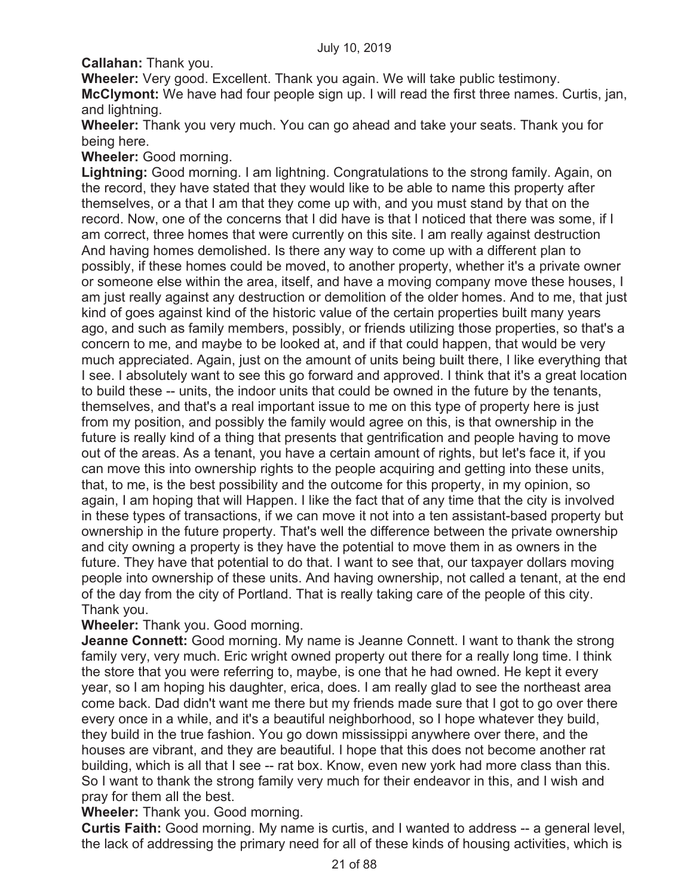**Callahan:** Thank you.

**Wheeler:** Very good. Excellent. Thank you again. We will take public testimony. **McClymont:** We have had four people sign up. I will read the first three names. Curtis, jan, and lightning.

**Wheeler:** Thank you very much. You can go ahead and take your seats. Thank you for being here.

**Wheeler:** Good morning.

**Lightning:** Good morning. I am lightning. Congratulations to the strong family. Again, on the record, they have stated that they would like to be able to name this property after themselves, or a that I am that they come up with, and you must stand by that on the record. Now, one of the concerns that I did have is that I noticed that there was some, if I am correct, three homes that were currently on this site. I am really against destruction And having homes demolished. Is there any way to come up with a different plan to possibly, if these homes could be moved, to another property, whether it's a private owner or someone else within the area, itself, and have a moving company move these houses, I am just really against any destruction or demolition of the older homes. And to me, that just kind of goes against kind of the historic value of the certain properties built many years ago, and such as family members, possibly, or friends utilizing those properties, so that's a concern to me, and maybe to be looked at, and if that could happen, that would be very much appreciated. Again, just on the amount of units being built there, I like everything that I see. I absolutely want to see this go forward and approved. I think that it's a great location to build these -- units, the indoor units that could be owned in the future by the tenants, themselves, and that's a real important issue to me on this type of property here is just from my position, and possibly the family would agree on this, is that ownership in the future is really kind of a thing that presents that gentrification and people having to move out of the areas. As a tenant, you have a certain amount of rights, but let's face it, if you can move this into ownership rights to the people acquiring and getting into these units, that, to me, is the best possibility and the outcome for this property, in my opinion, so again, I am hoping that will Happen. I like the fact that of any time that the city is involved in these types of transactions, if we can move it not into a ten assistant-based property but ownership in the future property. That's well the difference between the private ownership and city owning a property is they have the potential to move them in as owners in the future. They have that potential to do that. I want to see that, our taxpayer dollars moving people into ownership of these units. And having ownership, not called a tenant, at the end of the day from the city of Portland. That is really taking care of the people of this city. Thank you.

# **Wheeler:** Thank you. Good morning.

**Jeanne Connett:** Good morning. My name is Jeanne Connett. I want to thank the strong family very, very much. Eric wright owned property out there for a really long time. I think the store that you were referring to, maybe, is one that he had owned. He kept it every year, so I am hoping his daughter, erica, does. I am really glad to see the northeast area come back. Dad didn't want me there but my friends made sure that I got to go over there every once in a while, and it's a beautiful neighborhood, so I hope whatever they build, they build in the true fashion. You go down mississippi anywhere over there, and the houses are vibrant, and they are beautiful. I hope that this does not become another rat building, which is all that I see -- rat box. Know, even new york had more class than this. So I want to thank the strong family very much for their endeavor in this, and I wish and pray for them all the best.

**Wheeler:** Thank you. Good morning.

**Curtis Faith:** Good morning. My name is curtis, and I wanted to address -- a general level, the lack of addressing the primary need for all of these kinds of housing activities, which is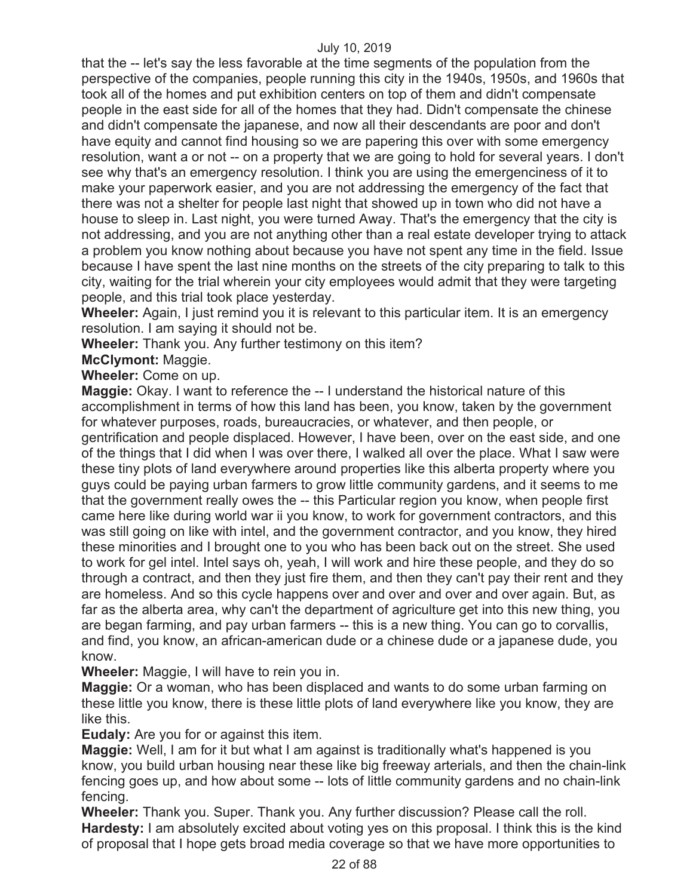that the -- let's say the less favorable at the time segments of the population from the perspective of the companies, people running this city in the 1940s, 1950s, and 1960s that took all of the homes and put exhibition centers on top of them and didn't compensate people in the east side for all of the homes that they had. Didn't compensate the chinese and didn't compensate the japanese, and now all their descendants are poor and don't have equity and cannot find housing so we are papering this over with some emergency resolution, want a or not -- on a property that we are going to hold for several years. I don't see why that's an emergency resolution. I think you are using the emergenciness of it to make your paperwork easier, and you are not addressing the emergency of the fact that there was not a shelter for people last night that showed up in town who did not have a house to sleep in. Last night, you were turned Away. That's the emergency that the city is not addressing, and you are not anything other than a real estate developer trying to attack a problem you know nothing about because you have not spent any time in the field. Issue because I have spent the last nine months on the streets of the city preparing to talk to this city, waiting for the trial wherein your city employees would admit that they were targeting people, and this trial took place yesterday.

**Wheeler:** Again, I just remind you it is relevant to this particular item. It is an emergency resolution. I am saying it should not be.

**Wheeler:** Thank you. Any further testimony on this item?

**McClymont:** Maggie.

**Wheeler:** Come on up.

**Maggie:** Okay. I want to reference the -- I understand the historical nature of this accomplishment in terms of how this land has been, you know, taken by the government for whatever purposes, roads, bureaucracies, or whatever, and then people, or gentrification and people displaced. However, I have been, over on the east side, and one of the things that I did when I was over there, I walked all over the place. What I saw were these tiny plots of land everywhere around properties like this alberta property where you guys could be paying urban farmers to grow little community gardens, and it seems to me that the government really owes the -- this Particular region you know, when people first came here like during world war ii you know, to work for government contractors, and this was still going on like with intel, and the government contractor, and you know, they hired these minorities and I brought one to you who has been back out on the street. She used to work for gel intel. Intel says oh, yeah, I will work and hire these people, and they do so through a contract, and then they just fire them, and then they can't pay their rent and they are homeless. And so this cycle happens over and over and over and over again. But, as far as the alberta area, why can't the department of agriculture get into this new thing, you are began farming, and pay urban farmers -- this is a new thing. You can go to corvallis, and find, you know, an african-american dude or a chinese dude or a japanese dude, you know.

**Wheeler:** Maggie, I will have to rein you in.

**Maggie:** Or a woman, who has been displaced and wants to do some urban farming on these little you know, there is these little plots of land everywhere like you know, they are like this.

**Eudaly:** Are you for or against this item.

**Maggie:** Well, I am for it but what I am against is traditionally what's happened is you know, you build urban housing near these like big freeway arterials, and then the chain-link fencing goes up, and how about some -- lots of little community gardens and no chain-link fencing.

**Wheeler:** Thank you. Super. Thank you. Any further discussion? Please call the roll. **Hardesty:** I am absolutely excited about voting yes on this proposal. I think this is the kind of proposal that I hope gets broad media coverage so that we have more opportunities to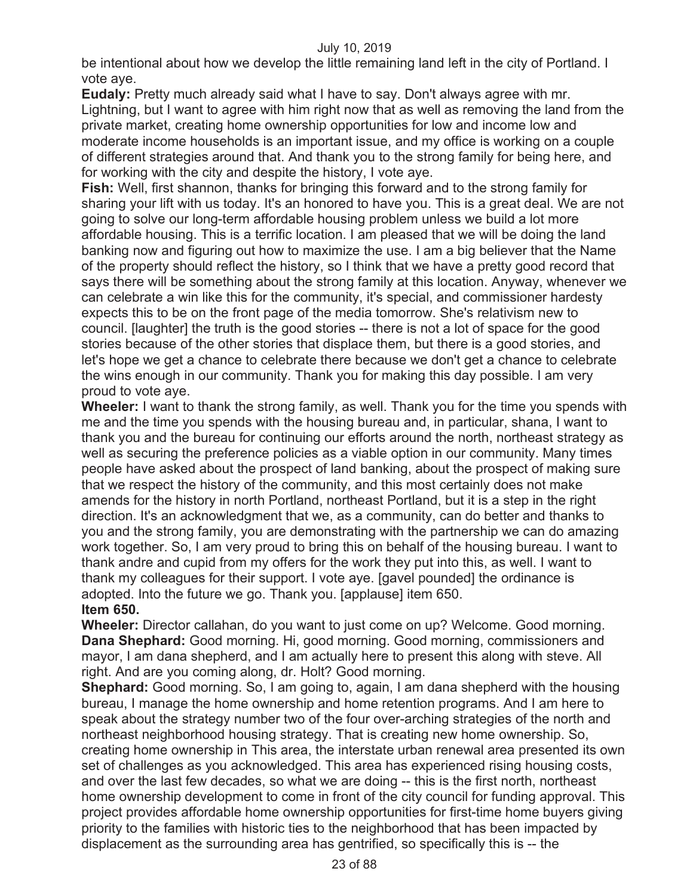be intentional about how we develop the little remaining land left in the city of Portland. I vote aye.

**Eudaly:** Pretty much already said what I have to say. Don't always agree with mr. Lightning, but I want to agree with him right now that as well as removing the land from the private market, creating home ownership opportunities for low and income low and moderate income households is an important issue, and my office is working on a couple of different strategies around that. And thank you to the strong family for being here, and for working with the city and despite the history, I vote aye.

**Fish:** Well, first shannon, thanks for bringing this forward and to the strong family for sharing your lift with us today. It's an honored to have you. This is a great deal. We are not going to solve our long-term affordable housing problem unless we build a lot more affordable housing. This is a terrific location. I am pleased that we will be doing the land banking now and figuring out how to maximize the use. I am a big believer that the Name of the property should reflect the history, so I think that we have a pretty good record that says there will be something about the strong family at this location. Anyway, whenever we can celebrate a win like this for the community, it's special, and commissioner hardesty expects this to be on the front page of the media tomorrow. She's relativism new to council. [laughter] the truth is the good stories -- there is not a lot of space for the good stories because of the other stories that displace them, but there is a good stories, and let's hope we get a chance to celebrate there because we don't get a chance to celebrate the wins enough in our community. Thank you for making this day possible. I am very proud to vote aye.

**Wheeler:** I want to thank the strong family, as well. Thank you for the time you spends with me and the time you spends with the housing bureau and, in particular, shana, I want to thank you and the bureau for continuing our efforts around the north, northeast strategy as well as securing the preference policies as a viable option in our community. Many times people have asked about the prospect of land banking, about the prospect of making sure that we respect the history of the community, and this most certainly does not make amends for the history in north Portland, northeast Portland, but it is a step in the right direction. It's an acknowledgment that we, as a community, can do better and thanks to you and the strong family, you are demonstrating with the partnership we can do amazing work together. So, I am very proud to bring this on behalf of the housing bureau. I want to thank andre and cupid from my offers for the work they put into this, as well. I want to thank my colleagues for their support. I vote aye. [gavel pounded] the ordinance is adopted. Into the future we go. Thank you. [applause] item 650. **Item 650.** 

**Wheeler:** Director callahan, do you want to just come on up? Welcome. Good morning. **Dana Shephard:** Good morning. Hi, good morning. Good morning, commissioners and mayor, I am dana shepherd, and I am actually here to present this along with steve. All right. And are you coming along, dr. Holt? Good morning.

**Shephard:** Good morning. So, I am going to, again, I am dana shepherd with the housing bureau, I manage the home ownership and home retention programs. And I am here to speak about the strategy number two of the four over-arching strategies of the north and northeast neighborhood housing strategy. That is creating new home ownership. So, creating home ownership in This area, the interstate urban renewal area presented its own set of challenges as you acknowledged. This area has experienced rising housing costs, and over the last few decades, so what we are doing -- this is the first north, northeast home ownership development to come in front of the city council for funding approval. This project provides affordable home ownership opportunities for first-time home buyers giving priority to the families with historic ties to the neighborhood that has been impacted by displacement as the surrounding area has gentrified, so specifically this is -- the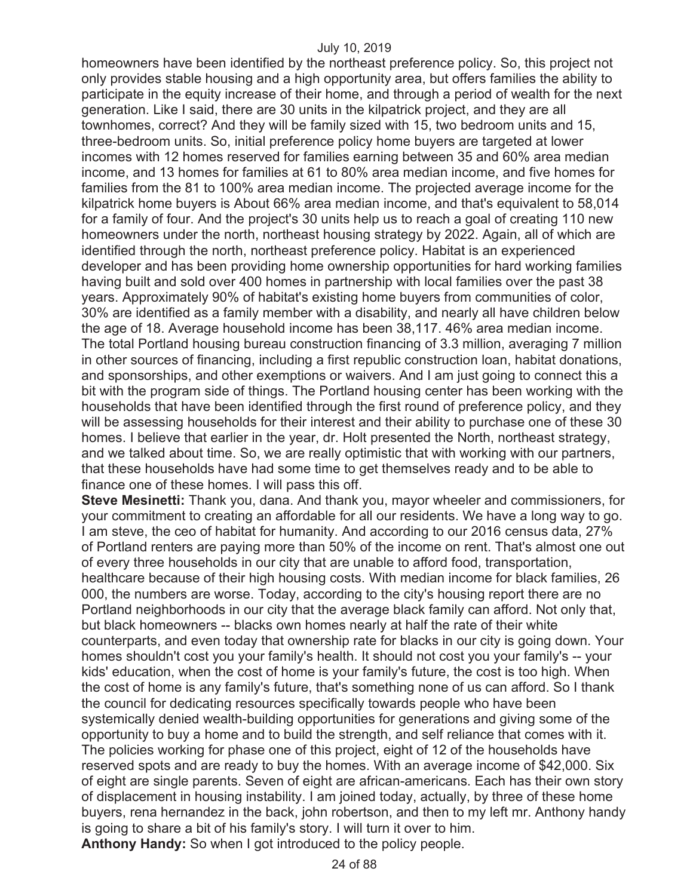homeowners have been identified by the northeast preference policy. So, this project not only provides stable housing and a high opportunity area, but offers families the ability to participate in the equity increase of their home, and through a period of wealth for the next generation. Like I said, there are 30 units in the kilpatrick project, and they are all townhomes, correct? And they will be family sized with 15, two bedroom units and 15, three-bedroom units. So, initial preference policy home buyers are targeted at lower incomes with 12 homes reserved for families earning between 35 and 60% area median income, and 13 homes for families at 61 to 80% area median income, and five homes for families from the 81 to 100% area median income. The projected average income for the kilpatrick home buyers is About 66% area median income, and that's equivalent to 58,014 for a family of four. And the project's 30 units help us to reach a goal of creating 110 new homeowners under the north, northeast housing strategy by 2022. Again, all of which are identified through the north, northeast preference policy. Habitat is an experienced developer and has been providing home ownership opportunities for hard working families having built and sold over 400 homes in partnership with local families over the past 38 years. Approximately 90% of habitat's existing home buyers from communities of color, 30% are identified as a family member with a disability, and nearly all have children below the age of 18. Average household income has been 38,117. 46% area median income. The total Portland housing bureau construction financing of 3.3 million, averaging 7 million in other sources of financing, including a first republic construction loan, habitat donations, and sponsorships, and other exemptions or waivers. And I am just going to connect this a bit with the program side of things. The Portland housing center has been working with the households that have been identified through the first round of preference policy, and they will be assessing households for their interest and their ability to purchase one of these 30 homes. I believe that earlier in the year, dr. Holt presented the North, northeast strategy, and we talked about time. So, we are really optimistic that with working with our partners, that these households have had some time to get themselves ready and to be able to finance one of these homes. I will pass this off.

**Steve Mesinetti:** Thank you, dana. And thank you, mayor wheeler and commissioners, for your commitment to creating an affordable for all our residents. We have a long way to go. I am steve, the ceo of habitat for humanity. And according to our 2016 census data, 27% of Portland renters are paying more than 50% of the income on rent. That's almost one out of every three households in our city that are unable to afford food, transportation, healthcare because of their high housing costs. With median income for black families, 26 000, the numbers are worse. Today, according to the city's housing report there are no Portland neighborhoods in our city that the average black family can afford. Not only that, but black homeowners -- blacks own homes nearly at half the rate of their white counterparts, and even today that ownership rate for blacks in our city is going down. Your homes shouldn't cost you your family's health. It should not cost you your family's -- your kids' education, when the cost of home is your family's future, the cost is too high. When the cost of home is any family's future, that's something none of us can afford. So I thank the council for dedicating resources specifically towards people who have been systemically denied wealth-building opportunities for generations and giving some of the opportunity to buy a home and to build the strength, and self reliance that comes with it. The policies working for phase one of this project, eight of 12 of the households have reserved spots and are ready to buy the homes. With an average income of \$42,000. Six of eight are single parents. Seven of eight are african-americans. Each has their own story of displacement in housing instability. I am joined today, actually, by three of these home buyers, rena hernandez in the back, john robertson, and then to my left mr. Anthony handy is going to share a bit of his family's story. I will turn it over to him.

**Anthony Handy:** So when I got introduced to the policy people.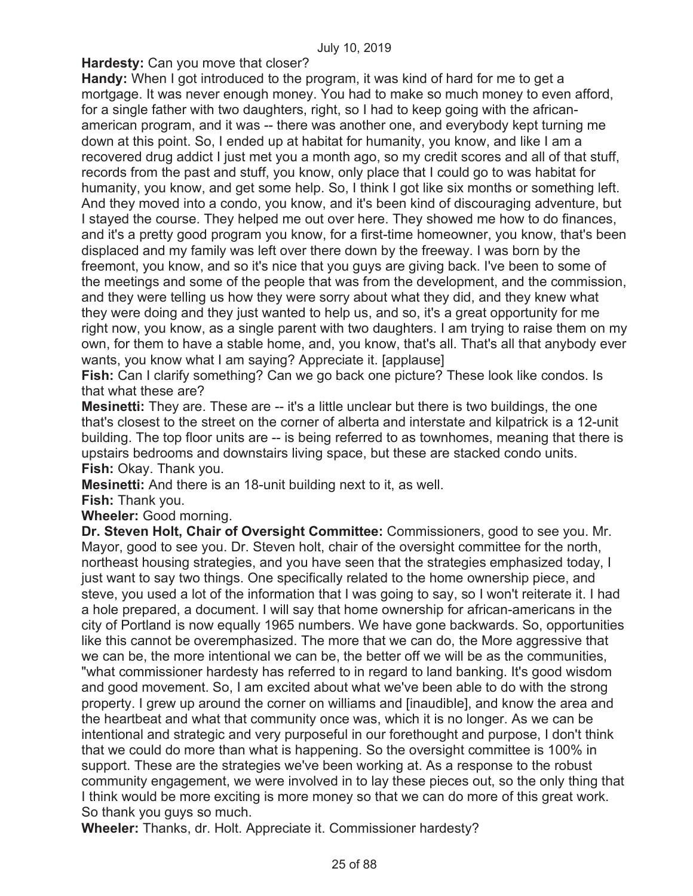**Hardesty:** Can you move that closer?

**Handy:** When I got introduced to the program, it was kind of hard for me to get a mortgage. It was never enough money. You had to make so much money to even afford, for a single father with two daughters, right, so I had to keep going with the africanamerican program, and it was -- there was another one, and everybody kept turning me down at this point. So, I ended up at habitat for humanity, you know, and like I am a recovered drug addict I just met you a month ago, so my credit scores and all of that stuff, records from the past and stuff, you know, only place that I could go to was habitat for humanity, you know, and get some help. So, I think I got like six months or something left. And they moved into a condo, you know, and it's been kind of discouraging adventure, but I stayed the course. They helped me out over here. They showed me how to do finances, and it's a pretty good program you know, for a first-time homeowner, you know, that's been displaced and my family was left over there down by the freeway. I was born by the freemont, you know, and so it's nice that you guys are giving back. I've been to some of the meetings and some of the people that was from the development, and the commission, and they were telling us how they were sorry about what they did, and they knew what they were doing and they just wanted to help us, and so, it's a great opportunity for me right now, you know, as a single parent with two daughters. I am trying to raise them on my own, for them to have a stable home, and, you know, that's all. That's all that anybody ever wants, you know what I am saying? Appreciate it. [applause]

**Fish:** Can I clarify something? Can we go back one picture? These look like condos. Is that what these are?

**Mesinetti:** They are. These are -- it's a little unclear but there is two buildings, the one that's closest to the street on the corner of alberta and interstate and kilpatrick is a 12-unit building. The top floor units are -- is being referred to as townhomes, meaning that there is upstairs bedrooms and downstairs living space, but these are stacked condo units. **Fish:** Okay. Thank you.

**Mesinetti:** And there is an 18-unit building next to it, as well.

**Fish:** Thank you.

**Wheeler:** Good morning.

**Dr. Steven Holt, Chair of Oversight Committee:** Commissioners, good to see you. Mr. Mayor, good to see you. Dr. Steven holt, chair of the oversight committee for the north, northeast housing strategies, and you have seen that the strategies emphasized today, I just want to say two things. One specifically related to the home ownership piece, and steve, you used a lot of the information that I was going to say, so I won't reiterate it. I had a hole prepared, a document. I will say that home ownership for african-americans in the city of Portland is now equally 1965 numbers. We have gone backwards. So, opportunities like this cannot be overemphasized. The more that we can do, the More aggressive that we can be, the more intentional we can be, the better off we will be as the communities, "what commissioner hardesty has referred to in regard to land banking. It's good wisdom and good movement. So, I am excited about what we've been able to do with the strong property. I grew up around the corner on williams and [inaudible], and know the area and the heartbeat and what that community once was, which it is no longer. As we can be intentional and strategic and very purposeful in our forethought and purpose, I don't think that we could do more than what is happening. So the oversight committee is 100% in support. These are the strategies we've been working at. As a response to the robust community engagement, we were involved in to lay these pieces out, so the only thing that I think would be more exciting is more money so that we can do more of this great work. So thank you guys so much.

**Wheeler:** Thanks, dr. Holt. Appreciate it. Commissioner hardesty?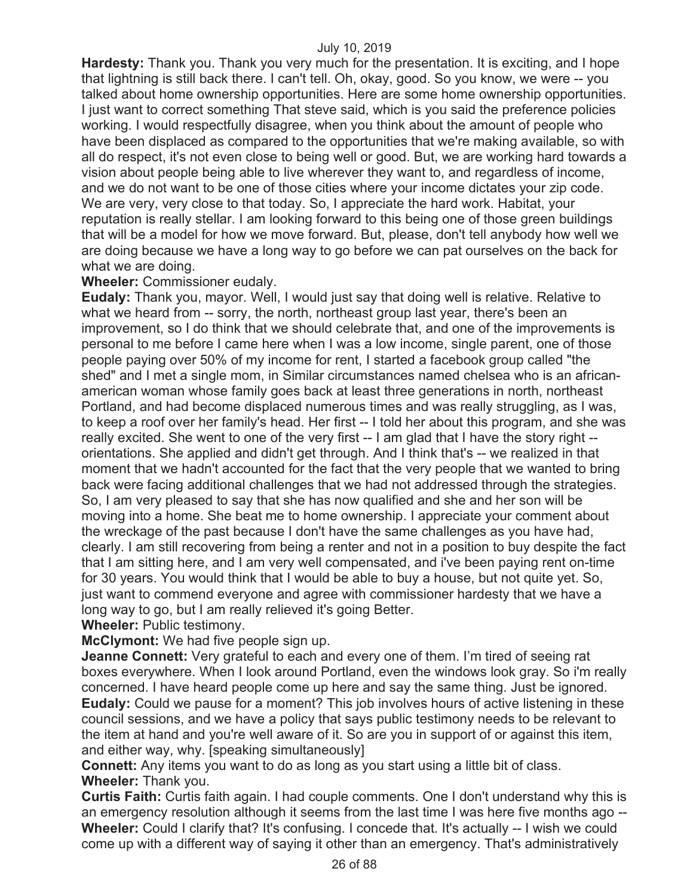**Hardesty:** Thank you. Thank you very much for the presentation. It is exciting, and I hope that lightning is still back there. I can't tell. Oh, okay, good. So you know, we were -- you talked about home ownership opportunities. Here are some home ownership opportunities. I just want to correct something That steve said, which is you said the preference policies working. I would respectfully disagree, when you think about the amount of people who have been displaced as compared to the opportunities that we're making available, so with all do respect, it's not even close to being well or good. But, we are working hard towards a vision about people being able to live wherever they want to, and regardless of income, and we do not want to be one of those cities where your income dictates your zip code. We are very, very close to that today. So, I appreciate the hard work. Habitat, your reputation is really stellar. I am looking forward to this being one of those green buildings that will be a model for how we move forward. But, please, don't tell anybody how well we are doing because we have a long way to go before we can pat ourselves on the back for what we are doing.

# **Wheeler:** Commissioner eudaly.

**Eudaly:** Thank you, mayor. Well, I would just say that doing well is relative. Relative to what we heard from -- sorry, the north, northeast group last year, there's been an improvement, so I do think that we should celebrate that, and one of the improvements is personal to me before I came here when I was a low income, single parent, one of those people paying over 50% of my income for rent, I started a facebook group called "the shed" and I met a single mom, in Similar circumstances named chelsea who is an africanamerican woman whose family goes back at least three generations in north, northeast Portland, and had become displaced numerous times and was really struggling, as I was, to keep a roof over her family's head. Her first -- I told her about this program, and she was really excited. She went to one of the very first -- I am glad that I have the story right - orientations. She applied and didn't get through. And I think that's -- we realized in that moment that we hadn't accounted for the fact that the very people that we wanted to bring back were facing additional challenges that we had not addressed through the strategies. So, I am very pleased to say that she has now qualified and she and her son will be moving into a home. She beat me to home ownership. I appreciate your comment about the wreckage of the past because I don't have the same challenges as you have had, clearly. I am still recovering from being a renter and not in a position to buy despite the fact that I am sitting here, and I am very well compensated, and i've been paying rent on-time for 30 years. You would think that I would be able to buy a house, but not quite yet. So, just want to commend everyone and agree with commissioner hardesty that we have a long way to go, but I am really relieved it's going Better.

# **Wheeler:** Public testimony.

**McClymont:** We had five people sign up.

**Jeanne Connett:** Very grateful to each and every one of them. I'm tired of seeing rat boxes everywhere. When I look around Portland, even the windows look gray. So i'm really concerned. I have heard people come up here and say the same thing. Just be ignored. **Eudaly:** Could we pause for a moment? This job involves hours of active listening in these council sessions, and we have a policy that says public testimony needs to be relevant to the item at hand and you're well aware of it. So are you in support of or against this item, and either way, why. [speaking simultaneously]

**Connett:** Any items you want to do as long as you start using a little bit of class. **Wheeler:** Thank you.

**Curtis Faith:** Curtis faith again. I had couple comments. One I don't understand why this is an emergency resolution although it seems from the last time I was here five months ago -- **Wheeler:** Could I clarify that? It's confusing. I concede that. It's actually -- I wish we could come up with a different way of saying it other than an emergency. That's administratively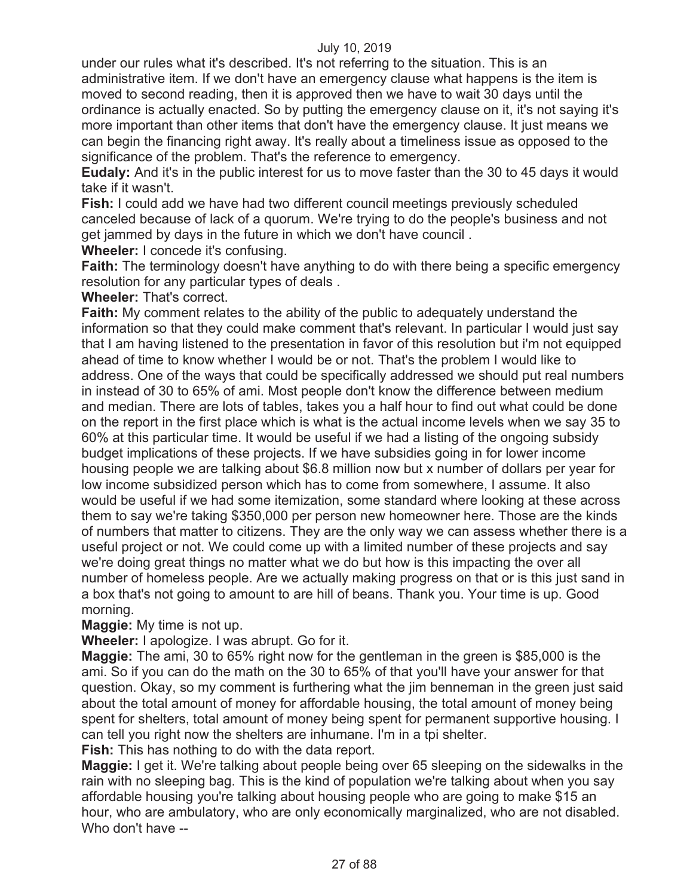under our rules what it's described. It's not referring to the situation. This is an administrative item. If we don't have an emergency clause what happens is the item is moved to second reading, then it is approved then we have to wait 30 days until the ordinance is actually enacted. So by putting the emergency clause on it, it's not saying it's more important than other items that don't have the emergency clause. It just means we can begin the financing right away. It's really about a timeliness issue as opposed to the significance of the problem. That's the reference to emergency.

**Eudaly:** And it's in the public interest for us to move faster than the 30 to 45 days it would take if it wasn't.

**Fish:** I could add we have had two different council meetings previously scheduled canceled because of lack of a quorum. We're trying to do the people's business and not get jammed by days in the future in which we don't have council .

**Wheeler:** I concede it's confusing.

**Faith:** The terminology doesn't have anything to do with there being a specific emergency resolution for any particular types of deals .

**Wheeler:** That's correct.

**Faith:** My comment relates to the ability of the public to adequately understand the information so that they could make comment that's relevant. In particular I would just say that I am having listened to the presentation in favor of this resolution but i'm not equipped ahead of time to know whether I would be or not. That's the problem I would like to address. One of the ways that could be specifically addressed we should put real numbers in instead of 30 to 65% of ami. Most people don't know the difference between medium and median. There are lots of tables, takes you a half hour to find out what could be done on the report in the first place which is what is the actual income levels when we say 35 to 60% at this particular time. It would be useful if we had a listing of the ongoing subsidy budget implications of these projects. If we have subsidies going in for lower income housing people we are talking about \$6.8 million now but x number of dollars per year for low income subsidized person which has to come from somewhere, I assume. It also would be useful if we had some itemization, some standard where looking at these across them to say we're taking \$350,000 per person new homeowner here. Those are the kinds of numbers that matter to citizens. They are the only way we can assess whether there is a useful project or not. We could come up with a limited number of these projects and say we're doing great things no matter what we do but how is this impacting the over all number of homeless people. Are we actually making progress on that or is this just sand in a box that's not going to amount to are hill of beans. Thank you. Your time is up. Good morning.

**Maggie:** My time is not up.

**Wheeler:** I apologize. I was abrupt. Go for it.

**Maggie:** The ami, 30 to 65% right now for the gentleman in the green is \$85,000 is the ami. So if you can do the math on the 30 to 65% of that you'll have your answer for that question. Okay, so my comment is furthering what the jim benneman in the green just said about the total amount of money for affordable housing, the total amount of money being spent for shelters, total amount of money being spent for permanent supportive housing. I can tell you right now the shelters are inhumane. I'm in a tpi shelter.

**Fish:** This has nothing to do with the data report.

**Maggie:** I get it. We're talking about people being over 65 sleeping on the sidewalks in the rain with no sleeping bag. This is the kind of population we're talking about when you say affordable housing you're talking about housing people who are going to make \$15 an hour, who are ambulatory, who are only economically marginalized, who are not disabled. Who don't have --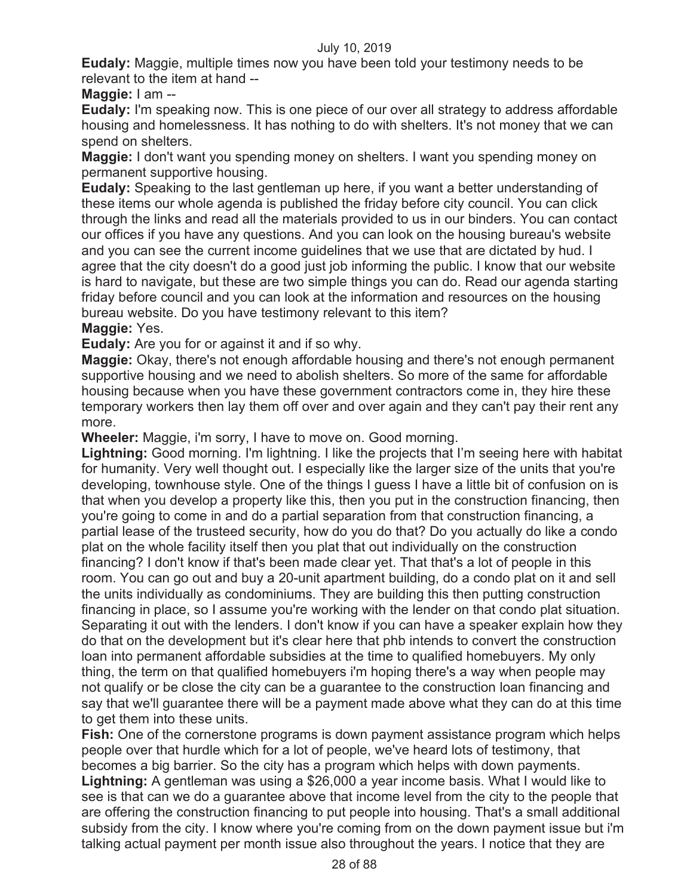**Eudaly:** Maggie, multiple times now you have been told your testimony needs to be relevant to the item at hand --

**Maggie:** I am --

**Eudaly:** I'm speaking now. This is one piece of our over all strategy to address affordable housing and homelessness. It has nothing to do with shelters. It's not money that we can spend on shelters.

**Maggie:** I don't want you spending money on shelters. I want you spending money on permanent supportive housing.

**Eudaly:** Speaking to the last gentleman up here, if you want a better understanding of these items our whole agenda is published the friday before city council. You can click through the links and read all the materials provided to us in our binders. You can contact our offices if you have any questions. And you can look on the housing bureau's website and you can see the current income guidelines that we use that are dictated by hud. I agree that the city doesn't do a good just job informing the public. I know that our website is hard to navigate, but these are two simple things you can do. Read our agenda starting friday before council and you can look at the information and resources on the housing bureau website. Do you have testimony relevant to this item?

**Maggie:** Yes.

**Eudaly:** Are you for or against it and if so why.

**Maggie:** Okay, there's not enough affordable housing and there's not enough permanent supportive housing and we need to abolish shelters. So more of the same for affordable housing because when you have these government contractors come in, they hire these temporary workers then lay them off over and over again and they can't pay their rent any more.

**Wheeler:** Maggie, i'm sorry, I have to move on. Good morning.

**Lightning:** Good morning. I'm lightning. I like the projects that I'm seeing here with habitat for humanity. Very well thought out. I especially like the larger size of the units that you're developing, townhouse style. One of the things I guess I have a little bit of confusion on is that when you develop a property like this, then you put in the construction financing, then you're going to come in and do a partial separation from that construction financing, a partial lease of the trusteed security, how do you do that? Do you actually do like a condo plat on the whole facility itself then you plat that out individually on the construction financing? I don't know if that's been made clear yet. That that's a lot of people in this room. You can go out and buy a 20-unit apartment building, do a condo plat on it and sell the units individually as condominiums. They are building this then putting construction financing in place, so I assume you're working with the lender on that condo plat situation. Separating it out with the lenders. I don't know if you can have a speaker explain how they do that on the development but it's clear here that phb intends to convert the construction loan into permanent affordable subsidies at the time to qualified homebuyers. My only thing, the term on that qualified homebuyers i'm hoping there's a way when people may not qualify or be close the city can be a guarantee to the construction loan financing and say that we'll guarantee there will be a payment made above what they can do at this time to get them into these units.

**Fish:** One of the cornerstone programs is down payment assistance program which helps people over that hurdle which for a lot of people, we've heard lots of testimony, that becomes a big barrier. So the city has a program which helps with down payments. **Lightning:** A gentleman was using a \$26,000 a year income basis. What I would like to see is that can we do a guarantee above that income level from the city to the people that are offering the construction financing to put people into housing. That's a small additional subsidy from the city. I know where you're coming from on the down payment issue but i'm talking actual payment per month issue also throughout the years. I notice that they are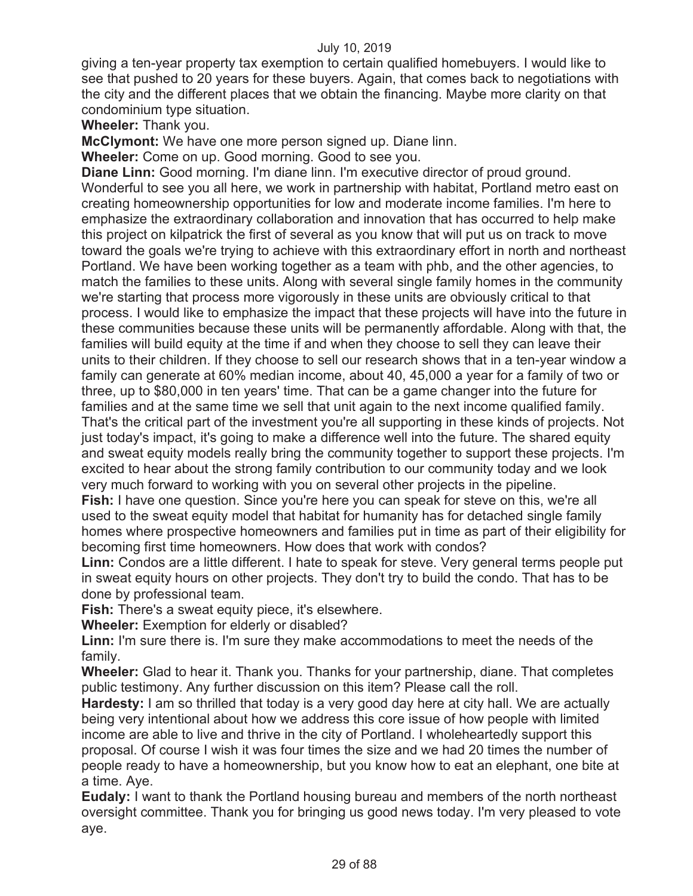giving a ten-year property tax exemption to certain qualified homebuyers. I would like to see that pushed to 20 years for these buyers. Again, that comes back to negotiations with the city and the different places that we obtain the financing. Maybe more clarity on that condominium type situation.

**Wheeler:** Thank you.

**McClymont:** We have one more person signed up. Diane linn.

**Wheeler:** Come on up. Good morning. Good to see you.

**Diane Linn:** Good morning. I'm diane linn. I'm executive director of proud ground. Wonderful to see you all here, we work in partnership with habitat, Portland metro east on creating homeownership opportunities for low and moderate income families. I'm here to emphasize the extraordinary collaboration and innovation that has occurred to help make this project on kilpatrick the first of several as you know that will put us on track to move toward the goals we're trying to achieve with this extraordinary effort in north and northeast Portland. We have been working together as a team with phb, and the other agencies, to match the families to these units. Along with several single family homes in the community we're starting that process more vigorously in these units are obviously critical to that process. I would like to emphasize the impact that these projects will have into the future in these communities because these units will be permanently affordable. Along with that, the families will build equity at the time if and when they choose to sell they can leave their units to their children. If they choose to sell our research shows that in a ten-year window a family can generate at 60% median income, about 40, 45,000 a year for a family of two or three, up to \$80,000 in ten years' time. That can be a game changer into the future for families and at the same time we sell that unit again to the next income qualified family. That's the critical part of the investment you're all supporting in these kinds of projects. Not just today's impact, it's going to make a difference well into the future. The shared equity and sweat equity models really bring the community together to support these projects. I'm excited to hear about the strong family contribution to our community today and we look very much forward to working with you on several other projects in the pipeline. **Fish:** I have one question. Since you're here you can speak for steve on this, we're all used to the sweat equity model that habitat for humanity has for detached single family homes where prospective homeowners and families put in time as part of their eligibility for

becoming first time homeowners. How does that work with condos?

**Linn:** Condos are a little different. I hate to speak for steve. Very general terms people put in sweat equity hours on other projects. They don't try to build the condo. That has to be done by professional team.

**Fish:** There's a sweat equity piece, it's elsewhere.

**Wheeler:** Exemption for elderly or disabled?

**Linn:** I'm sure there is. I'm sure they make accommodations to meet the needs of the family.

**Wheeler:** Glad to hear it. Thank you. Thanks for your partnership, diane. That completes public testimony. Any further discussion on this item? Please call the roll.

**Hardesty:** I am so thrilled that today is a very good day here at city hall. We are actually being very intentional about how we address this core issue of how people with limited income are able to live and thrive in the city of Portland. I wholeheartedly support this proposal. Of course I wish it was four times the size and we had 20 times the number of people ready to have a homeownership, but you know how to eat an elephant, one bite at a time. Aye.

**Eudaly:** I want to thank the Portland housing bureau and members of the north northeast oversight committee. Thank you for bringing us good news today. I'm very pleased to vote aye.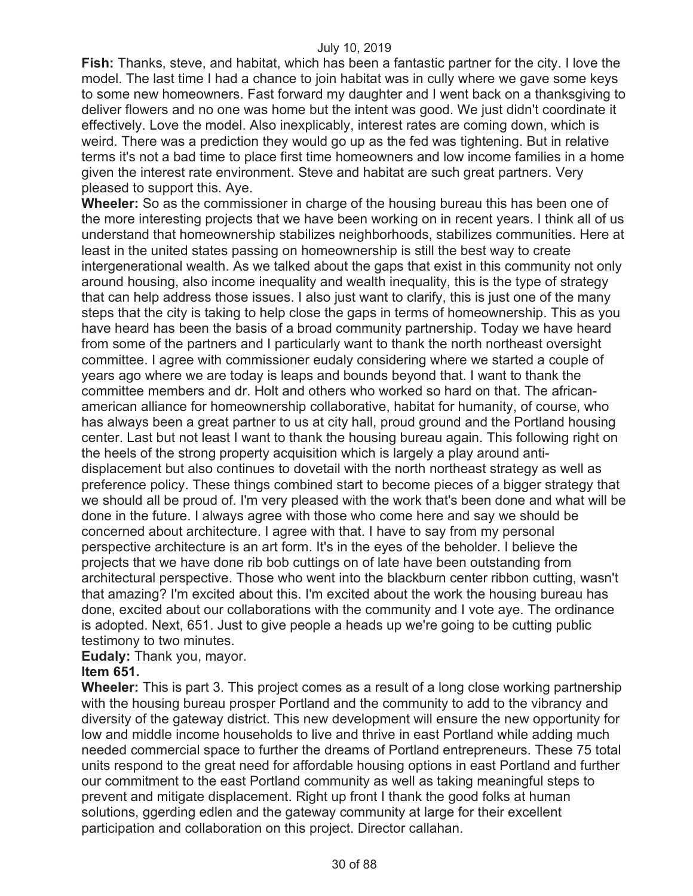**Fish:** Thanks, steve, and habitat, which has been a fantastic partner for the city. I love the model. The last time I had a chance to join habitat was in cully where we gave some keys to some new homeowners. Fast forward my daughter and I went back on a thanksgiving to deliver flowers and no one was home but the intent was good. We just didn't coordinate it effectively. Love the model. Also inexplicably, interest rates are coming down, which is weird. There was a prediction they would go up as the fed was tightening. But in relative terms it's not a bad time to place first time homeowners and low income families in a home given the interest rate environment. Steve and habitat are such great partners. Very pleased to support this. Aye.

**Wheeler:** So as the commissioner in charge of the housing bureau this has been one of the more interesting projects that we have been working on in recent years. I think all of us understand that homeownership stabilizes neighborhoods, stabilizes communities. Here at least in the united states passing on homeownership is still the best way to create intergenerational wealth. As we talked about the gaps that exist in this community not only around housing, also income inequality and wealth inequality, this is the type of strategy that can help address those issues. I also just want to clarify, this is just one of the many steps that the city is taking to help close the gaps in terms of homeownership. This as you have heard has been the basis of a broad community partnership. Today we have heard from some of the partners and I particularly want to thank the north northeast oversight committee. I agree with commissioner eudaly considering where we started a couple of years ago where we are today is leaps and bounds beyond that. I want to thank the committee members and dr. Holt and others who worked so hard on that. The africanamerican alliance for homeownership collaborative, habitat for humanity, of course, who has always been a great partner to us at city hall, proud ground and the Portland housing center. Last but not least I want to thank the housing bureau again. This following right on the heels of the strong property acquisition which is largely a play around antidisplacement but also continues to dovetail with the north northeast strategy as well as preference policy. These things combined start to become pieces of a bigger strategy that we should all be proud of. I'm very pleased with the work that's been done and what will be done in the future. I always agree with those who come here and say we should be concerned about architecture. I agree with that. I have to say from my personal perspective architecture is an art form. It's in the eyes of the beholder. I believe the projects that we have done rib bob cuttings on of late have been outstanding from architectural perspective. Those who went into the blackburn center ribbon cutting, wasn't that amazing? I'm excited about this. I'm excited about the work the housing bureau has done, excited about our collaborations with the community and I vote aye. The ordinance is adopted. Next, 651. Just to give people a heads up we're going to be cutting public testimony to two minutes.

# **Eudaly:** Thank you, mayor.

# **Item 651.**

**Wheeler:** This is part 3. This project comes as a result of a long close working partnership with the housing bureau prosper Portland and the community to add to the vibrancy and diversity of the gateway district. This new development will ensure the new opportunity for low and middle income households to live and thrive in east Portland while adding much needed commercial space to further the dreams of Portland entrepreneurs. These 75 total units respond to the great need for affordable housing options in east Portland and further our commitment to the east Portland community as well as taking meaningful steps to prevent and mitigate displacement. Right up front I thank the good folks at human solutions, ggerding edlen and the gateway community at large for their excellent participation and collaboration on this project. Director callahan.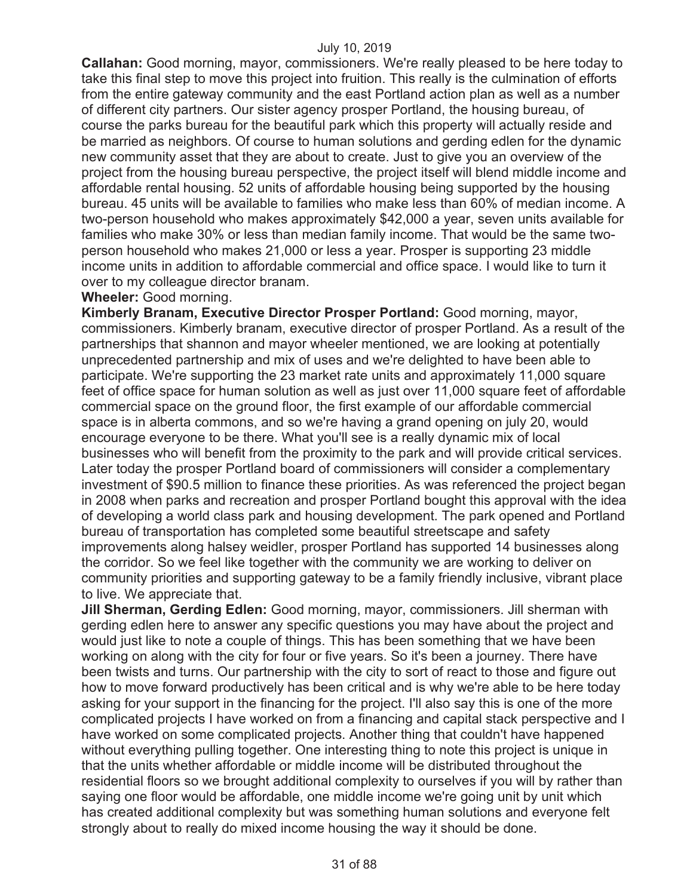**Callahan:** Good morning, mayor, commissioners. We're really pleased to be here today to take this final step to move this project into fruition. This really is the culmination of efforts from the entire gateway community and the east Portland action plan as well as a number of different city partners. Our sister agency prosper Portland, the housing bureau, of course the parks bureau for the beautiful park which this property will actually reside and be married as neighbors. Of course to human solutions and gerding edlen for the dynamic new community asset that they are about to create. Just to give you an overview of the project from the housing bureau perspective, the project itself will blend middle income and affordable rental housing. 52 units of affordable housing being supported by the housing bureau. 45 units will be available to families who make less than 60% of median income. A two-person household who makes approximately \$42,000 a year, seven units available for families who make 30% or less than median family income. That would be the same twoperson household who makes 21,000 or less a year. Prosper is supporting 23 middle income units in addition to affordable commercial and office space. I would like to turn it over to my colleague director branam.

## **Wheeler:** Good morning.

**Kimberly Branam, Executive Director Prosper Portland:** Good morning, mayor, commissioners. Kimberly branam, executive director of prosper Portland. As a result of the partnerships that shannon and mayor wheeler mentioned, we are looking at potentially unprecedented partnership and mix of uses and we're delighted to have been able to participate. We're supporting the 23 market rate units and approximately 11,000 square feet of office space for human solution as well as just over 11,000 square feet of affordable commercial space on the ground floor, the first example of our affordable commercial space is in alberta commons, and so we're having a grand opening on july 20, would encourage everyone to be there. What you'll see is a really dynamic mix of local businesses who will benefit from the proximity to the park and will provide critical services. Later today the prosper Portland board of commissioners will consider a complementary investment of \$90.5 million to finance these priorities. As was referenced the project began in 2008 when parks and recreation and prosper Portland bought this approval with the idea of developing a world class park and housing development. The park opened and Portland bureau of transportation has completed some beautiful streetscape and safety improvements along halsey weidler, prosper Portland has supported 14 businesses along the corridor. So we feel like together with the community we are working to deliver on community priorities and supporting gateway to be a family friendly inclusive, vibrant place to live. We appreciate that.

**Jill Sherman, Gerding Edlen:** Good morning, mayor, commissioners. Jill sherman with gerding edlen here to answer any specific questions you may have about the project and would just like to note a couple of things. This has been something that we have been working on along with the city for four or five years. So it's been a journey. There have been twists and turns. Our partnership with the city to sort of react to those and figure out how to move forward productively has been critical and is why we're able to be here today asking for your support in the financing for the project. I'll also say this is one of the more complicated projects I have worked on from a financing and capital stack perspective and I have worked on some complicated projects. Another thing that couldn't have happened without everything pulling together. One interesting thing to note this project is unique in that the units whether affordable or middle income will be distributed throughout the residential floors so we brought additional complexity to ourselves if you will by rather than saying one floor would be affordable, one middle income we're going unit by unit which has created additional complexity but was something human solutions and everyone felt strongly about to really do mixed income housing the way it should be done.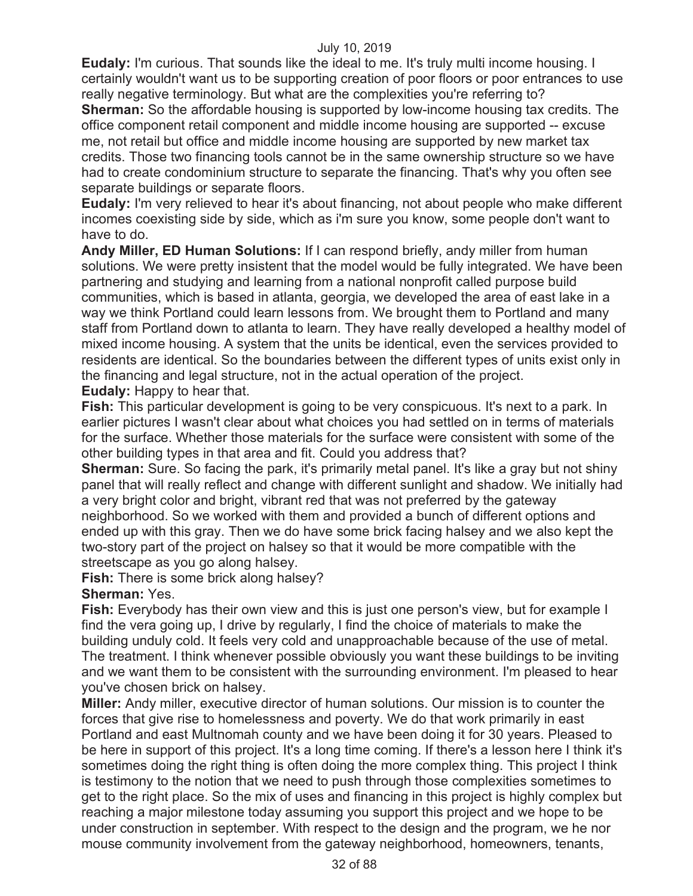**Eudaly:** I'm curious. That sounds like the ideal to me. It's truly multi income housing. I certainly wouldn't want us to be supporting creation of poor floors or poor entrances to use really negative terminology. But what are the complexities you're referring to? **Sherman:** So the affordable housing is supported by low-income housing tax credits. The office component retail component and middle income housing are supported -- excuse

me, not retail but office and middle income housing are supported by new market tax credits. Those two financing tools cannot be in the same ownership structure so we have had to create condominium structure to separate the financing. That's why you often see separate buildings or separate floors.

**Eudaly:** I'm very relieved to hear it's about financing, not about people who make different incomes coexisting side by side, which as i'm sure you know, some people don't want to have to do.

**Andy Miller, ED Human Solutions:** If I can respond briefly, andy miller from human solutions. We were pretty insistent that the model would be fully integrated. We have been partnering and studying and learning from a national nonprofit called purpose build communities, which is based in atlanta, georgia, we developed the area of east lake in a way we think Portland could learn lessons from. We brought them to Portland and many staff from Portland down to atlanta to learn. They have really developed a healthy model of mixed income housing. A system that the units be identical, even the services provided to residents are identical. So the boundaries between the different types of units exist only in the financing and legal structure, not in the actual operation of the project. **Eudaly:** Happy to hear that.

**Fish:** This particular development is going to be very conspicuous. It's next to a park. In earlier pictures I wasn't clear about what choices you had settled on in terms of materials for the surface. Whether those materials for the surface were consistent with some of the other building types in that area and fit. Could you address that?

**Sherman:** Sure. So facing the park, it's primarily metal panel. It's like a gray but not shiny panel that will really reflect and change with different sunlight and shadow. We initially had a very bright color and bright, vibrant red that was not preferred by the gateway neighborhood. So we worked with them and provided a bunch of different options and ended up with this gray. Then we do have some brick facing halsey and we also kept the two-story part of the project on halsey so that it would be more compatible with the streetscape as you go along halsey.

**Fish:** There is some brick along halsey?

# **Sherman:** Yes.

**Fish:** Everybody has their own view and this is just one person's view, but for example I find the vera going up, I drive by regularly, I find the choice of materials to make the building unduly cold. It feels very cold and unapproachable because of the use of metal. The treatment. I think whenever possible obviously you want these buildings to be inviting and we want them to be consistent with the surrounding environment. I'm pleased to hear you've chosen brick on halsey.

**Miller:** Andy miller, executive director of human solutions. Our mission is to counter the forces that give rise to homelessness and poverty. We do that work primarily in east Portland and east Multnomah county and we have been doing it for 30 years. Pleased to be here in support of this project. It's a long time coming. If there's a lesson here I think it's sometimes doing the right thing is often doing the more complex thing. This project I think is testimony to the notion that we need to push through those complexities sometimes to get to the right place. So the mix of uses and financing in this project is highly complex but reaching a major milestone today assuming you support this project and we hope to be under construction in september. With respect to the design and the program, we he nor mouse community involvement from the gateway neighborhood, homeowners, tenants,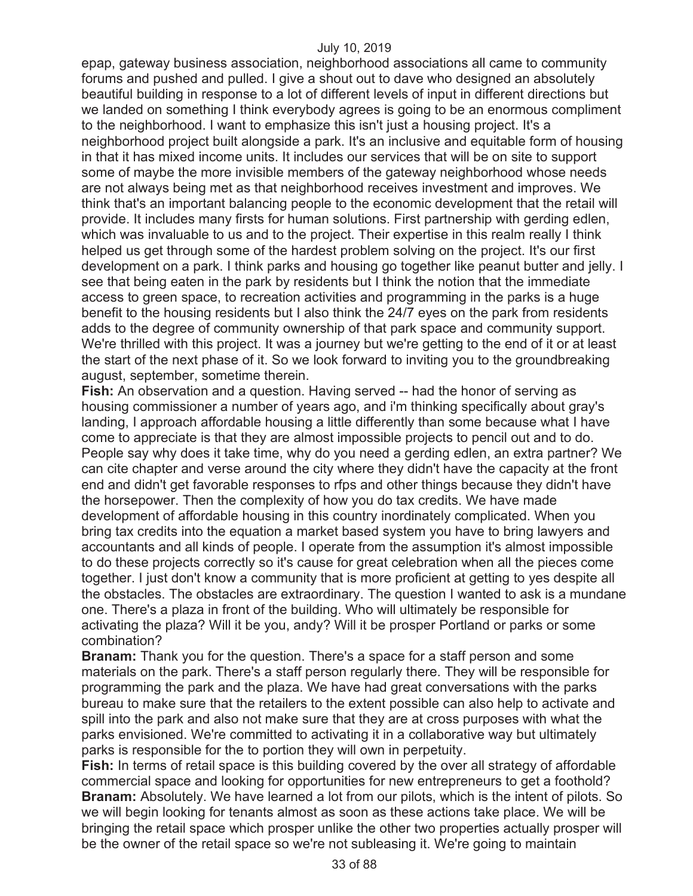epap, gateway business association, neighborhood associations all came to community forums and pushed and pulled. I give a shout out to dave who designed an absolutely beautiful building in response to a lot of different levels of input in different directions but we landed on something I think everybody agrees is going to be an enormous compliment to the neighborhood. I want to emphasize this isn't just a housing project. It's a neighborhood project built alongside a park. It's an inclusive and equitable form of housing in that it has mixed income units. It includes our services that will be on site to support some of maybe the more invisible members of the gateway neighborhood whose needs are not always being met as that neighborhood receives investment and improves. We think that's an important balancing people to the economic development that the retail will provide. It includes many firsts for human solutions. First partnership with gerding edlen, which was invaluable to us and to the project. Their expertise in this realm really I think helped us get through some of the hardest problem solving on the project. It's our first development on a park. I think parks and housing go together like peanut butter and jelly. I see that being eaten in the park by residents but I think the notion that the immediate access to green space, to recreation activities and programming in the parks is a huge benefit to the housing residents but I also think the 24/7 eyes on the park from residents adds to the degree of community ownership of that park space and community support. We're thrilled with this project. It was a journey but we're getting to the end of it or at least the start of the next phase of it. So we look forward to inviting you to the groundbreaking august, september, sometime therein.

**Fish:** An observation and a question. Having served -- had the honor of serving as housing commissioner a number of years ago, and i'm thinking specifically about gray's landing, I approach affordable housing a little differently than some because what I have come to appreciate is that they are almost impossible projects to pencil out and to do. People say why does it take time, why do you need a gerding edlen, an extra partner? We can cite chapter and verse around the city where they didn't have the capacity at the front end and didn't get favorable responses to rfps and other things because they didn't have the horsepower. Then the complexity of how you do tax credits. We have made development of affordable housing in this country inordinately complicated. When you bring tax credits into the equation a market based system you have to bring lawyers and accountants and all kinds of people. I operate from the assumption it's almost impossible to do these projects correctly so it's cause for great celebration when all the pieces come together. I just don't know a community that is more proficient at getting to yes despite all the obstacles. The obstacles are extraordinary. The question I wanted to ask is a mundane one. There's a plaza in front of the building. Who will ultimately be responsible for activating the plaza? Will it be you, andy? Will it be prosper Portland or parks or some combination?

**Branam:** Thank you for the question. There's a space for a staff person and some materials on the park. There's a staff person regularly there. They will be responsible for programming the park and the plaza. We have had great conversations with the parks bureau to make sure that the retailers to the extent possible can also help to activate and spill into the park and also not make sure that they are at cross purposes with what the parks envisioned. We're committed to activating it in a collaborative way but ultimately parks is responsible for the to portion they will own in perpetuity.

**Fish:** In terms of retail space is this building covered by the over all strategy of affordable commercial space and looking for opportunities for new entrepreneurs to get a foothold? **Branam:** Absolutely. We have learned a lot from our pilots, which is the intent of pilots. So we will begin looking for tenants almost as soon as these actions take place. We will be bringing the retail space which prosper unlike the other two properties actually prosper will be the owner of the retail space so we're not subleasing it. We're going to maintain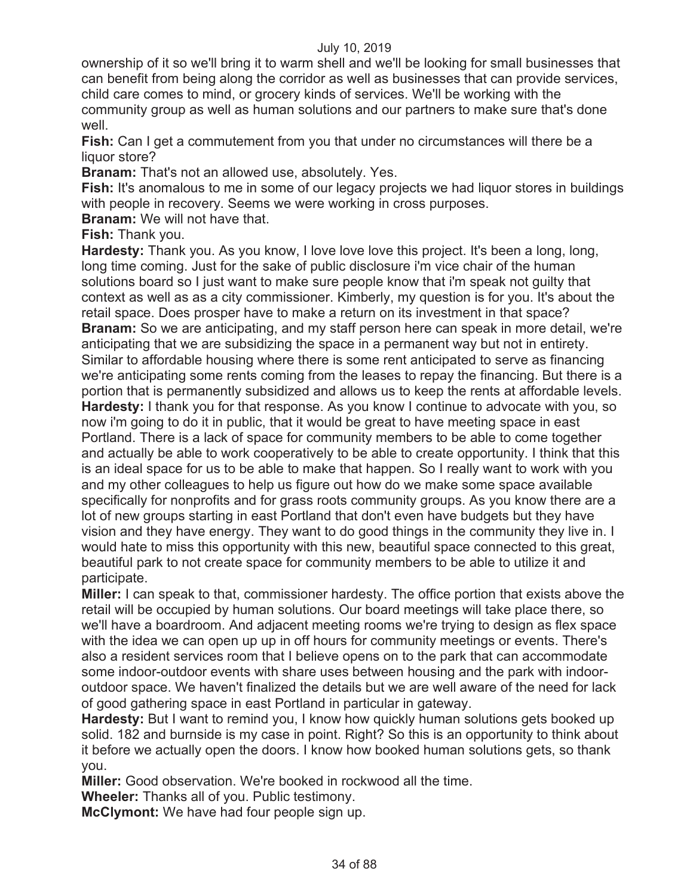ownership of it so we'll bring it to warm shell and we'll be looking for small businesses that can benefit from being along the corridor as well as businesses that can provide services, child care comes to mind, or grocery kinds of services. We'll be working with the community group as well as human solutions and our partners to make sure that's done well.

**Fish:** Can I get a commutement from you that under no circumstances will there be a liquor store?

**Branam:** That's not an allowed use, absolutely. Yes.

**Fish:** It's anomalous to me in some of our legacy projects we had liquor stores in buildings with people in recovery. Seems we were working in cross purposes.

**Branam:** We will not have that.

**Fish:** Thank you.

**Hardesty:** Thank you. As you know, I love love love this project. It's been a long, long, long time coming. Just for the sake of public disclosure i'm vice chair of the human solutions board so I just want to make sure people know that i'm speak not guilty that context as well as as a city commissioner. Kimberly, my question is for you. It's about the retail space. Does prosper have to make a return on its investment in that space? **Branam:** So we are anticipating, and my staff person here can speak in more detail, we're anticipating that we are subsidizing the space in a permanent way but not in entirety. Similar to affordable housing where there is some rent anticipated to serve as financing we're anticipating some rents coming from the leases to repay the financing. But there is a portion that is permanently subsidized and allows us to keep the rents at affordable levels. **Hardesty:** I thank you for that response. As you know I continue to advocate with you, so now i'm going to do it in public, that it would be great to have meeting space in east Portland. There is a lack of space for community members to be able to come together and actually be able to work cooperatively to be able to create opportunity. I think that this is an ideal space for us to be able to make that happen. So I really want to work with you and my other colleagues to help us figure out how do we make some space available specifically for nonprofits and for grass roots community groups. As you know there are a lot of new groups starting in east Portland that don't even have budgets but they have vision and they have energy. They want to do good things in the community they live in. I would hate to miss this opportunity with this new, beautiful space connected to this great, beautiful park to not create space for community members to be able to utilize it and participate.

**Miller:** I can speak to that, commissioner hardesty. The office portion that exists above the retail will be occupied by human solutions. Our board meetings will take place there, so we'll have a boardroom. And adjacent meeting rooms we're trying to design as flex space with the idea we can open up up in off hours for community meetings or events. There's also a resident services room that I believe opens on to the park that can accommodate some indoor-outdoor events with share uses between housing and the park with indooroutdoor space. We haven't finalized the details but we are well aware of the need for lack of good gathering space in east Portland in particular in gateway.

**Hardesty:** But I want to remind you, I know how quickly human solutions gets booked up solid. 182 and burnside is my case in point. Right? So this is an opportunity to think about it before we actually open the doors. I know how booked human solutions gets, so thank you.

**Miller:** Good observation. We're booked in rockwood all the time.

**Wheeler:** Thanks all of you. Public testimony.

**McClymont:** We have had four people sign up.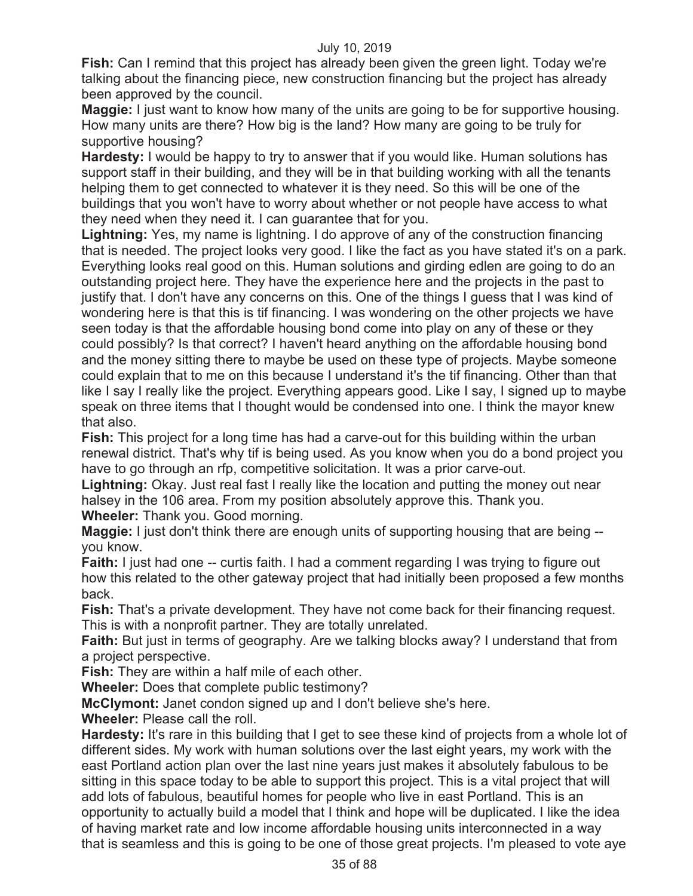**Fish:** Can I remind that this project has already been given the green light. Today we're talking about the financing piece, new construction financing but the project has already been approved by the council.

**Maggie:** I just want to know how many of the units are going to be for supportive housing. How many units are there? How big is the land? How many are going to be truly for supportive housing?

**Hardesty:** I would be happy to try to answer that if you would like. Human solutions has support staff in their building, and they will be in that building working with all the tenants helping them to get connected to whatever it is they need. So this will be one of the buildings that you won't have to worry about whether or not people have access to what they need when they need it. I can guarantee that for you.

**Lightning:** Yes, my name is lightning. I do approve of any of the construction financing that is needed. The project looks very good. I like the fact as you have stated it's on a park. Everything looks real good on this. Human solutions and girding edlen are going to do an outstanding project here. They have the experience here and the projects in the past to justify that. I don't have any concerns on this. One of the things I guess that I was kind of wondering here is that this is tif financing. I was wondering on the other projects we have seen today is that the affordable housing bond come into play on any of these or they could possibly? Is that correct? I haven't heard anything on the affordable housing bond and the money sitting there to maybe be used on these type of projects. Maybe someone could explain that to me on this because I understand it's the tif financing. Other than that like I say I really like the project. Everything appears good. Like I say, I signed up to maybe speak on three items that I thought would be condensed into one. I think the mayor knew that also.

**Fish:** This project for a long time has had a carve-out for this building within the urban renewal district. That's why tif is being used. As you know when you do a bond project you have to go through an rfp, competitive solicitation. It was a prior carve-out.

**Lightning:** Okay. Just real fast I really like the location and putting the money out near halsey in the 106 area. From my position absolutely approve this. Thank you.

**Wheeler:** Thank you. Good morning.

**Maggie:** I just don't think there are enough units of supporting housing that are being - you know.

**Faith:** I just had one -- curtis faith. I had a comment regarding I was trying to figure out how this related to the other gateway project that had initially been proposed a few months back.

**Fish:** That's a private development. They have not come back for their financing request. This is with a nonprofit partner. They are totally unrelated.

**Faith:** But just in terms of geography. Are we talking blocks away? I understand that from a project perspective.

**Fish:** They are within a half mile of each other.

**Wheeler:** Does that complete public testimony?

**McClymont:** Janet condon signed up and I don't believe she's here.

**Wheeler:** Please call the roll.

**Hardesty:** It's rare in this building that I get to see these kind of projects from a whole lot of different sides. My work with human solutions over the last eight years, my work with the east Portland action plan over the last nine years just makes it absolutely fabulous to be sitting in this space today to be able to support this project. This is a vital project that will add lots of fabulous, beautiful homes for people who live in east Portland. This is an opportunity to actually build a model that I think and hope will be duplicated. I like the idea of having market rate and low income affordable housing units interconnected in a way that is seamless and this is going to be one of those great projects. I'm pleased to vote aye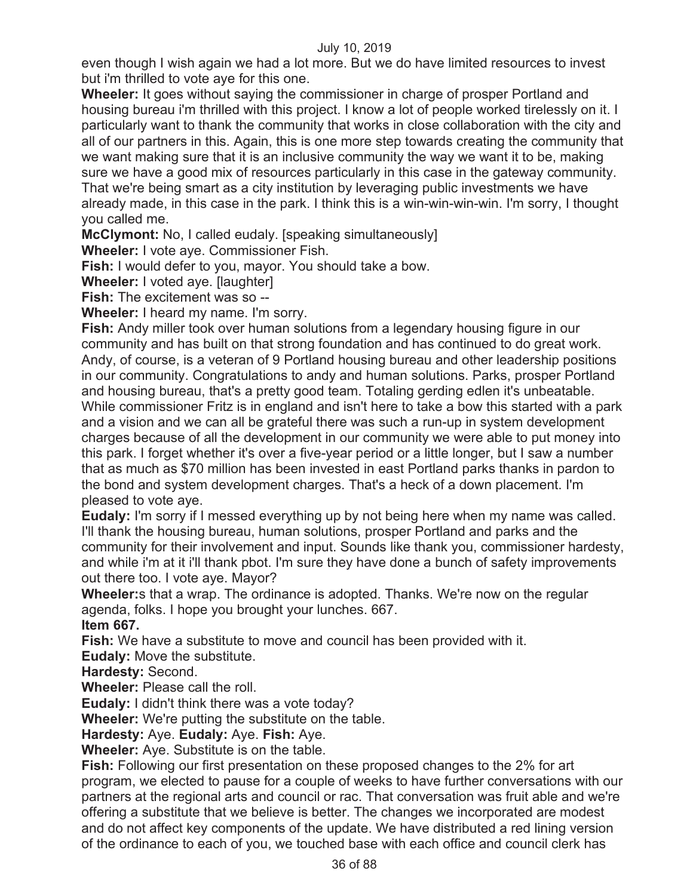even though I wish again we had a lot more. But we do have limited resources to invest but i'm thrilled to vote aye for this one.

**Wheeler:** It goes without saying the commissioner in charge of prosper Portland and housing bureau i'm thrilled with this project. I know a lot of people worked tirelessly on it. I particularly want to thank the community that works in close collaboration with the city and all of our partners in this. Again, this is one more step towards creating the community that we want making sure that it is an inclusive community the way we want it to be, making sure we have a good mix of resources particularly in this case in the gateway community. That we're being smart as a city institution by leveraging public investments we have already made, in this case in the park. I think this is a win-win-win-win. I'm sorry, I thought you called me.

**McClymont:** No, I called eudaly. [speaking simultaneously]

**Wheeler:** I vote aye. Commissioner Fish.

**Fish:** I would defer to you, mayor. You should take a bow.

**Wheeler:** I voted aye. [laughter]

**Fish:** The excitement was so --

**Wheeler:** I heard my name. I'm sorry.

**Fish:** Andy miller took over human solutions from a legendary housing figure in our community and has built on that strong foundation and has continued to do great work. Andy, of course, is a veteran of 9 Portland housing bureau and other leadership positions in our community. Congratulations to andy and human solutions. Parks, prosper Portland and housing bureau, that's a pretty good team. Totaling gerding edlen it's unbeatable. While commissioner Fritz is in england and isn't here to take a bow this started with a park and a vision and we can all be grateful there was such a run-up in system development charges because of all the development in our community we were able to put money into this park. I forget whether it's over a five-year period or a little longer, but I saw a number that as much as \$70 million has been invested in east Portland parks thanks in pardon to the bond and system development charges. That's a heck of a down placement. I'm pleased to vote aye.

**Eudaly:** I'm sorry if I messed everything up by not being here when my name was called. I'll thank the housing bureau, human solutions, prosper Portland and parks and the community for their involvement and input. Sounds like thank you, commissioner hardesty, and while i'm at it i'll thank pbot. I'm sure they have done a bunch of safety improvements out there too. I vote aye. Mayor?

**Wheeler:**s that a wrap. The ordinance is adopted. Thanks. We're now on the regular agenda, folks. I hope you brought your lunches. 667.

**Item 667.** 

**Fish:** We have a substitute to move and council has been provided with it.

**Eudaly:** Move the substitute.

**Hardesty:** Second.

**Wheeler:** Please call the roll.

**Eudaly:** I didn't think there was a vote today?

**Wheeler:** We're putting the substitute on the table.

**Hardesty:** Aye. **Eudaly:** Aye. **Fish:** Aye.

**Wheeler:** Aye. Substitute is on the table.

**Fish:** Following our first presentation on these proposed changes to the 2% for art program, we elected to pause for a couple of weeks to have further conversations with our partners at the regional arts and council or rac. That conversation was fruit able and we're offering a substitute that we believe is better. The changes we incorporated are modest and do not affect key components of the update. We have distributed a red lining version of the ordinance to each of you, we touched base with each office and council clerk has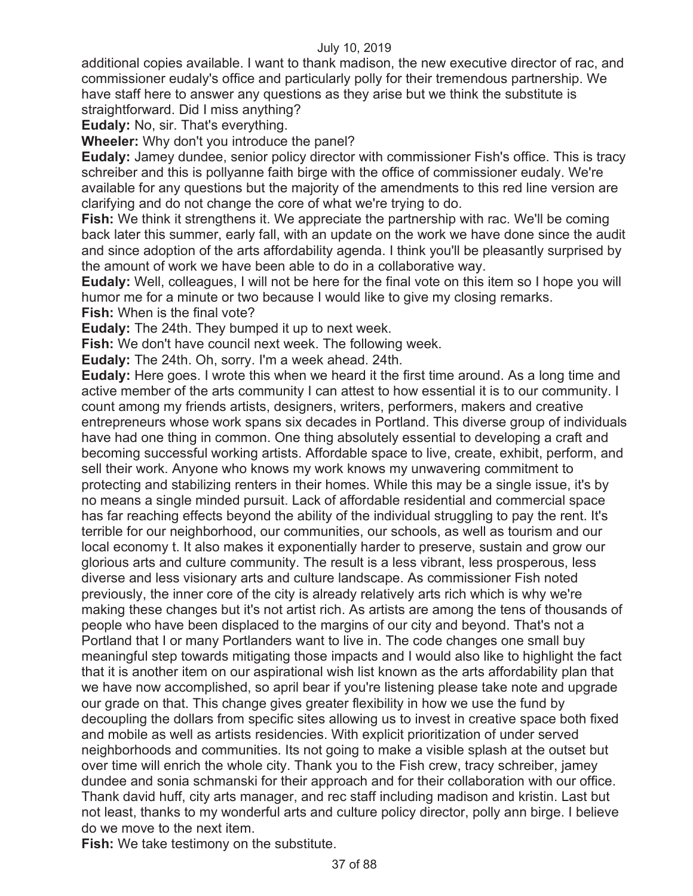additional copies available. I want to thank madison, the new executive director of rac, and commissioner eudaly's office and particularly polly for their tremendous partnership. We have staff here to answer any questions as they arise but we think the substitute is straightforward. Did I miss anything?

**Eudaly:** No, sir. That's everything.

**Wheeler:** Why don't you introduce the panel?

**Eudaly:** Jamey dundee, senior policy director with commissioner Fish's office. This is tracy schreiber and this is pollyanne faith birge with the office of commissioner eudaly. We're available for any questions but the majority of the amendments to this red line version are clarifying and do not change the core of what we're trying to do.

**Fish:** We think it strengthens it. We appreciate the partnership with rac. We'll be coming back later this summer, early fall, with an update on the work we have done since the audit and since adoption of the arts affordability agenda. I think you'll be pleasantly surprised by the amount of work we have been able to do in a collaborative way.

**Eudaly:** Well, colleagues, I will not be here for the final vote on this item so I hope you will humor me for a minute or two because I would like to give my closing remarks.

**Fish:** When is the final vote?

**Eudaly:** The 24th. They bumped it up to next week.

**Fish:** We don't have council next week. The following week.

**Eudaly:** The 24th. Oh, sorry. I'm a week ahead. 24th.

**Eudaly:** Here goes. I wrote this when we heard it the first time around. As a long time and active member of the arts community I can attest to how essential it is to our community. I count among my friends artists, designers, writers, performers, makers and creative entrepreneurs whose work spans six decades in Portland. This diverse group of individuals have had one thing in common. One thing absolutely essential to developing a craft and becoming successful working artists. Affordable space to live, create, exhibit, perform, and sell their work. Anyone who knows my work knows my unwavering commitment to protecting and stabilizing renters in their homes. While this may be a single issue, it's by no means a single minded pursuit. Lack of affordable residential and commercial space has far reaching effects beyond the ability of the individual struggling to pay the rent. It's terrible for our neighborhood, our communities, our schools, as well as tourism and our local economy t. It also makes it exponentially harder to preserve, sustain and grow our glorious arts and culture community. The result is a less vibrant, less prosperous, less diverse and less visionary arts and culture landscape. As commissioner Fish noted previously, the inner core of the city is already relatively arts rich which is why we're making these changes but it's not artist rich. As artists are among the tens of thousands of people who have been displaced to the margins of our city and beyond. That's not a Portland that I or many Portlanders want to live in. The code changes one small buy meaningful step towards mitigating those impacts and I would also like to highlight the fact that it is another item on our aspirational wish list known as the arts affordability plan that we have now accomplished, so april bear if you're listening please take note and upgrade our grade on that. This change gives greater flexibility in how we use the fund by decoupling the dollars from specific sites allowing us to invest in creative space both fixed and mobile as well as artists residencies. With explicit prioritization of under served neighborhoods and communities. Its not going to make a visible splash at the outset but over time will enrich the whole city. Thank you to the Fish crew, tracy schreiber, jamey dundee and sonia schmanski for their approach and for their collaboration with our office. Thank david huff, city arts manager, and rec staff including madison and kristin. Last but not least, thanks to my wonderful arts and culture policy director, polly ann birge. I believe do we move to the next item.

**Fish:** We take testimony on the substitute.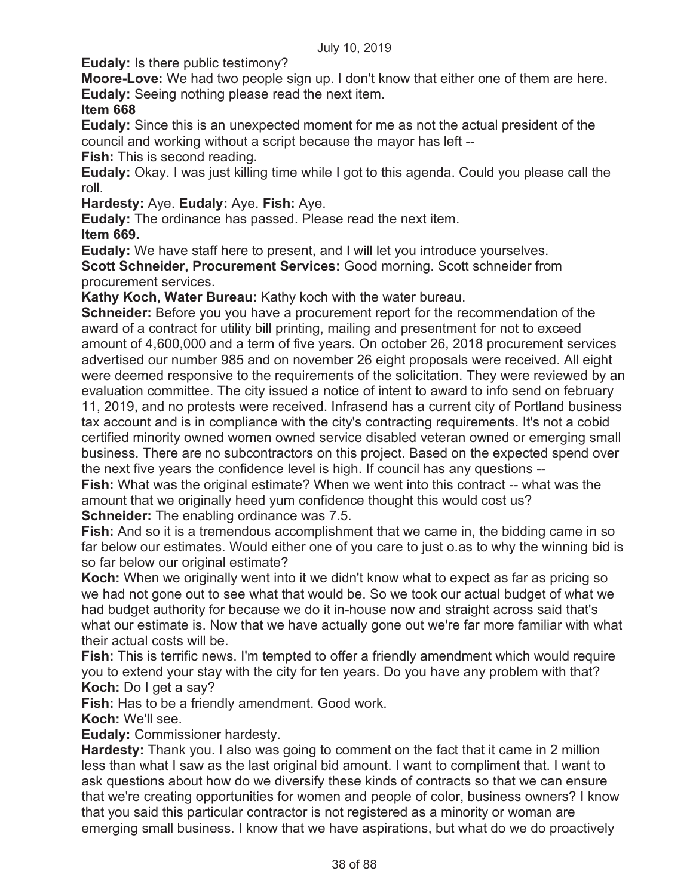**Eudaly:** Is there public testimony?

**Moore-Love:** We had two people sign up. I don't know that either one of them are here. **Eudaly:** Seeing nothing please read the next item.

# **Item 668**

**Eudaly:** Since this is an unexpected moment for me as not the actual president of the council and working without a script because the mayor has left --

**Fish:** This is second reading.

**Eudaly:** Okay. I was just killing time while I got to this agenda. Could you please call the roll.

**Hardesty:** Aye. **Eudaly:** Aye. **Fish:** Aye.

**Eudaly:** The ordinance has passed. Please read the next item.

**Item 669.** 

**Eudaly:** We have staff here to present, and I will let you introduce yourselves. **Scott Schneider, Procurement Services:** Good morning. Scott schneider from procurement services.

**Kathy Koch, Water Bureau:** Kathy koch with the water bureau.

**Schneider:** Before you you have a procurement report for the recommendation of the award of a contract for utility bill printing, mailing and presentment for not to exceed amount of 4,600,000 and a term of five years. On october 26, 2018 procurement services advertised our number 985 and on november 26 eight proposals were received. All eight were deemed responsive to the requirements of the solicitation. They were reviewed by an evaluation committee. The city issued a notice of intent to award to info send on february

11, 2019, and no protests were received. Infrasend has a current city of Portland business tax account and is in compliance with the city's contracting requirements. It's not a cobid certified minority owned women owned service disabled veteran owned or emerging small business. There are no subcontractors on this project. Based on the expected spend over the next five years the confidence level is high. If council has any questions --

**Fish:** What was the original estimate? When we went into this contract -- what was the amount that we originally heed yum confidence thought this would cost us? **Schneider:** The enabling ordinance was 7.5.

**Fish:** And so it is a tremendous accomplishment that we came in, the bidding came in so far below our estimates. Would either one of you care to just o.as to why the winning bid is so far below our original estimate?

**Koch:** When we originally went into it we didn't know what to expect as far as pricing so we had not gone out to see what that would be. So we took our actual budget of what we had budget authority for because we do it in-house now and straight across said that's what our estimate is. Now that we have actually gone out we're far more familiar with what their actual costs will be.

**Fish:** This is terrific news. I'm tempted to offer a friendly amendment which would require you to extend your stay with the city for ten years. Do you have any problem with that? **Koch:** Do I get a say?

**Fish:** Has to be a friendly amendment. Good work.

**Koch:** We'll see.

**Eudaly:** Commissioner hardesty.

**Hardesty:** Thank you. I also was going to comment on the fact that it came in 2 million less than what I saw as the last original bid amount. I want to compliment that. I want to ask questions about how do we diversify these kinds of contracts so that we can ensure that we're creating opportunities for women and people of color, business owners? I know that you said this particular contractor is not registered as a minority or woman are emerging small business. I know that we have aspirations, but what do we do proactively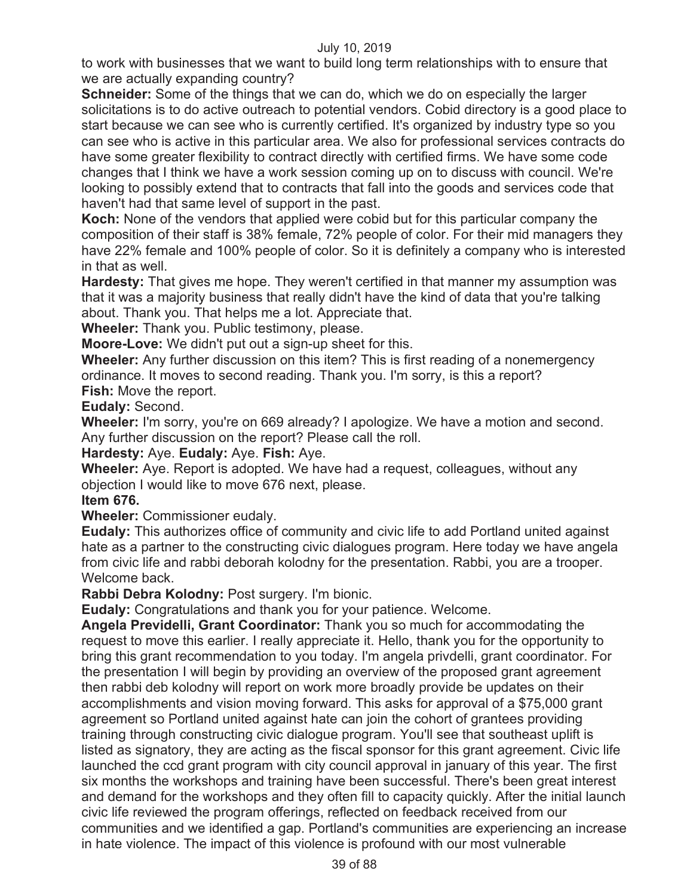to work with businesses that we want to build long term relationships with to ensure that we are actually expanding country?

**Schneider:** Some of the things that we can do, which we do on especially the larger solicitations is to do active outreach to potential vendors. Cobid directory is a good place to start because we can see who is currently certified. It's organized by industry type so you can see who is active in this particular area. We also for professional services contracts do have some greater flexibility to contract directly with certified firms. We have some code changes that I think we have a work session coming up on to discuss with council. We're looking to possibly extend that to contracts that fall into the goods and services code that haven't had that same level of support in the past.

**Koch:** None of the vendors that applied were cobid but for this particular company the composition of their staff is 38% female, 72% people of color. For their mid managers they have 22% female and 100% people of color. So it is definitely a company who is interested in that as well.

**Hardesty:** That gives me hope. They weren't certified in that manner my assumption was that it was a majority business that really didn't have the kind of data that you're talking about. Thank you. That helps me a lot. Appreciate that.

**Wheeler:** Thank you. Public testimony, please.

**Moore-Love:** We didn't put out a sign-up sheet for this.

**Wheeler:** Any further discussion on this item? This is first reading of a nonemergency ordinance. It moves to second reading. Thank you. I'm sorry, is this a report? **Fish:** Move the report.

**Eudaly:** Second.

**Wheeler:** I'm sorry, you're on 669 already? I apologize. We have a motion and second. Any further discussion on the report? Please call the roll.

**Hardesty:** Aye. **Eudaly:** Aye. **Fish:** Aye.

**Wheeler:** Aye. Report is adopted. We have had a request, colleagues, without any objection I would like to move 676 next, please.

# **Item 676.**

**Wheeler:** Commissioner eudaly.

**Eudaly:** This authorizes office of community and civic life to add Portland united against hate as a partner to the constructing civic dialogues program. Here today we have angela from civic life and rabbi deborah kolodny for the presentation. Rabbi, you are a trooper. Welcome back.

**Rabbi Debra Kolodny:** Post surgery. I'm bionic.

**Eudaly:** Congratulations and thank you for your patience. Welcome.

**Angela Previdelli, Grant Coordinator:** Thank you so much for accommodating the request to move this earlier. I really appreciate it. Hello, thank you for the opportunity to bring this grant recommendation to you today. I'm angela privdelli, grant coordinator. For the presentation I will begin by providing an overview of the proposed grant agreement then rabbi deb kolodny will report on work more broadly provide be updates on their accomplishments and vision moving forward. This asks for approval of a \$75,000 grant agreement so Portland united against hate can join the cohort of grantees providing training through constructing civic dialogue program. You'll see that southeast uplift is listed as signatory, they are acting as the fiscal sponsor for this grant agreement. Civic life launched the ccd grant program with city council approval in january of this year. The first six months the workshops and training have been successful. There's been great interest and demand for the workshops and they often fill to capacity quickly. After the initial launch civic life reviewed the program offerings, reflected on feedback received from our communities and we identified a gap. Portland's communities are experiencing an increase in hate violence. The impact of this violence is profound with our most vulnerable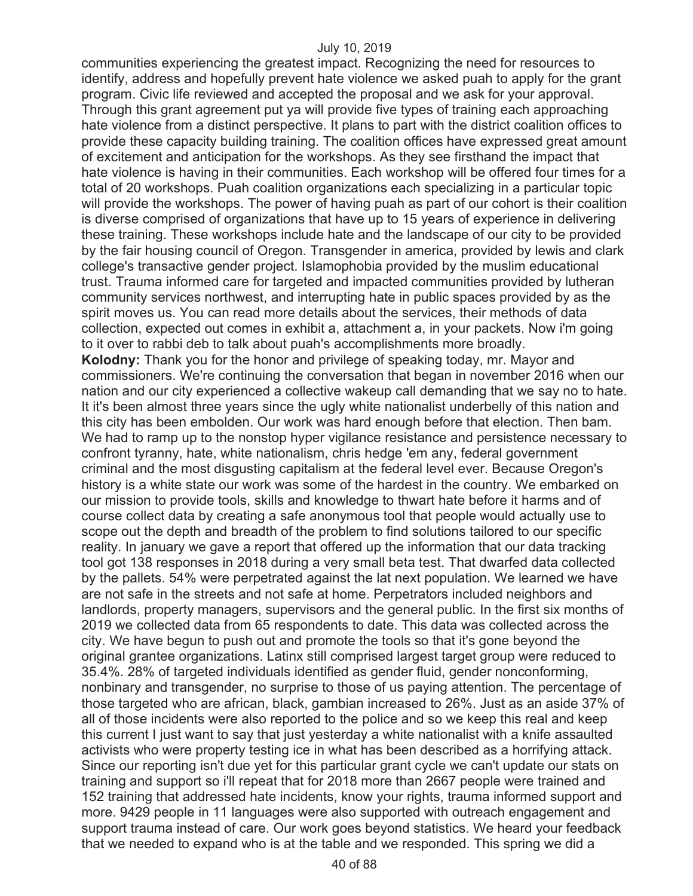communities experiencing the greatest impact. Recognizing the need for resources to identify, address and hopefully prevent hate violence we asked puah to apply for the grant program. Civic life reviewed and accepted the proposal and we ask for your approval. Through this grant agreement put ya will provide five types of training each approaching hate violence from a distinct perspective. It plans to part with the district coalition offices to provide these capacity building training. The coalition offices have expressed great amount of excitement and anticipation for the workshops. As they see firsthand the impact that hate violence is having in their communities. Each workshop will be offered four times for a total of 20 workshops. Puah coalition organizations each specializing in a particular topic will provide the workshops. The power of having puah as part of our cohort is their coalition is diverse comprised of organizations that have up to 15 years of experience in delivering these training. These workshops include hate and the landscape of our city to be provided by the fair housing council of Oregon. Transgender in america, provided by lewis and clark college's transactive gender project. Islamophobia provided by the muslim educational trust. Trauma informed care for targeted and impacted communities provided by lutheran community services northwest, and interrupting hate in public spaces provided by as the spirit moves us. You can read more details about the services, their methods of data collection, expected out comes in exhibit a, attachment a, in your packets. Now i'm going to it over to rabbi deb to talk about puah's accomplishments more broadly. **Kolodny:** Thank you for the honor and privilege of speaking today, mr. Mayor and commissioners. We're continuing the conversation that began in november 2016 when our nation and our city experienced a collective wakeup call demanding that we say no to hate. It it's been almost three years since the ugly white nationalist underbelly of this nation and this city has been embolden. Our work was hard enough before that election. Then bam. We had to ramp up to the nonstop hyper vigilance resistance and persistence necessary to confront tyranny, hate, white nationalism, chris hedge 'em any, federal government criminal and the most disgusting capitalism at the federal level ever. Because Oregon's history is a white state our work was some of the hardest in the country. We embarked on our mission to provide tools, skills and knowledge to thwart hate before it harms and of course collect data by creating a safe anonymous tool that people would actually use to scope out the depth and breadth of the problem to find solutions tailored to our specific reality. In january we gave a report that offered up the information that our data tracking tool got 138 responses in 2018 during a very small beta test. That dwarfed data collected by the pallets. 54% were perpetrated against the lat next population. We learned we have are not safe in the streets and not safe at home. Perpetrators included neighbors and landlords, property managers, supervisors and the general public. In the first six months of 2019 we collected data from 65 respondents to date. This data was collected across the city. We have begun to push out and promote the tools so that it's gone beyond the original grantee organizations. Latinx still comprised largest target group were reduced to 35.4%. 28% of targeted individuals identified as gender fluid, gender nonconforming, nonbinary and transgender, no surprise to those of us paying attention. The percentage of those targeted who are african, black, gambian increased to 26%. Just as an aside 37% of all of those incidents were also reported to the police and so we keep this real and keep this current I just want to say that just yesterday a white nationalist with a knife assaulted activists who were property testing ice in what has been described as a horrifying attack. Since our reporting isn't due yet for this particular grant cycle we can't update our stats on training and support so i'll repeat that for 2018 more than 2667 people were trained and 152 training that addressed hate incidents, know your rights, trauma informed support and more. 9429 people in 11 languages were also supported with outreach engagement and support trauma instead of care. Our work goes beyond statistics. We heard your feedback that we needed to expand who is at the table and we responded. This spring we did a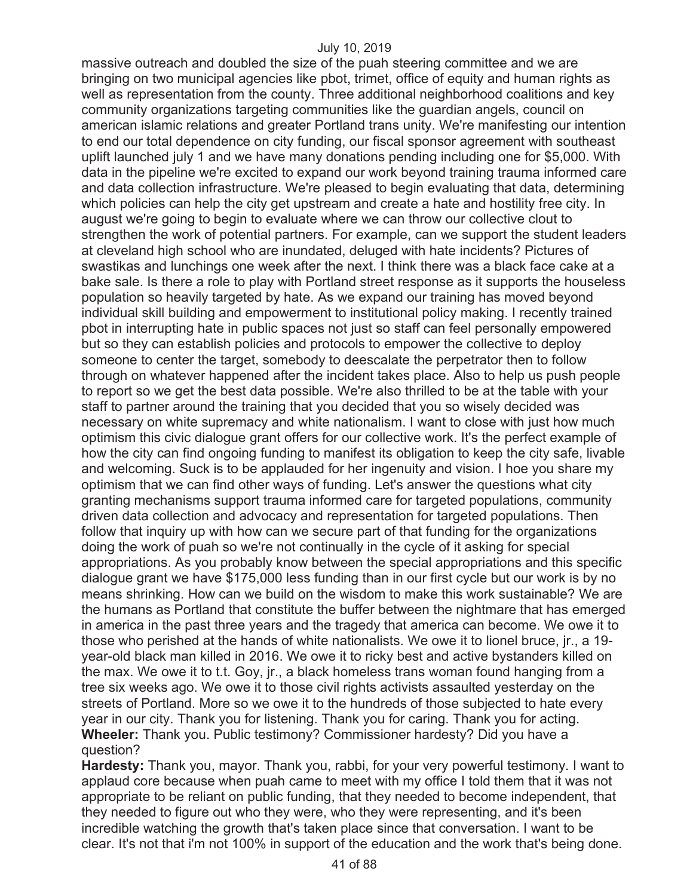massive outreach and doubled the size of the puah steering committee and we are bringing on two municipal agencies like pbot, trimet, office of equity and human rights as well as representation from the county. Three additional neighborhood coalitions and key community organizations targeting communities like the guardian angels, council on american islamic relations and greater Portland trans unity. We're manifesting our intention to end our total dependence on city funding, our fiscal sponsor agreement with southeast uplift launched july 1 and we have many donations pending including one for \$5,000. With data in the pipeline we're excited to expand our work beyond training trauma informed care and data collection infrastructure. We're pleased to begin evaluating that data, determining which policies can help the city get upstream and create a hate and hostility free city. In august we're going to begin to evaluate where we can throw our collective clout to strengthen the work of potential partners. For example, can we support the student leaders at cleveland high school who are inundated, deluged with hate incidents? Pictures of swastikas and lunchings one week after the next. I think there was a black face cake at a bake sale. Is there a role to play with Portland street response as it supports the houseless population so heavily targeted by hate. As we expand our training has moved beyond individual skill building and empowerment to institutional policy making. I recently trained pbot in interrupting hate in public spaces not just so staff can feel personally empowered but so they can establish policies and protocols to empower the collective to deploy someone to center the target, somebody to deescalate the perpetrator then to follow through on whatever happened after the incident takes place. Also to help us push people to report so we get the best data possible. We're also thrilled to be at the table with your staff to partner around the training that you decided that you so wisely decided was necessary on white supremacy and white nationalism. I want to close with just how much optimism this civic dialogue grant offers for our collective work. It's the perfect example of how the city can find ongoing funding to manifest its obligation to keep the city safe, livable and welcoming. Suck is to be applauded for her ingenuity and vision. I hoe you share my optimism that we can find other ways of funding. Let's answer the questions what city granting mechanisms support trauma informed care for targeted populations, community driven data collection and advocacy and representation for targeted populations. Then follow that inquiry up with how can we secure part of that funding for the organizations doing the work of puah so we're not continually in the cycle of it asking for special appropriations. As you probably know between the special appropriations and this specific dialogue grant we have \$175,000 less funding than in our first cycle but our work is by no means shrinking. How can we build on the wisdom to make this work sustainable? We are the humans as Portland that constitute the buffer between the nightmare that has emerged in america in the past three years and the tragedy that america can become. We owe it to those who perished at the hands of white nationalists. We owe it to lionel bruce, jr., a 19 year-old black man killed in 2016. We owe it to ricky best and active bystanders killed on the max. We owe it to t.t. Goy, jr., a black homeless trans woman found hanging from a tree six weeks ago. We owe it to those civil rights activists assaulted yesterday on the streets of Portland. More so we owe it to the hundreds of those subjected to hate every year in our city. Thank you for listening. Thank you for caring. Thank you for acting. **Wheeler:** Thank you. Public testimony? Commissioner hardesty? Did you have a question?

**Hardesty:** Thank you, mayor. Thank you, rabbi, for your very powerful testimony. I want to applaud core because when puah came to meet with my office I told them that it was not appropriate to be reliant on public funding, that they needed to become independent, that they needed to figure out who they were, who they were representing, and it's been incredible watching the growth that's taken place since that conversation. I want to be clear. It's not that i'm not 100% in support of the education and the work that's being done.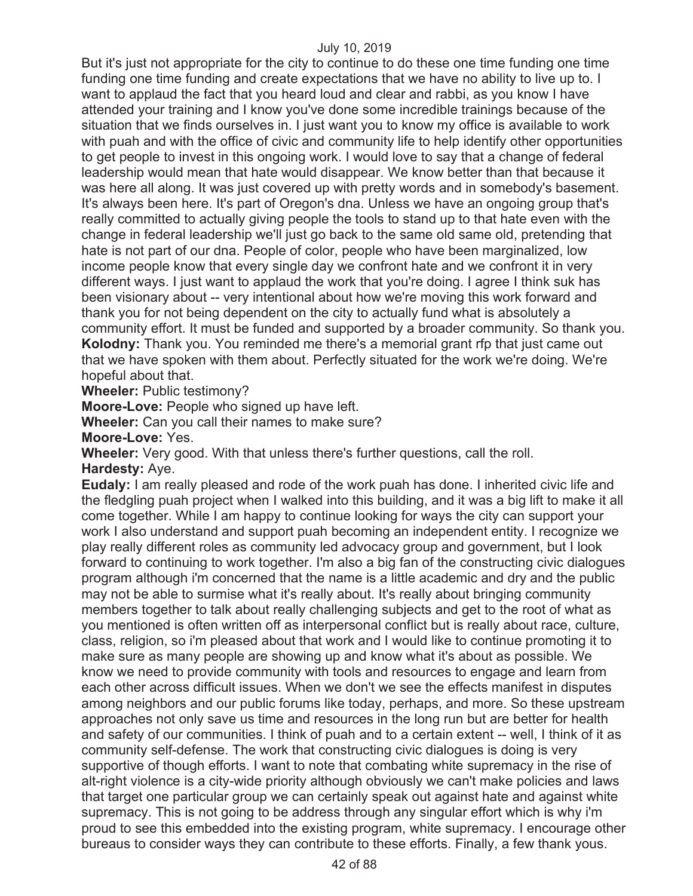But it's just not appropriate for the city to continue to do these one time funding one time funding one time funding and create expectations that we have no ability to live up to. I want to applaud the fact that you heard loud and clear and rabbi, as you know I have attended your training and I know you've done some incredible trainings because of the situation that we finds ourselves in. I just want you to know my office is available to work with puah and with the office of civic and community life to help identify other opportunities to get people to invest in this ongoing work. I would love to say that a change of federal leadership would mean that hate would disappear. We know better than that because it was here all along. It was just covered up with pretty words and in somebody's basement. It's always been here. It's part of Oregon's dna. Unless we have an ongoing group that's really committed to actually giving people the tools to stand up to that hate even with the change in federal leadership we'll just go back to the same old same old, pretending that hate is not part of our dna. People of color, people who have been marginalized, low income people know that every single day we confront hate and we confront it in very different ways. I just want to applaud the work that you're doing. I agree I think suk has been visionary about -- very intentional about how we're moving this work forward and thank you for not being dependent on the city to actually fund what is absolutely a community effort. It must be funded and supported by a broader community. So thank you. **Kolodny:** Thank you. You reminded me there's a memorial grant rfp that just came out that we have spoken with them about. Perfectly situated for the work we're doing. We're hopeful about that.

**Wheeler:** Public testimony?

**Moore-Love:** People who signed up have left.

**Wheeler:** Can you call their names to make sure?

**Moore-Love:** Yes.

**Wheeler:** Very good. With that unless there's further questions, call the roll. **Hardesty:** Aye.

**Eudaly:** I am really pleased and rode of the work puah has done. I inherited civic life and the fledgling puah project when I walked into this building, and it was a big lift to make it all come together. While I am happy to continue looking for ways the city can support your work I also understand and support puah becoming an independent entity. I recognize we play really different roles as community led advocacy group and government, but I look forward to continuing to work together. I'm also a big fan of the constructing civic dialogues program although i'm concerned that the name is a little academic and dry and the public may not be able to surmise what it's really about. It's really about bringing community members together to talk about really challenging subjects and get to the root of what as you mentioned is often written off as interpersonal conflict but is really about race, culture, class, religion, so i'm pleased about that work and I would like to continue promoting it to make sure as many people are showing up and know what it's about as possible. We know we need to provide community with tools and resources to engage and learn from each other across difficult issues. When we don't we see the effects manifest in disputes among neighbors and our public forums like today, perhaps, and more. So these upstream approaches not only save us time and resources in the long run but are better for health and safety of our communities. I think of puah and to a certain extent -- well, I think of it as community self-defense. The work that constructing civic dialogues is doing is very supportive of though efforts. I want to note that combating white supremacy in the rise of alt-right violence is a city-wide priority although obviously we can't make policies and laws that target one particular group we can certainly speak out against hate and against white supremacy. This is not going to be address through any singular effort which is why i'm proud to see this embedded into the existing program, white supremacy. I encourage other bureaus to consider ways they can contribute to these efforts. Finally, a few thank yous.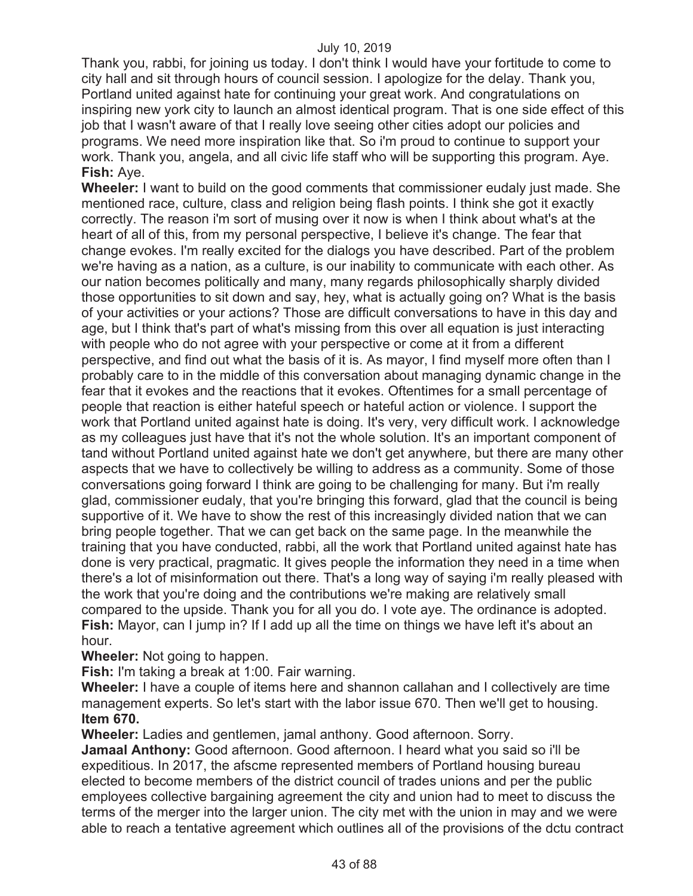Thank you, rabbi, for joining us today. I don't think I would have your fortitude to come to city hall and sit through hours of council session. I apologize for the delay. Thank you, Portland united against hate for continuing your great work. And congratulations on inspiring new york city to launch an almost identical program. That is one side effect of this job that I wasn't aware of that I really love seeing other cities adopt our policies and programs. We need more inspiration like that. So i'm proud to continue to support your work. Thank you, angela, and all civic life staff who will be supporting this program. Aye. **Fish:** Aye.

**Wheeler:** I want to build on the good comments that commissioner eudaly just made. She mentioned race, culture, class and religion being flash points. I think she got it exactly correctly. The reason i'm sort of musing over it now is when I think about what's at the heart of all of this, from my personal perspective, I believe it's change. The fear that change evokes. I'm really excited for the dialogs you have described. Part of the problem we're having as a nation, as a culture, is our inability to communicate with each other. As our nation becomes politically and many, many regards philosophically sharply divided those opportunities to sit down and say, hey, what is actually going on? What is the basis of your activities or your actions? Those are difficult conversations to have in this day and age, but I think that's part of what's missing from this over all equation is just interacting with people who do not agree with your perspective or come at it from a different perspective, and find out what the basis of it is. As mayor, I find myself more often than I probably care to in the middle of this conversation about managing dynamic change in the fear that it evokes and the reactions that it evokes. Oftentimes for a small percentage of people that reaction is either hateful speech or hateful action or violence. I support the work that Portland united against hate is doing. It's very, very difficult work. I acknowledge as my colleagues just have that it's not the whole solution. It's an important component of tand without Portland united against hate we don't get anywhere, but there are many other aspects that we have to collectively be willing to address as a community. Some of those conversations going forward I think are going to be challenging for many. But i'm really glad, commissioner eudaly, that you're bringing this forward, glad that the council is being supportive of it. We have to show the rest of this increasingly divided nation that we can bring people together. That we can get back on the same page. In the meanwhile the training that you have conducted, rabbi, all the work that Portland united against hate has done is very practical, pragmatic. It gives people the information they need in a time when there's a lot of misinformation out there. That's a long way of saying i'm really pleased with the work that you're doing and the contributions we're making are relatively small compared to the upside. Thank you for all you do. I vote aye. The ordinance is adopted. **Fish:** Mayor, can I jump in? If I add up all the time on things we have left it's about an hour.

**Wheeler:** Not going to happen.

**Fish:** I'm taking a break at 1:00. Fair warning.

**Wheeler:** I have a couple of items here and shannon callahan and I collectively are time management experts. So let's start with the labor issue 670. Then we'll get to housing. **Item 670.**

**Wheeler:** Ladies and gentlemen, jamal anthony. Good afternoon. Sorry.

**Jamaal Anthony:** Good afternoon. Good afternoon. I heard what you said so i'll be expeditious. In 2017, the afscme represented members of Portland housing bureau elected to become members of the district council of trades unions and per the public employees collective bargaining agreement the city and union had to meet to discuss the terms of the merger into the larger union. The city met with the union in may and we were able to reach a tentative agreement which outlines all of the provisions of the dctu contract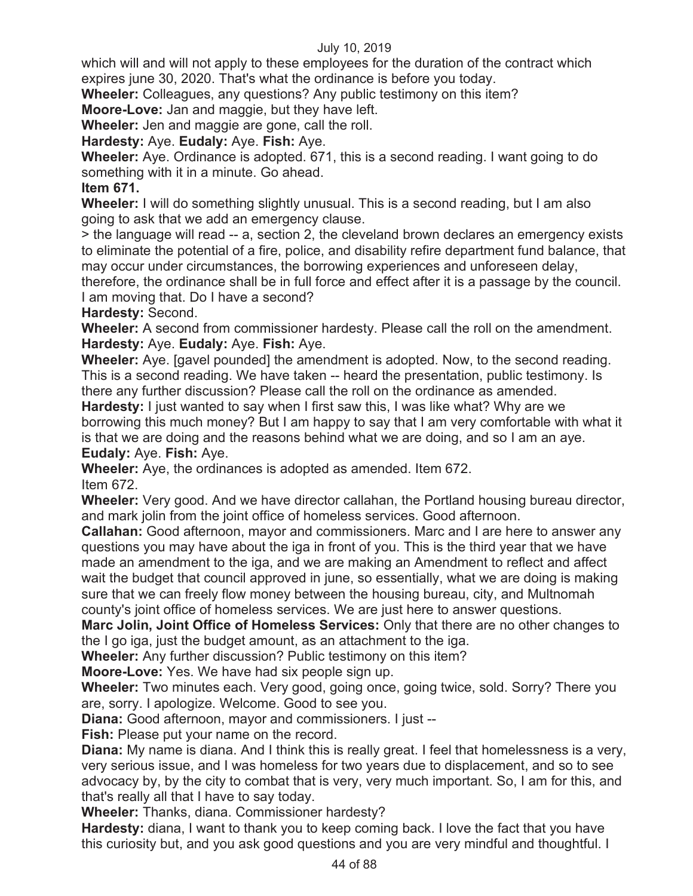which will and will not apply to these employees for the duration of the contract which expires june 30, 2020. That's what the ordinance is before you today.

**Wheeler:** Colleagues, any questions? Any public testimony on this item?

**Moore-Love:** Jan and maggie, but they have left.

**Wheeler:** Jen and maggie are gone, call the roll.

# **Hardesty:** Aye. **Eudaly:** Aye. **Fish:** Aye.

**Wheeler:** Aye. Ordinance is adopted. 671, this is a second reading. I want going to do something with it in a minute. Go ahead.

# **Item 671.**

**Wheeler:** I will do something slightly unusual. This is a second reading, but I am also going to ask that we add an emergency clause.

> the language will read -- a, section 2, the cleveland brown declares an emergency exists to eliminate the potential of a fire, police, and disability refire department fund balance, that may occur under circumstances, the borrowing experiences and unforeseen delay,

therefore, the ordinance shall be in full force and effect after it is a passage by the council. I am moving that. Do I have a second?

**Hardesty:** Second.

**Wheeler:** A second from commissioner hardesty. Please call the roll on the amendment. **Hardesty:** Aye. **Eudaly:** Aye. **Fish:** Aye.

**Wheeler:** Aye. [gavel pounded] the amendment is adopted. Now, to the second reading. This is a second reading. We have taken -- heard the presentation, public testimony. Is there any further discussion? Please call the roll on the ordinance as amended.

**Hardesty:** I just wanted to say when I first saw this, I was like what? Why are we borrowing this much money? But I am happy to say that I am very comfortable with what it is that we are doing and the reasons behind what we are doing, and so I am an aye.

**Eudaly:** Aye. **Fish:** Aye.

**Wheeler:** Aye, the ordinances is adopted as amended. Item 672.

Item 672.

**Wheeler:** Very good. And we have director callahan, the Portland housing bureau director, and mark jolin from the joint office of homeless services. Good afternoon.

**Callahan:** Good afternoon, mayor and commissioners. Marc and I are here to answer any questions you may have about the iga in front of you. This is the third year that we have made an amendment to the iga, and we are making an Amendment to reflect and affect wait the budget that council approved in june, so essentially, what we are doing is making sure that we can freely flow money between the housing bureau, city, and Multnomah county's joint office of homeless services. We are just here to answer questions.

**Marc Jolin, Joint Office of Homeless Services:** Only that there are no other changes to the I go iga, just the budget amount, as an attachment to the iga.

**Wheeler:** Any further discussion? Public testimony on this item?

**Moore-Love:** Yes. We have had six people sign up.

**Wheeler:** Two minutes each. Very good, going once, going twice, sold. Sorry? There you are, sorry. I apologize. Welcome. Good to see you.

**Diana:** Good afternoon, mayor and commissioners. I just --

**Fish:** Please put your name on the record.

**Diana:** My name is diana. And I think this is really great. I feel that homelessness is a very, very serious issue, and I was homeless for two years due to displacement, and so to see advocacy by, by the city to combat that is very, very much important. So, I am for this, and that's really all that I have to say today.

**Wheeler:** Thanks, diana. Commissioner hardesty?

**Hardesty:** diana, I want to thank you to keep coming back. I love the fact that you have this curiosity but, and you ask good questions and you are very mindful and thoughtful. I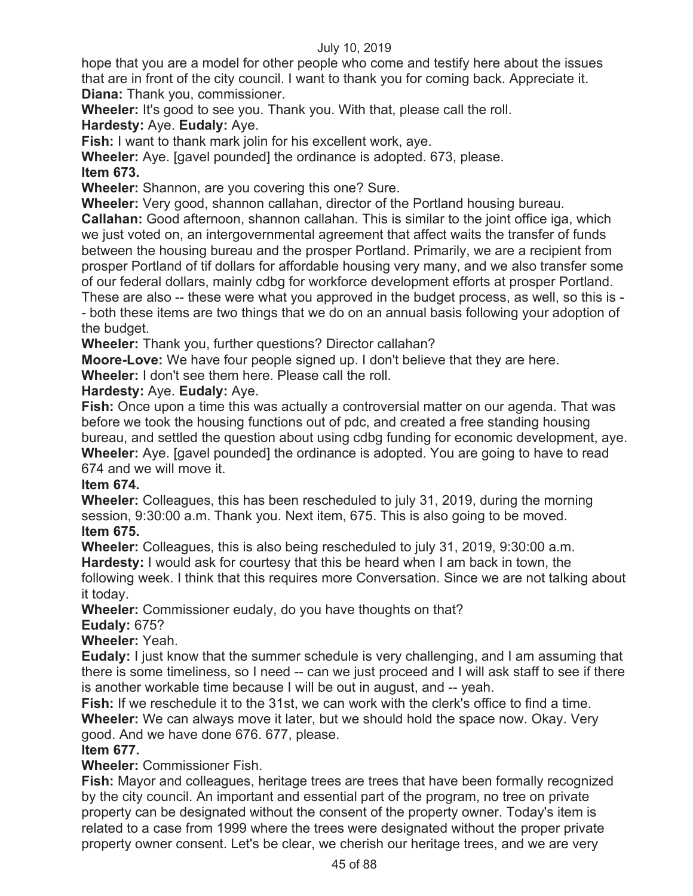hope that you are a model for other people who come and testify here about the issues that are in front of the city council. I want to thank you for coming back. Appreciate it. **Diana:** Thank you, commissioner.

**Wheeler:** It's good to see you. Thank you. With that, please call the roll.

**Hardesty:** Aye. **Eudaly:** Aye.

**Fish:** I want to thank mark jolin for his excellent work, aye.

**Wheeler:** Aye. [gavel pounded] the ordinance is adopted. 673, please.

# **Item 673.**

**Wheeler:** Shannon, are you covering this one? Sure.

**Wheeler:** Very good, shannon callahan, director of the Portland housing bureau. **Callahan:** Good afternoon, shannon callahan. This is similar to the joint office iga, which we just voted on, an intergovernmental agreement that affect waits the transfer of funds between the housing bureau and the prosper Portland. Primarily, we are a recipient from prosper Portland of tif dollars for affordable housing very many, and we also transfer some of our federal dollars, mainly cdbg for workforce development efforts at prosper Portland. These are also -- these were what you approved in the budget process, as well, so this is - - both these items are two things that we do on an annual basis following your adoption of

# the budget.

**Wheeler:** Thank you, further questions? Director callahan?

**Moore-Love:** We have four people signed up. I don't believe that they are here.

**Wheeler:** I don't see them here. Please call the roll.

# **Hardesty:** Aye. **Eudaly:** Aye.

**Fish:** Once upon a time this was actually a controversial matter on our agenda. That was before we took the housing functions out of pdc, and created a free standing housing bureau, and settled the question about using cdbg funding for economic development, aye. **Wheeler:** Aye. [gavel pounded] the ordinance is adopted. You are going to have to read 674 and we will move it.

# **Item 674.**

**Wheeler:** Colleagues, this has been rescheduled to july 31, 2019, during the morning session, 9:30:00 a.m. Thank you. Next item, 675. This is also going to be moved. **Item 675.** 

**Wheeler:** Colleagues, this is also being rescheduled to july 31, 2019, 9:30:00 a.m.

**Hardesty:** I would ask for courtesy that this be heard when I am back in town, the following week. I think that this requires more Conversation. Since we are not talking about it today.

**Wheeler:** Commissioner eudaly, do you have thoughts on that?

# **Eudaly:** 675?

**Wheeler:** Yeah.

**Eudaly:** I just know that the summer schedule is very challenging, and I am assuming that there is some timeliness, so I need -- can we just proceed and I will ask staff to see if there is another workable time because I will be out in august, and -- yeah.

**Fish:** If we reschedule it to the 31st, we can work with the clerk's office to find a time. **Wheeler:** We can always move it later, but we should hold the space now. Okay. Very good. And we have done 676. 677, please.

# **Item 677.**

**Wheeler:** Commissioner Fish.

**Fish:** Mayor and colleagues, heritage trees are trees that have been formally recognized by the city council. An important and essential part of the program, no tree on private property can be designated without the consent of the property owner. Today's item is related to a case from 1999 where the trees were designated without the proper private property owner consent. Let's be clear, we cherish our heritage trees, and we are very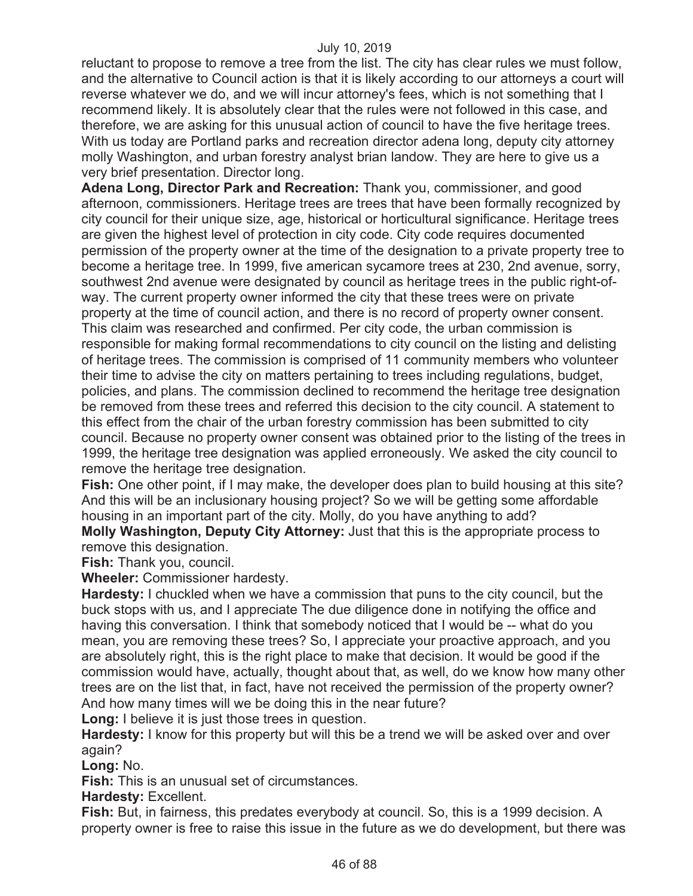reluctant to propose to remove a tree from the list. The city has clear rules we must follow, and the alternative to Council action is that it is likely according to our attorneys a court will reverse whatever we do, and we will incur attorney's fees, which is not something that I recommend likely. It is absolutely clear that the rules were not followed in this case, and therefore, we are asking for this unusual action of council to have the five heritage trees. With us today are Portland parks and recreation director adena long, deputy city attorney molly Washington, and urban forestry analyst brian landow. They are here to give us a very brief presentation. Director long.

**Adena Long, Director Park and Recreation:** Thank you, commissioner, and good afternoon, commissioners. Heritage trees are trees that have been formally recognized by city council for their unique size, age, historical or horticultural significance. Heritage trees are given the highest level of protection in city code. City code requires documented permission of the property owner at the time of the designation to a private property tree to become a heritage tree. In 1999, five american sycamore trees at 230, 2nd avenue, sorry, southwest 2nd avenue were designated by council as heritage trees in the public right-ofway. The current property owner informed the city that these trees were on private property at the time of council action, and there is no record of property owner consent. This claim was researched and confirmed. Per city code, the urban commission is responsible for making formal recommendations to city council on the listing and delisting of heritage trees. The commission is comprised of 11 community members who volunteer their time to advise the city on matters pertaining to trees including regulations, budget, policies, and plans. The commission declined to recommend the heritage tree designation be removed from these trees and referred this decision to the city council. A statement to this effect from the chair of the urban forestry commission has been submitted to city council. Because no property owner consent was obtained prior to the listing of the trees in 1999, the heritage tree designation was applied erroneously. We asked the city council to remove the heritage tree designation.

**Fish:** One other point, if I may make, the developer does plan to build housing at this site? And this will be an inclusionary housing project? So we will be getting some affordable housing in an important part of the city. Molly, do you have anything to add?

**Molly Washington, Deputy City Attorney:** Just that this is the appropriate process to remove this designation.

**Fish:** Thank you, council.

**Wheeler:** Commissioner hardesty.

**Hardesty:** I chuckled when we have a commission that puns to the city council, but the buck stops with us, and I appreciate The due diligence done in notifying the office and having this conversation. I think that somebody noticed that I would be -- what do you mean, you are removing these trees? So, I appreciate your proactive approach, and you are absolutely right, this is the right place to make that decision. It would be good if the commission would have, actually, thought about that, as well, do we know how many other trees are on the list that, in fact, have not received the permission of the property owner? And how many times will we be doing this in the near future?

**Long:** I believe it is just those trees in question.

**Hardesty:** I know for this property but will this be a trend we will be asked over and over again?

**Long:** No.

**Fish:** This is an unusual set of circumstances.

**Hardesty:** Excellent.

**Fish:** But, in fairness, this predates everybody at council. So, this is a 1999 decision. A property owner is free to raise this issue in the future as we do development, but there was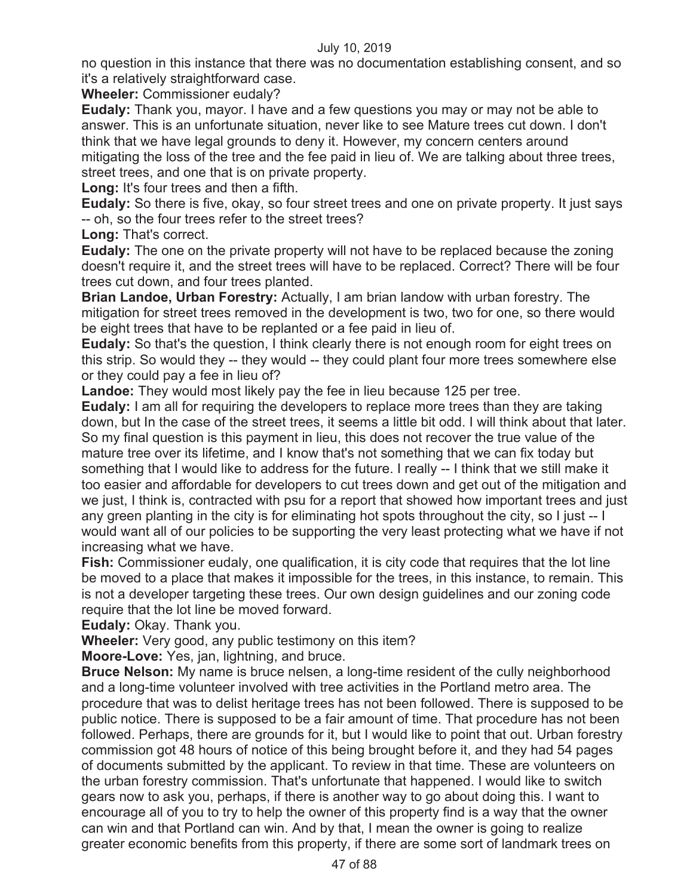no question in this instance that there was no documentation establishing consent, and so it's a relatively straightforward case.

**Wheeler:** Commissioner eudaly?

**Eudaly:** Thank you, mayor. I have and a few questions you may or may not be able to answer. This is an unfortunate situation, never like to see Mature trees cut down. I don't think that we have legal grounds to deny it. However, my concern centers around mitigating the loss of the tree and the fee paid in lieu of. We are talking about three trees, street trees, and one that is on private property.

**Long:** It's four trees and then a fifth.

**Eudaly:** So there is five, okay, so four street trees and one on private property. It just says -- oh, so the four trees refer to the street trees?

**Long:** That's correct.

**Eudaly:** The one on the private property will not have to be replaced because the zoning doesn't require it, and the street trees will have to be replaced. Correct? There will be four trees cut down, and four trees planted.

**Brian Landoe, Urban Forestry:** Actually, I am brian landow with urban forestry. The mitigation for street trees removed in the development is two, two for one, so there would be eight trees that have to be replanted or a fee paid in lieu of.

**Eudaly:** So that's the question, I think clearly there is not enough room for eight trees on this strip. So would they -- they would -- they could plant four more trees somewhere else or they could pay a fee in lieu of?

**Landoe:** They would most likely pay the fee in lieu because 125 per tree.

**Eudaly:** I am all for requiring the developers to replace more trees than they are taking down, but In the case of the street trees, it seems a little bit odd. I will think about that later. So my final question is this payment in lieu, this does not recover the true value of the mature tree over its lifetime, and I know that's not something that we can fix today but something that I would like to address for the future. I really -- I think that we still make it too easier and affordable for developers to cut trees down and get out of the mitigation and we just, I think is, contracted with psu for a report that showed how important trees and just any green planting in the city is for eliminating hot spots throughout the city, so I just -- I would want all of our policies to be supporting the very least protecting what we have if not increasing what we have.

**Fish:** Commissioner eudaly, one qualification, it is city code that requires that the lot line be moved to a place that makes it impossible for the trees, in this instance, to remain. This is not a developer targeting these trees. Our own design guidelines and our zoning code require that the lot line be moved forward.

**Eudaly:** Okay. Thank you.

**Wheeler:** Very good, any public testimony on this item?

**Moore-Love:** Yes, jan, lightning, and bruce.

**Bruce Nelson:** My name is bruce nelsen, a long-time resident of the cully neighborhood and a long-time volunteer involved with tree activities in the Portland metro area. The procedure that was to delist heritage trees has not been followed. There is supposed to be public notice. There is supposed to be a fair amount of time. That procedure has not been followed. Perhaps, there are grounds for it, but I would like to point that out. Urban forestry commission got 48 hours of notice of this being brought before it, and they had 54 pages of documents submitted by the applicant. To review in that time. These are volunteers on the urban forestry commission. That's unfortunate that happened. I would like to switch gears now to ask you, perhaps, if there is another way to go about doing this. I want to encourage all of you to try to help the owner of this property find is a way that the owner can win and that Portland can win. And by that, I mean the owner is going to realize greater economic benefits from this property, if there are some sort of landmark trees on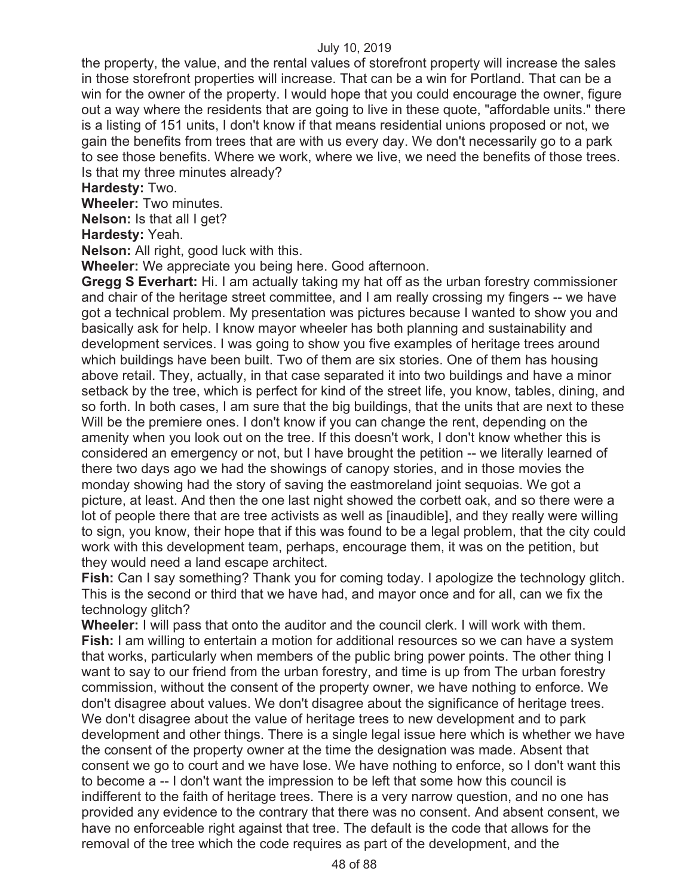the property, the value, and the rental values of storefront property will increase the sales in those storefront properties will increase. That can be a win for Portland. That can be a win for the owner of the property. I would hope that you could encourage the owner, figure out a way where the residents that are going to live in these quote, "affordable units." there is a listing of 151 units, I don't know if that means residential unions proposed or not, we gain the benefits from trees that are with us every day. We don't necessarily go to a park to see those benefits. Where we work, where we live, we need the benefits of those trees. Is that my three minutes already?

**Hardesty:** Two.

**Wheeler:** Two minutes.

**Nelson:** Is that all I get?

**Hardesty:** Yeah.

**Nelson:** All right, good luck with this.

**Wheeler:** We appreciate you being here. Good afternoon.

**Gregg S Everhart:** Hi. I am actually taking my hat off as the urban forestry commissioner and chair of the heritage street committee, and I am really crossing my fingers -- we have got a technical problem. My presentation was pictures because I wanted to show you and basically ask for help. I know mayor wheeler has both planning and sustainability and development services. I was going to show you five examples of heritage trees around which buildings have been built. Two of them are six stories. One of them has housing above retail. They, actually, in that case separated it into two buildings and have a minor setback by the tree, which is perfect for kind of the street life, you know, tables, dining, and so forth. In both cases, I am sure that the big buildings, that the units that are next to these Will be the premiere ones. I don't know if you can change the rent, depending on the amenity when you look out on the tree. If this doesn't work, I don't know whether this is considered an emergency or not, but I have brought the petition -- we literally learned of there two days ago we had the showings of canopy stories, and in those movies the monday showing had the story of saving the eastmoreland joint sequoias. We got a picture, at least. And then the one last night showed the corbett oak, and so there were a lot of people there that are tree activists as well as [inaudible], and they really were willing to sign, you know, their hope that if this was found to be a legal problem, that the city could work with this development team, perhaps, encourage them, it was on the petition, but they would need a land escape architect.

**Fish:** Can I say something? Thank you for coming today. I apologize the technology glitch. This is the second or third that we have had, and mayor once and for all, can we fix the technology glitch?

**Wheeler:** I will pass that onto the auditor and the council clerk. I will work with them. **Fish:** I am willing to entertain a motion for additional resources so we can have a system that works, particularly when members of the public bring power points. The other thing I want to say to our friend from the urban forestry, and time is up from The urban forestry commission, without the consent of the property owner, we have nothing to enforce. We don't disagree about values. We don't disagree about the significance of heritage trees. We don't disagree about the value of heritage trees to new development and to park development and other things. There is a single legal issue here which is whether we have the consent of the property owner at the time the designation was made. Absent that consent we go to court and we have lose. We have nothing to enforce, so I don't want this to become a -- I don't want the impression to be left that some how this council is indifferent to the faith of heritage trees. There is a very narrow question, and no one has provided any evidence to the contrary that there was no consent. And absent consent, we have no enforceable right against that tree. The default is the code that allows for the removal of the tree which the code requires as part of the development, and the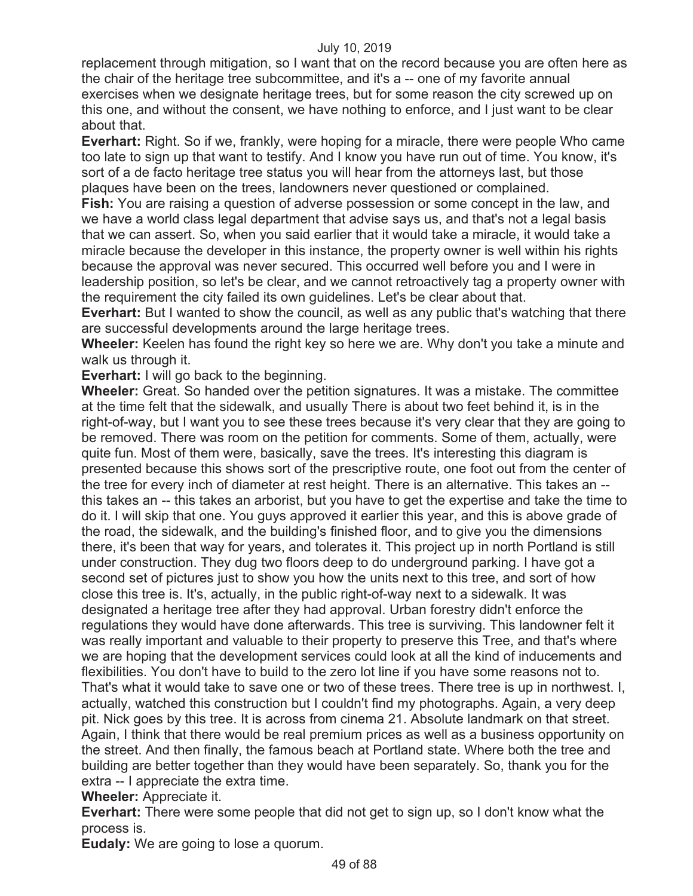replacement through mitigation, so I want that on the record because you are often here as the chair of the heritage tree subcommittee, and it's a -- one of my favorite annual exercises when we designate heritage trees, but for some reason the city screwed up on this one, and without the consent, we have nothing to enforce, and I just want to be clear about that.

**Everhart:** Right. So if we, frankly, were hoping for a miracle, there were people Who came too late to sign up that want to testify. And I know you have run out of time. You know, it's sort of a de facto heritage tree status you will hear from the attorneys last, but those plaques have been on the trees, landowners never questioned or complained.

**Fish:** You are raising a question of adverse possession or some concept in the law, and we have a world class legal department that advise says us, and that's not a legal basis that we can assert. So, when you said earlier that it would take a miracle, it would take a miracle because the developer in this instance, the property owner is well within his rights because the approval was never secured. This occurred well before you and I were in leadership position, so let's be clear, and we cannot retroactively tag a property owner with the requirement the city failed its own guidelines. Let's be clear about that.

**Everhart:** But I wanted to show the council, as well as any public that's watching that there are successful developments around the large heritage trees.

**Wheeler:** Keelen has found the right key so here we are. Why don't you take a minute and walk us through it.

**Everhart:** I will go back to the beginning.

**Wheeler:** Great. So handed over the petition signatures. It was a mistake. The committee at the time felt that the sidewalk, and usually There is about two feet behind it, is in the right-of-way, but I want you to see these trees because it's very clear that they are going to be removed. There was room on the petition for comments. Some of them, actually, were quite fun. Most of them were, basically, save the trees. It's interesting this diagram is presented because this shows sort of the prescriptive route, one foot out from the center of the tree for every inch of diameter at rest height. There is an alternative. This takes an - this takes an -- this takes an arborist, but you have to get the expertise and take the time to do it. I will skip that one. You guys approved it earlier this year, and this is above grade of the road, the sidewalk, and the building's finished floor, and to give you the dimensions there, it's been that way for years, and tolerates it. This project up in north Portland is still under construction. They dug two floors deep to do underground parking. I have got a second set of pictures just to show you how the units next to this tree, and sort of how close this tree is. It's, actually, in the public right-of-way next to a sidewalk. It was designated a heritage tree after they had approval. Urban forestry didn't enforce the regulations they would have done afterwards. This tree is surviving. This landowner felt it was really important and valuable to their property to preserve this Tree, and that's where we are hoping that the development services could look at all the kind of inducements and flexibilities. You don't have to build to the zero lot line if you have some reasons not to. That's what it would take to save one or two of these trees. There tree is up in northwest. I, actually, watched this construction but I couldn't find my photographs. Again, a very deep pit. Nick goes by this tree. It is across from cinema 21. Absolute landmark on that street. Again, I think that there would be real premium prices as well as a business opportunity on the street. And then finally, the famous beach at Portland state. Where both the tree and building are better together than they would have been separately. So, thank you for the extra -- I appreciate the extra time.

**Wheeler:** Appreciate it.

**Everhart:** There were some people that did not get to sign up, so I don't know what the process is.

**Eudaly:** We are going to lose a quorum.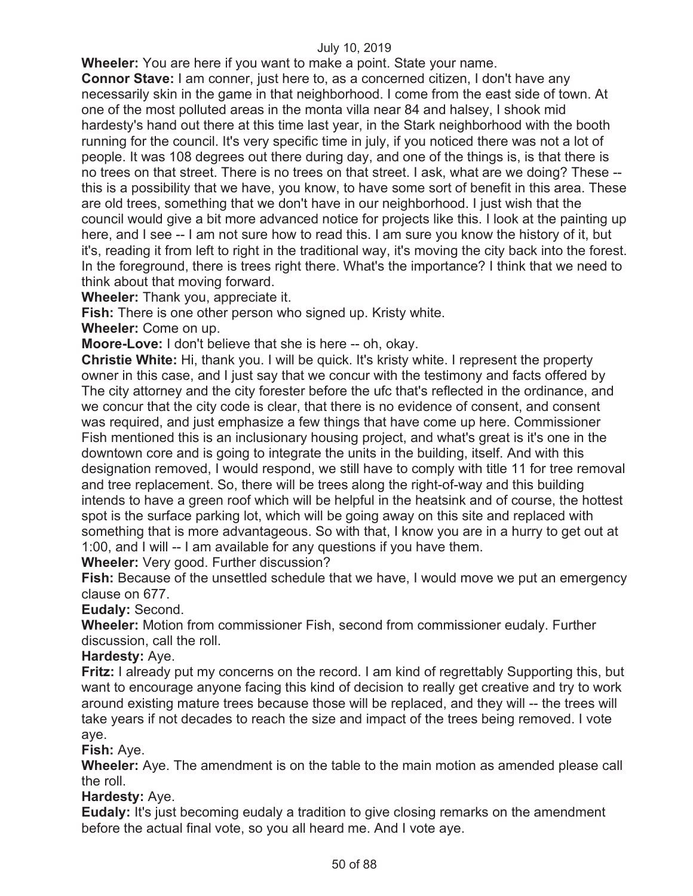**Wheeler:** You are here if you want to make a point. State your name.

**Connor Stave:** I am conner, just here to, as a concerned citizen, I don't have any necessarily skin in the game in that neighborhood. I come from the east side of town. At one of the most polluted areas in the monta villa near 84 and halsey, I shook mid hardesty's hand out there at this time last year, in the Stark neighborhood with the booth running for the council. It's very specific time in july, if you noticed there was not a lot of people. It was 108 degrees out there during day, and one of the things is, is that there is no trees on that street. There is no trees on that street. I ask, what are we doing? These - this is a possibility that we have, you know, to have some sort of benefit in this area. These are old trees, something that we don't have in our neighborhood. I just wish that the council would give a bit more advanced notice for projects like this. I look at the painting up here, and I see -- I am not sure how to read this. I am sure you know the history of it, but it's, reading it from left to right in the traditional way, it's moving the city back into the forest. In the foreground, there is trees right there. What's the importance? I think that we need to think about that moving forward.

**Wheeler:** Thank you, appreciate it.

**Fish:** There is one other person who signed up. Kristy white.

**Wheeler:** Come on up.

**Moore-Love:** I don't believe that she is here -- oh, okay.

**Christie White:** Hi, thank you. I will be quick. It's kristy white. I represent the property owner in this case, and I just say that we concur with the testimony and facts offered by The city attorney and the city forester before the ufc that's reflected in the ordinance, and we concur that the city code is clear, that there is no evidence of consent, and consent was required, and just emphasize a few things that have come up here. Commissioner Fish mentioned this is an inclusionary housing project, and what's great is it's one in the downtown core and is going to integrate the units in the building, itself. And with this designation removed, I would respond, we still have to comply with title 11 for tree removal and tree replacement. So, there will be trees along the right-of-way and this building intends to have a green roof which will be helpful in the heatsink and of course, the hottest spot is the surface parking lot, which will be going away on this site and replaced with something that is more advantageous. So with that, I know you are in a hurry to get out at 1:00, and I will -- I am available for any questions if you have them.

**Wheeler:** Very good. Further discussion?

**Fish:** Because of the unsettled schedule that we have, I would move we put an emergency clause on 677.

**Eudaly:** Second.

**Wheeler:** Motion from commissioner Fish, second from commissioner eudaly. Further discussion, call the roll.

# **Hardesty:** Aye.

**Fritz:** I already put my concerns on the record. I am kind of regrettably Supporting this, but want to encourage anyone facing this kind of decision to really get creative and try to work around existing mature trees because those will be replaced, and they will -- the trees will take years if not decades to reach the size and impact of the trees being removed. I vote aye.

**Fish:** Aye.

**Wheeler:** Aye. The amendment is on the table to the main motion as amended please call the roll.

**Hardesty:** Aye.

**Eudaly:** It's just becoming eudaly a tradition to give closing remarks on the amendment before the actual final vote, so you all heard me. And I vote aye.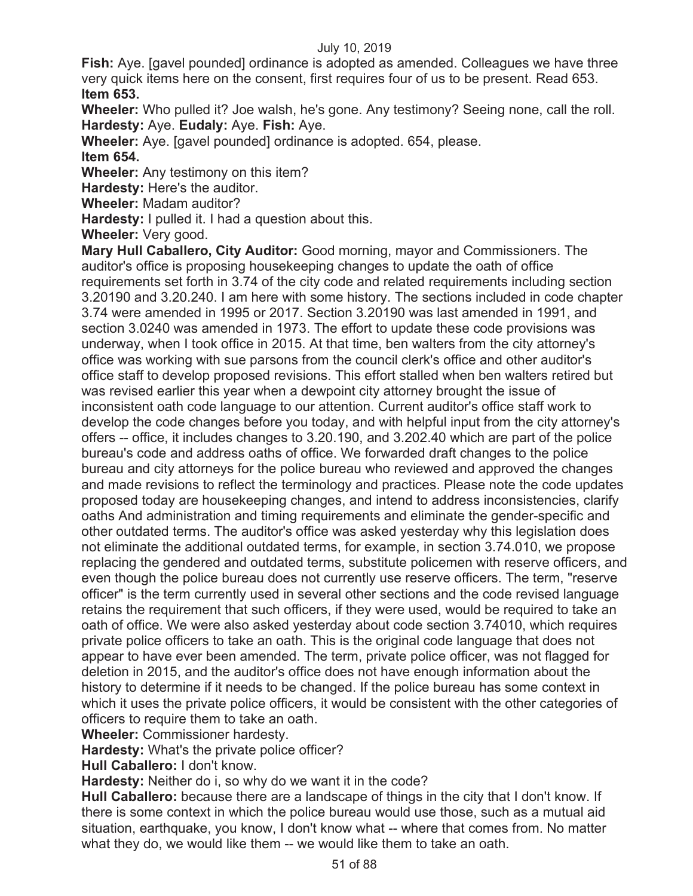**Fish:** Aye. [gavel pounded] ordinance is adopted as amended. Colleagues we have three very quick items here on the consent, first requires four of us to be present. Read 653. **Item 653.** 

**Wheeler:** Who pulled it? Joe walsh, he's gone. Any testimony? Seeing none, call the roll. **Hardesty:** Aye. **Eudaly:** Aye. **Fish:** Aye.

**Wheeler:** Aye. [gavel pounded] ordinance is adopted. 654, please.

**Item 654.** 

**Wheeler:** Any testimony on this item?

**Hardesty:** Here's the auditor.

**Wheeler:** Madam auditor?

**Hardesty:** I pulled it. I had a question about this.

**Wheeler:** Very good.

**Mary Hull Caballero, City Auditor:** Good morning, mayor and Commissioners. The auditor's office is proposing housekeeping changes to update the oath of office requirements set forth in 3.74 of the city code and related requirements including section 3.20190 and 3.20.240. I am here with some history. The sections included in code chapter 3.74 were amended in 1995 or 2017. Section 3.20190 was last amended in 1991, and section 3.0240 was amended in 1973. The effort to update these code provisions was underway, when I took office in 2015. At that time, ben walters from the city attorney's office was working with sue parsons from the council clerk's office and other auditor's office staff to develop proposed revisions. This effort stalled when ben walters retired but was revised earlier this year when a dewpoint city attorney brought the issue of inconsistent oath code language to our attention. Current auditor's office staff work to develop the code changes before you today, and with helpful input from the city attorney's offers -- office, it includes changes to 3.20.190, and 3.202.40 which are part of the police bureau's code and address oaths of office. We forwarded draft changes to the police bureau and city attorneys for the police bureau who reviewed and approved the changes and made revisions to reflect the terminology and practices. Please note the code updates proposed today are housekeeping changes, and intend to address inconsistencies, clarify oaths And administration and timing requirements and eliminate the gender-specific and other outdated terms. The auditor's office was asked yesterday why this legislation does not eliminate the additional outdated terms, for example, in section 3.74.010, we propose replacing the gendered and outdated terms, substitute policemen with reserve officers, and even though the police bureau does not currently use reserve officers. The term, "reserve officer" is the term currently used in several other sections and the code revised language retains the requirement that such officers, if they were used, would be required to take an oath of office. We were also asked yesterday about code section 3.74010, which requires private police officers to take an oath. This is the original code language that does not appear to have ever been amended. The term, private police officer, was not flagged for deletion in 2015, and the auditor's office does not have enough information about the history to determine if it needs to be changed. If the police bureau has some context in which it uses the private police officers, it would be consistent with the other categories of officers to require them to take an oath.

**Wheeler:** Commissioner hardesty.

**Hardesty:** What's the private police officer?

**Hull Caballero:** I don't know.

**Hardesty:** Neither do i, so why do we want it in the code?

**Hull Caballero:** because there are a landscape of things in the city that I don't know. If there is some context in which the police bureau would use those, such as a mutual aid situation, earthquake, you know, I don't know what -- where that comes from. No matter what they do, we would like them -- we would like them to take an oath.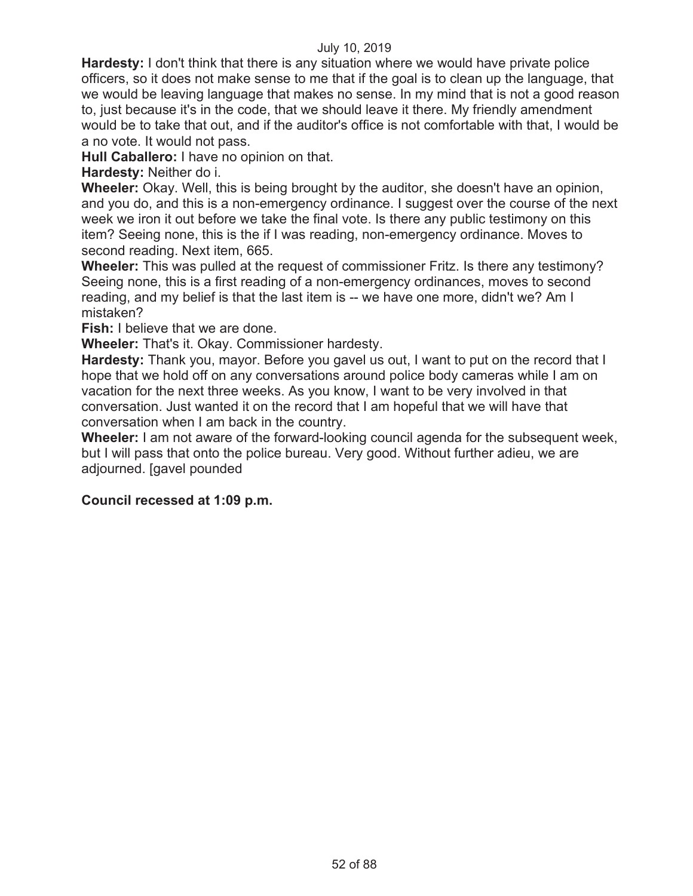**Hardesty:** I don't think that there is any situation where we would have private police officers, so it does not make sense to me that if the goal is to clean up the language, that we would be leaving language that makes no sense. In my mind that is not a good reason to, just because it's in the code, that we should leave it there. My friendly amendment would be to take that out, and if the auditor's office is not comfortable with that, I would be a no vote. It would not pass.

**Hull Caballero:** I have no opinion on that.

**Hardesty:** Neither do i.

**Wheeler:** Okay. Well, this is being brought by the auditor, she doesn't have an opinion, and you do, and this is a non-emergency ordinance. I suggest over the course of the next week we iron it out before we take the final vote. Is there any public testimony on this item? Seeing none, this is the if I was reading, non-emergency ordinance. Moves to second reading. Next item, 665.

**Wheeler:** This was pulled at the request of commissioner Fritz. Is there any testimony? Seeing none, this is a first reading of a non-emergency ordinances, moves to second reading, and my belief is that the last item is -- we have one more, didn't we? Am I mistaken?

**Fish:** I believe that we are done.

**Wheeler:** That's it. Okay. Commissioner hardesty.

**Hardesty:** Thank you, mayor. Before you gavel us out, I want to put on the record that I hope that we hold off on any conversations around police body cameras while I am on vacation for the next three weeks. As you know, I want to be very involved in that conversation. Just wanted it on the record that I am hopeful that we will have that conversation when I am back in the country.

**Wheeler:** I am not aware of the forward-looking council agenda for the subsequent week, but I will pass that onto the police bureau. Very good. Without further adieu, we are adjourned. [gavel pounded

## **Council recessed at 1:09 p.m.**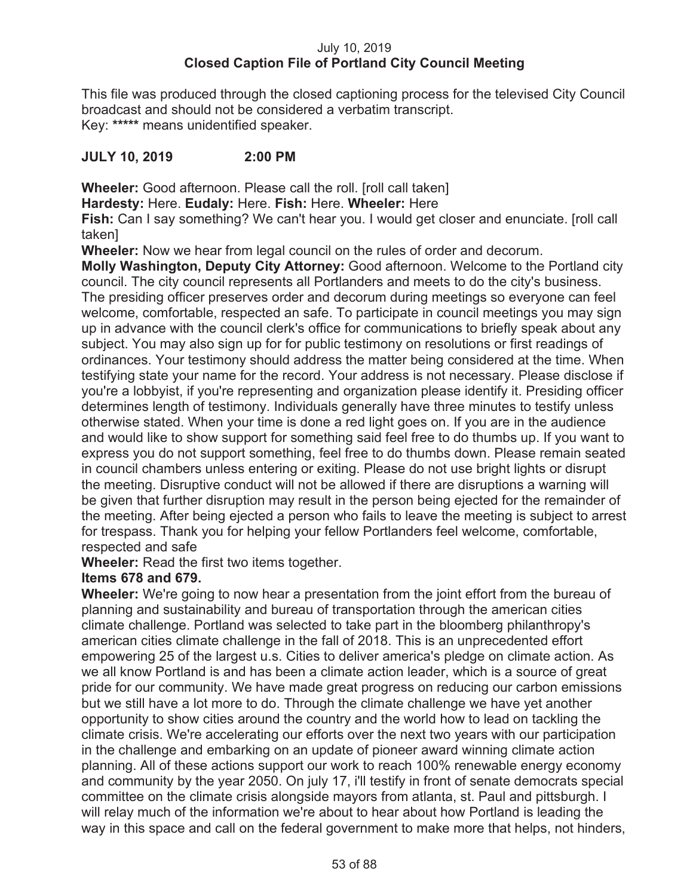# July 10, 2019 **Closed Caption File of Portland City Council Meeting**

This file was produced through the closed captioning process for the televised City Council broadcast and should not be considered a verbatim transcript. Key: **\*\*\*\*\*** means unidentified speaker.

# **JULY 10, 2019 2:00 PM**

**Wheeler:** Good afternoon. Please call the roll. [roll call taken]

**Hardesty:** Here. **Eudaly:** Here. **Fish:** Here. **Wheeler:** Here

**Fish:** Can I say something? We can't hear you. I would get closer and enunciate. [roll call taken]

**Wheeler:** Now we hear from legal council on the rules of order and decorum.

**Molly Washington, Deputy City Attorney:** Good afternoon. Welcome to the Portland city council. The city council represents all Portlanders and meets to do the city's business. The presiding officer preserves order and decorum during meetings so everyone can feel welcome, comfortable, respected an safe. To participate in council meetings you may sign up in advance with the council clerk's office for communications to briefly speak about any subject. You may also sign up for for public testimony on resolutions or first readings of ordinances. Your testimony should address the matter being considered at the time. When testifying state your name for the record. Your address is not necessary. Please disclose if you're a lobbyist, if you're representing and organization please identify it. Presiding officer determines length of testimony. Individuals generally have three minutes to testify unless otherwise stated. When your time is done a red light goes on. If you are in the audience and would like to show support for something said feel free to do thumbs up. If you want to express you do not support something, feel free to do thumbs down. Please remain seated in council chambers unless entering or exiting. Please do not use bright lights or disrupt the meeting. Disruptive conduct will not be allowed if there are disruptions a warning will be given that further disruption may result in the person being ejected for the remainder of the meeting. After being ejected a person who fails to leave the meeting is subject to arrest for trespass. Thank you for helping your fellow Portlanders feel welcome, comfortable, respected and safe

**Wheeler:** Read the first two items together.

# **Items 678 and 679.**

**Wheeler:** We're going to now hear a presentation from the joint effort from the bureau of planning and sustainability and bureau of transportation through the american cities climate challenge. Portland was selected to take part in the bloomberg philanthropy's american cities climate challenge in the fall of 2018. This is an unprecedented effort empowering 25 of the largest u.s. Cities to deliver america's pledge on climate action. As we all know Portland is and has been a climate action leader, which is a source of great pride for our community. We have made great progress on reducing our carbon emissions but we still have a lot more to do. Through the climate challenge we have yet another opportunity to show cities around the country and the world how to lead on tackling the climate crisis. We're accelerating our efforts over the next two years with our participation in the challenge and embarking on an update of pioneer award winning climate action planning. All of these actions support our work to reach 100% renewable energy economy and community by the year 2050. On july 17, i'll testify in front of senate democrats special committee on the climate crisis alongside mayors from atlanta, st. Paul and pittsburgh. I will relay much of the information we're about to hear about how Portland is leading the way in this space and call on the federal government to make more that helps, not hinders,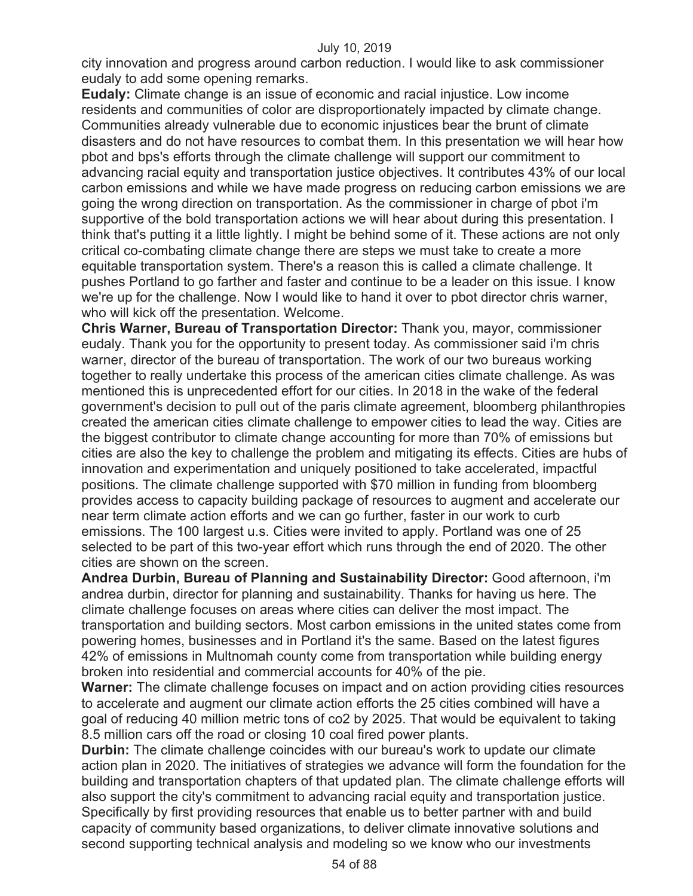city innovation and progress around carbon reduction. I would like to ask commissioner eudaly to add some opening remarks.

**Eudaly:** Climate change is an issue of economic and racial injustice. Low income residents and communities of color are disproportionately impacted by climate change. Communities already vulnerable due to economic injustices bear the brunt of climate disasters and do not have resources to combat them. In this presentation we will hear how pbot and bps's efforts through the climate challenge will support our commitment to advancing racial equity and transportation justice objectives. It contributes 43% of our local carbon emissions and while we have made progress on reducing carbon emissions we are going the wrong direction on transportation. As the commissioner in charge of pbot i'm supportive of the bold transportation actions we will hear about during this presentation. I think that's putting it a little lightly. I might be behind some of it. These actions are not only critical co-combating climate change there are steps we must take to create a more equitable transportation system. There's a reason this is called a climate challenge. It pushes Portland to go farther and faster and continue to be a leader on this issue. I know we're up for the challenge. Now I would like to hand it over to pbot director chris warner, who will kick off the presentation. Welcome.

**Chris Warner, Bureau of Transportation Director:** Thank you, mayor, commissioner eudaly. Thank you for the opportunity to present today. As commissioner said i'm chris warner, director of the bureau of transportation. The work of our two bureaus working together to really undertake this process of the american cities climate challenge. As was mentioned this is unprecedented effort for our cities. In 2018 in the wake of the federal government's decision to pull out of the paris climate agreement, bloomberg philanthropies created the american cities climate challenge to empower cities to lead the way. Cities are the biggest contributor to climate change accounting for more than 70% of emissions but cities are also the key to challenge the problem and mitigating its effects. Cities are hubs of innovation and experimentation and uniquely positioned to take accelerated, impactful positions. The climate challenge supported with \$70 million in funding from bloomberg provides access to capacity building package of resources to augment and accelerate our near term climate action efforts and we can go further, faster in our work to curb emissions. The 100 largest u.s. Cities were invited to apply. Portland was one of 25 selected to be part of this two-year effort which runs through the end of 2020. The other cities are shown on the screen.

**Andrea Durbin, Bureau of Planning and Sustainability Director:** Good afternoon, i'm andrea durbin, director for planning and sustainability. Thanks for having us here. The climate challenge focuses on areas where cities can deliver the most impact. The transportation and building sectors. Most carbon emissions in the united states come from powering homes, businesses and in Portland it's the same. Based on the latest figures 42% of emissions in Multnomah county come from transportation while building energy broken into residential and commercial accounts for 40% of the pie.

**Warner:** The climate challenge focuses on impact and on action providing cities resources to accelerate and augment our climate action efforts the 25 cities combined will have a goal of reducing 40 million metric tons of co2 by 2025. That would be equivalent to taking 8.5 million cars off the road or closing 10 coal fired power plants.

**Durbin:** The climate challenge coincides with our bureau's work to update our climate action plan in 2020. The initiatives of strategies we advance will form the foundation for the building and transportation chapters of that updated plan. The climate challenge efforts will also support the city's commitment to advancing racial equity and transportation justice. Specifically by first providing resources that enable us to better partner with and build capacity of community based organizations, to deliver climate innovative solutions and second supporting technical analysis and modeling so we know who our investments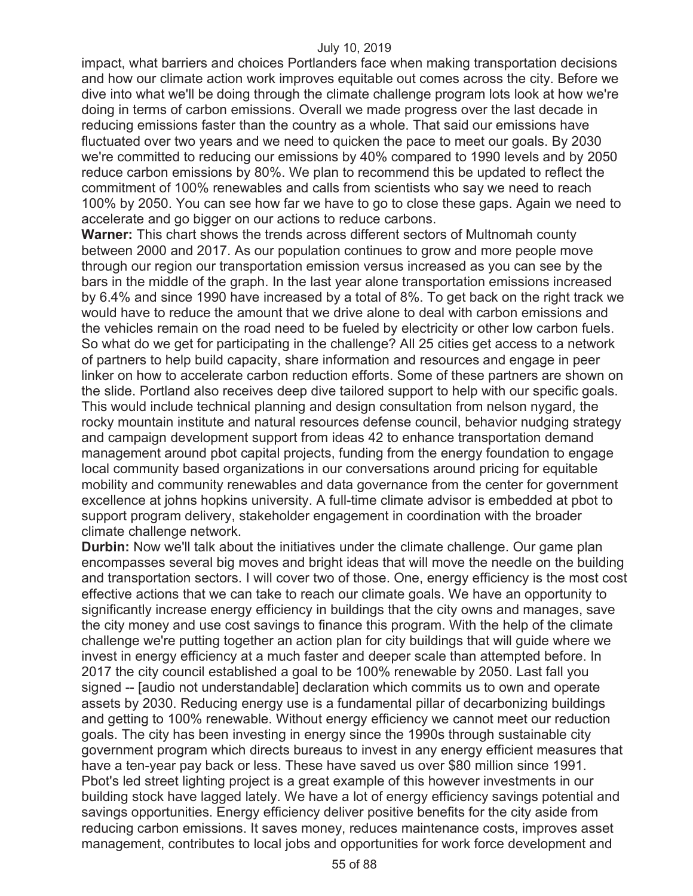impact, what barriers and choices Portlanders face when making transportation decisions and how our climate action work improves equitable out comes across the city. Before we dive into what we'll be doing through the climate challenge program lots look at how we're doing in terms of carbon emissions. Overall we made progress over the last decade in reducing emissions faster than the country as a whole. That said our emissions have fluctuated over two years and we need to quicken the pace to meet our goals. By 2030 we're committed to reducing our emissions by 40% compared to 1990 levels and by 2050 reduce carbon emissions by 80%. We plan to recommend this be updated to reflect the commitment of 100% renewables and calls from scientists who say we need to reach 100% by 2050. You can see how far we have to go to close these gaps. Again we need to accelerate and go bigger on our actions to reduce carbons.

**Warner:** This chart shows the trends across different sectors of Multnomah county between 2000 and 2017. As our population continues to grow and more people move through our region our transportation emission versus increased as you can see by the bars in the middle of the graph. In the last year alone transportation emissions increased by 6.4% and since 1990 have increased by a total of 8%. To get back on the right track we would have to reduce the amount that we drive alone to deal with carbon emissions and the vehicles remain on the road need to be fueled by electricity or other low carbon fuels. So what do we get for participating in the challenge? All 25 cities get access to a network of partners to help build capacity, share information and resources and engage in peer linker on how to accelerate carbon reduction efforts. Some of these partners are shown on the slide. Portland also receives deep dive tailored support to help with our specific goals. This would include technical planning and design consultation from nelson nygard, the rocky mountain institute and natural resources defense council, behavior nudging strategy and campaign development support from ideas 42 to enhance transportation demand management around pbot capital projects, funding from the energy foundation to engage local community based organizations in our conversations around pricing for equitable mobility and community renewables and data governance from the center for government excellence at johns hopkins university. A full-time climate advisor is embedded at pbot to support program delivery, stakeholder engagement in coordination with the broader climate challenge network.

**Durbin:** Now we'll talk about the initiatives under the climate challenge. Our game plan encompasses several big moves and bright ideas that will move the needle on the building and transportation sectors. I will cover two of those. One, energy efficiency is the most cost effective actions that we can take to reach our climate goals. We have an opportunity to significantly increase energy efficiency in buildings that the city owns and manages, save the city money and use cost savings to finance this program. With the help of the climate challenge we're putting together an action plan for city buildings that will guide where we invest in energy efficiency at a much faster and deeper scale than attempted before. In 2017 the city council established a goal to be 100% renewable by 2050. Last fall you signed -- [audio not understandable] declaration which commits us to own and operate assets by 2030. Reducing energy use is a fundamental pillar of decarbonizing buildings and getting to 100% renewable. Without energy efficiency we cannot meet our reduction goals. The city has been investing in energy since the 1990s through sustainable city government program which directs bureaus to invest in any energy efficient measures that have a ten-year pay back or less. These have saved us over \$80 million since 1991. Pbot's led street lighting project is a great example of this however investments in our building stock have lagged lately. We have a lot of energy efficiency savings potential and savings opportunities. Energy efficiency deliver positive benefits for the city aside from reducing carbon emissions. It saves money, reduces maintenance costs, improves asset management, contributes to local jobs and opportunities for work force development and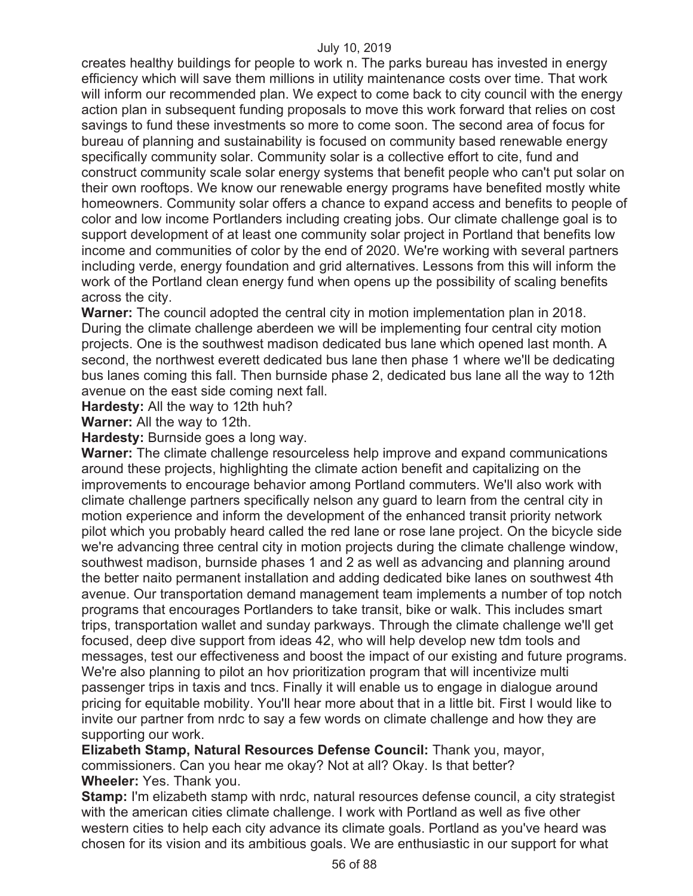creates healthy buildings for people to work n. The parks bureau has invested in energy efficiency which will save them millions in utility maintenance costs over time. That work will inform our recommended plan. We expect to come back to city council with the energy action plan in subsequent funding proposals to move this work forward that relies on cost savings to fund these investments so more to come soon. The second area of focus for bureau of planning and sustainability is focused on community based renewable energy specifically community solar. Community solar is a collective effort to cite, fund and construct community scale solar energy systems that benefit people who can't put solar on their own rooftops. We know our renewable energy programs have benefited mostly white homeowners. Community solar offers a chance to expand access and benefits to people of color and low income Portlanders including creating jobs. Our climate challenge goal is to support development of at least one community solar project in Portland that benefits low income and communities of color by the end of 2020. We're working with several partners including verde, energy foundation and grid alternatives. Lessons from this will inform the work of the Portland clean energy fund when opens up the possibility of scaling benefits across the city.

**Warner:** The council adopted the central city in motion implementation plan in 2018. During the climate challenge aberdeen we will be implementing four central city motion projects. One is the southwest madison dedicated bus lane which opened last month. A second, the northwest everett dedicated bus lane then phase 1 where we'll be dedicating bus lanes coming this fall. Then burnside phase 2, dedicated bus lane all the way to 12th avenue on the east side coming next fall.

**Hardesty:** All the way to 12th huh?

**Warner:** All the way to 12th.

**Hardesty:** Burnside goes a long way.

**Warner:** The climate challenge resourceless help improve and expand communications around these projects, highlighting the climate action benefit and capitalizing on the improvements to encourage behavior among Portland commuters. We'll also work with climate challenge partners specifically nelson any guard to learn from the central city in motion experience and inform the development of the enhanced transit priority network pilot which you probably heard called the red lane or rose lane project. On the bicycle side we're advancing three central city in motion projects during the climate challenge window, southwest madison, burnside phases 1 and 2 as well as advancing and planning around the better naito permanent installation and adding dedicated bike lanes on southwest 4th avenue. Our transportation demand management team implements a number of top notch programs that encourages Portlanders to take transit, bike or walk. This includes smart trips, transportation wallet and sunday parkways. Through the climate challenge we'll get focused, deep dive support from ideas 42, who will help develop new tdm tools and messages, test our effectiveness and boost the impact of our existing and future programs. We're also planning to pilot an hov prioritization program that will incentivize multi passenger trips in taxis and tncs. Finally it will enable us to engage in dialogue around pricing for equitable mobility. You'll hear more about that in a little bit. First I would like to invite our partner from nrdc to say a few words on climate challenge and how they are supporting our work.

**Elizabeth Stamp, Natural Resources Defense Council:** Thank you, mayor, commissioners. Can you hear me okay? Not at all? Okay. Is that better? **Wheeler:** Yes. Thank you.

**Stamp:** I'm elizabeth stamp with nrdc, natural resources defense council, a city strategist with the american cities climate challenge. I work with Portland as well as five other western cities to help each city advance its climate goals. Portland as you've heard was chosen for its vision and its ambitious goals. We are enthusiastic in our support for what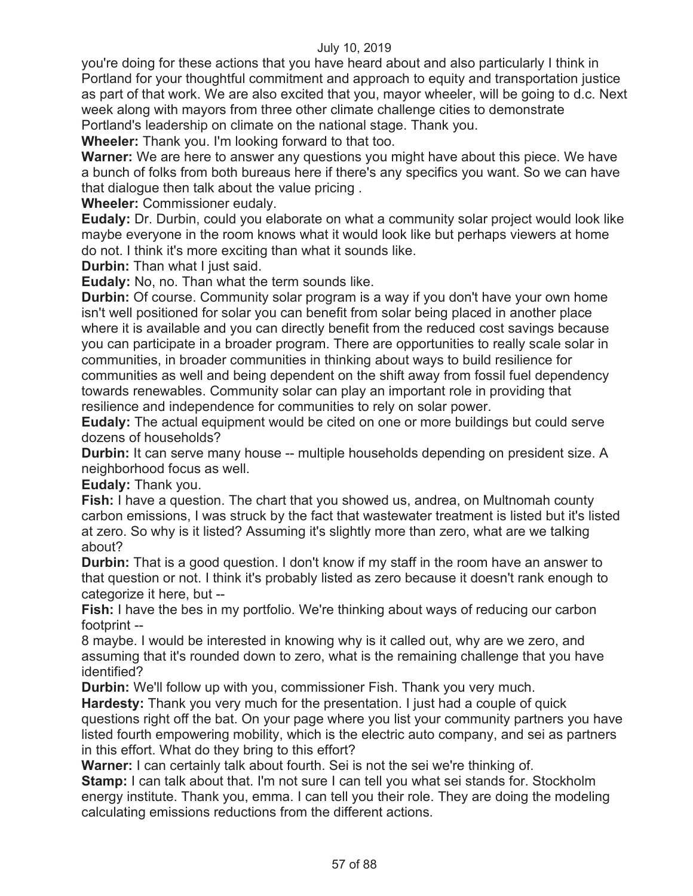you're doing for these actions that you have heard about and also particularly I think in Portland for your thoughtful commitment and approach to equity and transportation justice as part of that work. We are also excited that you, mayor wheeler, will be going to d.c. Next week along with mayors from three other climate challenge cities to demonstrate Portland's leadership on climate on the national stage. Thank you.

**Wheeler:** Thank you. I'm looking forward to that too.

**Warner:** We are here to answer any questions you might have about this piece. We have a bunch of folks from both bureaus here if there's any specifics you want. So we can have that dialogue then talk about the value pricing .

**Wheeler:** Commissioner eudaly.

**Eudaly:** Dr. Durbin, could you elaborate on what a community solar project would look like maybe everyone in the room knows what it would look like but perhaps viewers at home do not. I think it's more exciting than what it sounds like.

**Durbin:** Than what I just said.

**Eudaly:** No, no. Than what the term sounds like.

**Durbin:** Of course. Community solar program is a way if you don't have your own home isn't well positioned for solar you can benefit from solar being placed in another place where it is available and you can directly benefit from the reduced cost savings because you can participate in a broader program. There are opportunities to really scale solar in communities, in broader communities in thinking about ways to build resilience for communities as well and being dependent on the shift away from fossil fuel dependency towards renewables. Community solar can play an important role in providing that resilience and independence for communities to rely on solar power.

**Eudaly:** The actual equipment would be cited on one or more buildings but could serve dozens of households?

**Durbin:** It can serve many house -- multiple households depending on president size. A neighborhood focus as well.

**Eudaly:** Thank you.

**Fish:** I have a question. The chart that you showed us, andrea, on Multnomah county carbon emissions, I was struck by the fact that wastewater treatment is listed but it's listed at zero. So why is it listed? Assuming it's slightly more than zero, what are we talking about?

**Durbin:** That is a good question. I don't know if my staff in the room have an answer to that question or not. I think it's probably listed as zero because it doesn't rank enough to categorize it here, but --

**Fish:** I have the bes in my portfolio. We're thinking about ways of reducing our carbon footprint --

8 maybe. I would be interested in knowing why is it called out, why are we zero, and assuming that it's rounded down to zero, what is the remaining challenge that you have identified?

**Durbin:** We'll follow up with you, commissioner Fish. Thank you very much.

**Hardesty:** Thank you very much for the presentation. I just had a couple of quick questions right off the bat. On your page where you list your community partners you have listed fourth empowering mobility, which is the electric auto company, and sei as partners in this effort. What do they bring to this effort?

**Warner:** I can certainly talk about fourth. Sei is not the sei we're thinking of.

**Stamp:** I can talk about that. I'm not sure I can tell you what sei stands for. Stockholm energy institute. Thank you, emma. I can tell you their role. They are doing the modeling calculating emissions reductions from the different actions.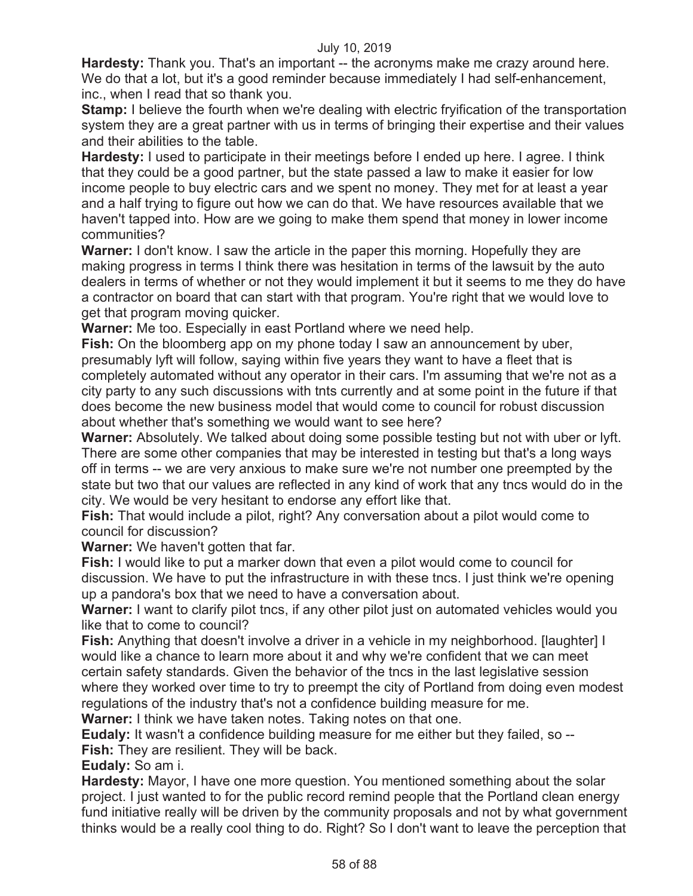**Hardesty:** Thank you. That's an important -- the acronyms make me crazy around here. We do that a lot, but it's a good reminder because immediately I had self-enhancement, inc., when I read that so thank you.

**Stamp:** I believe the fourth when we're dealing with electric fryification of the transportation system they are a great partner with us in terms of bringing their expertise and their values and their abilities to the table.

**Hardesty:** I used to participate in their meetings before I ended up here. I agree. I think that they could be a good partner, but the state passed a law to make it easier for low income people to buy electric cars and we spent no money. They met for at least a year and a half trying to figure out how we can do that. We have resources available that we haven't tapped into. How are we going to make them spend that money in lower income communities?

**Warner:** I don't know. I saw the article in the paper this morning. Hopefully they are making progress in terms I think there was hesitation in terms of the lawsuit by the auto dealers in terms of whether or not they would implement it but it seems to me they do have a contractor on board that can start with that program. You're right that we would love to get that program moving quicker.

**Warner:** Me too. Especially in east Portland where we need help.

**Fish:** On the bloomberg app on my phone today I saw an announcement by uber, presumably lyft will follow, saying within five years they want to have a fleet that is completely automated without any operator in their cars. I'm assuming that we're not as a city party to any such discussions with tnts currently and at some point in the future if that does become the new business model that would come to council for robust discussion about whether that's something we would want to see here?

**Warner:** Absolutely. We talked about doing some possible testing but not with uber or lyft. There are some other companies that may be interested in testing but that's a long ways off in terms -- we are very anxious to make sure we're not number one preempted by the state but two that our values are reflected in any kind of work that any tncs would do in the city. We would be very hesitant to endorse any effort like that.

**Fish:** That would include a pilot, right? Any conversation about a pilot would come to council for discussion?

**Warner:** We haven't gotten that far.

**Fish:** I would like to put a marker down that even a pilot would come to council for discussion. We have to put the infrastructure in with these tncs. I just think we're opening up a pandora's box that we need to have a conversation about.

**Warner:** I want to clarify pilot tncs, if any other pilot just on automated vehicles would you like that to come to council?

**Fish:** Anything that doesn't involve a driver in a vehicle in my neighborhood. [laughter] I would like a chance to learn more about it and why we're confident that we can meet certain safety standards. Given the behavior of the tncs in the last legislative session where they worked over time to try to preempt the city of Portland from doing even modest regulations of the industry that's not a confidence building measure for me.

**Warner:** I think we have taken notes. Taking notes on that one.

**Eudaly:** It wasn't a confidence building measure for me either but they failed, so -- **Fish:** They are resilient. They will be back.

**Eudaly:** So am i.

**Hardesty:** Mayor, I have one more question. You mentioned something about the solar project. I just wanted to for the public record remind people that the Portland clean energy fund initiative really will be driven by the community proposals and not by what government thinks would be a really cool thing to do. Right? So I don't want to leave the perception that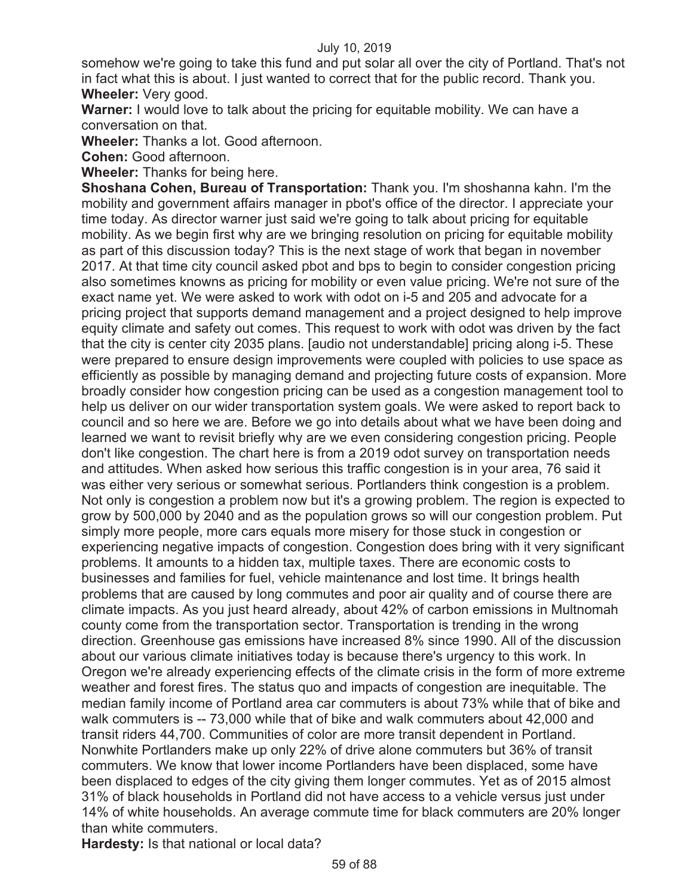somehow we're going to take this fund and put solar all over the city of Portland. That's not in fact what this is about. I just wanted to correct that for the public record. Thank you. **Wheeler:** Very good.

**Warner:** I would love to talk about the pricing for equitable mobility. We can have a conversation on that.

**Wheeler:** Thanks a lot. Good afternoon.

**Cohen:** Good afternoon.

**Wheeler:** Thanks for being here.

**Shoshana Cohen, Bureau of Transportation:** Thank you. I'm shoshanna kahn. I'm the mobility and government affairs manager in pbot's office of the director. I appreciate your time today. As director warner just said we're going to talk about pricing for equitable mobility. As we begin first why are we bringing resolution on pricing for equitable mobility as part of this discussion today? This is the next stage of work that began in november 2017. At that time city council asked pbot and bps to begin to consider congestion pricing also sometimes knowns as pricing for mobility or even value pricing. We're not sure of the exact name yet. We were asked to work with odot on i-5 and 205 and advocate for a pricing project that supports demand management and a project designed to help improve equity climate and safety out comes. This request to work with odot was driven by the fact that the city is center city 2035 plans. [audio not understandable] pricing along i-5. These were prepared to ensure design improvements were coupled with policies to use space as efficiently as possible by managing demand and projecting future costs of expansion. More broadly consider how congestion pricing can be used as a congestion management tool to help us deliver on our wider transportation system goals. We were asked to report back to council and so here we are. Before we go into details about what we have been doing and learned we want to revisit briefly why are we even considering congestion pricing. People don't like congestion. The chart here is from a 2019 odot survey on transportation needs and attitudes. When asked how serious this traffic congestion is in your area, 76 said it was either very serious or somewhat serious. Portlanders think congestion is a problem. Not only is congestion a problem now but it's a growing problem. The region is expected to grow by 500,000 by 2040 and as the population grows so will our congestion problem. Put simply more people, more cars equals more misery for those stuck in congestion or experiencing negative impacts of congestion. Congestion does bring with it very significant problems. It amounts to a hidden tax, multiple taxes. There are economic costs to businesses and families for fuel, vehicle maintenance and lost time. It brings health problems that are caused by long commutes and poor air quality and of course there are climate impacts. As you just heard already, about 42% of carbon emissions in Multnomah county come from the transportation sector. Transportation is trending in the wrong direction. Greenhouse gas emissions have increased 8% since 1990. All of the discussion about our various climate initiatives today is because there's urgency to this work. In Oregon we're already experiencing effects of the climate crisis in the form of more extreme weather and forest fires. The status quo and impacts of congestion are inequitable. The median family income of Portland area car commuters is about 73% while that of bike and walk commuters is -- 73,000 while that of bike and walk commuters about 42,000 and transit riders 44,700. Communities of color are more transit dependent in Portland. Nonwhite Portlanders make up only 22% of drive alone commuters but 36% of transit commuters. We know that lower income Portlanders have been displaced, some have been displaced to edges of the city giving them longer commutes. Yet as of 2015 almost 31% of black households in Portland did not have access to a vehicle versus just under 14% of white households. An average commute time for black commuters are 20% longer than white commuters.

**Hardesty:** Is that national or local data?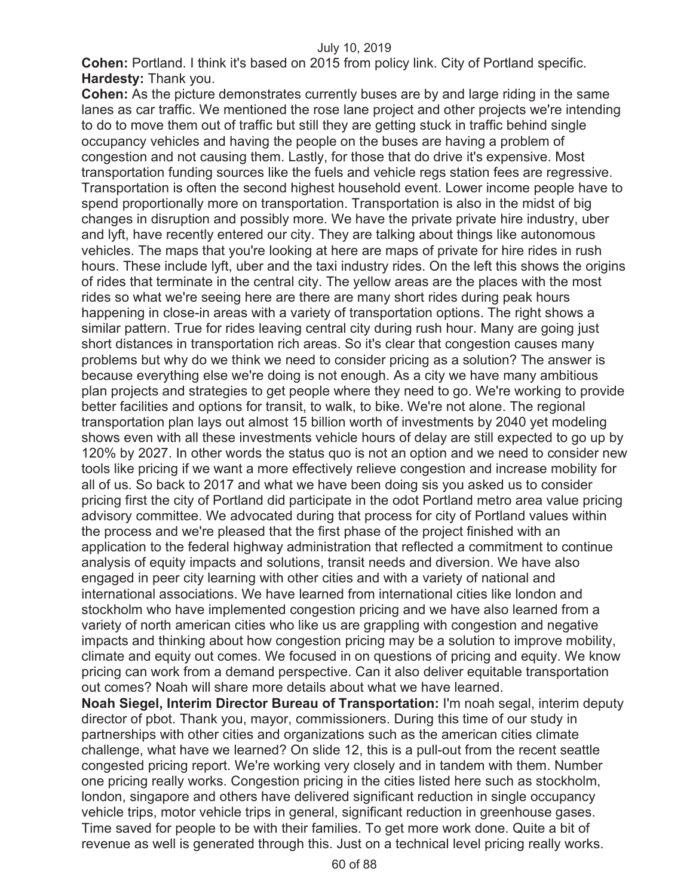**Cohen:** Portland. I think it's based on 2015 from policy link. City of Portland specific. **Hardesty:** Thank you.

**Cohen:** As the picture demonstrates currently buses are by and large riding in the same lanes as car traffic. We mentioned the rose lane project and other projects we're intending to do to move them out of traffic but still they are getting stuck in traffic behind single occupancy vehicles and having the people on the buses are having a problem of congestion and not causing them. Lastly, for those that do drive it's expensive. Most transportation funding sources like the fuels and vehicle regs station fees are regressive. Transportation is often the second highest household event. Lower income people have to spend proportionally more on transportation. Transportation is also in the midst of big changes in disruption and possibly more. We have the private private hire industry, uber and lyft, have recently entered our city. They are talking about things like autonomous vehicles. The maps that you're looking at here are maps of private for hire rides in rush hours. These include lyft, uber and the taxi industry rides. On the left this shows the origins of rides that terminate in the central city. The yellow areas are the places with the most rides so what we're seeing here are there are many short rides during peak hours happening in close-in areas with a variety of transportation options. The right shows a similar pattern. True for rides leaving central city during rush hour. Many are going just short distances in transportation rich areas. So it's clear that congestion causes many problems but why do we think we need to consider pricing as a solution? The answer is because everything else we're doing is not enough. As a city we have many ambitious plan projects and strategies to get people where they need to go. We're working to provide better facilities and options for transit, to walk, to bike. We're not alone. The regional transportation plan lays out almost 15 billion worth of investments by 2040 yet modeling shows even with all these investments vehicle hours of delay are still expected to go up by 120% by 2027. In other words the status quo is not an option and we need to consider new tools like pricing if we want a more effectively relieve congestion and increase mobility for all of us. So back to 2017 and what we have been doing sis you asked us to consider pricing first the city of Portland did participate in the odot Portland metro area value pricing advisory committee. We advocated during that process for city of Portland values within the process and we're pleased that the first phase of the project finished with an application to the federal highway administration that reflected a commitment to continue analysis of equity impacts and solutions, transit needs and diversion. We have also engaged in peer city learning with other cities and with a variety of national and international associations. We have learned from international cities like london and stockholm who have implemented congestion pricing and we have also learned from a variety of north american cities who like us are grappling with congestion and negative impacts and thinking about how congestion pricing may be a solution to improve mobility, climate and equity out comes. We focused in on questions of pricing and equity. We know pricing can work from a demand perspective. Can it also deliver equitable transportation out comes? Noah will share more details about what we have learned.

**Noah Siegel, Interim Director Bureau of Transportation:** I'm noah segal, interim deputy director of pbot. Thank you, mayor, commissioners. During this time of our study in partnerships with other cities and organizations such as the american cities climate challenge, what have we learned? On slide 12, this is a pull-out from the recent seattle congested pricing report. We're working very closely and in tandem with them. Number one pricing really works. Congestion pricing in the cities listed here such as stockholm, london, singapore and others have delivered significant reduction in single occupancy vehicle trips, motor vehicle trips in general, significant reduction in greenhouse gases. Time saved for people to be with their families. To get more work done. Quite a bit of revenue as well is generated through this. Just on a technical level pricing really works.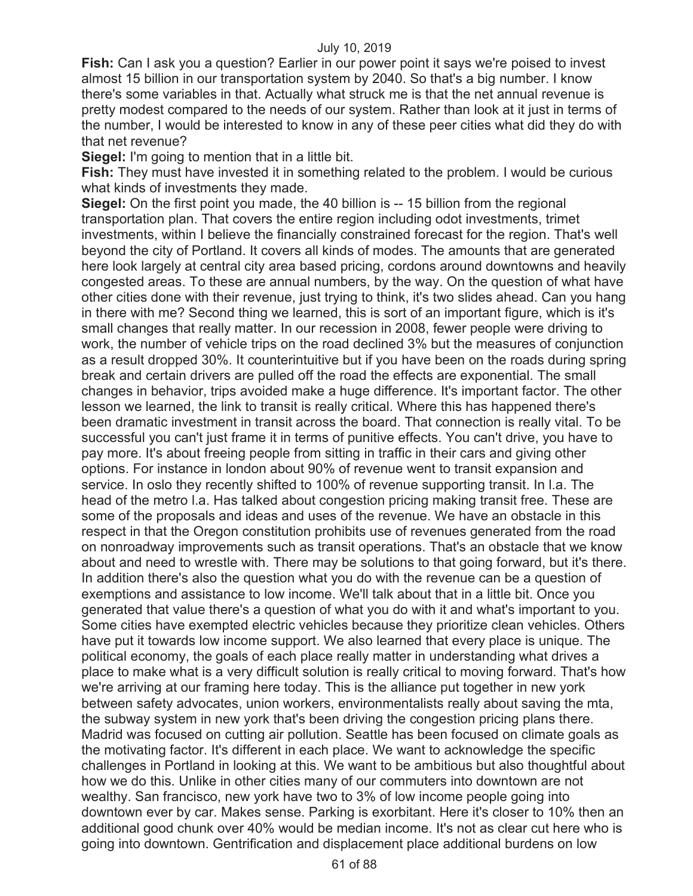**Fish:** Can I ask you a question? Earlier in our power point it says we're poised to invest almost 15 billion in our transportation system by 2040. So that's a big number. I know there's some variables in that. Actually what struck me is that the net annual revenue is pretty modest compared to the needs of our system. Rather than look at it just in terms of the number, I would be interested to know in any of these peer cities what did they do with that net revenue?

**Siegel:** I'm going to mention that in a little bit.

**Fish:** They must have invested it in something related to the problem. I would be curious what kinds of investments they made.

**Siegel:** On the first point you made, the 40 billion is -- 15 billion from the regional transportation plan. That covers the entire region including odot investments, trimet investments, within I believe the financially constrained forecast for the region. That's well beyond the city of Portland. It covers all kinds of modes. The amounts that are generated here look largely at central city area based pricing, cordons around downtowns and heavily congested areas. To these are annual numbers, by the way. On the question of what have other cities done with their revenue, just trying to think, it's two slides ahead. Can you hang in there with me? Second thing we learned, this is sort of an important figure, which is it's small changes that really matter. In our recession in 2008, fewer people were driving to work, the number of vehicle trips on the road declined 3% but the measures of conjunction as a result dropped 30%. It counterintuitive but if you have been on the roads during spring break and certain drivers are pulled off the road the effects are exponential. The small changes in behavior, trips avoided make a huge difference. It's important factor. The other lesson we learned, the link to transit is really critical. Where this has happened there's been dramatic investment in transit across the board. That connection is really vital. To be successful you can't just frame it in terms of punitive effects. You can't drive, you have to pay more. It's about freeing people from sitting in traffic in their cars and giving other options. For instance in london about 90% of revenue went to transit expansion and service. In oslo they recently shifted to 100% of revenue supporting transit. In l.a. The head of the metro l.a. Has talked about congestion pricing making transit free. These are some of the proposals and ideas and uses of the revenue. We have an obstacle in this respect in that the Oregon constitution prohibits use of revenues generated from the road on nonroadway improvements such as transit operations. That's an obstacle that we know about and need to wrestle with. There may be solutions to that going forward, but it's there. In addition there's also the question what you do with the revenue can be a question of exemptions and assistance to low income. We'll talk about that in a little bit. Once you generated that value there's a question of what you do with it and what's important to you. Some cities have exempted electric vehicles because they prioritize clean vehicles. Others have put it towards low income support. We also learned that every place is unique. The political economy, the goals of each place really matter in understanding what drives a place to make what is a very difficult solution is really critical to moving forward. That's how we're arriving at our framing here today. This is the alliance put together in new york between safety advocates, union workers, environmentalists really about saving the mta, the subway system in new york that's been driving the congestion pricing plans there. Madrid was focused on cutting air pollution. Seattle has been focused on climate goals as the motivating factor. It's different in each place. We want to acknowledge the specific challenges in Portland in looking at this. We want to be ambitious but also thoughtful about how we do this. Unlike in other cities many of our commuters into downtown are not wealthy. San francisco, new york have two to 3% of low income people going into downtown ever by car. Makes sense. Parking is exorbitant. Here it's closer to 10% then an additional good chunk over 40% would be median income. It's not as clear cut here who is going into downtown. Gentrification and displacement place additional burdens on low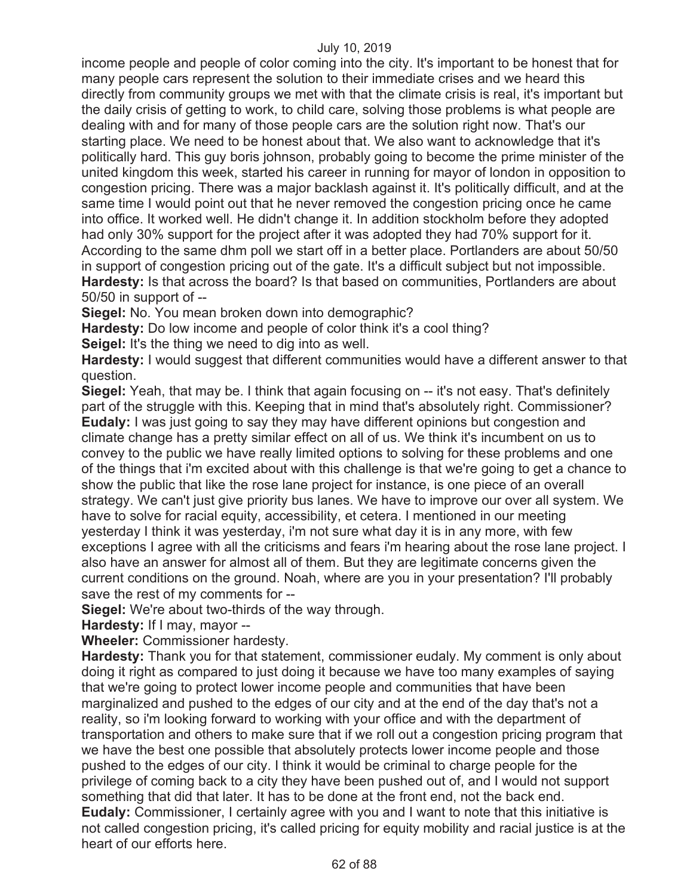income people and people of color coming into the city. It's important to be honest that for many people cars represent the solution to their immediate crises and we heard this directly from community groups we met with that the climate crisis is real, it's important but the daily crisis of getting to work, to child care, solving those problems is what people are dealing with and for many of those people cars are the solution right now. That's our starting place. We need to be honest about that. We also want to acknowledge that it's politically hard. This guy boris johnson, probably going to become the prime minister of the united kingdom this week, started his career in running for mayor of london in opposition to congestion pricing. There was a major backlash against it. It's politically difficult, and at the same time I would point out that he never removed the congestion pricing once he came into office. It worked well. He didn't change it. In addition stockholm before they adopted had only 30% support for the project after it was adopted they had 70% support for it. According to the same dhm poll we start off in a better place. Portlanders are about 50/50 in support of congestion pricing out of the gate. It's a difficult subject but not impossible. **Hardesty:** Is that across the board? Is that based on communities, Portlanders are about 50/50 in support of --

**Siegel:** No. You mean broken down into demographic?

**Hardesty:** Do low income and people of color think it's a cool thing? **Seigel:** It's the thing we need to dig into as well.

**Hardesty:** I would suggest that different communities would have a different answer to that question.

**Siegel:** Yeah, that may be. I think that again focusing on -- it's not easy. That's definitely part of the struggle with this. Keeping that in mind that's absolutely right. Commissioner? **Eudaly:** I was just going to say they may have different opinions but congestion and climate change has a pretty similar effect on all of us. We think it's incumbent on us to convey to the public we have really limited options to solving for these problems and one of the things that i'm excited about with this challenge is that we're going to get a chance to show the public that like the rose lane project for instance, is one piece of an overall strategy. We can't just give priority bus lanes. We have to improve our over all system. We have to solve for racial equity, accessibility, et cetera. I mentioned in our meeting yesterday I think it was yesterday, i'm not sure what day it is in any more, with few exceptions I agree with all the criticisms and fears i'm hearing about the rose lane project. I also have an answer for almost all of them. But they are legitimate concerns given the current conditions on the ground. Noah, where are you in your presentation? I'll probably save the rest of my comments for --

**Siegel:** We're about two-thirds of the way through.

**Hardesty:** If I may, mayor --

**Wheeler:** Commissioner hardesty.

**Hardesty:** Thank you for that statement, commissioner eudaly. My comment is only about doing it right as compared to just doing it because we have too many examples of saying that we're going to protect lower income people and communities that have been marginalized and pushed to the edges of our city and at the end of the day that's not a reality, so i'm looking forward to working with your office and with the department of transportation and others to make sure that if we roll out a congestion pricing program that we have the best one possible that absolutely protects lower income people and those pushed to the edges of our city. I think it would be criminal to charge people for the privilege of coming back to a city they have been pushed out of, and I would not support something that did that later. It has to be done at the front end, not the back end. **Eudaly:** Commissioner, I certainly agree with you and I want to note that this initiative is not called congestion pricing, it's called pricing for equity mobility and racial justice is at the heart of our efforts here.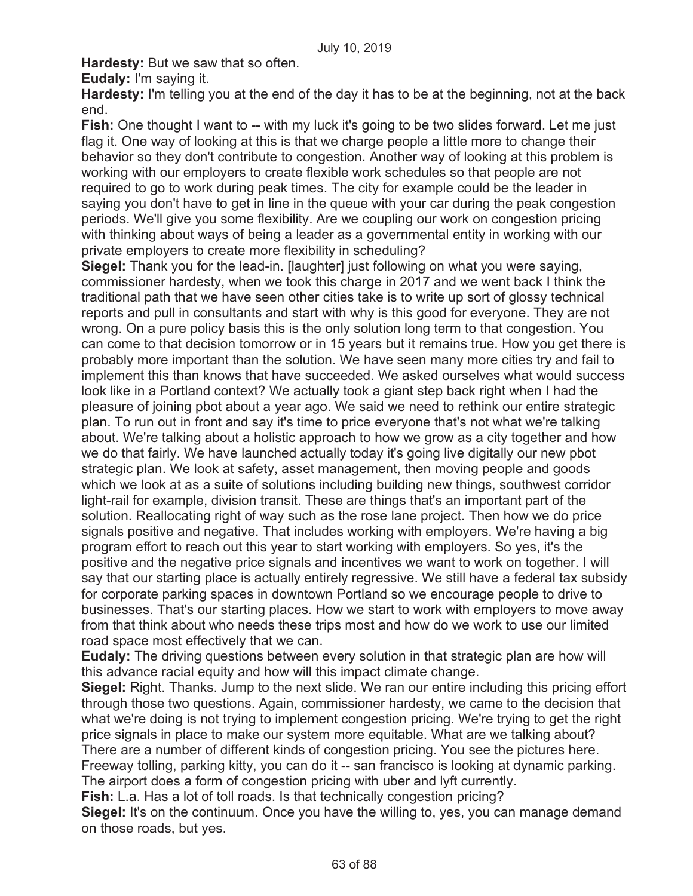**Hardesty:** But we saw that so often.

**Eudaly:** I'm saying it.

**Hardesty:** I'm telling you at the end of the day it has to be at the beginning, not at the back end.

**Fish:** One thought I want to -- with my luck it's going to be two slides forward. Let me just flag it. One way of looking at this is that we charge people a little more to change their behavior so they don't contribute to congestion. Another way of looking at this problem is working with our employers to create flexible work schedules so that people are not required to go to work during peak times. The city for example could be the leader in saying you don't have to get in line in the queue with your car during the peak congestion periods. We'll give you some flexibility. Are we coupling our work on congestion pricing with thinking about ways of being a leader as a governmental entity in working with our private employers to create more flexibility in scheduling?

**Siegel:** Thank you for the lead-in. [laughter] just following on what you were saying, commissioner hardesty, when we took this charge in 2017 and we went back I think the traditional path that we have seen other cities take is to write up sort of glossy technical reports and pull in consultants and start with why is this good for everyone. They are not wrong. On a pure policy basis this is the only solution long term to that congestion. You can come to that decision tomorrow or in 15 years but it remains true. How you get there is probably more important than the solution. We have seen many more cities try and fail to implement this than knows that have succeeded. We asked ourselves what would success look like in a Portland context? We actually took a giant step back right when I had the pleasure of joining pbot about a year ago. We said we need to rethink our entire strategic plan. To run out in front and say it's time to price everyone that's not what we're talking about. We're talking about a holistic approach to how we grow as a city together and how we do that fairly. We have launched actually today it's going live digitally our new pbot strategic plan. We look at safety, asset management, then moving people and goods which we look at as a suite of solutions including building new things, southwest corridor light-rail for example, division transit. These are things that's an important part of the solution. Reallocating right of way such as the rose lane project. Then how we do price signals positive and negative. That includes working with employers. We're having a big program effort to reach out this year to start working with employers. So yes, it's the positive and the negative price signals and incentives we want to work on together. I will say that our starting place is actually entirely regressive. We still have a federal tax subsidy for corporate parking spaces in downtown Portland so we encourage people to drive to businesses. That's our starting places. How we start to work with employers to move away from that think about who needs these trips most and how do we work to use our limited road space most effectively that we can.

**Eudaly:** The driving questions between every solution in that strategic plan are how will this advance racial equity and how will this impact climate change.

**Siegel:** Right. Thanks. Jump to the next slide. We ran our entire including this pricing effort through those two questions. Again, commissioner hardesty, we came to the decision that what we're doing is not trying to implement congestion pricing. We're trying to get the right price signals in place to make our system more equitable. What are we talking about? There are a number of different kinds of congestion pricing. You see the pictures here. Freeway tolling, parking kitty, you can do it -- san francisco is looking at dynamic parking. The airport does a form of congestion pricing with uber and lyft currently.

**Fish:** L.a. Has a lot of toll roads. Is that technically congestion pricing?

**Siegel:** It's on the continuum. Once you have the willing to, yes, you can manage demand on those roads, but yes.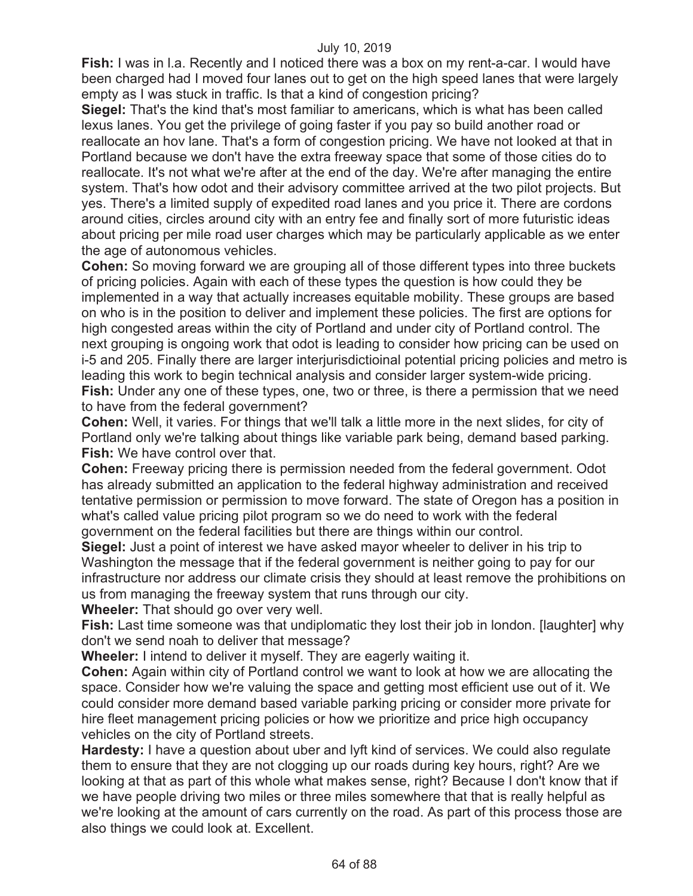**Fish:** I was in l.a. Recently and I noticed there was a box on my rent-a-car. I would have been charged had I moved four lanes out to get on the high speed lanes that were largely empty as I was stuck in traffic. Is that a kind of congestion pricing?

**Siegel:** That's the kind that's most familiar to americans, which is what has been called lexus lanes. You get the privilege of going faster if you pay so build another road or reallocate an hov lane. That's a form of congestion pricing. We have not looked at that in Portland because we don't have the extra freeway space that some of those cities do to reallocate. It's not what we're after at the end of the day. We're after managing the entire system. That's how odot and their advisory committee arrived at the two pilot projects. But yes. There's a limited supply of expedited road lanes and you price it. There are cordons around cities, circles around city with an entry fee and finally sort of more futuristic ideas about pricing per mile road user charges which may be particularly applicable as we enter the age of autonomous vehicles.

**Cohen:** So moving forward we are grouping all of those different types into three buckets of pricing policies. Again with each of these types the question is how could they be implemented in a way that actually increases equitable mobility. These groups are based on who is in the position to deliver and implement these policies. The first are options for high congested areas within the city of Portland and under city of Portland control. The next grouping is ongoing work that odot is leading to consider how pricing can be used on i-5 and 205. Finally there are larger interjurisdictioinal potential pricing policies and metro is leading this work to begin technical analysis and consider larger system-wide pricing. **Fish:** Under any one of these types, one, two or three, is there a permission that we need to have from the federal government?

**Cohen:** Well, it varies. For things that we'll talk a little more in the next slides, for city of Portland only we're talking about things like variable park being, demand based parking. **Fish:** We have control over that.

**Cohen:** Freeway pricing there is permission needed from the federal government. Odot has already submitted an application to the federal highway administration and received tentative permission or permission to move forward. The state of Oregon has a position in what's called value pricing pilot program so we do need to work with the federal government on the federal facilities but there are things within our control.

**Siegel:** Just a point of interest we have asked mayor wheeler to deliver in his trip to Washington the message that if the federal government is neither going to pay for our infrastructure nor address our climate crisis they should at least remove the prohibitions on us from managing the freeway system that runs through our city.

**Wheeler:** That should go over very well.

**Fish:** Last time someone was that undiplomatic they lost their job in london. [laughter] why don't we send noah to deliver that message?

**Wheeler:** I intend to deliver it myself. They are eagerly waiting it.

**Cohen:** Again within city of Portland control we want to look at how we are allocating the space. Consider how we're valuing the space and getting most efficient use out of it. We could consider more demand based variable parking pricing or consider more private for hire fleet management pricing policies or how we prioritize and price high occupancy vehicles on the city of Portland streets.

**Hardesty:** I have a question about uber and lyft kind of services. We could also regulate them to ensure that they are not clogging up our roads during key hours, right? Are we looking at that as part of this whole what makes sense, right? Because I don't know that if we have people driving two miles or three miles somewhere that that is really helpful as we're looking at the amount of cars currently on the road. As part of this process those are also things we could look at. Excellent.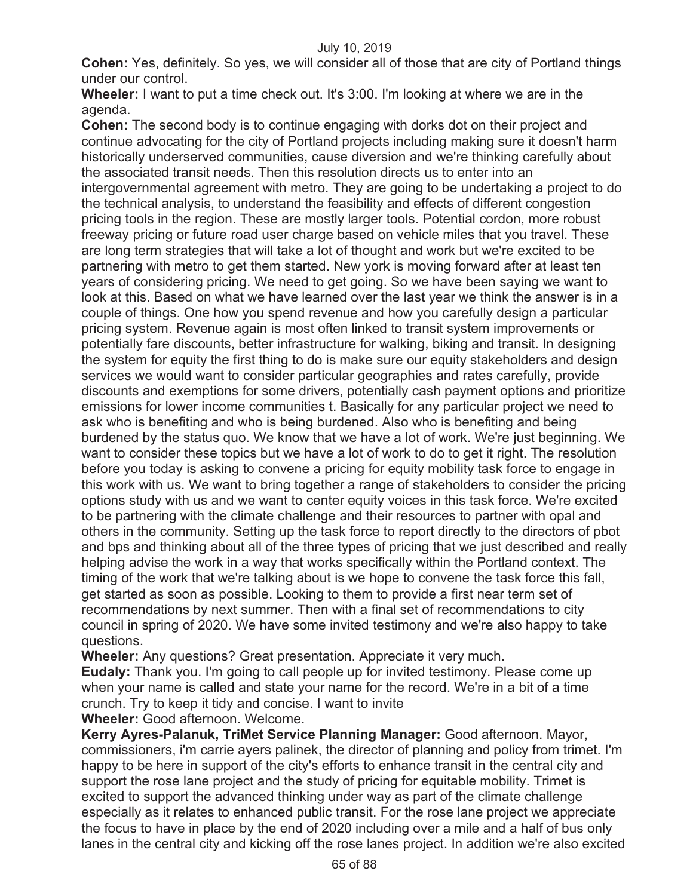**Cohen:** Yes, definitely. So yes, we will consider all of those that are city of Portland things under our control.

**Wheeler:** I want to put a time check out. It's 3:00. I'm looking at where we are in the agenda.

**Cohen:** The second body is to continue engaging with dorks dot on their project and continue advocating for the city of Portland projects including making sure it doesn't harm historically underserved communities, cause diversion and we're thinking carefully about the associated transit needs. Then this resolution directs us to enter into an intergovernmental agreement with metro. They are going to be undertaking a project to do the technical analysis, to understand the feasibility and effects of different congestion pricing tools in the region. These are mostly larger tools. Potential cordon, more robust freeway pricing or future road user charge based on vehicle miles that you travel. These are long term strategies that will take a lot of thought and work but we're excited to be partnering with metro to get them started. New york is moving forward after at least ten years of considering pricing. We need to get going. So we have been saying we want to look at this. Based on what we have learned over the last year we think the answer is in a couple of things. One how you spend revenue and how you carefully design a particular pricing system. Revenue again is most often linked to transit system improvements or potentially fare discounts, better infrastructure for walking, biking and transit. In designing the system for equity the first thing to do is make sure our equity stakeholders and design services we would want to consider particular geographies and rates carefully, provide discounts and exemptions for some drivers, potentially cash payment options and prioritize emissions for lower income communities t. Basically for any particular project we need to ask who is benefiting and who is being burdened. Also who is benefiting and being burdened by the status quo. We know that we have a lot of work. We're just beginning. We want to consider these topics but we have a lot of work to do to get it right. The resolution before you today is asking to convene a pricing for equity mobility task force to engage in this work with us. We want to bring together a range of stakeholders to consider the pricing options study with us and we want to center equity voices in this task force. We're excited to be partnering with the climate challenge and their resources to partner with opal and others in the community. Setting up the task force to report directly to the directors of pbot and bps and thinking about all of the three types of pricing that we just described and really helping advise the work in a way that works specifically within the Portland context. The timing of the work that we're talking about is we hope to convene the task force this fall, get started as soon as possible. Looking to them to provide a first near term set of recommendations by next summer. Then with a final set of recommendations to city council in spring of 2020. We have some invited testimony and we're also happy to take questions.

**Wheeler:** Any questions? Great presentation. Appreciate it very much.

**Eudaly:** Thank you. I'm going to call people up for invited testimony. Please come up when your name is called and state your name for the record. We're in a bit of a time crunch. Try to keep it tidy and concise. I want to invite

**Wheeler:** Good afternoon. Welcome.

**Kerry Ayres-Palanuk, TriMet Service Planning Manager:** Good afternoon. Mayor, commissioners, i'm carrie ayers palinek, the director of planning and policy from trimet. I'm happy to be here in support of the city's efforts to enhance transit in the central city and support the rose lane project and the study of pricing for equitable mobility. Trimet is excited to support the advanced thinking under way as part of the climate challenge especially as it relates to enhanced public transit. For the rose lane project we appreciate the focus to have in place by the end of 2020 including over a mile and a half of bus only lanes in the central city and kicking off the rose lanes project. In addition we're also excited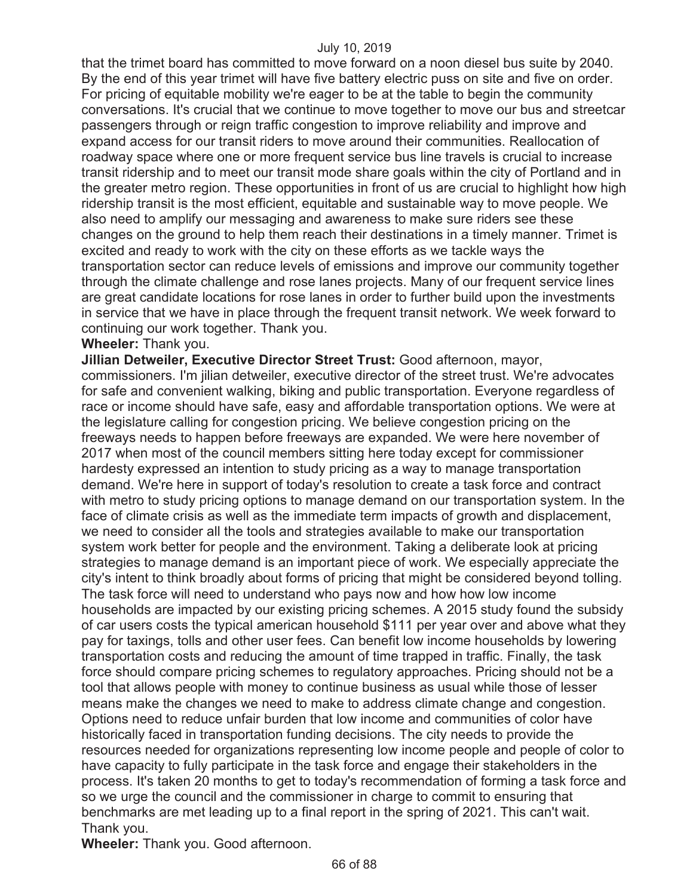that the trimet board has committed to move forward on a noon diesel bus suite by 2040. By the end of this year trimet will have five battery electric puss on site and five on order. For pricing of equitable mobility we're eager to be at the table to begin the community conversations. It's crucial that we continue to move together to move our bus and streetcar passengers through or reign traffic congestion to improve reliability and improve and expand access for our transit riders to move around their communities. Reallocation of roadway space where one or more frequent service bus line travels is crucial to increase transit ridership and to meet our transit mode share goals within the city of Portland and in the greater metro region. These opportunities in front of us are crucial to highlight how high ridership transit is the most efficient, equitable and sustainable way to move people. We also need to amplify our messaging and awareness to make sure riders see these changes on the ground to help them reach their destinations in a timely manner. Trimet is excited and ready to work with the city on these efforts as we tackle ways the transportation sector can reduce levels of emissions and improve our community together through the climate challenge and rose lanes projects. Many of our frequent service lines are great candidate locations for rose lanes in order to further build upon the investments in service that we have in place through the frequent transit network. We week forward to continuing our work together. Thank you.

## **Wheeler:** Thank you.

**Jillian Detweiler, Executive Director Street Trust:** Good afternoon, mayor, commissioners. I'm jilian detweiler, executive director of the street trust. We're advocates for safe and convenient walking, biking and public transportation. Everyone regardless of race or income should have safe, easy and affordable transportation options. We were at the legislature calling for congestion pricing. We believe congestion pricing on the freeways needs to happen before freeways are expanded. We were here november of 2017 when most of the council members sitting here today except for commissioner hardesty expressed an intention to study pricing as a way to manage transportation demand. We're here in support of today's resolution to create a task force and contract with metro to study pricing options to manage demand on our transportation system. In the face of climate crisis as well as the immediate term impacts of growth and displacement, we need to consider all the tools and strategies available to make our transportation system work better for people and the environment. Taking a deliberate look at pricing strategies to manage demand is an important piece of work. We especially appreciate the city's intent to think broadly about forms of pricing that might be considered beyond tolling. The task force will need to understand who pays now and how how low income households are impacted by our existing pricing schemes. A 2015 study found the subsidy of car users costs the typical american household \$111 per year over and above what they pay for taxings, tolls and other user fees. Can benefit low income households by lowering transportation costs and reducing the amount of time trapped in traffic. Finally, the task force should compare pricing schemes to regulatory approaches. Pricing should not be a tool that allows people with money to continue business as usual while those of lesser means make the changes we need to make to address climate change and congestion. Options need to reduce unfair burden that low income and communities of color have historically faced in transportation funding decisions. The city needs to provide the resources needed for organizations representing low income people and people of color to have capacity to fully participate in the task force and engage their stakeholders in the process. It's taken 20 months to get to today's recommendation of forming a task force and so we urge the council and the commissioner in charge to commit to ensuring that benchmarks are met leading up to a final report in the spring of 2021. This can't wait. Thank you.

**Wheeler:** Thank you. Good afternoon.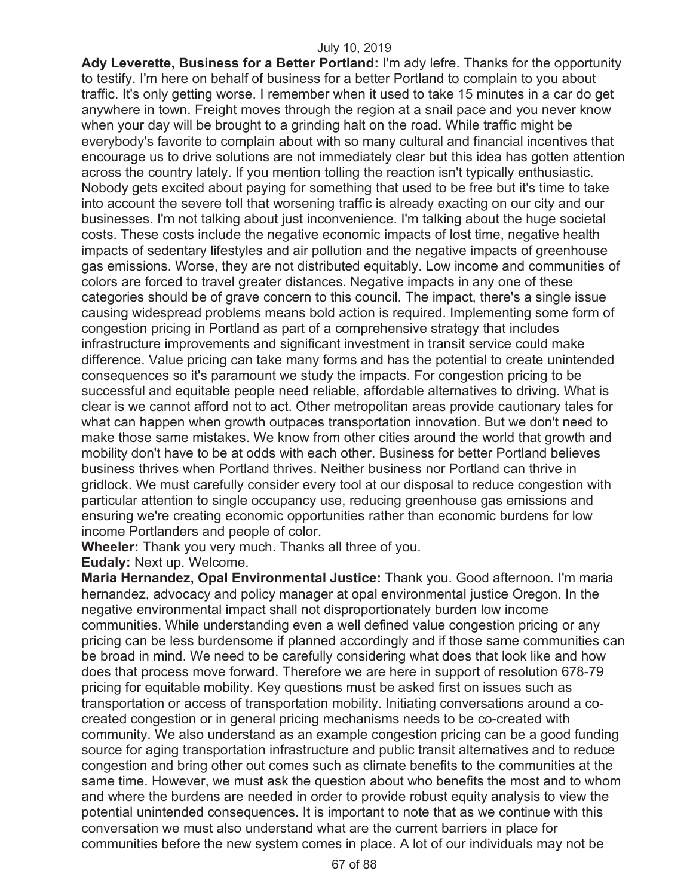**Ady Leverette, Business for a Better Portland:** I'm ady lefre. Thanks for the opportunity to testify. I'm here on behalf of business for a better Portland to complain to you about traffic. It's only getting worse. I remember when it used to take 15 minutes in a car do get anywhere in town. Freight moves through the region at a snail pace and you never know when your day will be brought to a grinding halt on the road. While traffic might be everybody's favorite to complain about with so many cultural and financial incentives that encourage us to drive solutions are not immediately clear but this idea has gotten attention across the country lately. If you mention tolling the reaction isn't typically enthusiastic. Nobody gets excited about paying for something that used to be free but it's time to take into account the severe toll that worsening traffic is already exacting on our city and our businesses. I'm not talking about just inconvenience. I'm talking about the huge societal costs. These costs include the negative economic impacts of lost time, negative health impacts of sedentary lifestyles and air pollution and the negative impacts of greenhouse gas emissions. Worse, they are not distributed equitably. Low income and communities of colors are forced to travel greater distances. Negative impacts in any one of these categories should be of grave concern to this council. The impact, there's a single issue causing widespread problems means bold action is required. Implementing some form of congestion pricing in Portland as part of a comprehensive strategy that includes infrastructure improvements and significant investment in transit service could make difference. Value pricing can take many forms and has the potential to create unintended consequences so it's paramount we study the impacts. For congestion pricing to be successful and equitable people need reliable, affordable alternatives to driving. What is clear is we cannot afford not to act. Other metropolitan areas provide cautionary tales for what can happen when growth outpaces transportation innovation. But we don't need to make those same mistakes. We know from other cities around the world that growth and mobility don't have to be at odds with each other. Business for better Portland believes business thrives when Portland thrives. Neither business nor Portland can thrive in gridlock. We must carefully consider every tool at our disposal to reduce congestion with particular attention to single occupancy use, reducing greenhouse gas emissions and ensuring we're creating economic opportunities rather than economic burdens for low income Portlanders and people of color.

**Wheeler:** Thank you very much. Thanks all three of you.

**Eudaly:** Next up. Welcome.

**Maria Hernandez, Opal Environmental Justice:** Thank you. Good afternoon. I'm maria hernandez, advocacy and policy manager at opal environmental justice Oregon. In the negative environmental impact shall not disproportionately burden low income communities. While understanding even a well defined value congestion pricing or any pricing can be less burdensome if planned accordingly and if those same communities can be broad in mind. We need to be carefully considering what does that look like and how does that process move forward. Therefore we are here in support of resolution 678-79 pricing for equitable mobility. Key questions must be asked first on issues such as transportation or access of transportation mobility. Initiating conversations around a cocreated congestion or in general pricing mechanisms needs to be co-created with community. We also understand as an example congestion pricing can be a good funding source for aging transportation infrastructure and public transit alternatives and to reduce congestion and bring other out comes such as climate benefits to the communities at the same time. However, we must ask the question about who benefits the most and to whom and where the burdens are needed in order to provide robust equity analysis to view the potential unintended consequences. It is important to note that as we continue with this conversation we must also understand what are the current barriers in place for communities before the new system comes in place. A lot of our individuals may not be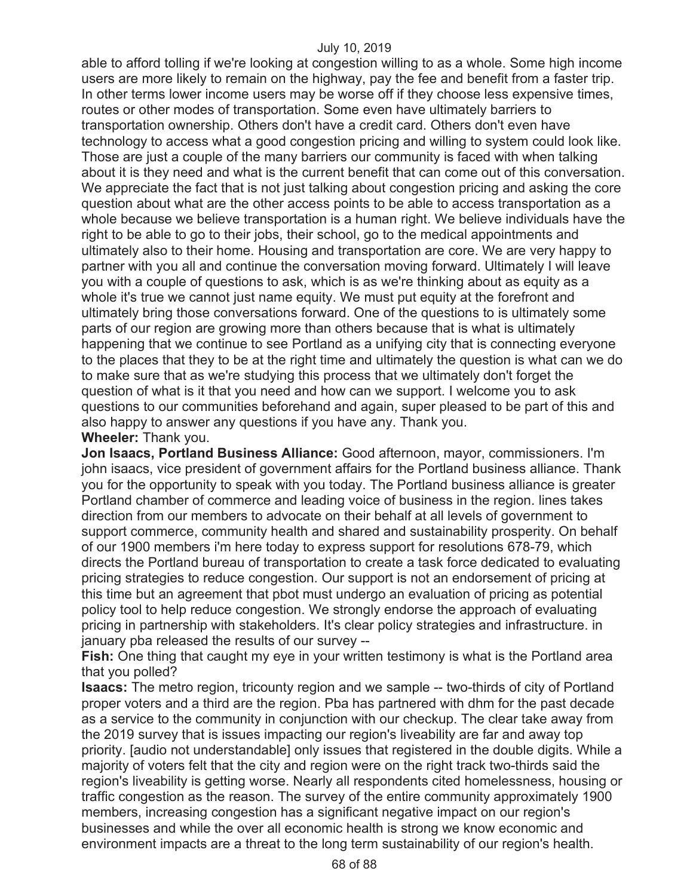able to afford tolling if we're looking at congestion willing to as a whole. Some high income users are more likely to remain on the highway, pay the fee and benefit from a faster trip. In other terms lower income users may be worse off if they choose less expensive times, routes or other modes of transportation. Some even have ultimately barriers to transportation ownership. Others don't have a credit card. Others don't even have technology to access what a good congestion pricing and willing to system could look like. Those are just a couple of the many barriers our community is faced with when talking about it is they need and what is the current benefit that can come out of this conversation. We appreciate the fact that is not just talking about congestion pricing and asking the core question about what are the other access points to be able to access transportation as a whole because we believe transportation is a human right. We believe individuals have the right to be able to go to their jobs, their school, go to the medical appointments and ultimately also to their home. Housing and transportation are core. We are very happy to partner with you all and continue the conversation moving forward. Ultimately I will leave you with a couple of questions to ask, which is as we're thinking about as equity as a whole it's true we cannot just name equity. We must put equity at the forefront and ultimately bring those conversations forward. One of the questions to is ultimately some parts of our region are growing more than others because that is what is ultimately happening that we continue to see Portland as a unifying city that is connecting everyone to the places that they to be at the right time and ultimately the question is what can we do to make sure that as we're studying this process that we ultimately don't forget the question of what is it that you need and how can we support. I welcome you to ask questions to our communities beforehand and again, super pleased to be part of this and also happy to answer any questions if you have any. Thank you. **Wheeler:** Thank you.

**Jon Isaacs, Portland Business Alliance:** Good afternoon, mayor, commissioners. I'm john isaacs, vice president of government affairs for the Portland business alliance. Thank you for the opportunity to speak with you today. The Portland business alliance is greater Portland chamber of commerce and leading voice of business in the region. lines takes direction from our members to advocate on their behalf at all levels of government to support commerce, community health and shared and sustainability prosperity. On behalf of our 1900 members i'm here today to express support for resolutions 678-79, which directs the Portland bureau of transportation to create a task force dedicated to evaluating pricing strategies to reduce congestion. Our support is not an endorsement of pricing at this time but an agreement that pbot must undergo an evaluation of pricing as potential policy tool to help reduce congestion. We strongly endorse the approach of evaluating pricing in partnership with stakeholders. It's clear policy strategies and infrastructure. in january pba released the results of our survey --

**Fish:** One thing that caught my eye in your written testimony is what is the Portland area that you polled?

**Isaacs:** The metro region, tricounty region and we sample -- two-thirds of city of Portland proper voters and a third are the region. Pba has partnered with dhm for the past decade as a service to the community in conjunction with our checkup. The clear take away from the 2019 survey that is issues impacting our region's liveability are far and away top priority. [audio not understandable] only issues that registered in the double digits. While a majority of voters felt that the city and region were on the right track two-thirds said the region's liveability is getting worse. Nearly all respondents cited homelessness, housing or traffic congestion as the reason. The survey of the entire community approximately 1900 members, increasing congestion has a significant negative impact on our region's businesses and while the over all economic health is strong we know economic and environment impacts are a threat to the long term sustainability of our region's health.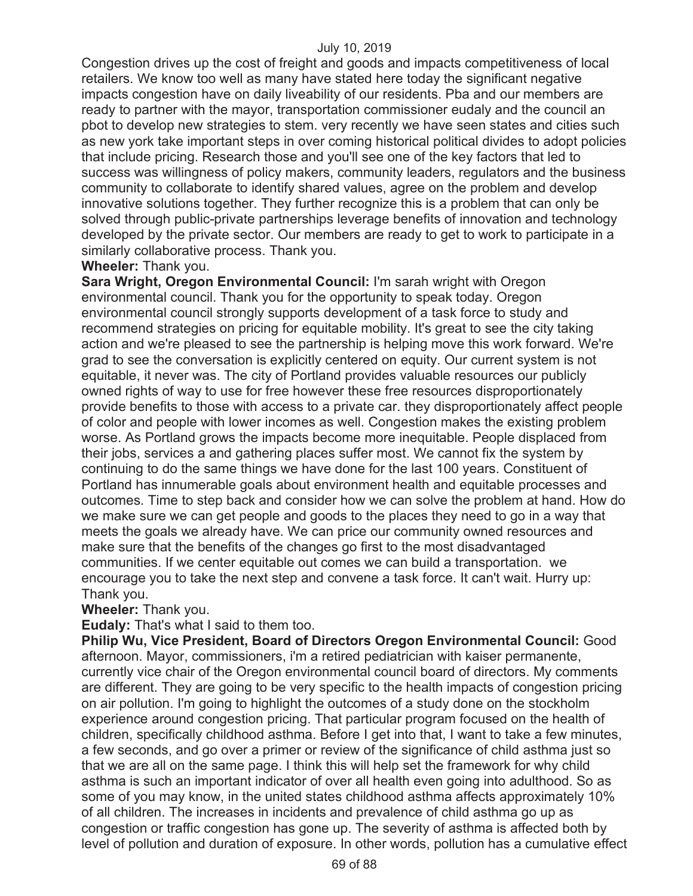Congestion drives up the cost of freight and goods and impacts competitiveness of local retailers. We know too well as many have stated here today the significant negative impacts congestion have on daily liveability of our residents. Pba and our members are ready to partner with the mayor, transportation commissioner eudaly and the council an pbot to develop new strategies to stem. very recently we have seen states and cities such as new york take important steps in over coming historical political divides to adopt policies that include pricing. Research those and you'll see one of the key factors that led to success was willingness of policy makers, community leaders, regulators and the business community to collaborate to identify shared values, agree on the problem and develop innovative solutions together. They further recognize this is a problem that can only be solved through public-private partnerships leverage benefits of innovation and technology developed by the private sector. Our members are ready to get to work to participate in a similarly collaborative process. Thank you.

# **Wheeler:** Thank you.

**Sara Wright, Oregon Environmental Council:** I'm sarah wright with Oregon environmental council. Thank you for the opportunity to speak today. Oregon environmental council strongly supports development of a task force to study and recommend strategies on pricing for equitable mobility. It's great to see the city taking action and we're pleased to see the partnership is helping move this work forward. We're grad to see the conversation is explicitly centered on equity. Our current system is not equitable, it never was. The city of Portland provides valuable resources our publicly owned rights of way to use for free however these free resources disproportionately provide benefits to those with access to a private car. they disproportionately affect people of color and people with lower incomes as well. Congestion makes the existing problem worse. As Portland grows the impacts become more inequitable. People displaced from their jobs, services a and gathering places suffer most. We cannot fix the system by continuing to do the same things we have done for the last 100 years. Constituent of Portland has innumerable goals about environment health and equitable processes and outcomes. Time to step back and consider how we can solve the problem at hand. How do we make sure we can get people and goods to the places they need to go in a way that meets the goals we already have. We can price our community owned resources and make sure that the benefits of the changes go first to the most disadvantaged communities. If we center equitable out comes we can build a transportation. we encourage you to take the next step and convene a task force. It can't wait. Hurry up: Thank you.

**Wheeler:** Thank you.

**Eudaly:** That's what I said to them too.

**Philip Wu, Vice President, Board of Directors Oregon Environmental Council:** Good afternoon. Mayor, commissioners, i'm a retired pediatrician with kaiser permanente, currently vice chair of the Oregon environmental council board of directors. My comments are different. They are going to be very specific to the health impacts of congestion pricing on air pollution. I'm going to highlight the outcomes of a study done on the stockholm experience around congestion pricing. That particular program focused on the health of children, specifically childhood asthma. Before I get into that, I want to take a few minutes, a few seconds, and go over a primer or review of the significance of child asthma just so that we are all on the same page. I think this will help set the framework for why child asthma is such an important indicator of over all health even going into adulthood. So as some of you may know, in the united states childhood asthma affects approximately 10% of all children. The increases in incidents and prevalence of child asthma go up as congestion or traffic congestion has gone up. The severity of asthma is affected both by level of pollution and duration of exposure. In other words, pollution has a cumulative effect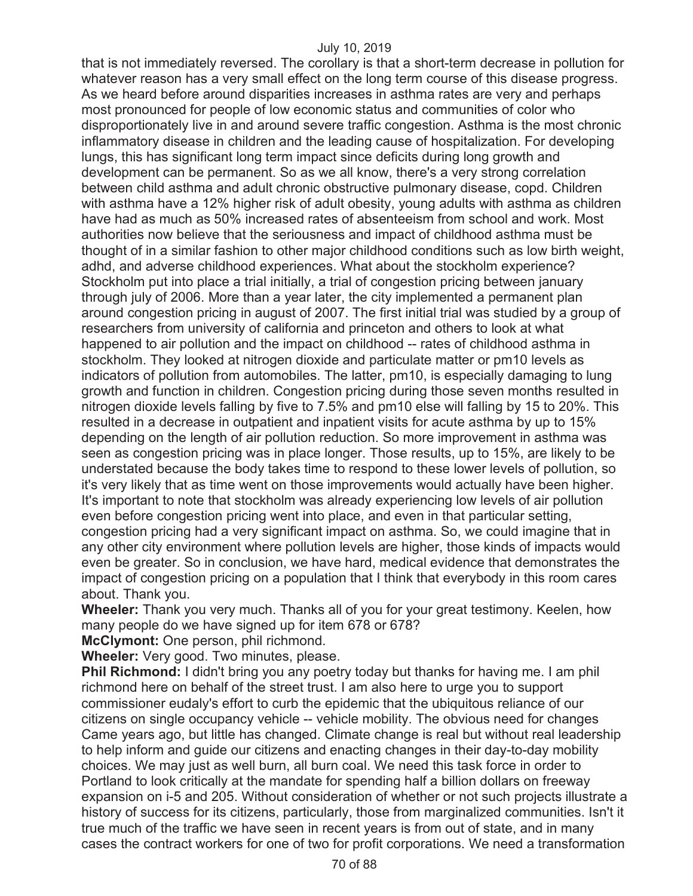that is not immediately reversed. The corollary is that a short-term decrease in pollution for whatever reason has a very small effect on the long term course of this disease progress. As we heard before around disparities increases in asthma rates are very and perhaps most pronounced for people of low economic status and communities of color who disproportionately live in and around severe traffic congestion. Asthma is the most chronic inflammatory disease in children and the leading cause of hospitalization. For developing lungs, this has significant long term impact since deficits during long growth and development can be permanent. So as we all know, there's a very strong correlation between child asthma and adult chronic obstructive pulmonary disease, copd. Children with asthma have a 12% higher risk of adult obesity, young adults with asthma as children have had as much as 50% increased rates of absenteeism from school and work. Most authorities now believe that the seriousness and impact of childhood asthma must be thought of in a similar fashion to other major childhood conditions such as low birth weight, adhd, and adverse childhood experiences. What about the stockholm experience? Stockholm put into place a trial initially, a trial of congestion pricing between january through july of 2006. More than a year later, the city implemented a permanent plan around congestion pricing in august of 2007. The first initial trial was studied by a group of researchers from university of california and princeton and others to look at what happened to air pollution and the impact on childhood -- rates of childhood asthma in stockholm. They looked at nitrogen dioxide and particulate matter or pm10 levels as indicators of pollution from automobiles. The latter, pm10, is especially damaging to lung growth and function in children. Congestion pricing during those seven months resulted in nitrogen dioxide levels falling by five to 7.5% and pm10 else will falling by 15 to 20%. This resulted in a decrease in outpatient and inpatient visits for acute asthma by up to 15% depending on the length of air pollution reduction. So more improvement in asthma was seen as congestion pricing was in place longer. Those results, up to 15%, are likely to be understated because the body takes time to respond to these lower levels of pollution, so it's very likely that as time went on those improvements would actually have been higher. It's important to note that stockholm was already experiencing low levels of air pollution even before congestion pricing went into place, and even in that particular setting, congestion pricing had a very significant impact on asthma. So, we could imagine that in any other city environment where pollution levels are higher, those kinds of impacts would even be greater. So in conclusion, we have hard, medical evidence that demonstrates the impact of congestion pricing on a population that I think that everybody in this room cares about. Thank you.

**Wheeler:** Thank you very much. Thanks all of you for your great testimony. Keelen, how many people do we have signed up for item 678 or 678?

**McClymont:** One person, phil richmond.

**Wheeler:** Very good. Two minutes, please.

**Phil Richmond:** I didn't bring you any poetry today but thanks for having me. I am phil richmond here on behalf of the street trust. I am also here to urge you to support commissioner eudaly's effort to curb the epidemic that the ubiquitous reliance of our citizens on single occupancy vehicle -- vehicle mobility. The obvious need for changes Came years ago, but little has changed. Climate change is real but without real leadership to help inform and guide our citizens and enacting changes in their day-to-day mobility choices. We may just as well burn, all burn coal. We need this task force in order to Portland to look critically at the mandate for spending half a billion dollars on freeway expansion on i-5 and 205. Without consideration of whether or not such projects illustrate a history of success for its citizens, particularly, those from marginalized communities. Isn't it true much of the traffic we have seen in recent years is from out of state, and in many cases the contract workers for one of two for profit corporations. We need a transformation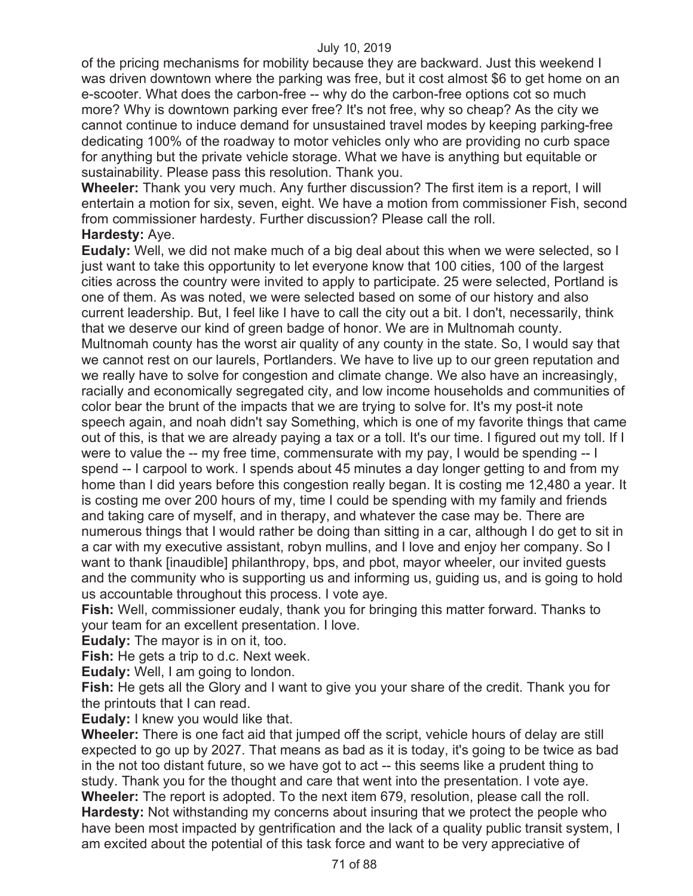of the pricing mechanisms for mobility because they are backward. Just this weekend I was driven downtown where the parking was free, but it cost almost \$6 to get home on an e-scooter. What does the carbon-free -- why do the carbon-free options cot so much more? Why is downtown parking ever free? It's not free, why so cheap? As the city we cannot continue to induce demand for unsustained travel modes by keeping parking-free dedicating 100% of the roadway to motor vehicles only who are providing no curb space for anything but the private vehicle storage. What we have is anything but equitable or sustainability. Please pass this resolution. Thank you.

**Wheeler:** Thank you very much. Any further discussion? The first item is a report, I will entertain a motion for six, seven, eight. We have a motion from commissioner Fish, second from commissioner hardesty. Further discussion? Please call the roll.

## **Hardesty:** Aye.

**Eudaly:** Well, we did not make much of a big deal about this when we were selected, so I just want to take this opportunity to let everyone know that 100 cities, 100 of the largest cities across the country were invited to apply to participate. 25 were selected, Portland is one of them. As was noted, we were selected based on some of our history and also current leadership. But, I feel like I have to call the city out a bit. I don't, necessarily, think that we deserve our kind of green badge of honor. We are in Multnomah county. Multnomah county has the worst air quality of any county in the state. So, I would say that we cannot rest on our laurels, Portlanders. We have to live up to our green reputation and we really have to solve for congestion and climate change. We also have an increasingly, racially and economically segregated city, and low income households and communities of color bear the brunt of the impacts that we are trying to solve for. It's my post-it note speech again, and noah didn't say Something, which is one of my favorite things that came out of this, is that we are already paying a tax or a toll. It's our time. I figured out my toll. If I were to value the -- my free time, commensurate with my pay, I would be spending -- I spend -- I carpool to work. I spends about 45 minutes a day longer getting to and from my home than I did years before this congestion really began. It is costing me 12,480 a year. It is costing me over 200 hours of my, time I could be spending with my family and friends and taking care of myself, and in therapy, and whatever the case may be. There are numerous things that I would rather be doing than sitting in a car, although I do get to sit in a car with my executive assistant, robyn mullins, and I love and enjoy her company. So I want to thank [inaudible] philanthropy, bps, and pbot, mayor wheeler, our invited guests and the community who is supporting us and informing us, guiding us, and is going to hold us accountable throughout this process. I vote aye.

**Fish:** Well, commissioner eudaly, thank you for bringing this matter forward. Thanks to your team for an excellent presentation. I love.

**Eudaly:** The mayor is in on it, too.

**Fish:** He gets a trip to d.c. Next week.

**Eudaly:** Well, I am going to london.

**Fish:** He gets all the Glory and I want to give you your share of the credit. Thank you for the printouts that I can read.

**Eudaly:** I knew you would like that.

**Wheeler:** There is one fact aid that jumped off the script, vehicle hours of delay are still expected to go up by 2027. That means as bad as it is today, it's going to be twice as bad in the not too distant future, so we have got to act -- this seems like a prudent thing to study. Thank you for the thought and care that went into the presentation. I vote aye. **Wheeler:** The report is adopted. To the next item 679, resolution, please call the roll. **Hardesty:** Not withstanding my concerns about insuring that we protect the people who have been most impacted by gentrification and the lack of a quality public transit system, I am excited about the potential of this task force and want to be very appreciative of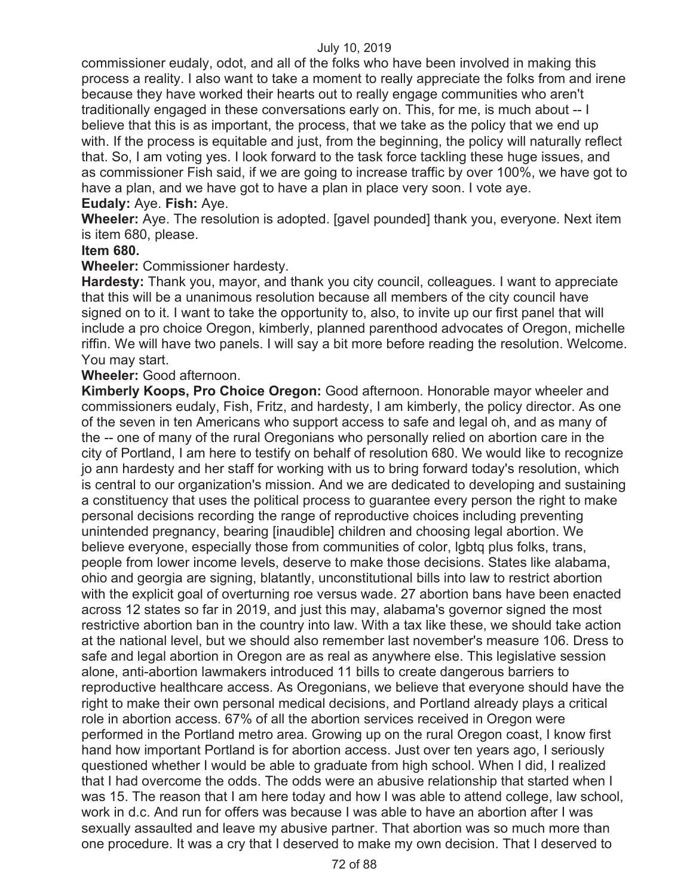commissioner eudaly, odot, and all of the folks who have been involved in making this process a reality. I also want to take a moment to really appreciate the folks from and irene because they have worked their hearts out to really engage communities who aren't traditionally engaged in these conversations early on. This, for me, is much about -- I believe that this is as important, the process, that we take as the policy that we end up with. If the process is equitable and just, from the beginning, the policy will naturally reflect that. So, I am voting yes. I look forward to the task force tackling these huge issues, and as commissioner Fish said, if we are going to increase traffic by over 100%, we have got to have a plan, and we have got to have a plan in place very soon. I vote aye. **Eudaly:** Aye. **Fish:** Aye.

**Wheeler:** Aye. The resolution is adopted. [gavel pounded] thank you, everyone. Next item is item 680, please.

## **Item 680.**

**Wheeler:** Commissioner hardesty.

**Hardesty:** Thank you, mayor, and thank you city council, colleagues. I want to appreciate that this will be a unanimous resolution because all members of the city council have signed on to it. I want to take the opportunity to, also, to invite up our first panel that will include a pro choice Oregon, kimberly, planned parenthood advocates of Oregon, michelle riffin. We will have two panels. I will say a bit more before reading the resolution. Welcome. You may start.

**Wheeler:** Good afternoon.

**Kimberly Koops, Pro Choice Oregon:** Good afternoon. Honorable mayor wheeler and commissioners eudaly, Fish, Fritz, and hardesty, I am kimberly, the policy director. As one of the seven in ten Americans who support access to safe and legal oh, and as many of the -- one of many of the rural Oregonians who personally relied on abortion care in the city of Portland, I am here to testify on behalf of resolution 680. We would like to recognize jo ann hardesty and her staff for working with us to bring forward today's resolution, which is central to our organization's mission. And we are dedicated to developing and sustaining a constituency that uses the political process to guarantee every person the right to make personal decisions recording the range of reproductive choices including preventing unintended pregnancy, bearing [inaudible] children and choosing legal abortion. We believe everyone, especially those from communities of color, lgbtq plus folks, trans, people from lower income levels, deserve to make those decisions. States like alabama, ohio and georgia are signing, blatantly, unconstitutional bills into law to restrict abortion with the explicit goal of overturning roe versus wade. 27 abortion bans have been enacted across 12 states so far in 2019, and just this may, alabama's governor signed the most restrictive abortion ban in the country into law. With a tax like these, we should take action at the national level, but we should also remember last november's measure 106. Dress to safe and legal abortion in Oregon are as real as anywhere else. This legislative session alone, anti-abortion lawmakers introduced 11 bills to create dangerous barriers to reproductive healthcare access. As Oregonians, we believe that everyone should have the right to make their own personal medical decisions, and Portland already plays a critical role in abortion access. 67% of all the abortion services received in Oregon were performed in the Portland metro area. Growing up on the rural Oregon coast, I know first hand how important Portland is for abortion access. Just over ten years ago, I seriously questioned whether I would be able to graduate from high school. When I did, I realized that I had overcome the odds. The odds were an abusive relationship that started when I was 15. The reason that I am here today and how I was able to attend college, law school, work in d.c. And run for offers was because I was able to have an abortion after I was sexually assaulted and leave my abusive partner. That abortion was so much more than one procedure. It was a cry that I deserved to make my own decision. That I deserved to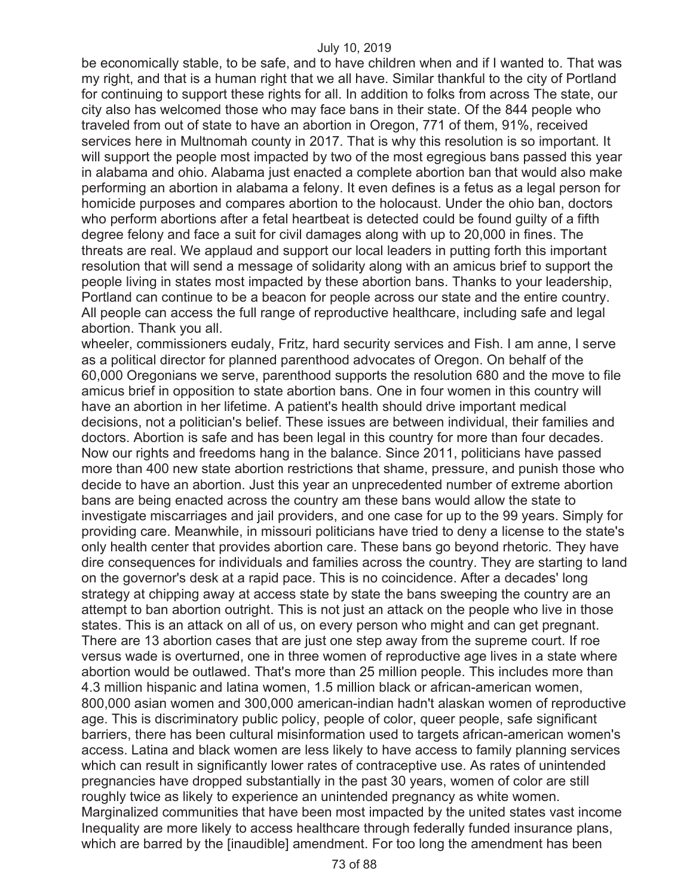be economically stable, to be safe, and to have children when and if I wanted to. That was my right, and that is a human right that we all have. Similar thankful to the city of Portland for continuing to support these rights for all. In addition to folks from across The state, our city also has welcomed those who may face bans in their state. Of the 844 people who traveled from out of state to have an abortion in Oregon, 771 of them, 91%, received services here in Multnomah county in 2017. That is why this resolution is so important. It will support the people most impacted by two of the most egregious bans passed this year in alabama and ohio. Alabama just enacted a complete abortion ban that would also make performing an abortion in alabama a felony. It even defines is a fetus as a legal person for homicide purposes and compares abortion to the holocaust. Under the ohio ban, doctors who perform abortions after a fetal heartbeat is detected could be found guilty of a fifth degree felony and face a suit for civil damages along with up to 20,000 in fines. The threats are real. We applaud and support our local leaders in putting forth this important resolution that will send a message of solidarity along with an amicus brief to support the people living in states most impacted by these abortion bans. Thanks to your leadership, Portland can continue to be a beacon for people across our state and the entire country. All people can access the full range of reproductive healthcare, including safe and legal abortion. Thank you all.

wheeler, commissioners eudaly, Fritz, hard security services and Fish. I am anne, I serve as a political director for planned parenthood advocates of Oregon. On behalf of the 60,000 Oregonians we serve, parenthood supports the resolution 680 and the move to file amicus brief in opposition to state abortion bans. One in four women in this country will have an abortion in her lifetime. A patient's health should drive important medical decisions, not a politician's belief. These issues are between individual, their families and doctors. Abortion is safe and has been legal in this country for more than four decades. Now our rights and freedoms hang in the balance. Since 2011, politicians have passed more than 400 new state abortion restrictions that shame, pressure, and punish those who decide to have an abortion. Just this year an unprecedented number of extreme abortion bans are being enacted across the country am these bans would allow the state to investigate miscarriages and jail providers, and one case for up to the 99 years. Simply for providing care. Meanwhile, in missouri politicians have tried to deny a license to the state's only health center that provides abortion care. These bans go beyond rhetoric. They have dire consequences for individuals and families across the country. They are starting to land on the governor's desk at a rapid pace. This is no coincidence. After a decades' long strategy at chipping away at access state by state the bans sweeping the country are an attempt to ban abortion outright. This is not just an attack on the people who live in those states. This is an attack on all of us, on every person who might and can get pregnant. There are 13 abortion cases that are just one step away from the supreme court. If roe versus wade is overturned, one in three women of reproductive age lives in a state where abortion would be outlawed. That's more than 25 million people. This includes more than 4.3 million hispanic and latina women, 1.5 million black or african-american women, 800,000 asian women and 300,000 american-indian hadn't alaskan women of reproductive age. This is discriminatory public policy, people of color, queer people, safe significant barriers, there has been cultural misinformation used to targets african-american women's access. Latina and black women are less likely to have access to family planning services which can result in significantly lower rates of contraceptive use. As rates of unintended pregnancies have dropped substantially in the past 30 years, women of color are still roughly twice as likely to experience an unintended pregnancy as white women. Marginalized communities that have been most impacted by the united states vast income Inequality are more likely to access healthcare through federally funded insurance plans, which are barred by the [inaudible] amendment. For too long the amendment has been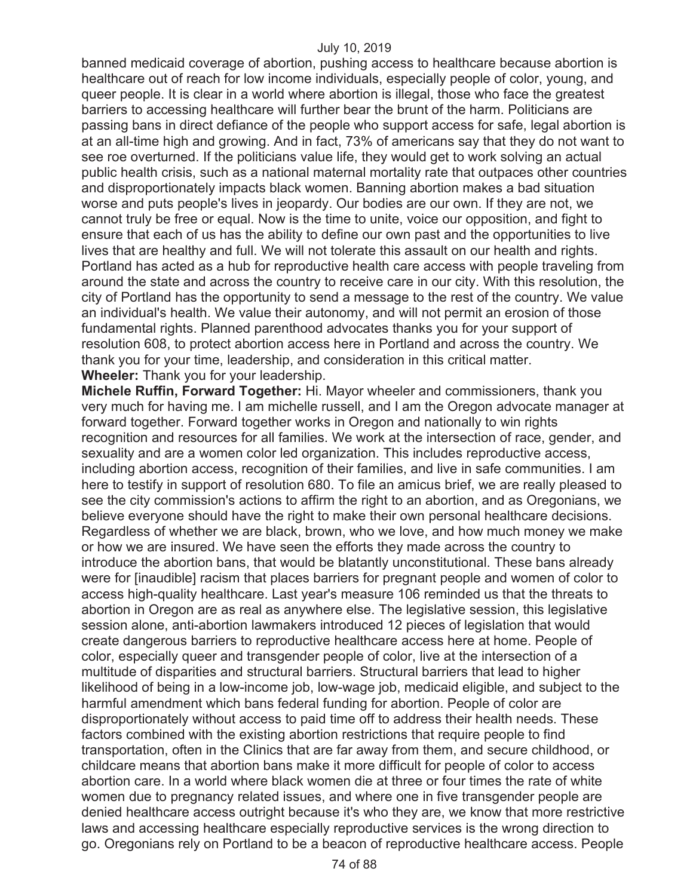banned medicaid coverage of abortion, pushing access to healthcare because abortion is healthcare out of reach for low income individuals, especially people of color, young, and queer people. It is clear in a world where abortion is illegal, those who face the greatest barriers to accessing healthcare will further bear the brunt of the harm. Politicians are passing bans in direct defiance of the people who support access for safe, legal abortion is at an all-time high and growing. And in fact, 73% of americans say that they do not want to see roe overturned. If the politicians value life, they would get to work solving an actual public health crisis, such as a national maternal mortality rate that outpaces other countries and disproportionately impacts black women. Banning abortion makes a bad situation worse and puts people's lives in jeopardy. Our bodies are our own. If they are not, we cannot truly be free or equal. Now is the time to unite, voice our opposition, and fight to ensure that each of us has the ability to define our own past and the opportunities to live lives that are healthy and full. We will not tolerate this assault on our health and rights. Portland has acted as a hub for reproductive health care access with people traveling from around the state and across the country to receive care in our city. With this resolution, the city of Portland has the opportunity to send a message to the rest of the country. We value an individual's health. We value their autonomy, and will not permit an erosion of those fundamental rights. Planned parenthood advocates thanks you for your support of resolution 608, to protect abortion access here in Portland and across the country. We thank you for your time, leadership, and consideration in this critical matter. **Wheeler:** Thank you for your leadership.

**Michele Ruffin, Forward Together:** Hi. Mayor wheeler and commissioners, thank you very much for having me. I am michelle russell, and I am the Oregon advocate manager at forward together. Forward together works in Oregon and nationally to win rights recognition and resources for all families. We work at the intersection of race, gender, and sexuality and are a women color led organization. This includes reproductive access, including abortion access, recognition of their families, and live in safe communities. I am here to testify in support of resolution 680. To file an amicus brief, we are really pleased to see the city commission's actions to affirm the right to an abortion, and as Oregonians, we believe everyone should have the right to make their own personal healthcare decisions. Regardless of whether we are black, brown, who we love, and how much money we make or how we are insured. We have seen the efforts they made across the country to introduce the abortion bans, that would be blatantly unconstitutional. These bans already were for [inaudible] racism that places barriers for pregnant people and women of color to access high-quality healthcare. Last year's measure 106 reminded us that the threats to abortion in Oregon are as real as anywhere else. The legislative session, this legislative session alone, anti-abortion lawmakers introduced 12 pieces of legislation that would create dangerous barriers to reproductive healthcare access here at home. People of color, especially queer and transgender people of color, live at the intersection of a multitude of disparities and structural barriers. Structural barriers that lead to higher likelihood of being in a low-income job, low-wage job, medicaid eligible, and subject to the harmful amendment which bans federal funding for abortion. People of color are disproportionately without access to paid time off to address their health needs. These factors combined with the existing abortion restrictions that require people to find transportation, often in the Clinics that are far away from them, and secure childhood, or childcare means that abortion bans make it more difficult for people of color to access abortion care. In a world where black women die at three or four times the rate of white women due to pregnancy related issues, and where one in five transgender people are denied healthcare access outright because it's who they are, we know that more restrictive laws and accessing healthcare especially reproductive services is the wrong direction to go. Oregonians rely on Portland to be a beacon of reproductive healthcare access. People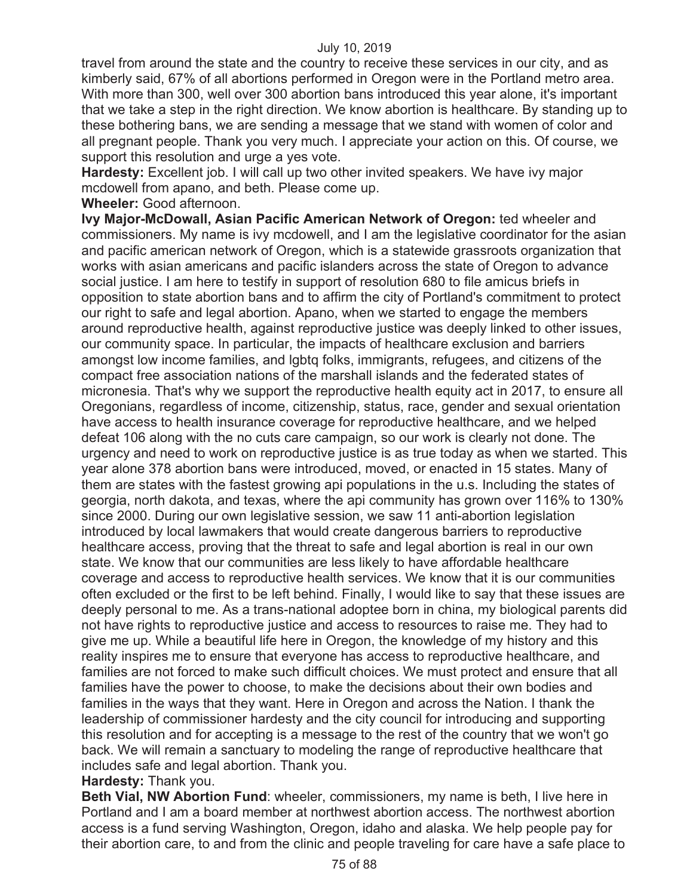travel from around the state and the country to receive these services in our city, and as kimberly said, 67% of all abortions performed in Oregon were in the Portland metro area. With more than 300, well over 300 abortion bans introduced this year alone, it's important that we take a step in the right direction. We know abortion is healthcare. By standing up to these bothering bans, we are sending a message that we stand with women of color and all pregnant people. Thank you very much. I appreciate your action on this. Of course, we support this resolution and urge a yes vote.

**Hardesty:** Excellent job. I will call up two other invited speakers. We have ivy major mcdowell from apano, and beth. Please come up.

**Wheeler:** Good afternoon.

**Ivy Major-McDowall, Asian Pacific American Network of Oregon:** ted wheeler and commissioners. My name is ivy mcdowell, and I am the legislative coordinator for the asian and pacific american network of Oregon, which is a statewide grassroots organization that works with asian americans and pacific islanders across the state of Oregon to advance social justice. I am here to testify in support of resolution 680 to file amicus briefs in opposition to state abortion bans and to affirm the city of Portland's commitment to protect our right to safe and legal abortion. Apano, when we started to engage the members around reproductive health, against reproductive justice was deeply linked to other issues, our community space. In particular, the impacts of healthcare exclusion and barriers amongst low income families, and lgbtq folks, immigrants, refugees, and citizens of the compact free association nations of the marshall islands and the federated states of micronesia. That's why we support the reproductive health equity act in 2017, to ensure all Oregonians, regardless of income, citizenship, status, race, gender and sexual orientation have access to health insurance coverage for reproductive healthcare, and we helped defeat 106 along with the no cuts care campaign, so our work is clearly not done. The urgency and need to work on reproductive justice is as true today as when we started. This year alone 378 abortion bans were introduced, moved, or enacted in 15 states. Many of them are states with the fastest growing api populations in the u.s. Including the states of georgia, north dakota, and texas, where the api community has grown over 116% to 130% since 2000. During our own legislative session, we saw 11 anti-abortion legislation introduced by local lawmakers that would create dangerous barriers to reproductive healthcare access, proving that the threat to safe and legal abortion is real in our own state. We know that our communities are less likely to have affordable healthcare coverage and access to reproductive health services. We know that it is our communities often excluded or the first to be left behind. Finally, I would like to say that these issues are deeply personal to me. As a trans-national adoptee born in china, my biological parents did not have rights to reproductive justice and access to resources to raise me. They had to give me up. While a beautiful life here in Oregon, the knowledge of my history and this reality inspires me to ensure that everyone has access to reproductive healthcare, and families are not forced to make such difficult choices. We must protect and ensure that all families have the power to choose, to make the decisions about their own bodies and families in the ways that they want. Here in Oregon and across the Nation. I thank the leadership of commissioner hardesty and the city council for introducing and supporting this resolution and for accepting is a message to the rest of the country that we won't go back. We will remain a sanctuary to modeling the range of reproductive healthcare that includes safe and legal abortion. Thank you.

# **Hardesty:** Thank you.

**Beth Vial, NW Abortion Fund**: wheeler, commissioners, my name is beth, I live here in Portland and I am a board member at northwest abortion access. The northwest abortion access is a fund serving Washington, Oregon, idaho and alaska. We help people pay for their abortion care, to and from the clinic and people traveling for care have a safe place to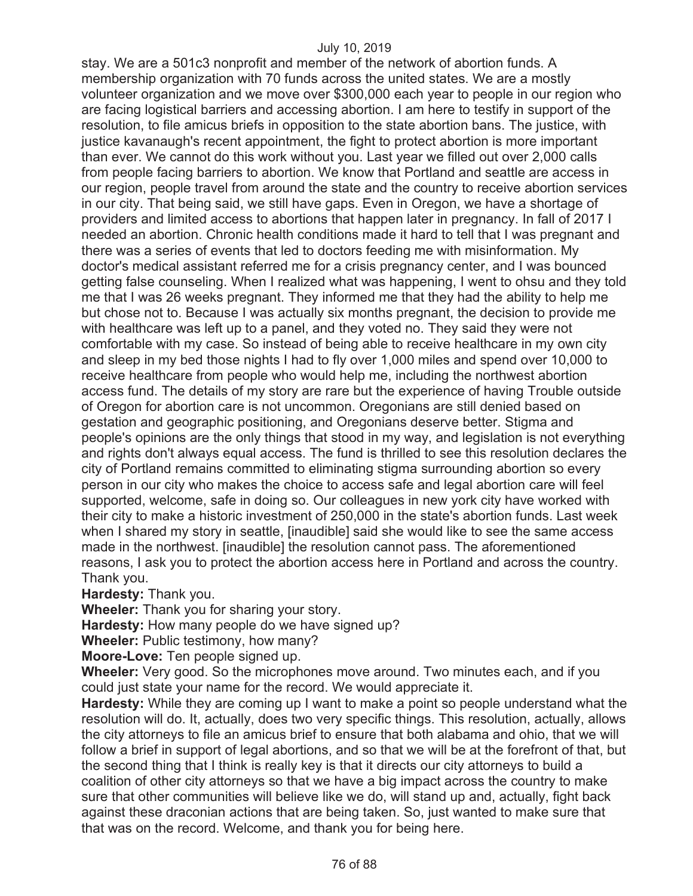stay. We are a 501c3 nonprofit and member of the network of abortion funds. A membership organization with 70 funds across the united states. We are a mostly volunteer organization and we move over \$300,000 each year to people in our region who are facing logistical barriers and accessing abortion. I am here to testify in support of the resolution, to file amicus briefs in opposition to the state abortion bans. The justice, with justice kavanaugh's recent appointment, the fight to protect abortion is more important than ever. We cannot do this work without you. Last year we filled out over 2,000 calls from people facing barriers to abortion. We know that Portland and seattle are access in our region, people travel from around the state and the country to receive abortion services in our city. That being said, we still have gaps. Even in Oregon, we have a shortage of providers and limited access to abortions that happen later in pregnancy. In fall of 2017 I needed an abortion. Chronic health conditions made it hard to tell that I was pregnant and there was a series of events that led to doctors feeding me with misinformation. My doctor's medical assistant referred me for a crisis pregnancy center, and I was bounced getting false counseling. When I realized what was happening, I went to ohsu and they told me that I was 26 weeks pregnant. They informed me that they had the ability to help me but chose not to. Because I was actually six months pregnant, the decision to provide me with healthcare was left up to a panel, and they voted no. They said they were not comfortable with my case. So instead of being able to receive healthcare in my own city and sleep in my bed those nights I had to fly over 1,000 miles and spend over 10,000 to receive healthcare from people who would help me, including the northwest abortion access fund. The details of my story are rare but the experience of having Trouble outside of Oregon for abortion care is not uncommon. Oregonians are still denied based on gestation and geographic positioning, and Oregonians deserve better. Stigma and people's opinions are the only things that stood in my way, and legislation is not everything and rights don't always equal access. The fund is thrilled to see this resolution declares the city of Portland remains committed to eliminating stigma surrounding abortion so every person in our city who makes the choice to access safe and legal abortion care will feel supported, welcome, safe in doing so. Our colleagues in new york city have worked with their city to make a historic investment of 250,000 in the state's abortion funds. Last week when I shared my story in seattle, [inaudible] said she would like to see the same access made in the northwest. [inaudible] the resolution cannot pass. The aforementioned reasons, I ask you to protect the abortion access here in Portland and across the country. Thank you.

**Hardesty:** Thank you.

**Wheeler:** Thank you for sharing your story.

**Hardesty:** How many people do we have signed up?

**Wheeler:** Public testimony, how many?

**Moore-Love:** Ten people signed up.

**Wheeler:** Very good. So the microphones move around. Two minutes each, and if you could just state your name for the record. We would appreciate it.

**Hardesty:** While they are coming up I want to make a point so people understand what the resolution will do. It, actually, does two very specific things. This resolution, actually, allows the city attorneys to file an amicus brief to ensure that both alabama and ohio, that we will follow a brief in support of legal abortions, and so that we will be at the forefront of that, but the second thing that I think is really key is that it directs our city attorneys to build a coalition of other city attorneys so that we have a big impact across the country to make sure that other communities will believe like we do, will stand up and, actually, fight back against these draconian actions that are being taken. So, just wanted to make sure that that was on the record. Welcome, and thank you for being here.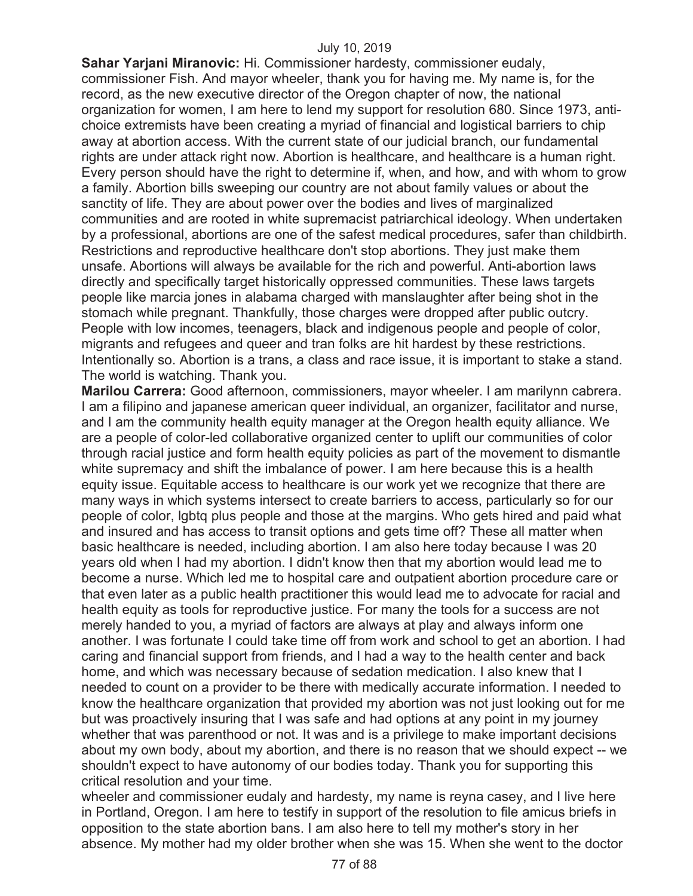**Sahar Yarjani Miranovic:** Hi. Commissioner hardesty, commissioner eudaly, commissioner Fish. And mayor wheeler, thank you for having me. My name is, for the record, as the new executive director of the Oregon chapter of now, the national organization for women, I am here to lend my support for resolution 680. Since 1973, antichoice extremists have been creating a myriad of financial and logistical barriers to chip away at abortion access. With the current state of our judicial branch, our fundamental rights are under attack right now. Abortion is healthcare, and healthcare is a human right. Every person should have the right to determine if, when, and how, and with whom to grow a family. Abortion bills sweeping our country are not about family values or about the sanctity of life. They are about power over the bodies and lives of marginalized communities and are rooted in white supremacist patriarchical ideology. When undertaken by a professional, abortions are one of the safest medical procedures, safer than childbirth. Restrictions and reproductive healthcare don't stop abortions. They just make them unsafe. Abortions will always be available for the rich and powerful. Anti-abortion laws directly and specifically target historically oppressed communities. These laws targets people like marcia jones in alabama charged with manslaughter after being shot in the stomach while pregnant. Thankfully, those charges were dropped after public outcry. People with low incomes, teenagers, black and indigenous people and people of color, migrants and refugees and queer and tran folks are hit hardest by these restrictions. Intentionally so. Abortion is a trans, a class and race issue, it is important to stake a stand. The world is watching. Thank you.

**Marilou Carrera:** Good afternoon, commissioners, mayor wheeler. I am marilynn cabrera. I am a filipino and japanese american queer individual, an organizer, facilitator and nurse, and I am the community health equity manager at the Oregon health equity alliance. We are a people of color-led collaborative organized center to uplift our communities of color through racial justice and form health equity policies as part of the movement to dismantle white supremacy and shift the imbalance of power. I am here because this is a health equity issue. Equitable access to healthcare is our work yet we recognize that there are many ways in which systems intersect to create barriers to access, particularly so for our people of color, lgbtq plus people and those at the margins. Who gets hired and paid what and insured and has access to transit options and gets time off? These all matter when basic healthcare is needed, including abortion. I am also here today because I was 20 years old when I had my abortion. I didn't know then that my abortion would lead me to become a nurse. Which led me to hospital care and outpatient abortion procedure care or that even later as a public health practitioner this would lead me to advocate for racial and health equity as tools for reproductive justice. For many the tools for a success are not merely handed to you, a myriad of factors are always at play and always inform one another. I was fortunate I could take time off from work and school to get an abortion. I had caring and financial support from friends, and I had a way to the health center and back home, and which was necessary because of sedation medication. I also knew that I needed to count on a provider to be there with medically accurate information. I needed to know the healthcare organization that provided my abortion was not just looking out for me but was proactively insuring that I was safe and had options at any point in my journey whether that was parenthood or not. It was and is a privilege to make important decisions about my own body, about my abortion, and there is no reason that we should expect -- we shouldn't expect to have autonomy of our bodies today. Thank you for supporting this critical resolution and your time.

wheeler and commissioner eudaly and hardesty, my name is reyna casey, and I live here in Portland, Oregon. I am here to testify in support of the resolution to file amicus briefs in opposition to the state abortion bans. I am also here to tell my mother's story in her absence. My mother had my older brother when she was 15. When she went to the doctor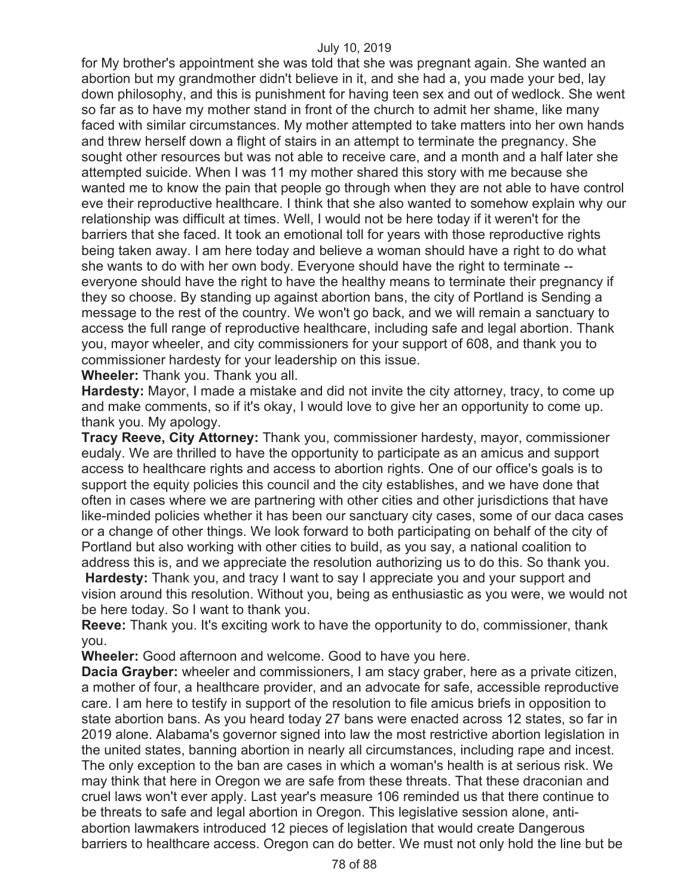for My brother's appointment she was told that she was pregnant again. She wanted an abortion but my grandmother didn't believe in it, and she had a, you made your bed, lay down philosophy, and this is punishment for having teen sex and out of wedlock. She went so far as to have my mother stand in front of the church to admit her shame, like many faced with similar circumstances. My mother attempted to take matters into her own hands and threw herself down a flight of stairs in an attempt to terminate the pregnancy. She sought other resources but was not able to receive care, and a month and a half later she attempted suicide. When I was 11 my mother shared this story with me because she wanted me to know the pain that people go through when they are not able to have control eve their reproductive healthcare. I think that she also wanted to somehow explain why our relationship was difficult at times. Well, I would not be here today if it weren't for the barriers that she faced. It took an emotional toll for years with those reproductive rights being taken away. I am here today and believe a woman should have a right to do what she wants to do with her own body. Everyone should have the right to terminate - everyone should have the right to have the healthy means to terminate their pregnancy if they so choose. By standing up against abortion bans, the city of Portland is Sending a message to the rest of the country. We won't go back, and we will remain a sanctuary to access the full range of reproductive healthcare, including safe and legal abortion. Thank you, mayor wheeler, and city commissioners for your support of 608, and thank you to commissioner hardesty for your leadership on this issue.

**Wheeler:** Thank you. Thank you all.

**Hardesty:** Mayor, I made a mistake and did not invite the city attorney, tracy, to come up and make comments, so if it's okay, I would love to give her an opportunity to come up. thank you. My apology.

**Tracy Reeve, City Attorney:** Thank you, commissioner hardesty, mayor, commissioner eudaly. We are thrilled to have the opportunity to participate as an amicus and support access to healthcare rights and access to abortion rights. One of our office's goals is to support the equity policies this council and the city establishes, and we have done that often in cases where we are partnering with other cities and other jurisdictions that have like-minded policies whether it has been our sanctuary city cases, some of our daca cases or a change of other things. We look forward to both participating on behalf of the city of Portland but also working with other cities to build, as you say, a national coalition to address this is, and we appreciate the resolution authorizing us to do this. So thank you. **Hardesty:** Thank you, and tracy I want to say I appreciate you and your support and

vision around this resolution. Without you, being as enthusiastic as you were, we would not be here today. So I want to thank you.

**Reeve:** Thank you. It's exciting work to have the opportunity to do, commissioner, thank you.

**Wheeler:** Good afternoon and welcome. Good to have you here.

**Dacia Grayber:** wheeler and commissioners, I am stacy graber, here as a private citizen, a mother of four, a healthcare provider, and an advocate for safe, accessible reproductive care. I am here to testify in support of the resolution to file amicus briefs in opposition to state abortion bans. As you heard today 27 bans were enacted across 12 states, so far in 2019 alone. Alabama's governor signed into law the most restrictive abortion legislation in the united states, banning abortion in nearly all circumstances, including rape and incest. The only exception to the ban are cases in which a woman's health is at serious risk. We may think that here in Oregon we are safe from these threats. That these draconian and cruel laws won't ever apply. Last year's measure 106 reminded us that there continue to be threats to safe and legal abortion in Oregon. This legislative session alone, antiabortion lawmakers introduced 12 pieces of legislation that would create Dangerous barriers to healthcare access. Oregon can do better. We must not only hold the line but be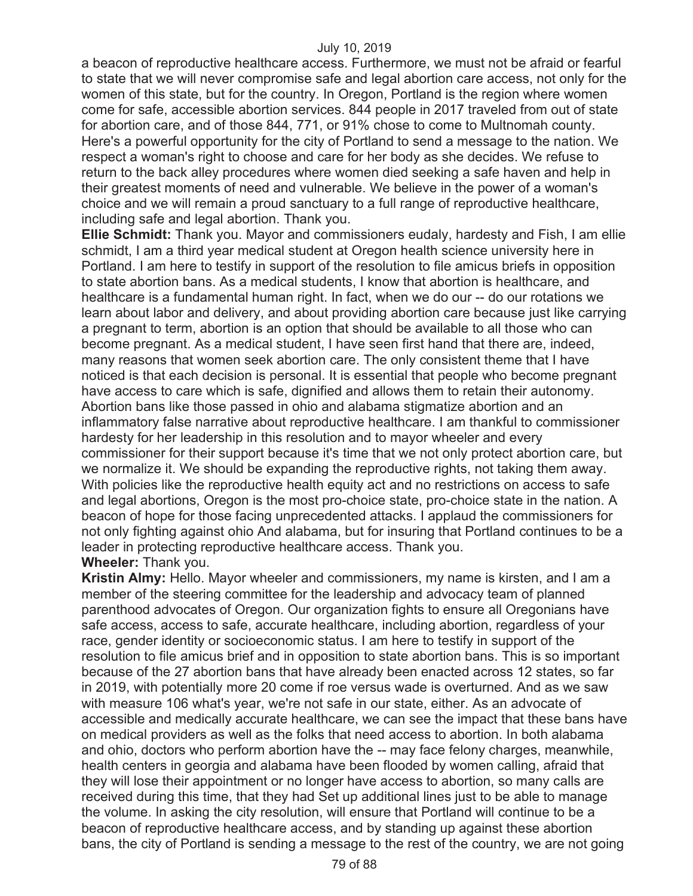a beacon of reproductive healthcare access. Furthermore, we must not be afraid or fearful to state that we will never compromise safe and legal abortion care access, not only for the women of this state, but for the country. In Oregon, Portland is the region where women come for safe, accessible abortion services. 844 people in 2017 traveled from out of state for abortion care, and of those 844, 771, or 91% chose to come to Multnomah county. Here's a powerful opportunity for the city of Portland to send a message to the nation. We respect a woman's right to choose and care for her body as she decides. We refuse to return to the back alley procedures where women died seeking a safe haven and help in their greatest moments of need and vulnerable. We believe in the power of a woman's choice and we will remain a proud sanctuary to a full range of reproductive healthcare, including safe and legal abortion. Thank you.

**Ellie Schmidt:** Thank you. Mayor and commissioners eudaly, hardesty and Fish, I am ellie schmidt, I am a third year medical student at Oregon health science university here in Portland. I am here to testify in support of the resolution to file amicus briefs in opposition to state abortion bans. As a medical students, I know that abortion is healthcare, and healthcare is a fundamental human right. In fact, when we do our -- do our rotations we learn about labor and delivery, and about providing abortion care because just like carrying a pregnant to term, abortion is an option that should be available to all those who can become pregnant. As a medical student, I have seen first hand that there are, indeed, many reasons that women seek abortion care. The only consistent theme that I have noticed is that each decision is personal. It is essential that people who become pregnant have access to care which is safe, dignified and allows them to retain their autonomy. Abortion bans like those passed in ohio and alabama stigmatize abortion and an inflammatory false narrative about reproductive healthcare. I am thankful to commissioner hardesty for her leadership in this resolution and to mayor wheeler and every commissioner for their support because it's time that we not only protect abortion care, but we normalize it. We should be expanding the reproductive rights, not taking them away. With policies like the reproductive health equity act and no restrictions on access to safe and legal abortions, Oregon is the most pro-choice state, pro-choice state in the nation. A beacon of hope for those facing unprecedented attacks. I applaud the commissioners for not only fighting against ohio And alabama, but for insuring that Portland continues to be a leader in protecting reproductive healthcare access. Thank you. **Wheeler:** Thank you.

**Kristin Almy:** Hello. Mayor wheeler and commissioners, my name is kirsten, and I am a member of the steering committee for the leadership and advocacy team of planned parenthood advocates of Oregon. Our organization fights to ensure all Oregonians have safe access, access to safe, accurate healthcare, including abortion, regardless of your race, gender identity or socioeconomic status. I am here to testify in support of the resolution to file amicus brief and in opposition to state abortion bans. This is so important because of the 27 abortion bans that have already been enacted across 12 states, so far in 2019, with potentially more 20 come if roe versus wade is overturned. And as we saw with measure 106 what's year, we're not safe in our state, either. As an advocate of accessible and medically accurate healthcare, we can see the impact that these bans have on medical providers as well as the folks that need access to abortion. In both alabama and ohio, doctors who perform abortion have the -- may face felony charges, meanwhile, health centers in georgia and alabama have been flooded by women calling, afraid that they will lose their appointment or no longer have access to abortion, so many calls are received during this time, that they had Set up additional lines just to be able to manage the volume. In asking the city resolution, will ensure that Portland will continue to be a beacon of reproductive healthcare access, and by standing up against these abortion bans, the city of Portland is sending a message to the rest of the country, we are not going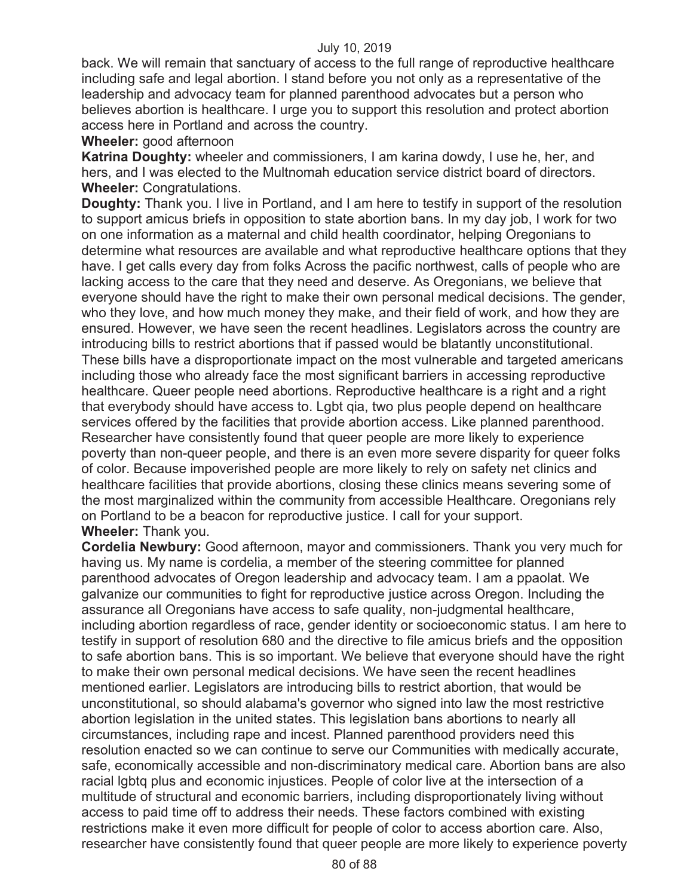back. We will remain that sanctuary of access to the full range of reproductive healthcare including safe and legal abortion. I stand before you not only as a representative of the leadership and advocacy team for planned parenthood advocates but a person who believes abortion is healthcare. I urge you to support this resolution and protect abortion access here in Portland and across the country.

### **Wheeler:** good afternoon

**Katrina Doughty:** wheeler and commissioners, I am karina dowdy, I use he, her, and hers, and I was elected to the Multnomah education service district board of directors. **Wheeler:** Congratulations.

**Doughty:** Thank you. I live in Portland, and I am here to testify in support of the resolution to support amicus briefs in opposition to state abortion bans. In my day job, I work for two on one information as a maternal and child health coordinator, helping Oregonians to determine what resources are available and what reproductive healthcare options that they have. I get calls every day from folks Across the pacific northwest, calls of people who are lacking access to the care that they need and deserve. As Oregonians, we believe that everyone should have the right to make their own personal medical decisions. The gender, who they love, and how much money they make, and their field of work, and how they are ensured. However, we have seen the recent headlines. Legislators across the country are introducing bills to restrict abortions that if passed would be blatantly unconstitutional. These bills have a disproportionate impact on the most vulnerable and targeted americans including those who already face the most significant barriers in accessing reproductive healthcare. Queer people need abortions. Reproductive healthcare is a right and a right that everybody should have access to. Lgbt qia, two plus people depend on healthcare services offered by the facilities that provide abortion access. Like planned parenthood. Researcher have consistently found that queer people are more likely to experience poverty than non-queer people, and there is an even more severe disparity for queer folks of color. Because impoverished people are more likely to rely on safety net clinics and healthcare facilities that provide abortions, closing these clinics means severing some of the most marginalized within the community from accessible Healthcare. Oregonians rely on Portland to be a beacon for reproductive justice. I call for your support. **Wheeler:** Thank you.

**Cordelia Newbury:** Good afternoon, mayor and commissioners. Thank you very much for having us. My name is cordelia, a member of the steering committee for planned parenthood advocates of Oregon leadership and advocacy team. I am a ppaolat. We galvanize our communities to fight for reproductive justice across Oregon. Including the assurance all Oregonians have access to safe quality, non-judgmental healthcare, including abortion regardless of race, gender identity or socioeconomic status. I am here to testify in support of resolution 680 and the directive to file amicus briefs and the opposition to safe abortion bans. This is so important. We believe that everyone should have the right to make their own personal medical decisions. We have seen the recent headlines mentioned earlier. Legislators are introducing bills to restrict abortion, that would be unconstitutional, so should alabama's governor who signed into law the most restrictive abortion legislation in the united states. This legislation bans abortions to nearly all circumstances, including rape and incest. Planned parenthood providers need this resolution enacted so we can continue to serve our Communities with medically accurate, safe, economically accessible and non-discriminatory medical care. Abortion bans are also racial lgbtq plus and economic injustices. People of color live at the intersection of a multitude of structural and economic barriers, including disproportionately living without access to paid time off to address their needs. These factors combined with existing restrictions make it even more difficult for people of color to access abortion care. Also, researcher have consistently found that queer people are more likely to experience poverty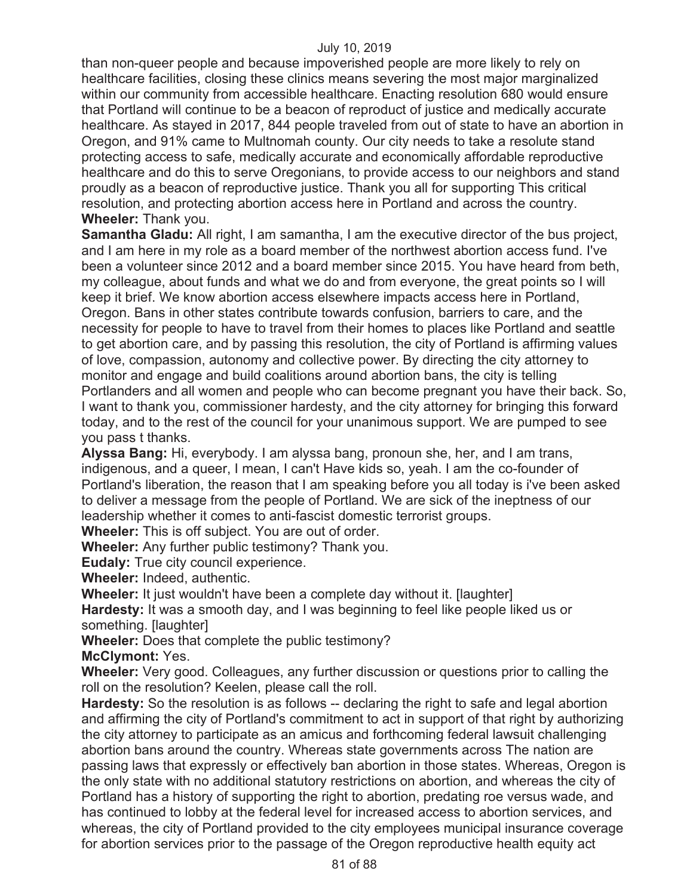than non-queer people and because impoverished people are more likely to rely on healthcare facilities, closing these clinics means severing the most major marginalized within our community from accessible healthcare. Enacting resolution 680 would ensure that Portland will continue to be a beacon of reproduct of justice and medically accurate healthcare. As stayed in 2017, 844 people traveled from out of state to have an abortion in Oregon, and 91% came to Multnomah county. Our city needs to take a resolute stand protecting access to safe, medically accurate and economically affordable reproductive healthcare and do this to serve Oregonians, to provide access to our neighbors and stand proudly as a beacon of reproductive justice. Thank you all for supporting This critical resolution, and protecting abortion access here in Portland and across the country. **Wheeler:** Thank you.

**Samantha Gladu:** All right, I am samantha, I am the executive director of the bus project, and I am here in my role as a board member of the northwest abortion access fund. I've been a volunteer since 2012 and a board member since 2015. You have heard from beth, my colleague, about funds and what we do and from everyone, the great points so I will keep it brief. We know abortion access elsewhere impacts access here in Portland, Oregon. Bans in other states contribute towards confusion, barriers to care, and the necessity for people to have to travel from their homes to places like Portland and seattle to get abortion care, and by passing this resolution, the city of Portland is affirming values of love, compassion, autonomy and collective power. By directing the city attorney to monitor and engage and build coalitions around abortion bans, the city is telling Portlanders and all women and people who can become pregnant you have their back. So, I want to thank you, commissioner hardesty, and the city attorney for bringing this forward today, and to the rest of the council for your unanimous support. We are pumped to see you pass t thanks.

**Alyssa Bang:** Hi, everybody. I am alyssa bang, pronoun she, her, and I am trans, indigenous, and a queer, I mean, I can't Have kids so, yeah. I am the co-founder of Portland's liberation, the reason that I am speaking before you all today is i've been asked to deliver a message from the people of Portland. We are sick of the ineptness of our leadership whether it comes to anti-fascist domestic terrorist groups.

**Wheeler:** This is off subject. You are out of order.

**Wheeler:** Any further public testimony? Thank you.

**Eudaly:** True city council experience.

**Wheeler:** Indeed, authentic.

**Wheeler:** It just wouldn't have been a complete day without it. [laughter]

**Hardesty:** It was a smooth day, and I was beginning to feel like people liked us or something. [laughter]

**Wheeler:** Does that complete the public testimony?

**McClymont:** Yes.

**Wheeler:** Very good. Colleagues, any further discussion or questions prior to calling the roll on the resolution? Keelen, please call the roll.

**Hardesty:** So the resolution is as follows -- declaring the right to safe and legal abortion and affirming the city of Portland's commitment to act in support of that right by authorizing the city attorney to participate as an amicus and forthcoming federal lawsuit challenging abortion bans around the country. Whereas state governments across The nation are passing laws that expressly or effectively ban abortion in those states. Whereas, Oregon is the only state with no additional statutory restrictions on abortion, and whereas the city of Portland has a history of supporting the right to abortion, predating roe versus wade, and has continued to lobby at the federal level for increased access to abortion services, and whereas, the city of Portland provided to the city employees municipal insurance coverage for abortion services prior to the passage of the Oregon reproductive health equity act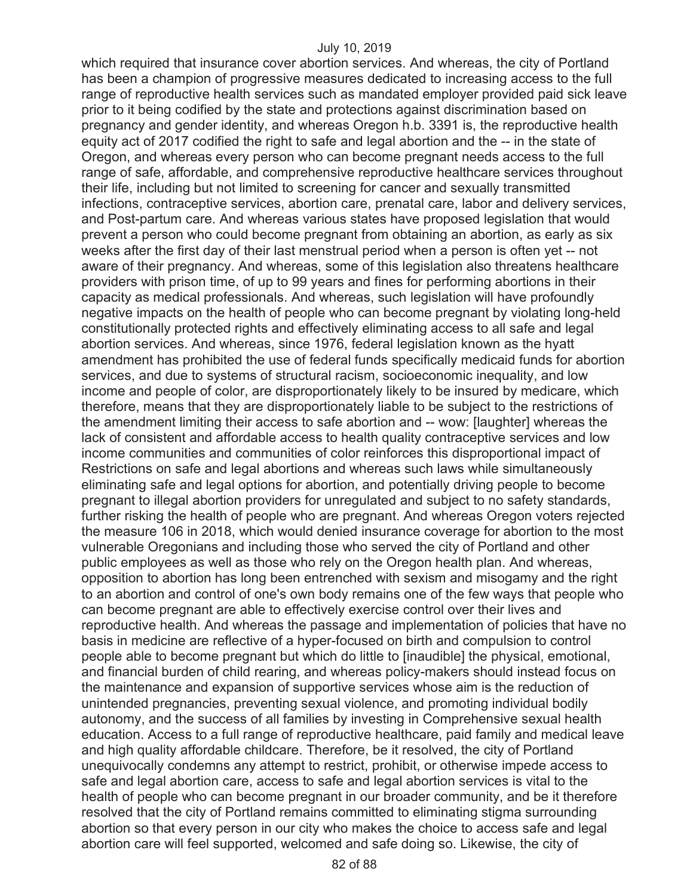which required that insurance cover abortion services. And whereas, the city of Portland has been a champion of progressive measures dedicated to increasing access to the full range of reproductive health services such as mandated employer provided paid sick leave prior to it being codified by the state and protections against discrimination based on pregnancy and gender identity, and whereas Oregon h.b. 3391 is, the reproductive health equity act of 2017 codified the right to safe and legal abortion and the -- in the state of Oregon, and whereas every person who can become pregnant needs access to the full range of safe, affordable, and comprehensive reproductive healthcare services throughout their life, including but not limited to screening for cancer and sexually transmitted infections, contraceptive services, abortion care, prenatal care, labor and delivery services, and Post-partum care. And whereas various states have proposed legislation that would prevent a person who could become pregnant from obtaining an abortion, as early as six weeks after the first day of their last menstrual period when a person is often yet -- not aware of their pregnancy. And whereas, some of this legislation also threatens healthcare providers with prison time, of up to 99 years and fines for performing abortions in their capacity as medical professionals. And whereas, such legislation will have profoundly negative impacts on the health of people who can become pregnant by violating long-held constitutionally protected rights and effectively eliminating access to all safe and legal abortion services. And whereas, since 1976, federal legislation known as the hyatt amendment has prohibited the use of federal funds specifically medicaid funds for abortion services, and due to systems of structural racism, socioeconomic inequality, and low income and people of color, are disproportionately likely to be insured by medicare, which therefore, means that they are disproportionately liable to be subject to the restrictions of the amendment limiting their access to safe abortion and -- wow: [laughter] whereas the lack of consistent and affordable access to health quality contraceptive services and low income communities and communities of color reinforces this disproportional impact of Restrictions on safe and legal abortions and whereas such laws while simultaneously eliminating safe and legal options for abortion, and potentially driving people to become pregnant to illegal abortion providers for unregulated and subject to no safety standards, further risking the health of people who are pregnant. And whereas Oregon voters rejected the measure 106 in 2018, which would denied insurance coverage for abortion to the most vulnerable Oregonians and including those who served the city of Portland and other public employees as well as those who rely on the Oregon health plan. And whereas, opposition to abortion has long been entrenched with sexism and misogamy and the right to an abortion and control of one's own body remains one of the few ways that people who can become pregnant are able to effectively exercise control over their lives and reproductive health. And whereas the passage and implementation of policies that have no basis in medicine are reflective of a hyper-focused on birth and compulsion to control people able to become pregnant but which do little to [inaudible] the physical, emotional, and financial burden of child rearing, and whereas policy-makers should instead focus on the maintenance and expansion of supportive services whose aim is the reduction of unintended pregnancies, preventing sexual violence, and promoting individual bodily autonomy, and the success of all families by investing in Comprehensive sexual health education. Access to a full range of reproductive healthcare, paid family and medical leave and high quality affordable childcare. Therefore, be it resolved, the city of Portland unequivocally condemns any attempt to restrict, prohibit, or otherwise impede access to safe and legal abortion care, access to safe and legal abortion services is vital to the health of people who can become pregnant in our broader community, and be it therefore resolved that the city of Portland remains committed to eliminating stigma surrounding abortion so that every person in our city who makes the choice to access safe and legal abortion care will feel supported, welcomed and safe doing so. Likewise, the city of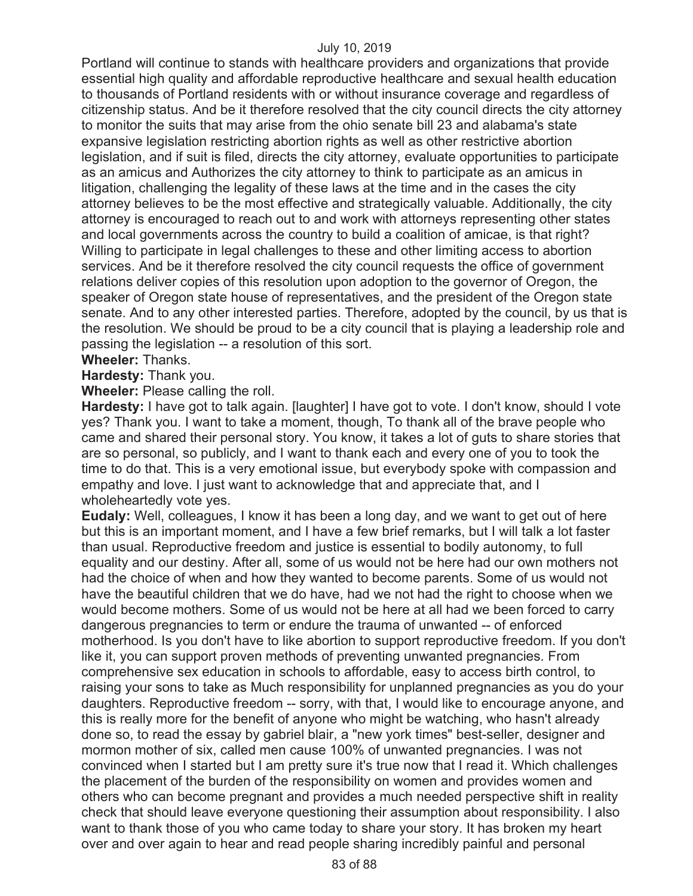Portland will continue to stands with healthcare providers and organizations that provide essential high quality and affordable reproductive healthcare and sexual health education to thousands of Portland residents with or without insurance coverage and regardless of citizenship status. And be it therefore resolved that the city council directs the city attorney to monitor the suits that may arise from the ohio senate bill 23 and alabama's state expansive legislation restricting abortion rights as well as other restrictive abortion legislation, and if suit is filed, directs the city attorney, evaluate opportunities to participate as an amicus and Authorizes the city attorney to think to participate as an amicus in litigation, challenging the legality of these laws at the time and in the cases the city attorney believes to be the most effective and strategically valuable. Additionally, the city attorney is encouraged to reach out to and work with attorneys representing other states and local governments across the country to build a coalition of amicae, is that right? Willing to participate in legal challenges to these and other limiting access to abortion services. And be it therefore resolved the city council requests the office of government relations deliver copies of this resolution upon adoption to the governor of Oregon, the speaker of Oregon state house of representatives, and the president of the Oregon state senate. And to any other interested parties. Therefore, adopted by the council, by us that is the resolution. We should be proud to be a city council that is playing a leadership role and passing the legislation -- a resolution of this sort.

**Wheeler:** Thanks.

**Hardesty:** Thank you.

**Wheeler:** Please calling the roll.

**Hardesty:** I have got to talk again. [laughter] I have got to vote. I don't know, should I vote yes? Thank you. I want to take a moment, though, To thank all of the brave people who came and shared their personal story. You know, it takes a lot of guts to share stories that are so personal, so publicly, and I want to thank each and every one of you to took the time to do that. This is a very emotional issue, but everybody spoke with compassion and empathy and love. I just want to acknowledge that and appreciate that, and I wholeheartedly vote yes.

**Eudaly:** Well, colleagues, I know it has been a long day, and we want to get out of here but this is an important moment, and I have a few brief remarks, but I will talk a lot faster than usual. Reproductive freedom and justice is essential to bodily autonomy, to full equality and our destiny. After all, some of us would not be here had our own mothers not had the choice of when and how they wanted to become parents. Some of us would not have the beautiful children that we do have, had we not had the right to choose when we would become mothers. Some of us would not be here at all had we been forced to carry dangerous pregnancies to term or endure the trauma of unwanted -- of enforced motherhood. Is you don't have to like abortion to support reproductive freedom. If you don't like it, you can support proven methods of preventing unwanted pregnancies. From comprehensive sex education in schools to affordable, easy to access birth control, to raising your sons to take as Much responsibility for unplanned pregnancies as you do your daughters. Reproductive freedom -- sorry, with that, I would like to encourage anyone, and this is really more for the benefit of anyone who might be watching, who hasn't already done so, to read the essay by gabriel blair, a "new york times" best-seller, designer and mormon mother of six, called men cause 100% of unwanted pregnancies. I was not convinced when I started but I am pretty sure it's true now that I read it. Which challenges the placement of the burden of the responsibility on women and provides women and others who can become pregnant and provides a much needed perspective shift in reality check that should leave everyone questioning their assumption about responsibility. I also want to thank those of you who came today to share your story. It has broken my heart over and over again to hear and read people sharing incredibly painful and personal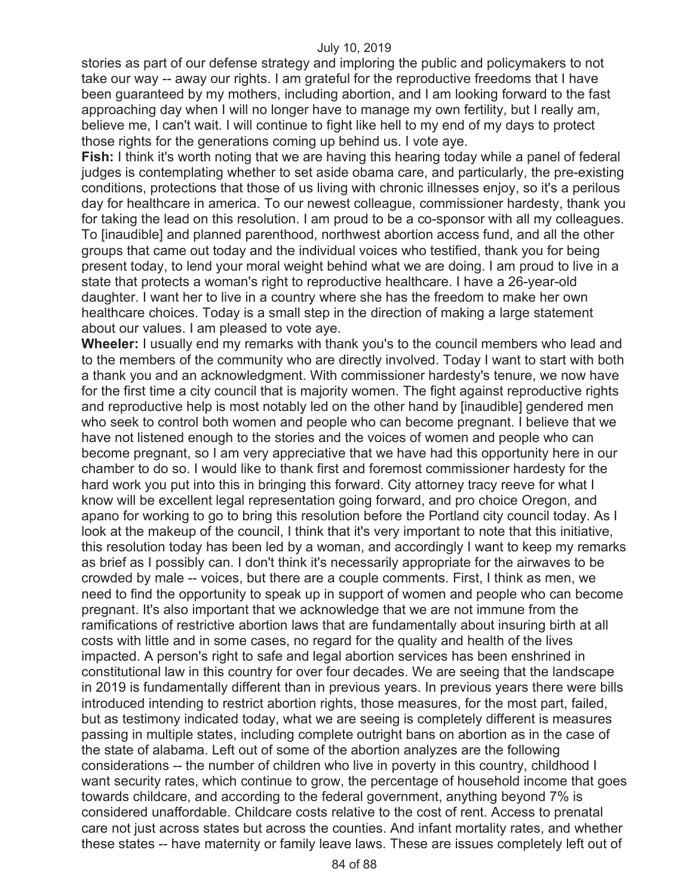stories as part of our defense strategy and imploring the public and policymakers to not take our way -- away our rights. I am grateful for the reproductive freedoms that I have been guaranteed by my mothers, including abortion, and I am looking forward to the fast approaching day when I will no longer have to manage my own fertility, but I really am, believe me, I can't wait. I will continue to fight like hell to my end of my days to protect those rights for the generations coming up behind us. I vote aye.

**Fish:** I think it's worth noting that we are having this hearing today while a panel of federal judges is contemplating whether to set aside obama care, and particularly, the pre-existing conditions, protections that those of us living with chronic illnesses enjoy, so it's a perilous day for healthcare in america. To our newest colleague, commissioner hardesty, thank you for taking the lead on this resolution. I am proud to be a co-sponsor with all my colleagues. To [inaudible] and planned parenthood, northwest abortion access fund, and all the other groups that came out today and the individual voices who testified, thank you for being present today, to lend your moral weight behind what we are doing. I am proud to live in a state that protects a woman's right to reproductive healthcare. I have a 26-year-old daughter. I want her to live in a country where she has the freedom to make her own healthcare choices. Today is a small step in the direction of making a large statement about our values. I am pleased to vote aye.

**Wheeler:** I usually end my remarks with thank you's to the council members who lead and to the members of the community who are directly involved. Today I want to start with both a thank you and an acknowledgment. With commissioner hardesty's tenure, we now have for the first time a city council that is majority women. The fight against reproductive rights and reproductive help is most notably led on the other hand by [inaudible] gendered men who seek to control both women and people who can become pregnant. I believe that we have not listened enough to the stories and the voices of women and people who can become pregnant, so I am very appreciative that we have had this opportunity here in our chamber to do so. I would like to thank first and foremost commissioner hardesty for the hard work you put into this in bringing this forward. City attorney tracy reeve for what I know will be excellent legal representation going forward, and pro choice Oregon, and apano for working to go to bring this resolution before the Portland city council today. As I look at the makeup of the council, I think that it's very important to note that this initiative, this resolution today has been led by a woman, and accordingly I want to keep my remarks as brief as I possibly can. I don't think it's necessarily appropriate for the airwaves to be crowded by male -- voices, but there are a couple comments. First, I think as men, we need to find the opportunity to speak up in support of women and people who can become pregnant. It's also important that we acknowledge that we are not immune from the ramifications of restrictive abortion laws that are fundamentally about insuring birth at all costs with little and in some cases, no regard for the quality and health of the lives impacted. A person's right to safe and legal abortion services has been enshrined in constitutional law in this country for over four decades. We are seeing that the landscape in 2019 is fundamentally different than in previous years. In previous years there were bills introduced intending to restrict abortion rights, those measures, for the most part, failed, but as testimony indicated today, what we are seeing is completely different is measures passing in multiple states, including complete outright bans on abortion as in the case of the state of alabama. Left out of some of the abortion analyzes are the following considerations -- the number of children who live in poverty in this country, childhood I want security rates, which continue to grow, the percentage of household income that goes towards childcare, and according to the federal government, anything beyond 7% is considered unaffordable. Childcare costs relative to the cost of rent. Access to prenatal care not just across states but across the counties. And infant mortality rates, and whether these states -- have maternity or family leave laws. These are issues completely left out of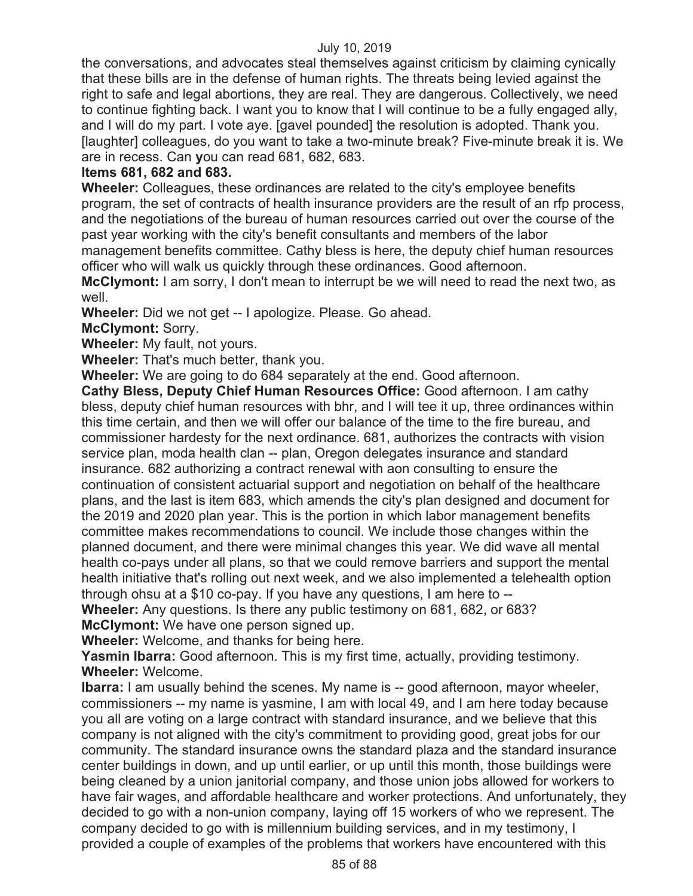the conversations, and advocates steal themselves against criticism by claiming cynically that these bills are in the defense of human rights. The threats being levied against the right to safe and legal abortions, they are real. They are dangerous. Collectively, we need to continue fighting back. I want you to know that I will continue to be a fully engaged ally, and I will do my part. I vote aye. [gavel pounded] the resolution is adopted. Thank you. [laughter] colleagues, do you want to take a two-minute break? Five-minute break it is. We are in recess. Can **y**ou can read 681, 682, 683.

## **Items 681, 682 and 683.**

**Wheeler:** Colleagues, these ordinances are related to the city's employee benefits program, the set of contracts of health insurance providers are the result of an rfp process, and the negotiations of the bureau of human resources carried out over the course of the past year working with the city's benefit consultants and members of the labor management benefits committee. Cathy bless is here, the deputy chief human resources officer who will walk us quickly through these ordinances. Good afternoon.

**McClymont:** I am sorry, I don't mean to interrupt be we will need to read the next two, as well.

**Wheeler:** Did we not get -- I apologize. Please. Go ahead.

**McClymont:** Sorry.

**Wheeler:** My fault, not yours.

**Wheeler:** That's much better, thank you.

**Wheeler:** We are going to do 684 separately at the end. Good afternoon.

**Cathy Bless, Deputy Chief Human Resources Office:** Good afternoon. I am cathy bless, deputy chief human resources with bhr, and I will tee it up, three ordinances within this time certain, and then we will offer our balance of the time to the fire bureau, and commissioner hardesty for the next ordinance. 681, authorizes the contracts with vision service plan, moda health clan -- plan, Oregon delegates insurance and standard insurance. 682 authorizing a contract renewal with aon consulting to ensure the continuation of consistent actuarial support and negotiation on behalf of the healthcare plans, and the last is item 683, which amends the city's plan designed and document for the 2019 and 2020 plan year. This is the portion in which labor management benefits committee makes recommendations to council. We include those changes within the planned document, and there were minimal changes this year. We did wave all mental health co-pays under all plans, so that we could remove barriers and support the mental health initiative that's rolling out next week, and we also implemented a telehealth option through ohsu at a \$10 co-pay. If you have any questions, I am here to --

**Wheeler:** Any questions. Is there any public testimony on 681, 682, or 683? **McClymont:** We have one person signed up.

**Wheeler:** Welcome, and thanks for being here.

**Yasmin Ibarra:** Good afternoon. This is my first time, actually, providing testimony. **Wheeler:** Welcome.

**Ibarra:** I am usually behind the scenes. My name is -- good afternoon, mayor wheeler, commissioners -- my name is yasmine, I am with local 49, and I am here today because you all are voting on a large contract with standard insurance, and we believe that this company is not aligned with the city's commitment to providing good, great jobs for our community. The standard insurance owns the standard plaza and the standard insurance center buildings in down, and up until earlier, or up until this month, those buildings were being cleaned by a union janitorial company, and those union jobs allowed for workers to have fair wages, and affordable healthcare and worker protections. And unfortunately, they decided to go with a non-union company, laying off 15 workers of who we represent. The company decided to go with is millennium building services, and in my testimony, I provided a couple of examples of the problems that workers have encountered with this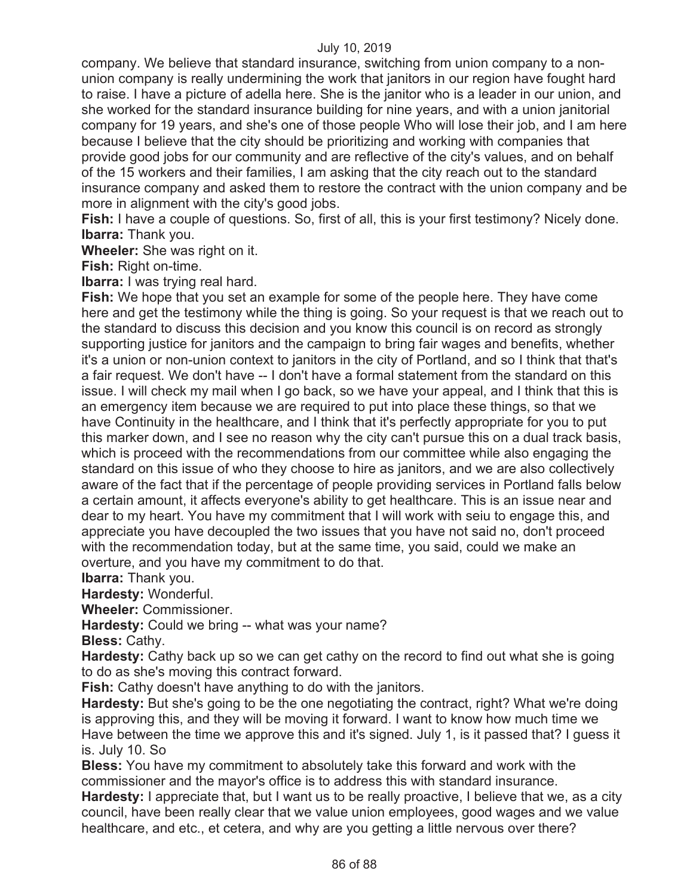company. We believe that standard insurance, switching from union company to a nonunion company is really undermining the work that janitors in our region have fought hard to raise. I have a picture of adella here. She is the janitor who is a leader in our union, and she worked for the standard insurance building for nine years, and with a union janitorial company for 19 years, and she's one of those people Who will lose their job, and I am here because I believe that the city should be prioritizing and working with companies that provide good jobs for our community and are reflective of the city's values, and on behalf of the 15 workers and their families, I am asking that the city reach out to the standard insurance company and asked them to restore the contract with the union company and be more in alignment with the city's good jobs.

**Fish:** I have a couple of questions. So, first of all, this is your first testimony? Nicely done. **Ibarra:** Thank you.

**Wheeler:** She was right on it.

**Fish:** Right on-time.

**Ibarra:** I was trying real hard.

**Fish:** We hope that you set an example for some of the people here. They have come here and get the testimony while the thing is going. So your request is that we reach out to the standard to discuss this decision and you know this council is on record as strongly supporting justice for janitors and the campaign to bring fair wages and benefits, whether it's a union or non-union context to janitors in the city of Portland, and so I think that that's a fair request. We don't have -- I don't have a formal statement from the standard on this issue. I will check my mail when I go back, so we have your appeal, and I think that this is an emergency item because we are required to put into place these things, so that we have Continuity in the healthcare, and I think that it's perfectly appropriate for you to put this marker down, and I see no reason why the city can't pursue this on a dual track basis, which is proceed with the recommendations from our committee while also engaging the standard on this issue of who they choose to hire as janitors, and we are also collectively aware of the fact that if the percentage of people providing services in Portland falls below a certain amount, it affects everyone's ability to get healthcare. This is an issue near and dear to my heart. You have my commitment that I will work with seiu to engage this, and appreciate you have decoupled the two issues that you have not said no, don't proceed with the recommendation today, but at the same time, you said, could we make an overture, and you have my commitment to do that.

**Ibarra:** Thank you.

**Hardesty:** Wonderful.

**Wheeler:** Commissioner.

**Hardesty:** Could we bring -- what was your name?

**Bless:** Cathy.

**Hardesty:** Cathy back up so we can get cathy on the record to find out what she is going to do as she's moving this contract forward.

**Fish:** Cathy doesn't have anything to do with the janitors.

**Hardesty:** But she's going to be the one negotiating the contract, right? What we're doing is approving this, and they will be moving it forward. I want to know how much time we Have between the time we approve this and it's signed. July 1, is it passed that? I guess it is. July 10. So

**Bless:** You have my commitment to absolutely take this forward and work with the commissioner and the mayor's office is to address this with standard insurance.

**Hardesty:** I appreciate that, but I want us to be really proactive, I believe that we, as a city council, have been really clear that we value union employees, good wages and we value healthcare, and etc., et cetera, and why are you getting a little nervous over there?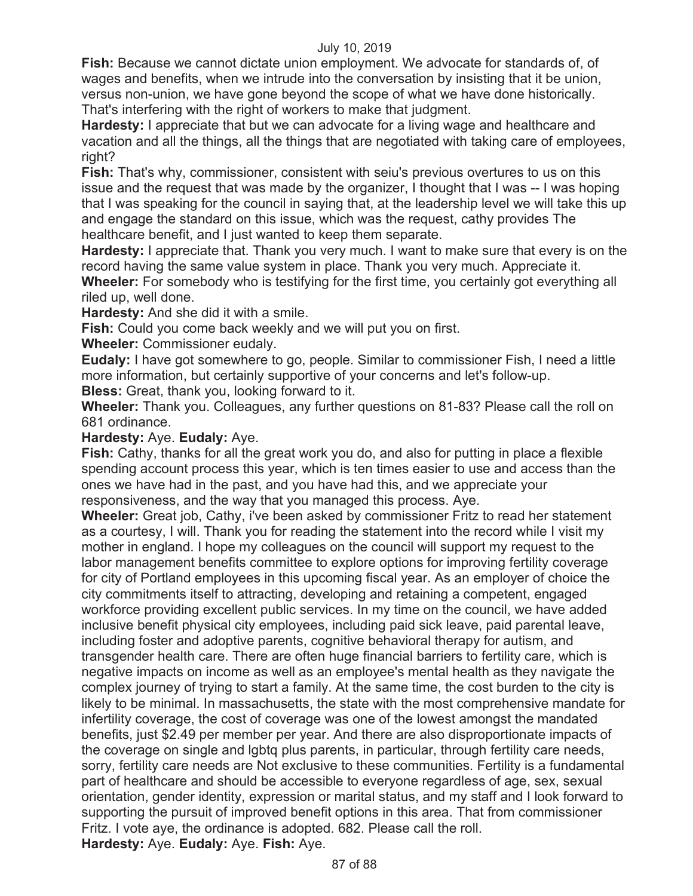**Fish:** Because we cannot dictate union employment. We advocate for standards of, of wages and benefits, when we intrude into the conversation by insisting that it be union, versus non-union, we have gone beyond the scope of what we have done historically. That's interfering with the right of workers to make that judgment.

**Hardesty:** I appreciate that but we can advocate for a living wage and healthcare and vacation and all the things, all the things that are negotiated with taking care of employees, right?

**Fish:** That's why, commissioner, consistent with seiu's previous overtures to us on this issue and the request that was made by the organizer, I thought that I was -- I was hoping that I was speaking for the council in saying that, at the leadership level we will take this up and engage the standard on this issue, which was the request, cathy provides The healthcare benefit, and I just wanted to keep them separate.

**Hardesty:** I appreciate that. Thank you very much. I want to make sure that every is on the record having the same value system in place. Thank you very much. Appreciate it. **Wheeler:** For somebody who is testifying for the first time, you certainly got everything all riled up, well done.

**Hardesty:** And she did it with a smile.

**Fish:** Could you come back weekly and we will put you on first.

**Wheeler:** Commissioner eudaly.

**Eudaly:** I have got somewhere to go, people. Similar to commissioner Fish, I need a little more information, but certainly supportive of your concerns and let's follow-up.

**Bless:** Great, thank you, looking forward to it.

**Wheeler:** Thank you. Colleagues, any further questions on 81-83? Please call the roll on 681 ordinance.

## **Hardesty:** Aye. **Eudaly:** Aye.

**Fish:** Cathy, thanks for all the great work you do, and also for putting in place a flexible spending account process this year, which is ten times easier to use and access than the ones we have had in the past, and you have had this, and we appreciate your responsiveness, and the way that you managed this process. Aye.

**Wheeler:** Great job, Cathy, i've been asked by commissioner Fritz to read her statement as a courtesy, I will. Thank you for reading the statement into the record while I visit my mother in england. I hope my colleagues on the council will support my request to the labor management benefits committee to explore options for improving fertility coverage for city of Portland employees in this upcoming fiscal year. As an employer of choice the city commitments itself to attracting, developing and retaining a competent, engaged workforce providing excellent public services. In my time on the council, we have added inclusive benefit physical city employees, including paid sick leave, paid parental leave, including foster and adoptive parents, cognitive behavioral therapy for autism, and transgender health care. There are often huge financial barriers to fertility care, which is negative impacts on income as well as an employee's mental health as they navigate the complex journey of trying to start a family. At the same time, the cost burden to the city is likely to be minimal. In massachusetts, the state with the most comprehensive mandate for infertility coverage, the cost of coverage was one of the lowest amongst the mandated benefits, just \$2.49 per member per year. And there are also disproportionate impacts of the coverage on single and lgbtq plus parents, in particular, through fertility care needs, sorry, fertility care needs are Not exclusive to these communities. Fertility is a fundamental part of healthcare and should be accessible to everyone regardless of age, sex, sexual orientation, gender identity, expression or marital status, and my staff and I look forward to supporting the pursuit of improved benefit options in this area. That from commissioner Fritz. I vote aye, the ordinance is adopted. 682. Please call the roll. **Hardesty:** Aye. **Eudaly:** Aye. **Fish:** Aye.

87 of 88